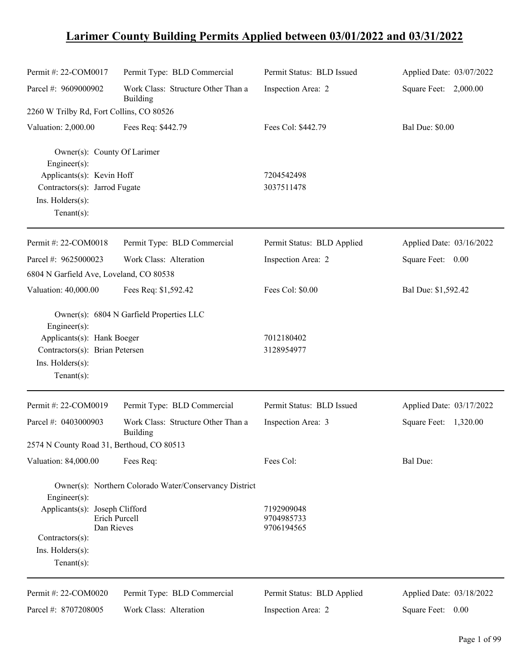## **Larimer County Building Permits Applied between 03/01/2022 and 03/31/2022**

| Permit #: 22-COM0017                                                                             | Permit Type: BLD Commercial                            | Permit Status: BLD Issued              | Applied Date: 03/07/2022 |
|--------------------------------------------------------------------------------------------------|--------------------------------------------------------|----------------------------------------|--------------------------|
| Parcel #: 9609000902                                                                             | Work Class: Structure Other Than a<br>Building         | Inspection Area: 2                     | Square Feet: 2,000.00    |
| 2260 W Trilby Rd, Fort Collins, CO 80526                                                         |                                                        |                                        |                          |
| Valuation: 2,000.00                                                                              | Fees Req: \$442.79                                     | Fees Col: \$442.79                     | <b>Bal Due: \$0.00</b>   |
| Owner(s): County Of Larimer<br>$Engineer(s)$ :                                                   |                                                        |                                        |                          |
| Applicants(s): Kevin Hoff<br>Contractors(s): Jarrod Fugate<br>Ins. Holders(s):<br>Tenant $(s)$ : |                                                        | 7204542498<br>3037511478               |                          |
| Permit #: 22-COM0018                                                                             | Permit Type: BLD Commercial                            | Permit Status: BLD Applied             | Applied Date: 03/16/2022 |
| Parcel #: 9625000023                                                                             | Work Class: Alteration                                 | Inspection Area: 2                     | Square Feet:<br>0.00     |
| 6804 N Garfield Ave, Loveland, CO 80538                                                          |                                                        |                                        |                          |
| Valuation: 40,000.00                                                                             | Fees Req: \$1,592.42                                   | Fees Col: \$0.00                       | Bal Due: \$1,592.42      |
| $Engineering(s)$ :<br>Applicants(s): Hank Boeger                                                 | Owner(s): 6804 N Garfield Properties LLC               | 7012180402                             |                          |
| Contractors(s): Brian Petersen                                                                   |                                                        | 3128954977                             |                          |
| Ins. Holders(s):<br>Tenant $(s)$ :                                                               |                                                        |                                        |                          |
| Permit #: 22-COM0019                                                                             | Permit Type: BLD Commercial                            | Permit Status: BLD Issued              | Applied Date: 03/17/2022 |
| Parcel #: 0403000903                                                                             | Work Class: Structure Other Than a<br><b>Building</b>  | Inspection Area: 3                     | Square Feet: 1,320.00    |
| 2574 N County Road 31, Berthoud, CO 80513                                                        |                                                        |                                        |                          |
| Valuation: 84,000.00                                                                             | Fees Req:                                              | Fees Col:                              | <b>Bal Due:</b>          |
| Engineer(s):                                                                                     | Owner(s): Northern Colorado Water/Conservancy District |                                        |                          |
| Applicants(s): Joseph Clifford<br>Erich Purcell<br>Dan Rieves<br>Contractors(s):                 |                                                        | 7192909048<br>9704985733<br>9706194565 |                          |
| Ins. Holders(s):                                                                                 |                                                        |                                        |                          |
| Tenant $(s)$ :                                                                                   |                                                        |                                        |                          |
| Permit #: 22-COM0020                                                                             | Permit Type: BLD Commercial                            | Permit Status: BLD Applied             | Applied Date: 03/18/2022 |
| Parcel #: 8707208005                                                                             | Work Class: Alteration                                 | Inspection Area: 2                     | Square Feet:<br>0.00     |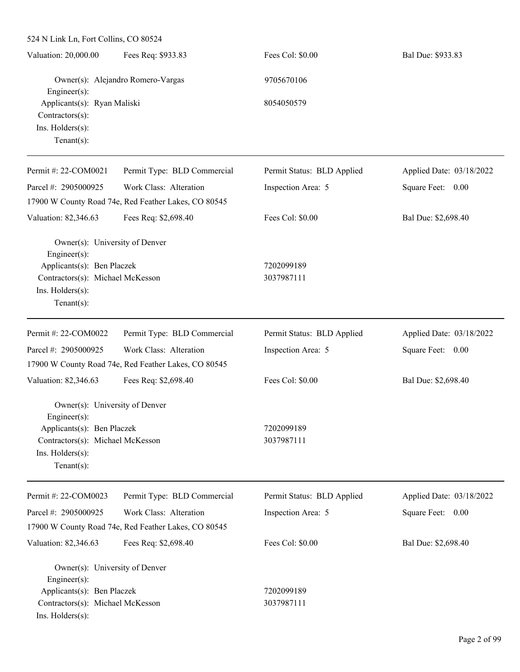| 524 N Link Ln, Fort Collins, CO 80524                          |                                                      |                            |                          |  |
|----------------------------------------------------------------|------------------------------------------------------|----------------------------|--------------------------|--|
| Valuation: 20,000.00                                           | Fees Req: \$933.83                                   | Fees Col: \$0.00           | Bal Due: \$933.83        |  |
| Owner(s): Alejandro Romero-Vargas<br>Engineer(s):              |                                                      | 9705670106                 |                          |  |
| Applicants(s): Ryan Maliski<br>Contractors(s):                 |                                                      | 8054050579                 |                          |  |
| Ins. Holders(s):<br>Tenant $(s)$ :                             |                                                      |                            |                          |  |
| Permit #: 22-COM0021                                           | Permit Type: BLD Commercial                          | Permit Status: BLD Applied | Applied Date: 03/18/2022 |  |
| Parcel #: 2905000925                                           | Work Class: Alteration                               | Inspection Area: 5         | Square Feet: 0.00        |  |
|                                                                | 17900 W County Road 74e, Red Feather Lakes, CO 80545 |                            |                          |  |
| Valuation: 82,346.63                                           | Fees Req: \$2,698.40                                 | Fees Col: \$0.00           | Bal Due: \$2,698.40      |  |
| Owner(s): University of Denver<br>Engineer(s):                 |                                                      |                            |                          |  |
| Applicants(s): Ben Placzek                                     |                                                      | 7202099189                 |                          |  |
| Contractors(s): Michael McKesson                               |                                                      | 3037987111                 |                          |  |
| Ins. Holders(s):<br>$Tenant(s)$ :                              |                                                      |                            |                          |  |
| Permit #: 22-COM0022                                           | Permit Type: BLD Commercial                          | Permit Status: BLD Applied | Applied Date: 03/18/2022 |  |
| Parcel #: 2905000925                                           | Work Class: Alteration                               | Inspection Area: 5         | Square Feet: 0.00        |  |
|                                                                | 17900 W County Road 74e, Red Feather Lakes, CO 80545 |                            |                          |  |
| Valuation: 82,346.63                                           | Fees Req: \$2,698.40                                 | Fees Col: \$0.00           | Bal Due: \$2,698.40      |  |
| Owner(s): University of Denver<br>$Engineering(s)$ :           |                                                      |                            |                          |  |
| Applicants(s): Ben Placzek                                     |                                                      | 7202099189                 |                          |  |
| Contractors(s): Michael McKesson                               |                                                      | 3037987111                 |                          |  |
| Ins. Holders(s):<br>Tenant $(s)$ :                             |                                                      |                            |                          |  |
| Permit #: 22-COM0023                                           | Permit Type: BLD Commercial                          | Permit Status: BLD Applied | Applied Date: 03/18/2022 |  |
| Parcel #: 2905000925                                           | Work Class: Alteration                               | Inspection Area: 5         | Square Feet:<br>0.00     |  |
|                                                                | 17900 W County Road 74e, Red Feather Lakes, CO 80545 |                            |                          |  |
| Valuation: 82,346.63                                           | Fees Req: \$2,698.40                                 | Fees Col: \$0.00           | Bal Due: \$2,698.40      |  |
| Owner(s): University of Denver                                 |                                                      |                            |                          |  |
| Engineer(s):                                                   |                                                      |                            |                          |  |
| Applicants(s): Ben Placzek<br>Contractors(s): Michael McKesson |                                                      | 7202099189<br>3037987111   |                          |  |
| Ins. Holders(s):                                               |                                                      |                            |                          |  |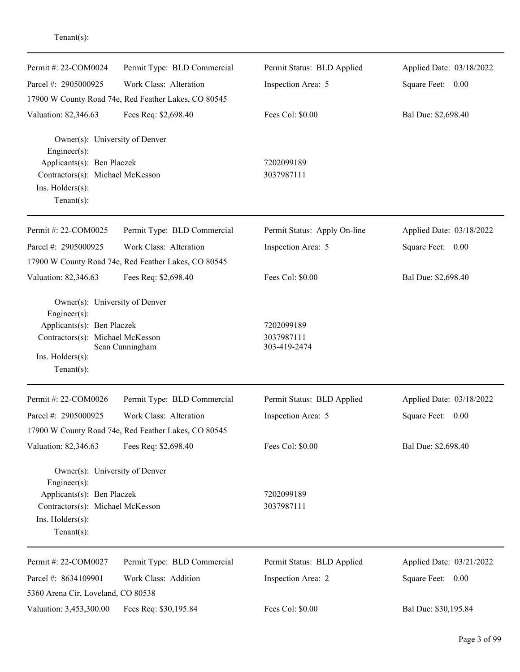| Permit #: 22-COM0024                                                                                 | Permit Type: BLD Commercial                          | Permit Status: BLD Applied   | Applied Date: 03/18/2022 |
|------------------------------------------------------------------------------------------------------|------------------------------------------------------|------------------------------|--------------------------|
| Parcel #: 2905000925                                                                                 | Work Class: Alteration                               | Inspection Area: 5           | Square Feet: 0.00        |
|                                                                                                      | 17900 W County Road 74e, Red Feather Lakes, CO 80545 |                              |                          |
| Valuation: 82,346.63                                                                                 | Fees Req: \$2,698.40                                 | Fees Col: \$0.00             | Bal Due: \$2,698.40      |
| Owner(s): University of Denver<br>Engineer $(s)$ :<br>Applicants(s): Ben Placzek                     |                                                      | 7202099189                   |                          |
| Contractors(s): Michael McKesson<br>Ins. $H$ olders $(s)$ :<br>Tenant $(s)$ :                        |                                                      | 3037987111                   |                          |
| Permit #: 22-COM0025                                                                                 | Permit Type: BLD Commercial                          | Permit Status: Apply On-line | Applied Date: 03/18/2022 |
| Parcel #: 2905000925                                                                                 | Work Class: Alteration                               | Inspection Area: 5           | Square Feet: 0.00        |
|                                                                                                      | 17900 W County Road 74e, Red Feather Lakes, CO 80545 |                              |                          |
| Valuation: 82,346.63                                                                                 | Fees Req: \$2,698.40                                 | Fees Col: \$0.00             | Bal Due: \$2,698.40      |
| Owner(s): University of Denver<br>Engineer $(s)$ :                                                   |                                                      |                              |                          |
| Applicants(s): Ben Placzek                                                                           |                                                      | 7202099189                   |                          |
| Contractors(s): Michael McKesson                                                                     | Sean Cunningham                                      | 3037987111<br>303-419-2474   |                          |
| Ins. $H$ olders $(s)$ :                                                                              |                                                      |                              |                          |
| Tenant $(s)$ :                                                                                       |                                                      |                              |                          |
| Permit #: 22-COM0026                                                                                 | Permit Type: BLD Commercial                          | Permit Status: BLD Applied   | Applied Date: 03/18/2022 |
| Parcel #: 2905000925                                                                                 | Work Class: Alteration                               | Inspection Area: 5           | Square Feet: 0.00        |
|                                                                                                      | 17900 W County Road 74e, Red Feather Lakes, CO 80545 |                              |                          |
| Valuation: 82,346.63                                                                                 | Fees Req: \$2,698.40                                 | Fees Col: \$0.00             | Bal Due: \$2,698.40      |
| Owner(s): University of Denver<br>Engineer(s):                                                       |                                                      |                              |                          |
| Applicants(s): Ben Placzek<br>Contractors(s): Michael McKesson<br>Ins. Holders(s):<br>Tenant $(s)$ : |                                                      | 7202099189<br>3037987111     |                          |
| Permit #: 22-COM0027                                                                                 | Permit Type: BLD Commercial                          | Permit Status: BLD Applied   | Applied Date: 03/21/2022 |
| Parcel #: 8634109901                                                                                 | Work Class: Addition                                 | Inspection Area: 2           | Square Feet: 0.00        |
| 5360 Arena Cir, Loveland, CO 80538                                                                   |                                                      |                              |                          |
| Valuation: 3,453,300.00                                                                              | Fees Req: \$30,195.84                                | Fees Col: \$0.00             | Bal Due: \$30,195.84     |

Tenant(s):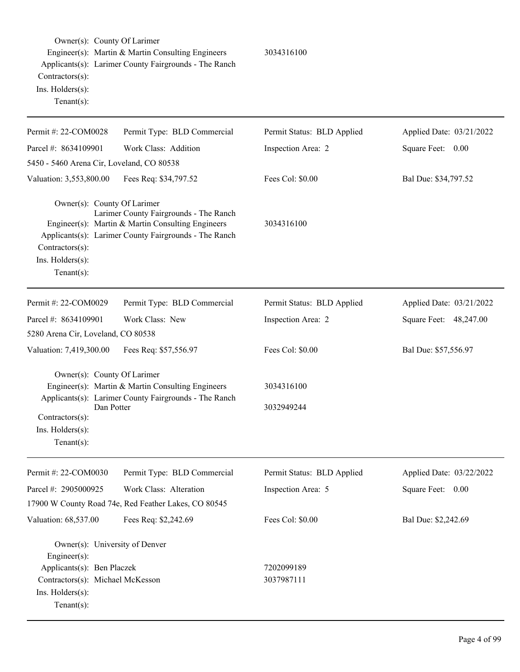| Owner(s): County Of Larimer<br>Contractors(s):<br>Ins. Holders(s):<br>Tenant $(s)$ :                                                                   | Engineer(s): Martin & Martin Consulting Engineers<br>Applicants(s): Larimer County Fairgrounds - The Ranch                                           | 3034316100                 |                          |
|--------------------------------------------------------------------------------------------------------------------------------------------------------|------------------------------------------------------------------------------------------------------------------------------------------------------|----------------------------|--------------------------|
| Permit #: 22-COM0028                                                                                                                                   | Permit Type: BLD Commercial                                                                                                                          | Permit Status: BLD Applied | Applied Date: 03/21/2022 |
| Parcel #: 8634109901                                                                                                                                   | Work Class: Addition                                                                                                                                 | Inspection Area: 2         | Square Feet: 0.00        |
| 5450 - 5460 Arena Cir, Loveland, CO 80538                                                                                                              |                                                                                                                                                      |                            |                          |
| Valuation: 3,553,800.00                                                                                                                                | Fees Req: \$34,797.52                                                                                                                                | Fees Col: \$0.00           | Bal Due: \$34,797.52     |
| Owner(s): County Of Larimer<br>Contractors(s):<br>Ins. Holders(s):<br>Tenant $(s)$ :                                                                   | Larimer County Fairgrounds - The Ranch<br>Engineer(s): Martin & Martin Consulting Engineers<br>Applicants(s): Larimer County Fairgrounds - The Ranch | 3034316100                 |                          |
| Permit #: 22-COM0029                                                                                                                                   | Permit Type: BLD Commercial                                                                                                                          | Permit Status: BLD Applied | Applied Date: 03/21/2022 |
| Parcel #: 8634109901                                                                                                                                   | Work Class: New                                                                                                                                      | Inspection Area: 2         | Square Feet: 48,247.00   |
| 5280 Arena Cir, Loveland, CO 80538                                                                                                                     |                                                                                                                                                      |                            |                          |
| Valuation: 7,419,300.00                                                                                                                                | Fees Req: \$57,556.97                                                                                                                                | Fees Col: \$0.00           | Bal Due: \$57,556.97     |
| Owner(s): County Of Larimer<br>Dan Potter<br>Contractors(s):<br>Ins. Holders(s):<br>Tenant $(s)$ :                                                     | Engineer(s): Martin & Martin Consulting Engineers<br>Applicants(s): Larimer County Fairgrounds - The Ranch                                           | 3034316100<br>3032949244   |                          |
| Permit #: 22-COM0030                                                                                                                                   | Permit Type: BLD Commercial                                                                                                                          | Permit Status: BLD Applied | Applied Date: 03/22/2022 |
| Parcel #: 2905000925                                                                                                                                   | Work Class: Alteration                                                                                                                               | Inspection Area: 5         | Square Feet: 0.00        |
|                                                                                                                                                        | 17900 W County Road 74e, Red Feather Lakes, CO 80545                                                                                                 |                            |                          |
| Valuation: 68,537.00                                                                                                                                   | Fees Req: \$2,242.69                                                                                                                                 | Fees Col: \$0.00           | Bal Due: \$2,242.69      |
| Owner(s): University of Denver<br>Engineer(s):<br>Applicants(s): Ben Placzek<br>Contractors(s): Michael McKesson<br>Ins. Holders(s):<br>Tenant $(s)$ : |                                                                                                                                                      | 7202099189<br>3037987111   |                          |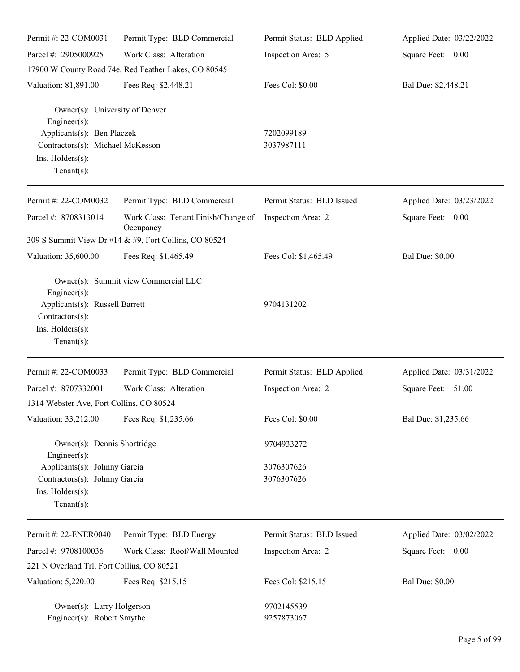| Permit #: 22-COM0031                                                                                                                                   | Permit Type: BLD Commercial                           | Permit Status: BLD Applied | Applied Date: 03/22/2022 |
|--------------------------------------------------------------------------------------------------------------------------------------------------------|-------------------------------------------------------|----------------------------|--------------------------|
| Parcel #: 2905000925                                                                                                                                   | Work Class: Alteration                                | Inspection Area: 5         | Square Feet: 0.00        |
|                                                                                                                                                        | 17900 W County Road 74e, Red Feather Lakes, CO 80545  |                            |                          |
| Valuation: 81,891.00                                                                                                                                   | Fees Req: \$2,448.21                                  | Fees Col: \$0.00           | Bal Due: \$2,448.21      |
| Owner(s): University of Denver<br>Engineer(s):<br>Applicants(s): Ben Placzek<br>Contractors(s): Michael McKesson<br>Ins. Holders(s):<br>Tenant $(s)$ : |                                                       | 7202099189<br>3037987111   |                          |
| Permit #: 22-COM0032                                                                                                                                   | Permit Type: BLD Commercial                           | Permit Status: BLD Issued  | Applied Date: 03/23/2022 |
| Parcel #: 8708313014                                                                                                                                   | Work Class: Tenant Finish/Change of<br>Occupancy      | Inspection Area: 2         | Square Feet: 0.00        |
|                                                                                                                                                        | 309 S Summit View Dr #14 & #9, Fort Collins, CO 80524 |                            |                          |
| Valuation: 35,600.00                                                                                                                                   | Fees Req: \$1,465.49                                  | Fees Col: \$1,465.49       | <b>Bal Due: \$0.00</b>   |
| Engineer(s):<br>Applicants(s): Russell Barrett<br>Contractors(s):<br>Ins. Holders(s):<br>Tenant $(s)$ :                                                | Owner(s): Summit view Commercial LLC                  | 9704131202                 |                          |
| Permit #: 22-COM0033                                                                                                                                   | Permit Type: BLD Commercial                           | Permit Status: BLD Applied | Applied Date: 03/31/2022 |
| Parcel #: 8707332001                                                                                                                                   | Work Class: Alteration                                | Inspection Area: 2         | Square Feet: 51.00       |
| 1314 Webster Ave, Fort Collins, CO 80524                                                                                                               |                                                       |                            |                          |
| Valuation: 33,212.00                                                                                                                                   | Fees Req: \$1,235.66                                  | Fees Col: \$0.00           | Bal Due: \$1,235.66      |
| Owner(s): Dennis Shortridge<br>Engineer(s):                                                                                                            |                                                       | 9704933272                 |                          |
| Applicants(s): Johnny Garcia<br>Contractors(s): Johnny Garcia<br>Ins. Holders(s):<br>Tenant $(s)$ :                                                    |                                                       | 3076307626<br>3076307626   |                          |
| Permit #: 22-ENER0040                                                                                                                                  | Permit Type: BLD Energy                               | Permit Status: BLD Issued  | Applied Date: 03/02/2022 |
| Parcel #: 9708100036                                                                                                                                   | Work Class: Roof/Wall Mounted                         | Inspection Area: 2         | Square Feet: 0.00        |
| 221 N Overland Trl, Fort Collins, CO 80521                                                                                                             |                                                       |                            |                          |
| Valuation: 5,220.00                                                                                                                                    | Fees Req: \$215.15                                    | Fees Col: \$215.15         | <b>Bal Due: \$0.00</b>   |
| Owner(s): Larry Holgerson<br>Engineer(s): Robert Smythe                                                                                                |                                                       | 9702145539<br>9257873067   |                          |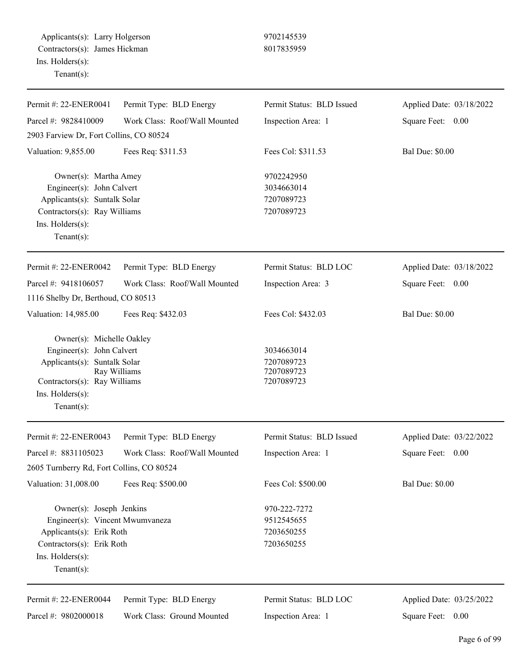Applicants(s): Larry Holgerson 9702145539 Contractors(s): James Hickman 8017835959 Ins. Holders(s): Tenant(s):

| Permit #: 22-ENER0041                                                                                                                                       | Permit Type: BLD Energy       | Permit Status: BLD Issued                              | Applied Date: 03/18/2022 |
|-------------------------------------------------------------------------------------------------------------------------------------------------------------|-------------------------------|--------------------------------------------------------|--------------------------|
| Parcel #: 9828410009                                                                                                                                        | Work Class: Roof/Wall Mounted | Inspection Area: 1                                     | Square Feet: 0.00        |
| 2903 Farview Dr, Fort Collins, CO 80524                                                                                                                     |                               |                                                        |                          |
| Valuation: 9,855.00                                                                                                                                         | Fees Req: \$311.53            | Fees Col: \$311.53                                     | <b>Bal Due: \$0.00</b>   |
| Owner(s): Martha Amey<br>Engineer(s): John Calvert<br>Applicants(s): Suntalk Solar<br>Contractors(s): Ray Williams<br>Ins. Holders(s):<br>Tenant $(s)$ :    |                               | 9702242950<br>3034663014<br>7207089723<br>7207089723   |                          |
| Permit #: 22-ENER0042                                                                                                                                       | Permit Type: BLD Energy       | Permit Status: BLD LOC                                 | Applied Date: 03/18/2022 |
| Parcel #: 9418106057                                                                                                                                        | Work Class: Roof/Wall Mounted | Inspection Area: 3                                     | Square Feet: 0.00        |
| 1116 Shelby Dr, Berthoud, CO 80513                                                                                                                          |                               |                                                        |                          |
| Valuation: 14,985.00                                                                                                                                        | Fees Req: \$432.03            | Fees Col: \$432.03                                     | <b>Bal Due: \$0.00</b>   |
| Owner(s): Michelle Oakley<br>Engineer(s): John Calvert<br>Applicants(s): Suntalk Solar<br>Contractors(s): Ray Williams<br>Ins. Holders(s):<br>$Tenant(s)$ : | Ray Williams                  | 3034663014<br>7207089723<br>7207089723<br>7207089723   |                          |
| Permit #: 22-ENER0043                                                                                                                                       | Permit Type: BLD Energy       | Permit Status: BLD Issued                              | Applied Date: 03/22/2022 |
| Parcel #: 8831105023                                                                                                                                        | Work Class: Roof/Wall Mounted | Inspection Area: 1                                     | Square Feet:<br>0.00     |
| 2605 Turnberry Rd, Fort Collins, CO 80524                                                                                                                   |                               |                                                        |                          |
| Valuation: 31,008.00                                                                                                                                        | Fees Req: \$500.00            | Fees Col: \$500.00                                     | <b>Bal Due: \$0.00</b>   |
| Owner(s): Joseph Jenkins<br>Engineer(s): Vincent Mwumvaneza<br>Applicants(s): Erik Roth<br>Contractors(s): Erik Roth<br>Ins. Holders(s):<br>Tenant $(s)$ :  |                               | 970-222-7272<br>9512545655<br>7203650255<br>7203650255 |                          |
| Permit #: 22-ENER0044                                                                                                                                       | Permit Type: BLD Energy       | Permit Status: BLD LOC                                 | Applied Date: 03/25/2022 |
| Parcel #: 9802000018                                                                                                                                        | Work Class: Ground Mounted    | Inspection Area: 1                                     | Square Feet:<br>0.00     |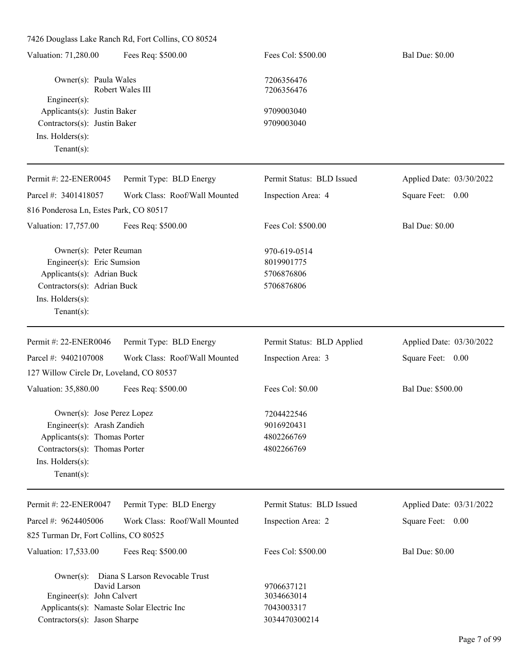7426 Douglass Lake Ranch Rd, Fort Collins, CO 80524

| Valuation: 71,280.00                                                                                                                                           | Fees Req: \$500.00                             | Fees Col: \$500.00                                      | <b>Bal Due: \$0.00</b>   |
|----------------------------------------------------------------------------------------------------------------------------------------------------------------|------------------------------------------------|---------------------------------------------------------|--------------------------|
| Owner(s): Paula Wales                                                                                                                                          | Robert Wales III                               | 7206356476<br>7206356476                                |                          |
| Engineer(s):<br>Applicants(s): Justin Baker<br>Contractors(s): Justin Baker<br>Ins. Holders(s):<br>$Tenant(s)$ :                                               |                                                | 9709003040<br>9709003040                                |                          |
| Permit #: 22-ENER0045                                                                                                                                          | Permit Type: BLD Energy                        | Permit Status: BLD Issued                               | Applied Date: 03/30/2022 |
| Parcel #: 3401418057<br>816 Ponderosa Ln, Estes Park, CO 80517                                                                                                 | Work Class: Roof/Wall Mounted                  | Inspection Area: 4                                      | Square Feet: 0.00        |
| Valuation: 17,757.00                                                                                                                                           | Fees Req: \$500.00                             | Fees Col: \$500.00                                      | <b>Bal Due: \$0.00</b>   |
| Owner(s): Peter Reuman<br>Engineer(s): Eric Sumsion<br>Applicants(s): Adrian Buck<br>Contractors(s): Adrian Buck<br>Ins. Holders(s):<br>$Tenant(s)$ :          |                                                | 970-619-0514<br>8019901775<br>5706876806<br>5706876806  |                          |
| Permit #: 22-ENER0046                                                                                                                                          | Permit Type: BLD Energy                        | Permit Status: BLD Applied                              | Applied Date: 03/30/2022 |
| Parcel #: 9402107008<br>127 Willow Circle Dr, Loveland, CO 80537                                                                                               | Work Class: Roof/Wall Mounted                  | Inspection Area: 3                                      | Square Feet: 0.00        |
| Valuation: 35,880.00                                                                                                                                           | Fees Req: \$500.00                             | Fees Col: \$0.00                                        | Bal Due: \$500.00        |
| Owner(s): Jose Perez Lopez<br>Engineer(s): Arash Zandieh<br>Applicants(s): Thomas Porter<br>Contractors(s): Thomas Porter<br>Ins. Holders(s):<br>$Tenant(s)$ : |                                                | 7204422546<br>9016920431<br>4802266769<br>4802266769    |                          |
| Permit #: 22-ENER0047                                                                                                                                          | Permit Type: BLD Energy                        | Permit Status: BLD Issued                               | Applied Date: 03/31/2022 |
| Parcel #: 9624405006<br>825 Turman Dr, Fort Collins, CO 80525                                                                                                  | Work Class: Roof/Wall Mounted                  | Inspection Area: 2                                      | Square Feet: 0.00        |
| Valuation: 17,533.00                                                                                                                                           | Fees Req: \$500.00                             | Fees Col: \$500.00                                      | <b>Bal Due: \$0.00</b>   |
| $Owner(s)$ :<br>Engineer(s): John Calvert<br>Applicants(s): Namaste Solar Electric Inc<br>Contractors(s): Jason Sharpe                                         | Diana S Larson Revocable Trust<br>David Larson | 9706637121<br>3034663014<br>7043003317<br>3034470300214 |                          |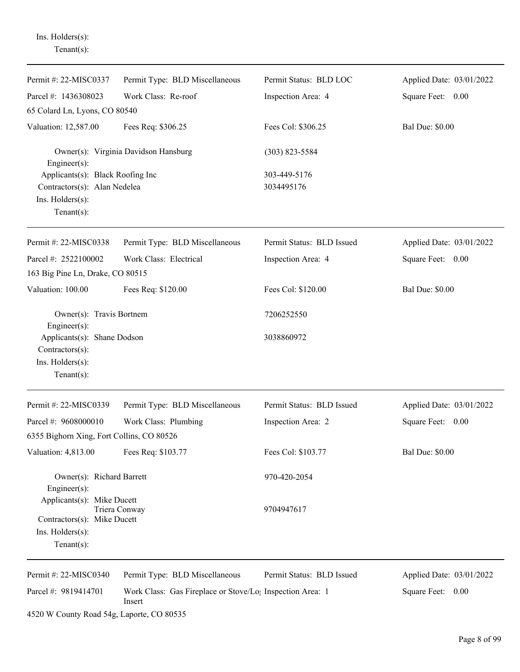| Tenant $(s)$ :                                                                                         |                                                                                 |                            |                          |
|--------------------------------------------------------------------------------------------------------|---------------------------------------------------------------------------------|----------------------------|--------------------------|
| Permit #: 22-MISC0337                                                                                  | Permit Type: BLD Miscellaneous                                                  | Permit Status: BLD LOC     | Applied Date: 03/01/2022 |
| Parcel #: 1436308023                                                                                   | Work Class: Re-roof                                                             | Inspection Area: 4         | Square Feet: 0.00        |
| 65 Colard Ln, Lyons, CO 80540                                                                          |                                                                                 |                            |                          |
| Valuation: 12,587.00                                                                                   | Fees Req: \$306.25                                                              | Fees Col: \$306.25         | <b>Bal Due: \$0.00</b>   |
| Engineer(s):                                                                                           | Owner(s): Virginia Davidson Hansburg                                            | $(303)$ 823-5584           |                          |
| Applicants(s): Black Roofing Inc<br>Contractors(s): Alan Nedelea<br>Ins. Holders(s):<br>Tenant $(s)$ : |                                                                                 | 303-449-5176<br>3034495176 |                          |
| Permit #: 22-MISC0338                                                                                  | Permit Type: BLD Miscellaneous                                                  | Permit Status: BLD Issued  | Applied Date: 03/01/2022 |
| Parcel #: 2522100002<br>163 Big Pine Ln, Drake, CO 80515                                               | Work Class: Electrical                                                          | Inspection Area: 4         | Square Feet: 0.00        |
| Valuation: 100.00                                                                                      | Fees Req: \$120.00                                                              | Fees Col: \$120.00         | <b>Bal Due: \$0.00</b>   |
| Owner(s): Travis Bortnem<br>Engineer(s):                                                               |                                                                                 | 7206252550                 |                          |
| Applicants(s): Shane Dodson<br>Contractors(s):<br>Ins. Holders(s):<br>Tenant $(s)$ :                   |                                                                                 | 3038860972                 |                          |
| Permit #: 22-MISC0339                                                                                  | Permit Type: BLD Miscellaneous                                                  | Permit Status: BLD Issued  | Applied Date: 03/01/2022 |
| Parcel #: 9608000010                                                                                   | Work Class: Plumbing                                                            | Inspection Area: 2         | Square Feet:<br>0.00     |
| 6355 Bighorn Xing, Fort Collins, CO 80526<br>Valuation: 4,813.00                                       | Fees Req: \$103.77                                                              | Fees Col: \$103.77         | <b>Bal Due: \$0.00</b>   |
| Owner(s): Richard Barrett<br>Engineer(s):                                                              |                                                                                 | 970-420-2054               |                          |
| Applicants(s): Mike Ducett<br>Contractors(s): Mike Ducett<br>$Ins.$ Holders $(s)$ :<br>Tenant $(s)$ :  | Triera Conway                                                                   | 9704947617                 |                          |
| Permit #: 22-MISC0340                                                                                  | Permit Type: BLD Miscellaneous                                                  | Permit Status: BLD Issued  | Applied Date: 03/01/2022 |
| Parcel #: 9819414701                                                                                   | Work Class: Gas Fireplace or Stove/Lo <sub>1</sub> Inspection Area: 1<br>Insert |                            | Square Feet: 0.00        |

4520 W County Road 54g, Laporte, CO 80535

Ins. Holders(s):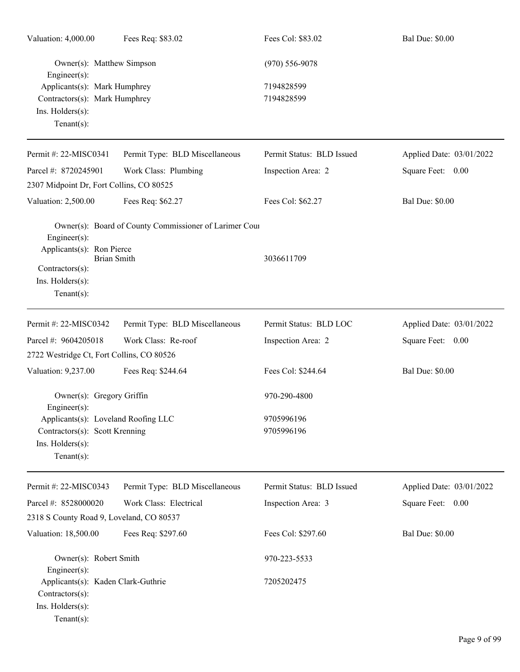| Valuation: 4,000.00                                                                                                     | Fees Req: \$83.02                                      | Fees Col: \$83.02         | <b>Bal Due: \$0.00</b>   |
|-------------------------------------------------------------------------------------------------------------------------|--------------------------------------------------------|---------------------------|--------------------------|
| Owner(s): Matthew Simpson<br>Engineer $(s)$ :                                                                           |                                                        | $(970) 556 - 9078$        |                          |
| Applicants(s): Mark Humphrey<br>Contractors(s): Mark Humphrey<br>Ins. Holders(s):<br>Tenant $(s)$ :                     |                                                        | 7194828599<br>7194828599  |                          |
| Permit #: 22-MISC0341                                                                                                   | Permit Type: BLD Miscellaneous                         | Permit Status: BLD Issued | Applied Date: 03/01/2022 |
| Parcel #: 8720245901                                                                                                    | Work Class: Plumbing                                   | Inspection Area: 2        | Square Feet: 0.00        |
| 2307 Midpoint Dr, Fort Collins, CO 80525                                                                                |                                                        |                           |                          |
| Valuation: 2,500.00                                                                                                     | Fees Req: \$62.27                                      | Fees Col: \$62.27         | <b>Bal Due: \$0.00</b>   |
| Engineer(s):<br>Applicants(s): Ron Pierce<br><b>Brian Smith</b><br>Contractors(s):<br>Ins. Holders(s):<br>$Tenant(s)$ : | Owner(s): Board of County Commissioner of Larimer Cour | 3036611709                |                          |
| Permit #: 22-MISC0342                                                                                                   | Permit Type: BLD Miscellaneous                         | Permit Status: BLD LOC    | Applied Date: 03/01/2022 |
| Parcel #: 9604205018                                                                                                    | Work Class: Re-roof                                    | Inspection Area: 2        | Square Feet: 0.00        |
| 2722 Westridge Ct, Fort Collins, CO 80526                                                                               |                                                        |                           |                          |
| Valuation: 9,237.00                                                                                                     | Fees Req: \$244.64                                     | Fees Col: \$244.64        | <b>Bal Due: \$0.00</b>   |
| Owner(s): Gregory Griffin<br>Engineer $(s)$ :                                                                           |                                                        | 970-290-4800              |                          |
| Applicants(s): Loveland Roofing LLC<br>Contractors(s): Scott Krenning<br>Ins. Holders(s):<br>Tenant $(s)$ :             |                                                        | 9705996196<br>9705996196  |                          |
| Permit #: 22-MISC0343                                                                                                   | Permit Type: BLD Miscellaneous                         | Permit Status: BLD Issued | Applied Date: 03/01/2022 |
| Parcel #: 8528000020                                                                                                    | Work Class: Electrical                                 | Inspection Area: 3        | Square Feet: 0.00        |
| 2318 S County Road 9, Loveland, CO 80537                                                                                |                                                        |                           |                          |
| Valuation: 18,500.00                                                                                                    | Fees Req: \$297.60                                     | Fees Col: \$297.60        | <b>Bal Due: \$0.00</b>   |
| Owner(s): Robert Smith<br>Engineer(s):                                                                                  |                                                        | 970-223-5533              |                          |
| Applicants(s): Kaden Clark-Guthrie<br>Contractors(s):<br>Ins. Holders(s):<br>Tenant $(s)$ :                             |                                                        | 7205202475                |                          |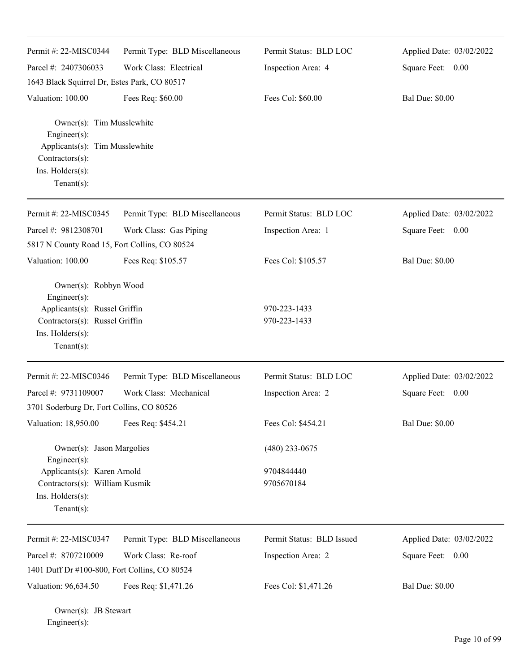| Permit #: 22-MISC0344                                                                                              | Permit Type: BLD Miscellaneous | Permit Status: BLD LOC    | Applied Date: 03/02/2022 |
|--------------------------------------------------------------------------------------------------------------------|--------------------------------|---------------------------|--------------------------|
| Parcel #: 2407306033                                                                                               | Work Class: Electrical         | Inspection Area: 4        | Square Feet: 0.00        |
| 1643 Black Squirrel Dr, Estes Park, CO 80517                                                                       |                                |                           |                          |
| Valuation: 100.00                                                                                                  | Fees Req: \$60.00              | Fees Col: \$60.00         | <b>Bal Due: \$0.00</b>   |
| Owner(s): Tim Musslewhite<br>Engineer(s):<br>Applicants(s): Tim Musslewhite<br>Contractors(s):<br>Ins. Holders(s): |                                |                           |                          |
| $Tenant(s)$ :                                                                                                      |                                |                           |                          |
| Permit #: 22-MISC0345                                                                                              | Permit Type: BLD Miscellaneous | Permit Status: BLD LOC    | Applied Date: 03/02/2022 |
| Parcel #: 9812308701                                                                                               | Work Class: Gas Piping         | Inspection Area: 1        | Square Feet: 0.00        |
| 5817 N County Road 15, Fort Collins, CO 80524                                                                      |                                |                           |                          |
| Valuation: 100.00                                                                                                  | Fees Req: \$105.57             | Fees Col: \$105.57        | <b>Bal Due: \$0.00</b>   |
| Owner(s): Robbyn Wood<br>Engineer(s):                                                                              |                                |                           |                          |
| Applicants(s): Russel Griffin                                                                                      |                                | 970-223-1433              |                          |
| Contractors(s): Russel Griffin<br>Ins. Holders(s):<br>$Tenant(s)$ :                                                |                                | 970-223-1433              |                          |
| Permit #: 22-MISC0346                                                                                              | Permit Type: BLD Miscellaneous | Permit Status: BLD LOC    | Applied Date: 03/02/2022 |
| Parcel #: 9731109007                                                                                               | Work Class: Mechanical         | Inspection Area: 2        | Square Feet: 0.00        |
| 3701 Soderburg Dr, Fort Collins, CO 80526                                                                          |                                |                           |                          |
| Valuation: 18,950.00                                                                                               | Fees Req: \$454.21             | Fees Col: \$454.21        | <b>Bal Due: \$0.00</b>   |
| Owner(s): Jason Margolies<br>Engineer(s):                                                                          |                                | $(480)$ 233-0675          |                          |
| Applicants(s): Karen Arnold<br>Contractors(s): William Kusmik<br>Ins. Holders(s):<br>$Tenant(s)$ :                 |                                | 9704844440<br>9705670184  |                          |
| Permit #: 22-MISC0347                                                                                              | Permit Type: BLD Miscellaneous | Permit Status: BLD Issued | Applied Date: 03/02/2022 |
| Parcel #: 8707210009                                                                                               | Work Class: Re-roof            | Inspection Area: 2        | Square Feet: 0.00        |
| 1401 Duff Dr #100-800, Fort Collins, CO 80524                                                                      |                                |                           |                          |
| Valuation: 96,634.50                                                                                               | Fees Req: \$1,471.26           | Fees Col: \$1,471.26      | <b>Bal Due: \$0.00</b>   |

Owner(s): JB Stewart Engineer(s):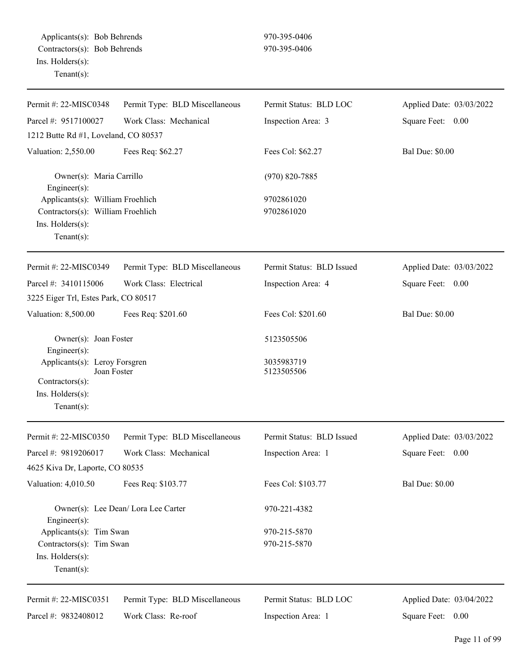| Permit #: 22-MISC0348                                                                                       | Permit Type: BLD Miscellaneous      | Permit Status: BLD LOC    | Applied Date: 03/03/2022 |
|-------------------------------------------------------------------------------------------------------------|-------------------------------------|---------------------------|--------------------------|
| Parcel #: 9517100027                                                                                        | Work Class: Mechanical              | Inspection Area: 3        | Square Feet: 0.00        |
| 1212 Butte Rd #1, Loveland, CO 80537                                                                        |                                     |                           |                          |
| Valuation: 2,550.00                                                                                         | Fees Req: \$62.27                   | Fees Col: \$62.27         | <b>Bal Due: \$0.00</b>   |
| Owner(s): Maria Carrillo<br>Engineer $(s)$ :                                                                |                                     | $(970) 820 - 7885$        |                          |
| Applicants(s): William Froehlich<br>Contractors(s): William Froehlich<br>Ins. Holders(s):<br>Tenant $(s)$ : |                                     | 9702861020<br>9702861020  |                          |
| Permit #: 22-MISC0349                                                                                       | Permit Type: BLD Miscellaneous      | Permit Status: BLD Issued | Applied Date: 03/03/2022 |
| Parcel #: 3410115006                                                                                        | Work Class: Electrical              | Inspection Area: 4        | Square Feet: 0.00        |
| 3225 Eiger Trl, Estes Park, CO 80517                                                                        |                                     |                           |                          |
| Valuation: 8,500.00                                                                                         | Fees Req: \$201.60                  | Fees Col: \$201.60        | <b>Bal Due: \$0.00</b>   |
| Owner(s): Joan Foster<br>Engineer(s):                                                                       |                                     | 5123505506                |                          |
| Applicants(s): Leroy Forsgren<br>Joan Foster<br>Contractors(s):<br>Ins. Holders(s):<br>Tenant $(s)$ :       |                                     | 3035983719<br>5123505506  |                          |
| Permit #: 22-MISC0350                                                                                       | Permit Type: BLD Miscellaneous      | Permit Status: BLD Issued | Applied Date: 03/03/2022 |
| Parcel #: 9819206017                                                                                        | Work Class: Mechanical              | Inspection Area: 1        | Square Feet:<br>0.00     |
| 4625 Kiva Dr, Laporte, CO 80535                                                                             |                                     |                           |                          |
| Valuation: 4,010.50                                                                                         | Fees Req: \$103.77                  | Fees Col: \$103.77        | <b>Bal Due: \$0.00</b>   |
| Engineer $(s)$ :                                                                                            | Owner(s): Lee Dean/ Lora Lee Carter | 970-221-4382              |                          |
| Applicants(s): Tim Swan                                                                                     |                                     | 970-215-5870              |                          |
| Contractors(s): Tim Swan<br>Ins. Holders(s):<br>Tenant $(s)$ :                                              |                                     | 970-215-5870              |                          |
| Permit #: 22-MISC0351                                                                                       | Permit Type: BLD Miscellaneous      | Permit Status: BLD LOC    | Applied Date: 03/04/2022 |
| Parcel #: 9832408012                                                                                        | Work Class: Re-roof                 | Inspection Area: 1        | Square Feet: 0.00        |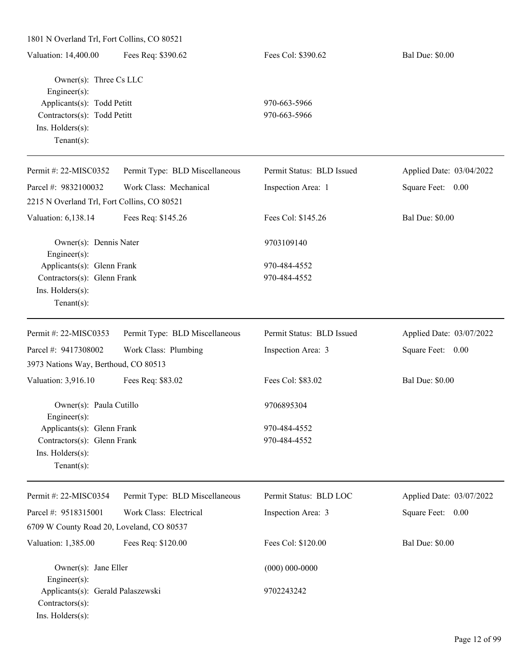| 1801 N Overland Trl, Fort Collins, CO 80521 |                           |                          |
|---------------------------------------------|---------------------------|--------------------------|
| Fees Req: \$390.62                          | Fees Col: \$390.62        | <b>Bal Due: \$0.00</b>   |
| Owner(s): Three Cs LLC                      |                           |                          |
| Applicants(s): Todd Petitt                  | 970-663-5966              |                          |
| Contractors(s): Todd Petitt                 | 970-663-5966              |                          |
|                                             |                           |                          |
| Permit Type: BLD Miscellaneous              | Permit Status: BLD Issued | Applied Date: 03/04/2022 |
| Work Class: Mechanical                      | Inspection Area: 1        | Square Feet: 0.00        |
| 2215 N Overland Trl, Fort Collins, CO 80521 |                           |                          |
| Fees Req: \$145.26                          | Fees Col: \$145.26        | <b>Bal Due: \$0.00</b>   |
| Owner(s): Dennis Nater                      | 9703109140                |                          |
| Applicants(s): Glenn Frank                  | 970-484-4552              |                          |
| Contractors(s): Glenn Frank                 | 970-484-4552              |                          |
|                                             |                           |                          |
|                                             |                           |                          |
| Permit Type: BLD Miscellaneous              | Permit Status: BLD Issued | Applied Date: 03/07/2022 |
| Work Class: Plumbing                        | Inspection Area: 3        | Square Feet: 0.00        |
| 3973 Nations Way, Berthoud, CO 80513        |                           |                          |
| Fees Req: \$83.02                           | Fees Col: \$83.02         | <b>Bal Due: \$0.00</b>   |
| Owner(s): Paula Cutillo                     | 9706895304                |                          |
| Applicants(s): Glenn Frank                  | 970-484-4552              |                          |
| Contractors(s): Glenn Frank                 | 970-484-4552              |                          |
|                                             |                           |                          |
|                                             |                           |                          |
| Permit Type: BLD Miscellaneous              | Permit Status: BLD LOC    | Applied Date: 03/07/2022 |
| Work Class: Electrical                      | Inspection Area: 3        | Square Feet: 0.00        |
| 6709 W County Road 20, Loveland, CO 80537   |                           |                          |
| Fees Req: \$120.00                          | Fees Col: \$120.00        | <b>Bal Due: \$0.00</b>   |
| Owner(s): Jane Eller                        | $(000) 000 - 0000$        |                          |
| Applicants(s): Gerald Palaszewski           | 9702243242                |                          |
|                                             |                           |                          |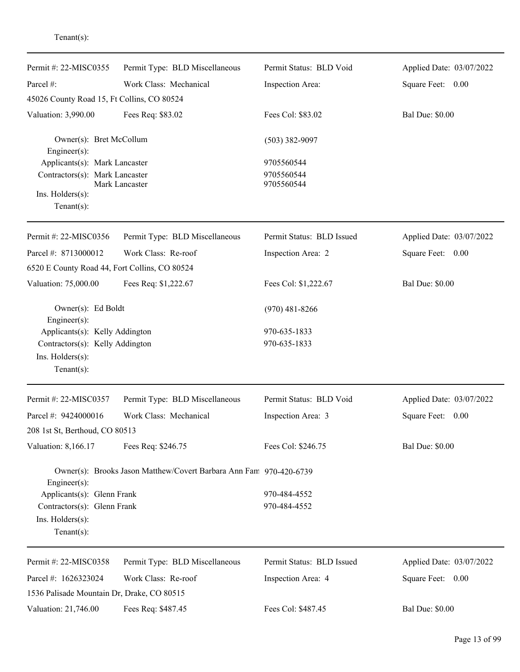| Permit #: 22-MISC0355                         | Permit Type: BLD Miscellaneous                                     | Permit Status: BLD Void   | Applied Date: 03/07/2022 |
|-----------------------------------------------|--------------------------------------------------------------------|---------------------------|--------------------------|
| Parcel #:                                     | Work Class: Mechanical                                             | Inspection Area:          | Square Feet: 0.00        |
| 45026 County Road 15, Ft Collins, CO 80524    |                                                                    |                           |                          |
| Valuation: 3,990.00                           | Fees Req: \$83.02                                                  | Fees Col: \$83.02         | <b>Bal Due: \$0.00</b>   |
| Owner(s): Bret McCollum<br>Engineer(s):       |                                                                    | $(503)$ 382-9097          |                          |
| Applicants(s): Mark Lancaster                 |                                                                    | 9705560544                |                          |
| Contractors(s): Mark Lancaster                | Mark Lancaster                                                     | 9705560544<br>9705560544  |                          |
| $Ins.$ Holders $(s)$ :<br>Tenant $(s)$ :      |                                                                    |                           |                          |
| Permit #: 22-MISC0356                         | Permit Type: BLD Miscellaneous                                     | Permit Status: BLD Issued | Applied Date: 03/07/2022 |
| Parcel #: 8713000012                          | Work Class: Re-roof                                                | Inspection Area: 2        | Square Feet: 0.00        |
| 6520 E County Road 44, Fort Collins, CO 80524 |                                                                    |                           |                          |
| Valuation: 75,000.00                          | Fees Req: \$1,222.67                                               | Fees Col: \$1,222.67      | <b>Bal Due: \$0.00</b>   |
| Owner(s): Ed Boldt<br>Engineer(s):            |                                                                    | $(970)$ 481-8266          |                          |
| Applicants(s): Kelly Addington                |                                                                    | 970-635-1833              |                          |
| Contractors(s): Kelly Addington               |                                                                    | 970-635-1833              |                          |
| Ins. Holders(s):                              |                                                                    |                           |                          |
| Tenant $(s)$ :                                |                                                                    |                           |                          |
| Permit #: 22-MISC0357                         | Permit Type: BLD Miscellaneous                                     | Permit Status: BLD Void   | Applied Date: 03/07/2022 |
| Parcel #: 9424000016                          | Work Class: Mechanical                                             | Inspection Area: 3        | Square Feet:<br>0.00     |
| 208 1st St, Berthoud, CO 80513                |                                                                    |                           |                          |
| Valuation: 8,166.17                           | Fees Req: \$246.75                                                 | Fees Col: \$246.75        | <b>Bal Due: \$0.00</b>   |
| Engineer(s):                                  | Owner(s): Brooks Jason Matthew/Covert Barbara Ann Fam 970-420-6739 |                           |                          |
| Applicants(s): Glenn Frank                    |                                                                    | 970-484-4552              |                          |
| Contractors(s): Glenn Frank                   |                                                                    | 970-484-4552              |                          |
| Ins. Holders(s):                              |                                                                    |                           |                          |
| Tenant $(s)$ :                                |                                                                    |                           |                          |
| Permit #: 22-MISC0358                         | Permit Type: BLD Miscellaneous                                     | Permit Status: BLD Issued | Applied Date: 03/07/2022 |
| Parcel #: 1626323024                          | Work Class: Re-roof                                                | Inspection Area: 4        | Square Feet: 0.00        |
| 1536 Palisade Mountain Dr, Drake, CO 80515    |                                                                    |                           |                          |
| Valuation: 21,746.00                          | Fees Req: \$487.45                                                 | Fees Col: \$487.45        | <b>Bal Due: \$0.00</b>   |

## Tenant(s):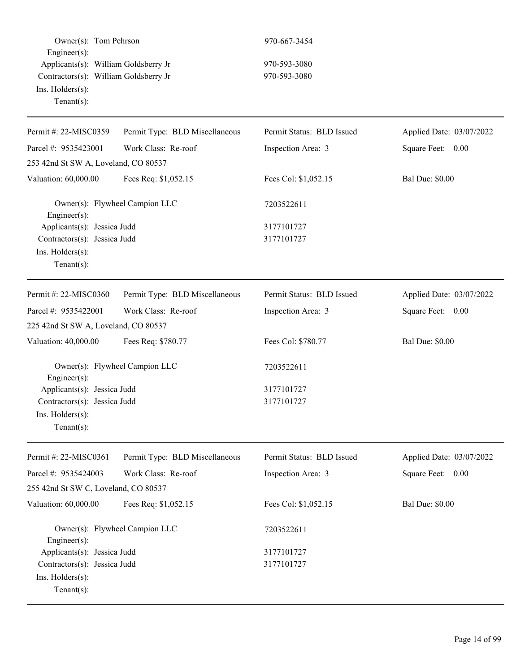|                        | Owner(s): Tom Pehrson                 |
|------------------------|---------------------------------------|
| $Engineering(s)$ :     |                                       |
|                        | Applicants(s): William Goldsberry Jr  |
|                        | Contractors(s): William Goldsberry Jr |
| $Ins.$ Holders $(s)$ : |                                       |
| $Tenant(s)$ :          |                                       |
|                        |                                       |

970-667-3454

970-593-3080 970-593-3080

| Permit #: 22-MISC0359                                                                            | Permit Type: BLD Miscellaneous | Permit Status: BLD Issued | Applied Date: 03/07/2022 |
|--------------------------------------------------------------------------------------------------|--------------------------------|---------------------------|--------------------------|
| Parcel #: 9535423001                                                                             | Work Class: Re-roof            | Inspection Area: 3        | Square Feet: 0.00        |
| 253 42nd St SW A, Loveland, CO 80537                                                             |                                |                           |                          |
| Valuation: 60,000.00                                                                             | Fees Req: \$1,052.15           | Fees Col: \$1,052.15      | <b>Bal Due: \$0.00</b>   |
| Owner(s): Flywheel Campion LLC<br>Engineer(s):                                                   |                                | 7203522611                |                          |
| Applicants(s): Jessica Judd                                                                      |                                | 3177101727                |                          |
| Contractors(s): Jessica Judd<br>Ins. Holders(s):<br>$Tenant(s)$ :                                |                                | 3177101727                |                          |
| Permit #: 22-MISC0360                                                                            | Permit Type: BLD Miscellaneous | Permit Status: BLD Issued | Applied Date: 03/07/2022 |
| Parcel #: 9535422001                                                                             | Work Class: Re-roof            | Inspection Area: 3        | Square Feet: 0.00        |
| 225 42nd St SW A, Loveland, CO 80537                                                             |                                |                           |                          |
| Valuation: 40,000.00                                                                             | Fees Req: \$780.77             | Fees Col: \$780.77        | <b>Bal Due: \$0.00</b>   |
| Owner(s): Flywheel Campion LLC<br>Engineer(s):                                                   |                                | 7203522611                |                          |
| Applicants(s): Jessica Judd<br>Contractors(s): Jessica Judd<br>Ins. Holders(s):<br>$Tenant(s)$ : |                                | 3177101727<br>3177101727  |                          |
| Permit #: 22-MISC0361                                                                            | Permit Type: BLD Miscellaneous | Permit Status: BLD Issued | Applied Date: 03/07/2022 |
| Parcel #: 9535424003                                                                             | Work Class: Re-roof            | Inspection Area: 3        | Square Feet: 0.00        |
| 255 42nd St SW C, Loveland, CO 80537                                                             |                                |                           |                          |
| Valuation: 60,000.00                                                                             | Fees Req: \$1,052.15           | Fees Col: \$1,052.15      | <b>Bal Due: \$0.00</b>   |
| Owner(s): Flywheel Campion LLC<br>Engineer $(s)$ :                                               |                                | 7203522611                |                          |
| Applicants(s): Jessica Judd                                                                      |                                | 3177101727                |                          |
| Contractors(s): Jessica Judd<br>Ins. Holders(s):<br>Tenant(s):                                   |                                | 3177101727                |                          |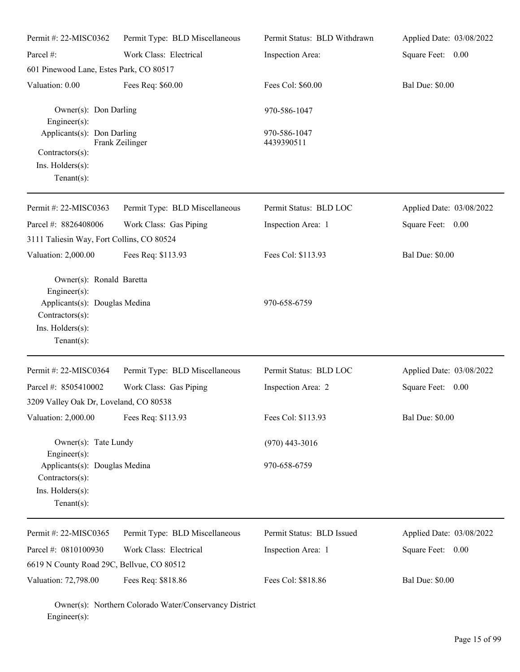| Permit #: 22-MISC0362<br>Parcel #:                                   | Permit Type: BLD Miscellaneous<br>Work Class: Electrical | Permit Status: BLD Withdrawn<br>Inspection Area: | Applied Date: 03/08/2022<br>Square Feet: 0.00 |
|----------------------------------------------------------------------|----------------------------------------------------------|--------------------------------------------------|-----------------------------------------------|
| 601 Pinewood Lane, Estes Park, CO 80517                              |                                                          |                                                  |                                               |
| Valuation: 0.00                                                      | Fees Req: \$60.00                                        | Fees Col: \$60.00                                | <b>Bal Due: \$0.00</b>                        |
| Owner(s): Don Darling<br>$Engineering(s)$ :                          |                                                          | 970-586-1047                                     |                                               |
| Applicants(s): Don Darling<br>Contractors(s):                        | Frank Zeilinger                                          | 970-586-1047<br>4439390511                       |                                               |
| $Ins.$ Holders $(s)$ :<br>Tenant $(s)$ :                             |                                                          |                                                  |                                               |
| Permit #: 22-MISC0363                                                | Permit Type: BLD Miscellaneous                           | Permit Status: BLD LOC                           | Applied Date: 03/08/2022                      |
| Parcel #: 8826408006                                                 | Work Class: Gas Piping                                   | Inspection Area: 1                               | Square Feet: 0.00                             |
| 3111 Taliesin Way, Fort Collins, CO 80524                            |                                                          |                                                  |                                               |
| Valuation: 2,000.00                                                  | Fees Req: \$113.93                                       | Fees Col: \$113.93                               | <b>Bal Due: \$0.00</b>                        |
| Owner(s): Ronald Baretta<br>$Engineering(s)$ :                       |                                                          | 970-658-6759                                     |                                               |
| Applicants(s): Douglas Medina<br>Contractors(s):<br>Ins. Holders(s): |                                                          |                                                  |                                               |
| Tenant $(s)$ :                                                       |                                                          |                                                  |                                               |
| Permit #: 22-MISC0364                                                | Permit Type: BLD Miscellaneous                           | Permit Status: BLD LOC                           | Applied Date: 03/08/2022                      |
| Parcel #: 8505410002                                                 | Work Class: Gas Piping                                   | Inspection Area: 2                               | Square Feet: 0.00                             |
| 3209 Valley Oak Dr, Loveland, CO 80538                               |                                                          |                                                  |                                               |
| Valuation: 2,000.00                                                  | Fees Req: \$113.93                                       | Fees Col: \$113.93                               | <b>Bal Due: \$0.00</b>                        |
| Owner(s): Tate Lundy<br>Engineer $(s)$ :                             |                                                          | $(970)$ 443-3016                                 |                                               |
| Applicants(s): Douglas Medina<br>Contractors(s):<br>Ins. Holders(s): |                                                          | 970-658-6759                                     |                                               |
| Tenant $(s)$ :                                                       |                                                          |                                                  |                                               |
| Permit #: 22-MISC0365                                                | Permit Type: BLD Miscellaneous                           | Permit Status: BLD Issued                        | Applied Date: 03/08/2022                      |
| Parcel #: 0810100930                                                 | Work Class: Electrical                                   | Inspection Area: 1                               | Square Feet: 0.00                             |
| 6619 N County Road 29C, Bellvue, CO 80512                            |                                                          |                                                  |                                               |
| Valuation: 72,798.00                                                 | Fees Req: \$818.86                                       | Fees Col: \$818.86                               | <b>Bal Due: \$0.00</b>                        |

Owner(s): Northern Colorado Water/Conservancy District Engineer(s):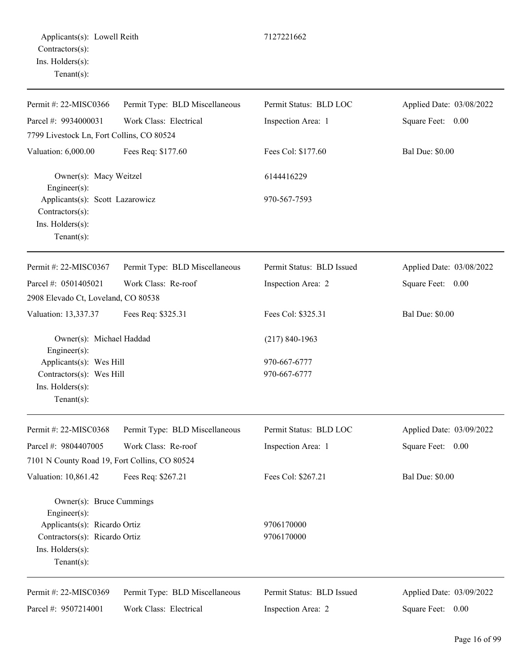| Permit #: 22-MISC0366                                                                                     | Permit Type: BLD Miscellaneous | Permit Status: BLD LOC    | Applied Date: 03/08/2022 |
|-----------------------------------------------------------------------------------------------------------|--------------------------------|---------------------------|--------------------------|
| Parcel #: 9934000031                                                                                      | Work Class: Electrical         | Inspection Area: 1        | Square Feet: 0.00        |
| 7799 Livestock Ln, Fort Collins, CO 80524                                                                 |                                |                           |                          |
| Valuation: 6,000.00                                                                                       | Fees Req: \$177.60             | Fees Col: \$177.60        | <b>Bal Due: \$0.00</b>   |
| Owner(s): Macy Weitzel<br>Engineer $(s)$ :                                                                |                                | 6144416229                |                          |
| Applicants(s): Scott Lazarowicz<br>Contractors(s):<br>Ins. Holders(s):<br>Tenant $(s)$ :                  |                                | 970-567-7593              |                          |
| Permit #: 22-MISC0367                                                                                     | Permit Type: BLD Miscellaneous | Permit Status: BLD Issued | Applied Date: 03/08/2022 |
| Parcel #: 0501405021                                                                                      | Work Class: Re-roof            | Inspection Area: 2        | Square Feet:<br>0.00     |
| 2908 Elevado Ct, Loveland, CO 80538                                                                       |                                |                           |                          |
| Valuation: 13,337.37                                                                                      | Fees Req: \$325.31             | Fees Col: \$325.31        | <b>Bal Due: \$0.00</b>   |
| Owner(s): Michael Haddad<br>Engineer $(s)$ :                                                              |                                | $(217) 840 - 1963$        |                          |
| Applicants(s): Wes Hill                                                                                   |                                | 970-667-6777              |                          |
| Contractors(s): Wes Hill<br>Ins. Holders(s):<br>Tenant $(s)$ :                                            |                                | 970-667-6777              |                          |
| Permit #: 22-MISC0368                                                                                     | Permit Type: BLD Miscellaneous | Permit Status: BLD LOC    | Applied Date: 03/09/2022 |
| Parcel #: 9804407005                                                                                      | Work Class: Re-roof            | Inspection Area: 1        | Square Feet:<br>0.00     |
| 7101 N County Road 19, Fort Collins, CO 80524                                                             |                                |                           |                          |
| Valuation: 10,861.42                                                                                      | Fees Req: \$267.21             | Fees Col: \$267.21        | <b>Bal Due: \$0.00</b>   |
| Owner(s): Bruce Cummings<br>Engineer(s):<br>Applicants(s): Ricardo Ortiz<br>Contractors(s): Ricardo Ortiz |                                | 9706170000<br>9706170000  |                          |
| Ins. Holders(s):<br>Tenant $(s)$ :                                                                        |                                |                           |                          |

Permit #: 22-MISC0369 Parcel #: 9507214001 Permit Type: BLD Miscellaneous Work Class: Electrical

Permit Status: BLD Issued Inspection Area: 2

Applied Date: 03/09/2022 Square Feet: 0.00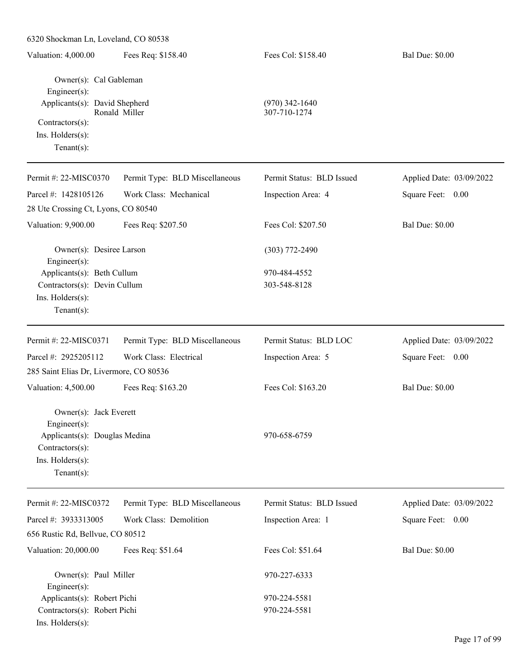| 6320 Shockman Ln, Loveland, CO 80538                                                                                                   |                                |                                  |                          |
|----------------------------------------------------------------------------------------------------------------------------------------|--------------------------------|----------------------------------|--------------------------|
| Valuation: 4,000.00                                                                                                                    | Fees Req: \$158.40             | Fees Col: \$158.40               | <b>Bal Due: \$0.00</b>   |
| Owner(s): Cal Gableman<br>Engineer(s):<br>Applicants(s): David Shepherd<br>Contractors(s):<br>Ins. Holders(s):<br>$Tenant(s)$ :        | Ronald Miller                  | $(970)$ 342-1640<br>307-710-1274 |                          |
| Permit #: 22-MISC0370                                                                                                                  | Permit Type: BLD Miscellaneous | Permit Status: BLD Issued        | Applied Date: 03/09/2022 |
| Parcel #: 1428105126                                                                                                                   | Work Class: Mechanical         | Inspection Area: 4               | Square Feet: 0.00        |
| 28 Ute Crossing Ct, Lyons, CO 80540                                                                                                    |                                |                                  |                          |
| Valuation: 9,900.00                                                                                                                    | Fees Req: \$207.50             | Fees Col: \$207.50               | <b>Bal Due: \$0.00</b>   |
| Owner(s): Desiree Larson<br>Engineer(s):                                                                                               |                                | $(303)$ 772-2490                 |                          |
| Applicants(s): Beth Cullum<br>Contractors(s): Devin Cullum<br>Ins. Holders(s):<br>Tenant $(s)$ :                                       |                                | 970-484-4552<br>303-548-8128     |                          |
| Permit #: 22-MISC0371                                                                                                                  | Permit Type: BLD Miscellaneous | Permit Status: BLD LOC           | Applied Date: 03/09/2022 |
| Parcel #: 2925205112                                                                                                                   | Work Class: Electrical         | Inspection Area: 5               | Square Feet: 0.00        |
| 285 Saint Elias Dr, Livermore, CO 80536                                                                                                |                                |                                  |                          |
| Valuation: 4,500.00                                                                                                                    | Fees Req: \$163.20             | Fees Col: \$163.20               | <b>Bal Due: \$0.00</b>   |
| Owner(s): Jack Everett<br>$Engineering(s)$ :<br>Applicants(s): Douglas Medina<br>Contractors(s):<br>Ins. Holders(s):<br>Tenant $(s)$ : |                                | 970-658-6759                     |                          |
| Permit #: 22-MISC0372                                                                                                                  | Permit Type: BLD Miscellaneous | Permit Status: BLD Issued        | Applied Date: 03/09/2022 |
| Parcel #: 3933313005                                                                                                                   | Work Class: Demolition         | Inspection Area: 1               | Square Feet: 0.00        |
| 656 Rustic Rd, Bellvue, CO 80512                                                                                                       |                                |                                  |                          |
| Valuation: 20,000.00                                                                                                                   | Fees Req: \$51.64              | Fees Col: \$51.64                | <b>Bal Due: \$0.00</b>   |
| Owner(s): Paul Miller<br>Engineer $(s)$ :                                                                                              |                                | 970-227-6333                     |                          |
| Applicants(s): Robert Pichi                                                                                                            |                                | 970-224-5581                     |                          |
| Contractors(s): Robert Pichi<br>Ins. Holders(s):                                                                                       |                                | 970-224-5581                     |                          |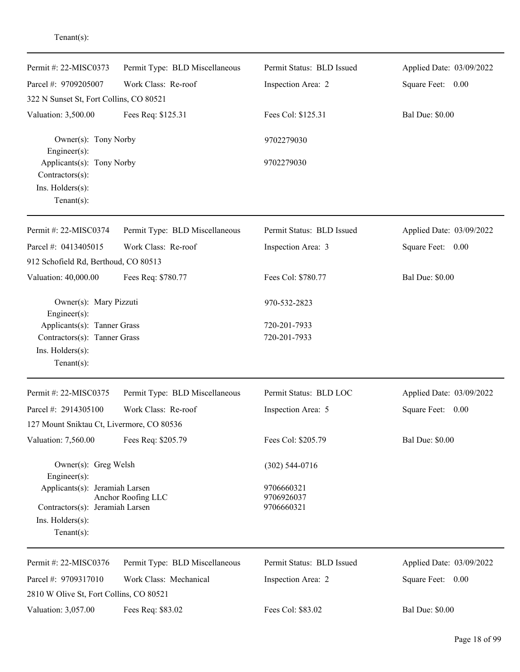| Permit #: 22-MISC0373                                                                                        | Permit Type: BLD Miscellaneous | Permit Status: BLD Issued              | Applied Date: 03/09/2022 |
|--------------------------------------------------------------------------------------------------------------|--------------------------------|----------------------------------------|--------------------------|
| Parcel #: 9709205007                                                                                         | Work Class: Re-roof            | Inspection Area: 2                     | Square Feet: 0.00        |
| 322 N Sunset St, Fort Collins, CO 80521                                                                      |                                |                                        |                          |
| Valuation: 3,500.00                                                                                          | Fees Req: \$125.31             | Fees Col: \$125.31                     | <b>Bal Due: \$0.00</b>   |
| Owner(s): Tony Norby<br>$Engineering(s)$ :                                                                   |                                | 9702279030                             |                          |
| Applicants(s): Tony Norby<br>Contractors(s):<br>Ins. Holders(s):<br>$Tenant(s)$ :                            |                                | 9702279030                             |                          |
| Permit #: 22-MISC0374                                                                                        | Permit Type: BLD Miscellaneous | Permit Status: BLD Issued              | Applied Date: 03/09/2022 |
| Parcel #: 0413405015                                                                                         | Work Class: Re-roof            | Inspection Area: 3                     | Square Feet: 0.00        |
| 912 Schofield Rd, Berthoud, CO 80513                                                                         |                                |                                        |                          |
| Valuation: 40,000.00                                                                                         | Fees Req: \$780.77             | Fees Col: \$780.77                     | <b>Bal Due: \$0.00</b>   |
| Owner(s): Mary Pizzuti<br>Engineer(s):                                                                       |                                | 970-532-2823                           |                          |
| Applicants(s): Tanner Grass                                                                                  |                                | 720-201-7933                           |                          |
| Contractors(s): Tanner Grass<br>Ins. Holders(s):<br>$Tenant(s)$ :                                            |                                | 720-201-7933                           |                          |
|                                                                                                              |                                |                                        |                          |
| Permit #: 22-MISC0375                                                                                        | Permit Type: BLD Miscellaneous | Permit Status: BLD LOC                 | Applied Date: 03/09/2022 |
| Parcel #: 2914305100                                                                                         | Work Class: Re-roof            | Inspection Area: 5                     | Square Feet: 0.00        |
| 127 Mount Sniktau Ct, Livermore, CO 80536                                                                    |                                |                                        |                          |
| Valuation: 7,560.00                                                                                          | Fees Req: \$205.79             | Fees Col: \$205.79                     | <b>Bal Due: \$0.00</b>   |
| Owner(s): Greg Welsh<br>$Engineering(s)$ :                                                                   |                                | $(302)$ 544-0716                       |                          |
| Applicants(s): Jeramiah Larsen<br>Contractors(s): Jeramiah Larsen<br>$Ins.$ Holders $(s)$ :<br>$Tenant(s)$ : | Anchor Roofing LLC             | 9706660321<br>9706926037<br>9706660321 |                          |
| Permit #: 22-MISC0376                                                                                        | Permit Type: BLD Miscellaneous | Permit Status: BLD Issued              | Applied Date: 03/09/2022 |
| Parcel #: 9709317010                                                                                         | Work Class: Mechanical         | Inspection Area: 2                     | Square Feet: 0.00        |
| 2810 W Olive St, Fort Collins, CO 80521                                                                      |                                |                                        |                          |
| Valuation: 3,057.00                                                                                          | Fees Req: \$83.02              | Fees Col: \$83.02                      | <b>Bal Due: \$0.00</b>   |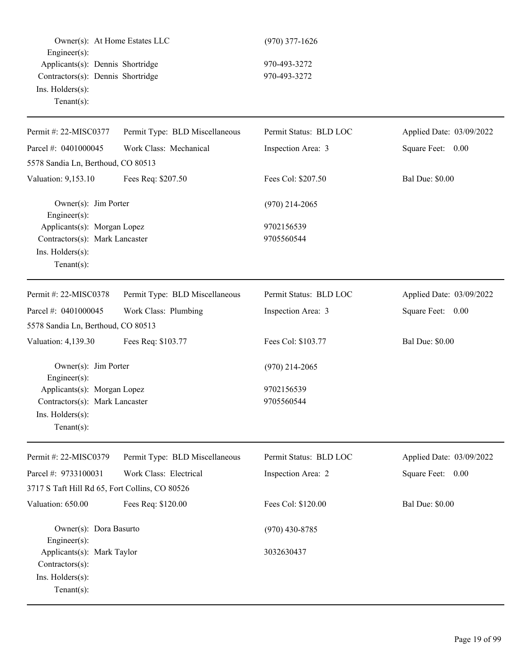| Owner(s): At Home Estates LLC<br>Engineer(s):                                     |                                | $(970)$ 377-1626       |                          |
|-----------------------------------------------------------------------------------|--------------------------------|------------------------|--------------------------|
| Applicants(s): Dennis Shortridge                                                  |                                | 970-493-3272           |                          |
| Contractors(s): Dennis Shortridge                                                 |                                | 970-493-3272           |                          |
| Ins. Holders(s):<br>Tenant $(s)$ :                                                |                                |                        |                          |
| Permit #: 22-MISC0377                                                             | Permit Type: BLD Miscellaneous | Permit Status: BLD LOC | Applied Date: 03/09/2022 |
| Parcel #: 0401000045                                                              | Work Class: Mechanical         | Inspection Area: 3     | Square Feet: 0.00        |
| 5578 Sandia Ln, Berthoud, CO 80513                                                |                                |                        |                          |
| Valuation: 9,153.10                                                               | Fees Req: \$207.50             | Fees Col: \$207.50     | <b>Bal Due: \$0.00</b>   |
| Owner(s): Jim Porter<br>Engineer(s):                                              |                                | $(970)$ 214-2065       |                          |
| Applicants(s): Morgan Lopez                                                       |                                | 9702156539             |                          |
| Contractors(s): Mark Lancaster                                                    |                                | 9705560544             |                          |
| Ins. Holders(s):<br>$Tenant(s)$ :                                                 |                                |                        |                          |
| Permit #: 22-MISC0378                                                             | Permit Type: BLD Miscellaneous | Permit Status: BLD LOC | Applied Date: 03/09/2022 |
| Parcel #: 0401000045                                                              | Work Class: Plumbing           | Inspection Area: 3     | Square Feet: 0.00        |
| 5578 Sandia Ln, Berthoud, CO 80513                                                |                                |                        |                          |
| Valuation: 4,139.30                                                               | Fees Req: \$103.77             | Fees Col: \$103.77     | <b>Bal Due: \$0.00</b>   |
| Owner(s): Jim Porter<br>Engineer(s):                                              |                                | $(970)$ 214-2065       |                          |
| Applicants(s): Morgan Lopez                                                       |                                | 9702156539             |                          |
| Contractors(s): Mark Lancaster                                                    |                                | 9705560544             |                          |
| $Ins.$ Holders $(s)$ :<br>Tenant $(s)$ :                                          |                                |                        |                          |
| Permit #: 22-MISC0379                                                             | Permit Type: BLD Miscellaneous | Permit Status: BLD LOC | Applied Date: 03/09/2022 |
| Parcel #: 9733100031                                                              | Work Class: Electrical         | Inspection Area: 2     | Square Feet: 0.00        |
| 3717 S Taft Hill Rd 65, Fort Collins, CO 80526                                    |                                |                        |                          |
| Valuation: 650.00                                                                 | Fees Req: \$120.00             | Fees Col: \$120.00     | <b>Bal Due: \$0.00</b>   |
| Owner(s): Dora Basurto                                                            |                                | $(970)$ 430-8785       |                          |
| Engineer(s):<br>Applicants(s): Mark Taylor<br>Contractors(s):<br>Ins. Holders(s): |                                | 3032630437             |                          |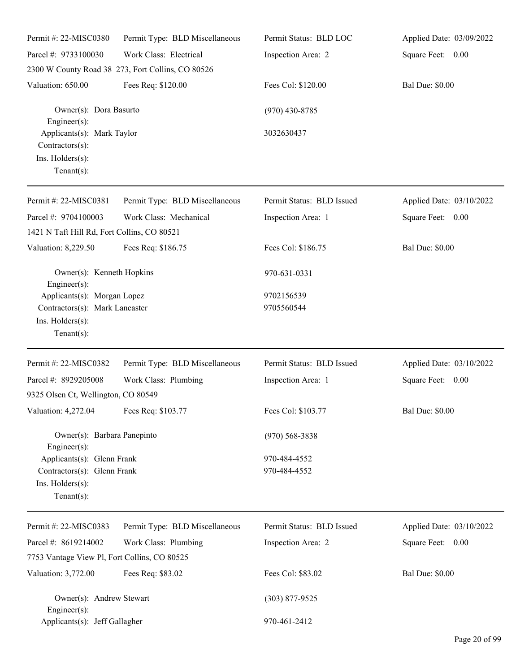| Permit#: 22-MISC0380                                                                | Permit Type: BLD Miscellaneous                    | Permit Status: BLD LOC    | Applied Date: 03/09/2022 |
|-------------------------------------------------------------------------------------|---------------------------------------------------|---------------------------|--------------------------|
| Parcel #: 9733100030                                                                | Work Class: Electrical                            | Inspection Area: 2        | Square Feet: 0.00        |
|                                                                                     | 2300 W County Road 38 273, Fort Collins, CO 80526 |                           |                          |
| Valuation: 650.00                                                                   | Fees Req: \$120.00                                | Fees Col: \$120.00        | <b>Bal Due: \$0.00</b>   |
| Owner(s): Dora Basurto<br>$Engineering(s)$ :                                        |                                                   | $(970)$ 430-8785          |                          |
| Applicants(s): Mark Taylor<br>Contractors(s):<br>Ins. Holders(s):<br>Tenant $(s)$ : |                                                   | 3032630437                |                          |
| Permit #: 22-MISC0381                                                               | Permit Type: BLD Miscellaneous                    | Permit Status: BLD Issued | Applied Date: 03/10/2022 |
| Parcel #: 9704100003                                                                | Work Class: Mechanical                            | Inspection Area: 1        | Square Feet: 0.00        |
| 1421 N Taft Hill Rd, Fort Collins, CO 80521                                         |                                                   |                           |                          |
| Valuation: 8,229.50                                                                 | Fees Req: \$186.75                                | Fees Col: \$186.75        | <b>Bal Due: \$0.00</b>   |
| Owner(s): Kenneth Hopkins<br>Engineer $(s)$ :                                       |                                                   | 970-631-0331              |                          |
| Applicants(s): Morgan Lopez                                                         |                                                   | 9702156539                |                          |
| Contractors(s): Mark Lancaster                                                      |                                                   | 9705560544                |                          |
| Ins. Holders(s):<br>$Tenant(s)$ :                                                   |                                                   |                           |                          |
| Permit #: 22-MISC0382                                                               | Permit Type: BLD Miscellaneous                    | Permit Status: BLD Issued | Applied Date: 03/10/2022 |
| Parcel #: 8929205008                                                                | Work Class: Plumbing                              | Inspection Area: 1        | Square Feet: 0.00        |
| 9325 Olsen Ct, Wellington, CO 80549                                                 |                                                   |                           |                          |
| Valuation: 4,272.04 Fees Req: \$103.77                                              |                                                   | Fees Col: \$103.77        | <b>Bal Due: \$0.00</b>   |
| Owner(s): Barbara Panepinto<br>Engineer(s):                                         |                                                   | $(970)$ 568-3838          |                          |
| Applicants(s): Glenn Frank                                                          |                                                   | 970-484-4552              |                          |
| Contractors(s): Glenn Frank                                                         |                                                   | 970-484-4552              |                          |
| Ins. Holders(s):<br>Tenant $(s)$ :                                                  |                                                   |                           |                          |
| Permit #: 22-MISC0383                                                               | Permit Type: BLD Miscellaneous                    | Permit Status: BLD Issued | Applied Date: 03/10/2022 |
| Parcel #: 8619214002                                                                | Work Class: Plumbing                              | Inspection Area: 2        | Square Feet: 0.00        |
| 7753 Vantage View Pl, Fort Collins, CO 80525                                        |                                                   |                           |                          |
| Valuation: 3,772.00                                                                 | Fees Req: \$83.02                                 | Fees Col: \$83.02         | <b>Bal Due: \$0.00</b>   |
| Owner(s): Andrew Stewart<br>Engineer $(s)$ :                                        |                                                   | $(303)$ 877-9525          |                          |
| Applicants(s): Jeff Gallagher                                                       |                                                   | 970-461-2412              |                          |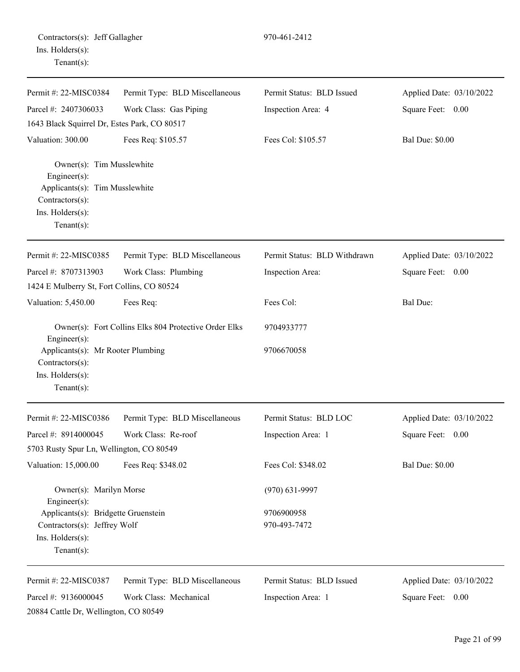| Contractors(s): Jeff Gallagher |  |
|--------------------------------|--|
| Ins. Holders(s):               |  |
| $Tenant(s)$ :                  |  |

Permit #: 22-MISC0384

970-461-2412

Parcel #: 2407306033 Work Class: Gas Piping Inspection Area: 4 Square Feet: 0.00 1643 Black Squirrel Dr, Estes Park, CO 80517 Valuation: 300.00 Fees Req: \$105.57 Fees Col: \$105.57 Bal Due: \$0.00 Owner(s): Tim Musslewhite Engineer(s): Applicants(s): Tim Musslewhite Contractors(s): Ins. Holders(s): Tenant(s): Permit #: 22-MISC0385 Parcel #: 8707313903 Permit Type: BLD Miscellaneous Work Class: Plumbing Permit Status: BLD Withdrawn Inspection Area: Applied Date: 03/10/2022 Square Feet: 0.00 1424 E Mulberry St, Fort Collins, CO 80524 Valuation: 5,450.00 Fees Req: Fees Col: Fees Col: Bal Due: Owner(s): Fort Collins Elks 804 Protective Order Elks 9704933777 Engineer(s): Applicants(s): Mr Rooter Plumbing 9706670058 Contractors(s): Ins. Holders(s): Tenant(s): Permit #: 22-MISC0386 Parcel #: 8914000045 Permit Type: BLD Miscellaneous Work Class: Re-roof Permit Status: BLD LOC Inspection Area: 1 Applied Date: 03/10/2022 Square Feet: 0.00 5703 Rusty Spur Ln, Wellington, CO 80549 Valuation: 15,000.00 Fees Req: \$348.02 Fees Col: \$348.02 Bal Due: \$0.00 Owner(s): Marilyn Morse (970) 631-9997 Engineer(s): Applicants(s): Bridgette Gruenstein 9706900958 Contractors(s): Jeffrey Wolf 970-493-7472 Ins. Holders(s): Tenant(s): Permit #: 22-MISC0387 Parcel #: 9136000045 Permit Type: BLD Miscellaneous Work Class: Mechanical Permit Status: BLD Issued Applied Date: 03/10/2022

20884 Cattle Dr, Wellington, CO 80549

Inspection Area: 1

Square Feet: 0.00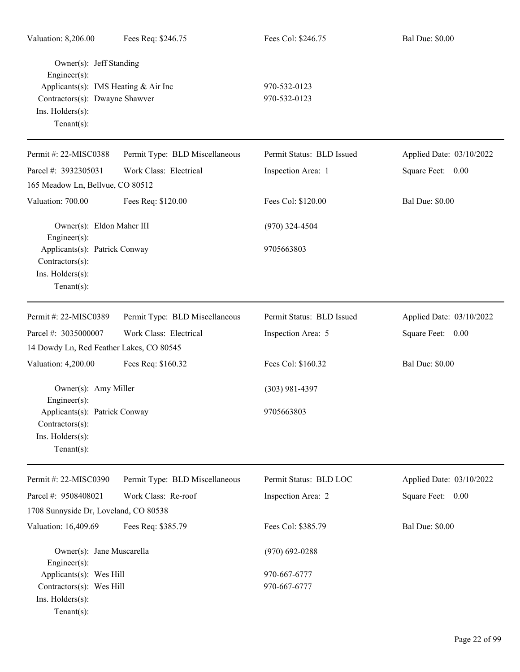| Valuation: 8,206.00                                                                                                                                    | Fees Req: \$246.75             | Fees Col: \$246.75           | <b>Bal Due: \$0.00</b>   |
|--------------------------------------------------------------------------------------------------------------------------------------------------------|--------------------------------|------------------------------|--------------------------|
| Owner(s): Jeff Standing<br>Engineer(s):<br>Applicants(s): IMS Heating & Air Inc<br>Contractors(s): Dwayne Shawver<br>Ins. Holders(s):<br>$Tenant(s)$ : |                                | 970-532-0123<br>970-532-0123 |                          |
| Permit #: 22-MISC0388                                                                                                                                  | Permit Type: BLD Miscellaneous | Permit Status: BLD Issued    | Applied Date: 03/10/2022 |
| Parcel #: 3932305031                                                                                                                                   | Work Class: Electrical         | Inspection Area: 1           | Square Feet: 0.00        |
| 165 Meadow Ln, Bellvue, CO 80512                                                                                                                       |                                |                              |                          |
| Valuation: 700.00                                                                                                                                      | Fees Req: \$120.00             | Fees Col: \$120.00           | <b>Bal Due: \$0.00</b>   |
| Owner(s): Eldon Maher III<br>Engineer(s):                                                                                                              |                                | $(970)$ 324-4504             |                          |
| Applicants(s): Patrick Conway<br>Contractors(s):<br>Ins. Holders(s):<br>Tenant $(s)$ :                                                                 |                                | 9705663803                   |                          |
| Permit #: 22-MISC0389                                                                                                                                  | Permit Type: BLD Miscellaneous | Permit Status: BLD Issued    | Applied Date: 03/10/2022 |
| Parcel #: 3035000007                                                                                                                                   | Work Class: Electrical         | Inspection Area: 5           | Square Feet: 0.00        |
| 14 Dowdy Ln, Red Feather Lakes, CO 80545                                                                                                               |                                |                              |                          |
| Valuation: 4,200.00                                                                                                                                    | Fees Req: \$160.32             | Fees Col: \$160.32           | <b>Bal Due: \$0.00</b>   |
| Owner(s): Amy Miller<br>Engineer(s):                                                                                                                   |                                | $(303)$ 981-4397             |                          |
| Applicants(s): Patrick Conway<br>Contractors(s):<br>Ins. Holders(s):<br>$Tenant(s)$ :                                                                  |                                | 9705663803                   |                          |
| Permit #: 22-MISC0390                                                                                                                                  | Permit Type: BLD Miscellaneous | Permit Status: BLD LOC       | Applied Date: 03/10/2022 |
| Parcel #: 9508408021<br>1708 Sunnyside Dr, Loveland, CO 80538                                                                                          | Work Class: Re-roof            | Inspection Area: 2           | Square Feet: 0.00        |
| Valuation: 16,409.69                                                                                                                                   | Fees Req: \$385.79             | Fees Col: \$385.79           | <b>Bal Due: \$0.00</b>   |
| Owner(s): Jane Muscarella<br>Engineer(s):                                                                                                              |                                | $(970) 692 - 0288$           |                          |
| Applicants(s): Wes Hill<br>Contractors(s): Wes Hill<br>Ins. Holders(s):<br>$Tenant(s)$ :                                                               |                                | 970-667-6777<br>970-667-6777 |                          |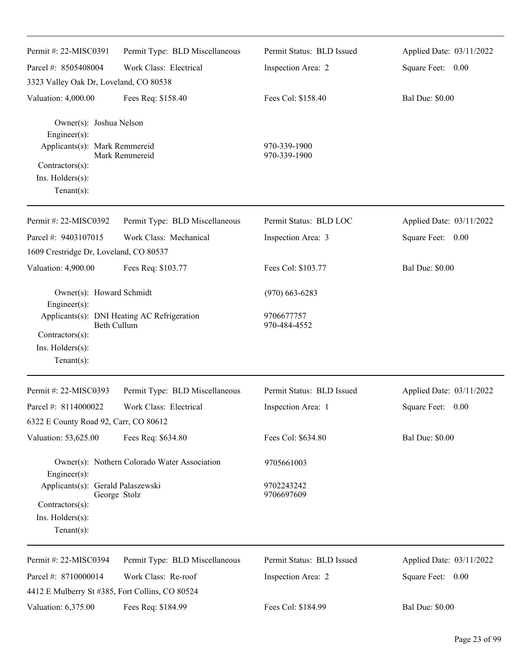| Permit #: 22-MISC0391                                                                                                  | Permit Type: BLD Miscellaneous                             | Permit Status: BLD Issued    | Applied Date: 03/11/2022 |
|------------------------------------------------------------------------------------------------------------------------|------------------------------------------------------------|------------------------------|--------------------------|
| Parcel #: 8505408004                                                                                                   | Work Class: Electrical                                     | Inspection Area: 2           | Square Feet: 0.00        |
| 3323 Valley Oak Dr, Loveland, CO 80538                                                                                 |                                                            |                              |                          |
| Valuation: 4,000.00                                                                                                    | Fees Req: \$158.40                                         | Fees Col: \$158.40           | <b>Bal Due: \$0.00</b>   |
| Owner(s): Joshua Nelson<br>Engineer(s):<br>Applicants(s): Mark Remmereid<br>Contractors(s):<br>Ins. $H$ olders $(s)$ : | Mark Remmereid                                             | 970-339-1900<br>970-339-1900 |                          |
| $Tenant(s)$ :                                                                                                          |                                                            |                              |                          |
| Permit #: 22-MISC0392                                                                                                  | Permit Type: BLD Miscellaneous                             | Permit Status: BLD LOC       | Applied Date: 03/11/2022 |
| Parcel #: 9403107015                                                                                                   | Work Class: Mechanical                                     | Inspection Area: 3           | Square Feet: 0.00        |
| 1609 Crestridge Dr, Loveland, CO 80537                                                                                 |                                                            |                              |                          |
| Valuation: 4,900.00                                                                                                    | Fees Req: \$103.77                                         | Fees Col: \$103.77           | <b>Bal Due: \$0.00</b>   |
| Owner(s): Howard Schmidt<br>Engineer(s):                                                                               |                                                            | $(970)$ 663-6283             |                          |
| Contractors(s):                                                                                                        | Applicants(s): DNI Heating AC Refrigeration<br>Beth Cullum | 9706677757<br>970-484-4552   |                          |
| Ins. Holders(s):                                                                                                       |                                                            |                              |                          |
| Tenant $(s)$ :                                                                                                         |                                                            |                              |                          |
| Permit #: 22-MISC0393                                                                                                  | Permit Type: BLD Miscellaneous                             | Permit Status: BLD Issued    | Applied Date: 03/11/2022 |
| Parcel #: 8114000022                                                                                                   | Work Class: Electrical                                     | Inspection Area: 1           | Square Feet: 0.00        |
| 6322 E County Road 92, Carr, CO 80612                                                                                  |                                                            |                              |                          |
| Valuation: 53,625.00                                                                                                   | Fees Req: \$634.80                                         | Fees Col: \$634.80           | <b>Bal Due: \$0.00</b>   |
| $Engineering(s)$ :                                                                                                     | Owner(s): Nothern Colorado Water Association               | 9705661003                   |                          |
| Applicants(s): Gerald Palaszewski<br>Contractors(s):<br>$Ins.$ Holders $(s)$ :<br>Tenant $(s)$ :                       | George Stolz                                               | 9702243242<br>9706697609     |                          |
| Permit #: 22-MISC0394                                                                                                  | Permit Type: BLD Miscellaneous                             | Permit Status: BLD Issued    | Applied Date: 03/11/2022 |
| Parcel #: 8710000014<br>4412 E Mulberry St #385, Fort Collins, CO 80524                                                | Work Class: Re-roof                                        | Inspection Area: 2           | Square Feet: 0.00        |
| Valuation: 6,375.00                                                                                                    | Fees Req: \$184.99                                         | Fees Col: \$184.99           | <b>Bal Due: \$0.00</b>   |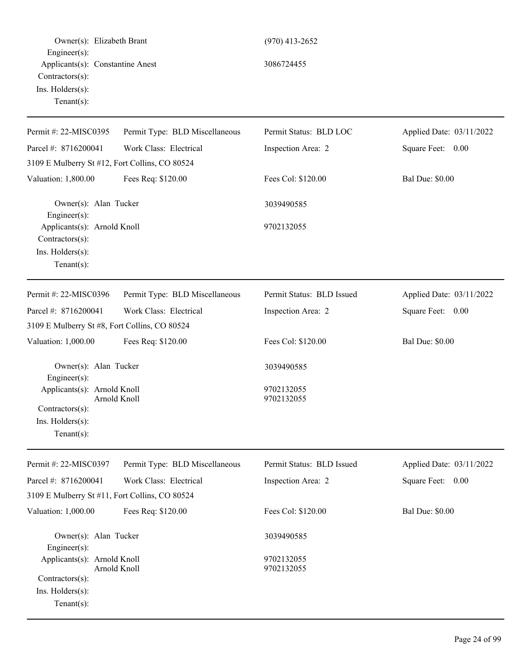| Owner(s): Elizabeth Brant<br>$Engineer(s)$ :                                                   |                                | $(970)$ 413-2652          |                          |
|------------------------------------------------------------------------------------------------|--------------------------------|---------------------------|--------------------------|
| Applicants(s): Constantine Anest<br>Contractors(s):<br>Ins. Holders(s):<br>Tenant $(s)$ :      |                                | 3086724455                |                          |
| Permit #: 22-MISC0395                                                                          | Permit Type: BLD Miscellaneous | Permit Status: BLD LOC    | Applied Date: 03/11/2022 |
| Parcel #: 8716200041                                                                           | Work Class: Electrical         | Inspection Area: 2        | Square Feet: 0.00        |
| 3109 E Mulberry St #12, Fort Collins, CO 80524                                                 |                                |                           |                          |
| Valuation: 1,800.00                                                                            | Fees Req: \$120.00             | Fees Col: \$120.00        | <b>Bal Due: \$0.00</b>   |
| Owner(s): Alan Tucker<br>Engineer $(s)$ :                                                      |                                | 3039490585                |                          |
| Applicants(s): Arnold Knoll<br>Contractors(s):<br>Ins. Holders(s):<br>Tenant $(s)$ :           |                                | 9702132055                |                          |
| Permit #: 22-MISC0396                                                                          | Permit Type: BLD Miscellaneous | Permit Status: BLD Issued | Applied Date: 03/11/2022 |
| Parcel #: 8716200041                                                                           | Work Class: Electrical         | Inspection Area: 2        | Square Feet: 0.00        |
| 3109 E Mulberry St #8, Fort Collins, CO 80524                                                  |                                |                           |                          |
| Valuation: 1,000.00                                                                            | Fees Req: \$120.00             | Fees Col: \$120.00        | <b>Bal Due: \$0.00</b>   |
| Owner(s): Alan Tucker<br>Engineer $(s)$ :                                                      |                                | 3039490585                |                          |
| Applicants(s): Arnold Knoll<br>$Contractors(s)$ :<br>Ins. $H$ olders $(s)$ :<br>Tenant $(s)$ : | Arnold Knoll                   | 9702132055<br>9702132055  |                          |
| Permit #: 22-MISC0397                                                                          | Permit Type: BLD Miscellaneous | Permit Status: BLD Issued | Applied Date: 03/11/2022 |
| Parcel #: 8716200041<br>3109 E Mulberry St #11, Fort Collins, CO 80524                         | Work Class: Electrical         | Inspection Area: 2        | Square Feet: 0.00        |
| Valuation: 1,000.00                                                                            | Fees Req: \$120.00             | Fees Col: \$120.00        | <b>Bal Due: \$0.00</b>   |
| Owner(s): Alan Tucker<br>Engineer(s):                                                          |                                | 3039490585                |                          |
| Applicants(s): Arnold Knoll<br>Contractors(s):<br>Ins. Holders(s):<br>$Tenant(s)$ :            | Arnold Knoll                   | 9702132055<br>9702132055  |                          |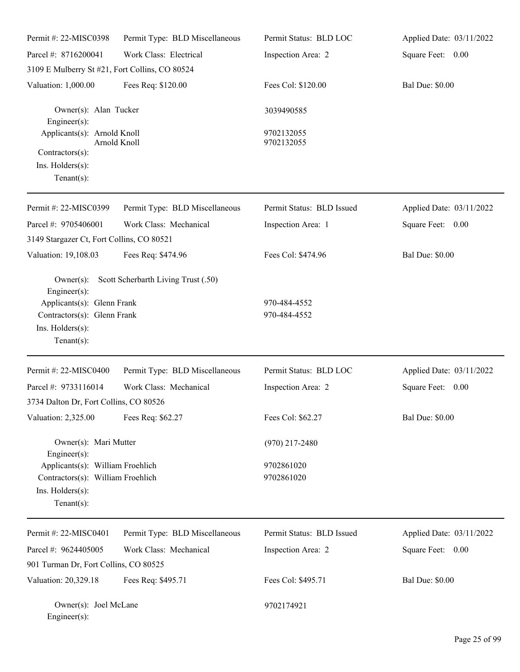| Permit #: 22-MISC0398                                                                                                                 | Permit Type: BLD Miscellaneous      | Permit Status: BLD LOC       | Applied Date: 03/11/2022 |
|---------------------------------------------------------------------------------------------------------------------------------------|-------------------------------------|------------------------------|--------------------------|
| Parcel #: 8716200041                                                                                                                  | Work Class: Electrical              | Inspection Area: 2           | Square Feet: 0.00        |
| 3109 E Mulberry St #21, Fort Collins, CO 80524                                                                                        |                                     |                              |                          |
| Valuation: 1,000.00                                                                                                                   | Fees Req: \$120.00                  | Fees Col: \$120.00           | <b>Bal Due: \$0.00</b>   |
| Owner(s): Alan Tucker<br>Engineer(s):                                                                                                 |                                     | 3039490585                   |                          |
| Applicants(s): Arnold Knoll                                                                                                           | Arnold Knoll                        | 9702132055<br>9702132055     |                          |
| Contractors(s):<br>Ins. Holders(s):<br>$Tenant(s)$ :                                                                                  |                                     |                              |                          |
| Permit #: 22-MISC0399                                                                                                                 | Permit Type: BLD Miscellaneous      | Permit Status: BLD Issued    | Applied Date: 03/11/2022 |
| Parcel #: 9705406001                                                                                                                  | Work Class: Mechanical              | Inspection Area: 1           | Square Feet: 0.00        |
| 3149 Stargazer Ct, Fort Collins, CO 80521                                                                                             |                                     |                              |                          |
| Valuation: 19,108.03                                                                                                                  | Fees Req: \$474.96                  | Fees Col: \$474.96           | <b>Bal Due: \$0.00</b>   |
| $Owner(s)$ :<br>$Engineering(s)$ :<br>Applicants(s): Glenn Frank<br>Contractors(s): Glenn Frank<br>Ins. Holders(s):<br>Tenant $(s)$ : | Scott Scherbarth Living Trust (.50) | 970-484-4552<br>970-484-4552 |                          |
| Permit #: 22-MISC0400                                                                                                                 | Permit Type: BLD Miscellaneous      | Permit Status: BLD LOC       | Applied Date: 03/11/2022 |
| Parcel #: 9733116014                                                                                                                  | Work Class: Mechanical              | Inspection Area: 2           | Square Feet:<br>0.00     |
| 3734 Dalton Dr, Fort Collins, CO 80526                                                                                                |                                     |                              |                          |
| Valuation: 2,325.00                                                                                                                   | Fees Req: \$62.27                   | Fees Col: \$62.27            | <b>Bal Due: \$0.00</b>   |
| Owner(s): Mari Mutter<br>$Engineering(s)$ :                                                                                           |                                     | $(970)$ 217-2480             |                          |
| Applicants(s): William Froehlich<br>Contractors(s): William Froehlich<br>Ins. Holders(s):<br>$Tenant(s)$ :                            |                                     | 9702861020<br>9702861020     |                          |
| Permit #: 22-MISC0401                                                                                                                 | Permit Type: BLD Miscellaneous      | Permit Status: BLD Issued    | Applied Date: 03/11/2022 |
| Parcel #: 9624405005                                                                                                                  | Work Class: Mechanical              | Inspection Area: 2           | Square Feet: 0.00        |
| 901 Turman Dr, Fort Collins, CO 80525                                                                                                 |                                     |                              |                          |
| Valuation: 20,329.18                                                                                                                  | Fees Req: \$495.71                  | Fees Col: \$495.71           | <b>Bal Due: \$0.00</b>   |
| Owner(s): Joel McLane<br>$Engineer(s)$ :                                                                                              |                                     | 9702174921                   |                          |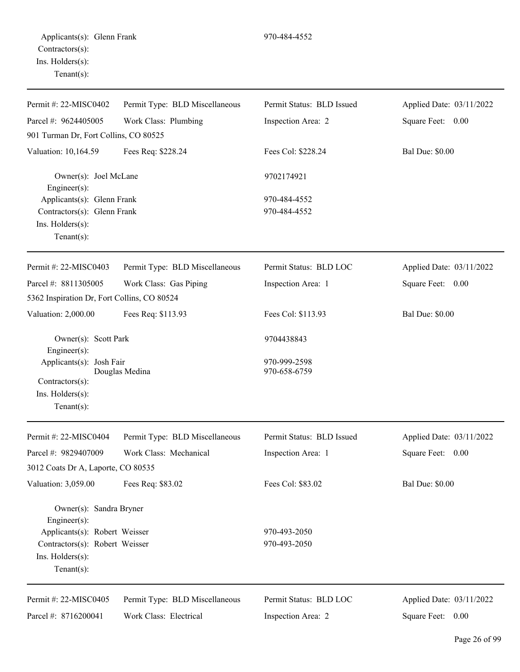| $1 \sqrt{2}$                                     |                                |                           |                          |
|--------------------------------------------------|--------------------------------|---------------------------|--------------------------|
| Permit #: 22-MISC0402                            | Permit Type: BLD Miscellaneous | Permit Status: BLD Issued | Applied Date: 03/11/2022 |
| Parcel #: $9624405005$                           | Work Class: Plumbing           | Inspection Area: 2        | Square Feet: 0.00        |
| 901 Turman Dr, Fort Collins, CO 80525            |                                |                           |                          |
| Valuation: 10,164.59                             | Fees Req: \$228.24             | Fees Col: \$228.24        | <b>Bal Due: \$0.00</b>   |
| Owner(s): Joel McLane                            |                                | 9702174921                |                          |
| $Engineering(s)$ :<br>Applicants(s): Glenn Frank |                                | 970-484-4552              |                          |
| Contractors(s): Glenn Frank                      |                                | 970-484-4552              |                          |
| $Ins.$ Holders $(s)$ :                           |                                |                           |                          |
| $Tenant(s)$ :                                    |                                |                           |                          |
| Permit #: $22-MISCO403$                          | Permit Type: BLD Miscellaneous | Permit Status: BLD LOC    | Applied Date: 03/11/2022 |
| Parcel #: $8811305005$                           | Work Class: Gas Piping         | Inspection Area: 1        | Square Feet: 0.00        |

5362 Inspiration Dr, Fort Collins, CO 80524

|                          | Owner(s): Scott Park | 9704438843   |  |
|--------------------------|----------------------|--------------|--|
| $Enginer(s)$ :           |                      |              |  |
| Applicants(s): Josh Fair |                      | 970-999-2598 |  |
|                          | Douglas Medina       | 970-658-6759 |  |
| $Contractors(s)$ :       |                      |              |  |
| Ins. $H$ olders $(s)$ :  |                      |              |  |
| Tenant $(s)$ :           |                      |              |  |

Valuation: 2,000.00 Fees Req: \$113.93 Fees Col: \$113.93 Bal Due: \$0.00

| Permit #: $22-MISCO404$            | Permit Type: BLD Miscellaneous | Permit Status: BLD Issued | Applied Date: 03/11/2022 |
|------------------------------------|--------------------------------|---------------------------|--------------------------|
| Parcel #: 9829407009               | Work Class: Mechanical         | Inspection Area: 1        | Square Feet:<br>0.00     |
| 3012 Coats Dr A, Laporte, CO 80535 |                                |                           |                          |
| Valuation: 3,059.00                | Fees Req: \$83.02              | Fees Col: \$83.02         | <b>Bal Due: \$0.00</b>   |
| Owner(s): Sandra Bryner            |                                |                           |                          |
| Engineer $(s)$ :                   |                                |                           |                          |
| Applicants(s): Robert Weisser      |                                | 970-493-2050              |                          |
| Contractors(s): Robert Weisser     |                                | 970-493-2050              |                          |
| $Ins.$ Holders $(s)$ :             |                                |                           |                          |
| Tenant $(s)$ :                     |                                |                           |                          |
| Permit #: 22-MISC0405              | Permit Type: BLD Miscellaneous | Permit Status: BLD LOC    | Applied Date: 03/11/2022 |
| Parcel #: 8716200041               | Work Class: Electrical         | Inspection Area: 2        | Square Feet:<br>0.00     |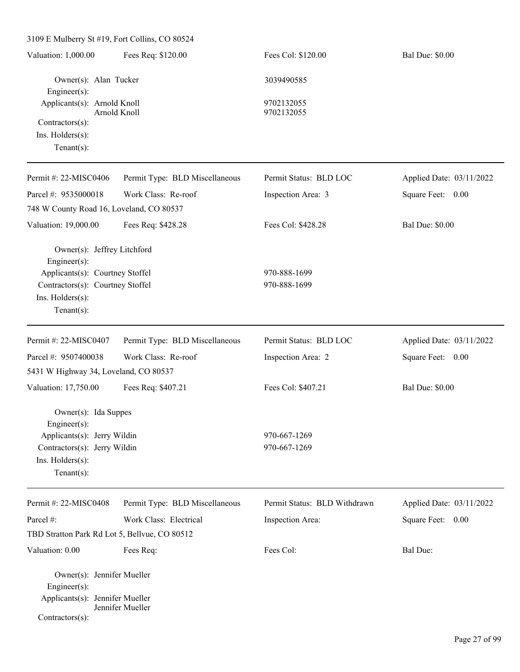3109 E Mulberry St #19, Fort Collins, CO 80524 Valuation: 1,000.00 Fees Req: \$120.00 Fees Col: \$120.00 Bal Due: \$0.00 Owner(s): Alan Tucker 3039490585 Engineer(s): Applicants(s): Arnold Knoll 9702132055 Arnold Knoll 9702132055 Contractors(s): Ins. Holders(s): Tenant(s): Permit #: 22-MISC0406 Parcel #: 9535000018 Permit Type: BLD Miscellaneous Work Class: Re-roof Permit Status: BLD LOC Inspection Area: 3 Applied Date: 03/11/2022 Square Feet: 0.00 748 W County Road 16, Loveland, CO 80537 Valuation: 19,000.00 Fees Req: \$428.28 Fees Col: \$428.28 Bal Due: \$0.00 Owner(s): Jeffrey Litchford Engineer(s): Applicants(s): Courtney Stoffel 970-888-1699 Contractors(s): Courtney Stoffel 970-888-1699 Ins. Holders(s): Tenant(s): Permit #: 22-MISC0407 Parcel #: 9507400038 Permit Type: BLD Miscellaneous Work Class: Re-roof Permit Status: BLD LOC Inspection Area: 2 Applied Date: 03/11/2022 Square Feet: 0.00 5431 W Highway 34, Loveland, CO 80537 Valuation: 17,750.00 Fees Req: \$407.21 Fees Col: \$407.21 Bal Due: \$0.00 Owner(s): Ida Suppes Engineer(s): Applicants(s): Jerry Wildin 970-667-1269 Contractors(s): Jerry Wildin 970-667-1269 Ins. Holders(s): Tenant(s): Permit #: 22-MISC0408 Parcel #: Permit Type: BLD Miscellaneous Work Class: Electrical Permit Status: BLD Withdrawn Inspection Area: Applied Date: 03/11/2022 Square Feet: 0.00 TBD Stratton Park Rd Lot 5, Bellvue, CO 80512 Valuation: 0.00 Fees Req: Fees Col: Fees Col: Bal Due: Owner(s): Jennifer Mueller Engineer(s): Applicants(s): Jennifer Mueller Jennifer Mueller Contractors(s):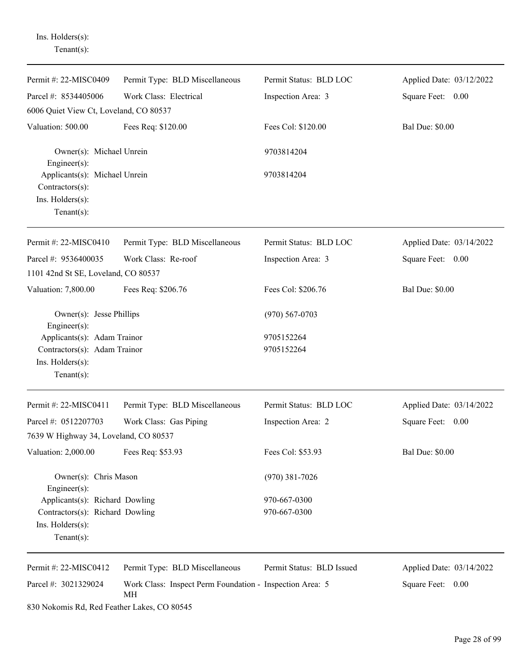Ins. Holders(s): Tenant(s):

| Permit #: 22-MISC0409                                                                            | Permit Type: BLD Miscellaneous                                 | Permit Status: BLD LOC    | Applied Date: 03/12/2022 |
|--------------------------------------------------------------------------------------------------|----------------------------------------------------------------|---------------------------|--------------------------|
| Parcel #: 8534405006                                                                             | Work Class: Electrical                                         | Inspection Area: 3        | Square Feet: 0.00        |
| 6006 Quiet View Ct, Loveland, CO 80537                                                           |                                                                |                           |                          |
| Valuation: 500.00                                                                                | Fees Req: \$120.00                                             | Fees Col: \$120.00        | <b>Bal Due: \$0.00</b>   |
| Owner(s): Michael Unrein<br>Engineer(s):                                                         |                                                                | 9703814204                |                          |
| Applicants(s): Michael Unrein<br>Contractors(s):<br>Ins. Holders(s):<br>$Tenant(s)$ :            |                                                                | 9703814204                |                          |
| Permit #: 22-MISC0410                                                                            | Permit Type: BLD Miscellaneous                                 | Permit Status: BLD LOC    | Applied Date: 03/14/2022 |
| Parcel #: 9536400035                                                                             | Work Class: Re-roof                                            | Inspection Area: 3        | Square Feet: 0.00        |
| 1101 42nd St SE, Loveland, CO 80537                                                              |                                                                |                           |                          |
| Valuation: 7,800.00                                                                              | Fees Req: \$206.76                                             | Fees Col: \$206.76        | <b>Bal Due: \$0.00</b>   |
| Owner(s): Jesse Phillips<br>$Engineering(s)$ :                                                   |                                                                | $(970) 567 - 0703$        |                          |
| Applicants(s): Adam Trainor<br>Contractors(s): Adam Trainor<br>Ins. Holders(s):<br>$Tenant(s)$ : |                                                                | 9705152264<br>9705152264  |                          |
| Permit #: 22-MISC0411                                                                            | Permit Type: BLD Miscellaneous                                 | Permit Status: BLD LOC    | Applied Date: 03/14/2022 |
| Parcel #: 0512207703                                                                             | Work Class: Gas Piping                                         | Inspection Area: 2        | Square Feet:<br>0.00     |
| 7639 W Highway 34, Loveland, CO 80537                                                            |                                                                |                           |                          |
| Valuation: 2,000.00                                                                              | Fees Req: \$53.93                                              | Fees Col: \$53.93         | <b>Bal Due: \$0.00</b>   |
| Owner(s): Chris Mason<br>Engineer(s):                                                            |                                                                | $(970)$ 381-7026          |                          |
| Applicants(s): Richard Dowling                                                                   |                                                                | 970-667-0300              |                          |
| Contractors(s): Richard Dowling<br>Ins. Holders(s):<br>Tenant $(s)$ :                            |                                                                | 970-667-0300              |                          |
| Permit #: 22-MISC0412                                                                            | Permit Type: BLD Miscellaneous                                 | Permit Status: BLD Issued | Applied Date: 03/14/2022 |
| Parcel #: 3021329024                                                                             | Work Class: Inspect Perm Foundation - Inspection Area: 5<br>MH |                           | Square Feet: 0.00        |
| 830 Nokomis Rd, Red Feather Lakes, CO 80545                                                      |                                                                |                           |                          |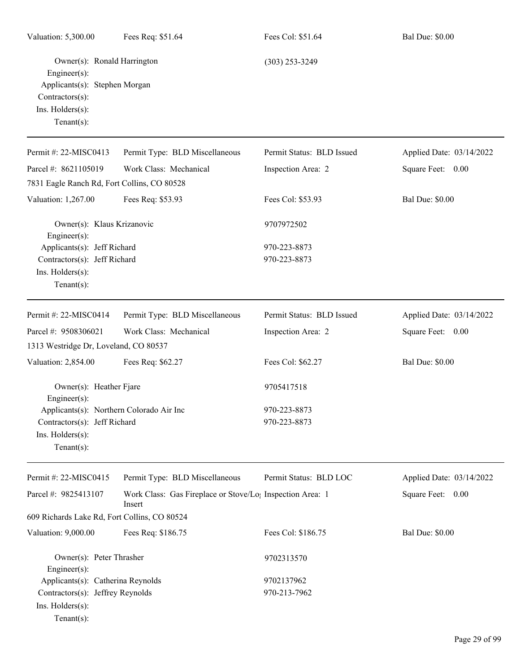| Valuation: 5,300.00                                                                                                                   | Fees Req: \$51.64                                                               | Fees Col: \$51.64         | <b>Bal Due: \$0.00</b>   |
|---------------------------------------------------------------------------------------------------------------------------------------|---------------------------------------------------------------------------------|---------------------------|--------------------------|
| Owner(s): Ronald Harrington<br>Engineer(s):<br>Applicants(s): Stephen Morgan<br>Contractors(s):<br>Ins. Holders(s):<br>Tenant $(s)$ : |                                                                                 | $(303)$ 253-3249          |                          |
| Permit #: 22-MISC0413                                                                                                                 | Permit Type: BLD Miscellaneous                                                  | Permit Status: BLD Issued | Applied Date: 03/14/2022 |
| Parcel #: 8621105019                                                                                                                  | Work Class: Mechanical                                                          | Inspection Area: 2        | Square Feet: 0.00        |
| 7831 Eagle Ranch Rd, Fort Collins, CO 80528                                                                                           |                                                                                 |                           |                          |
| Valuation: 1,267.00                                                                                                                   | Fees Req: \$53.93                                                               | Fees Col: \$53.93         | <b>Bal Due: \$0.00</b>   |
| Owner(s): Klaus Krizanovic<br>Engineer(s):                                                                                            |                                                                                 | 9707972502                |                          |
| Applicants(s): Jeff Richard                                                                                                           |                                                                                 | 970-223-8873              |                          |
| Contractors(s): Jeff Richard                                                                                                          |                                                                                 | 970-223-8873              |                          |
| Ins. Holders(s):<br>Tenant $(s)$ :                                                                                                    |                                                                                 |                           |                          |
| Permit #: 22-MISC0414                                                                                                                 | Permit Type: BLD Miscellaneous                                                  | Permit Status: BLD Issued | Applied Date: 03/14/2022 |
| Parcel #: 9508306021                                                                                                                  | Work Class: Mechanical                                                          | Inspection Area: 2        | Square Feet: 0.00        |
| 1313 Westridge Dr, Loveland, CO 80537                                                                                                 |                                                                                 |                           |                          |
| Valuation: 2,854.00                                                                                                                   | Fees Req: \$62.27                                                               | Fees Col: \$62.27         | <b>Bal Due: \$0.00</b>   |
| Owner(s): Heather Fjare<br>Engineer(s):                                                                                               |                                                                                 | 9705417518                |                          |
| Applicants(s): Northern Colorado Air Inc                                                                                              |                                                                                 | 970-223-8873              |                          |
| Contractors(s): Jeff Richard                                                                                                          |                                                                                 | 970-223-8873              |                          |
| Ins. Holders(s):<br>$Tenant(s)$ :                                                                                                     |                                                                                 |                           |                          |
| Permit #: 22-MISC0415                                                                                                                 | Permit Type: BLD Miscellaneous                                                  | Permit Status: BLD LOC    | Applied Date: 03/14/2022 |
| Parcel #: 9825413107                                                                                                                  | Work Class: Gas Fireplace or Stove/Lo <sub>1</sub> Inspection Area: 1<br>Insert |                           | Square Feet: 0.00        |
| 609 Richards Lake Rd, Fort Collins, CO 80524                                                                                          |                                                                                 |                           |                          |
| Valuation: 9,000.00                                                                                                                   | Fees Req: \$186.75                                                              | Fees Col: \$186.75        | <b>Bal Due: \$0.00</b>   |
| Owner(s): Peter Thrasher<br>Engineer(s):                                                                                              |                                                                                 | 9702313570                |                          |
| Applicants(s): Catherina Reynolds                                                                                                     |                                                                                 | 9702137962                |                          |
| Contractors(s): Jeffrey Reynolds                                                                                                      |                                                                                 | 970-213-7962              |                          |
| Ins. Holders(s):<br>$Tenant(s)$ :                                                                                                     |                                                                                 |                           |                          |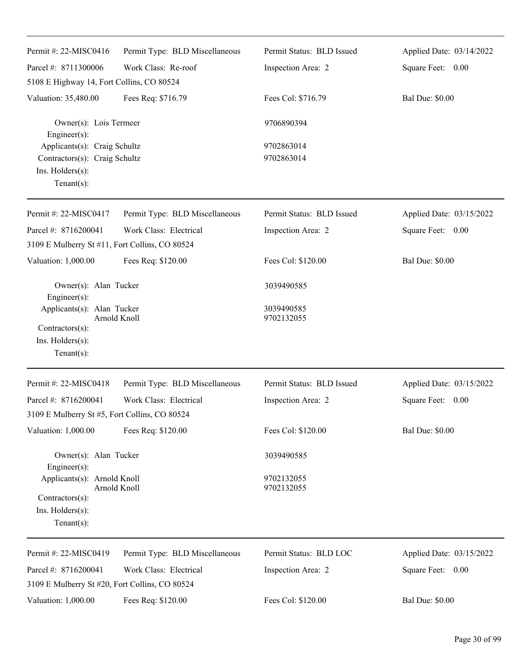| Permit #: 22-MISC0416                                                                               | Permit Type: BLD Miscellaneous | Permit Status: BLD Issued | Applied Date: 03/14/2022 |
|-----------------------------------------------------------------------------------------------------|--------------------------------|---------------------------|--------------------------|
| Parcel #: 8711300006                                                                                | Work Class: Re-roof            | Inspection Area: 2        | Square Feet: 0.00        |
| 5108 E Highway 14, Fort Collins, CO 80524                                                           |                                |                           |                          |
| Valuation: 35,480.00                                                                                | Fees Req: \$716.79             | Fees Col: \$716.79        | <b>Bal Due: \$0.00</b>   |
| Owner(s): Lois Termeer<br>Engineer(s):                                                              |                                | 9706890394                |                          |
| Applicants(s): Craig Schultz<br>Contractors(s): Craig Schultz<br>Ins. Holders(s):<br>Tenant $(s)$ : |                                | 9702863014<br>9702863014  |                          |
| Permit #: 22-MISC0417                                                                               | Permit Type: BLD Miscellaneous | Permit Status: BLD Issued | Applied Date: 03/15/2022 |
| Parcel #: 8716200041                                                                                | Work Class: Electrical         | Inspection Area: 2        | Square Feet: 0.00        |
| 3109 E Mulberry St #11, Fort Collins, CO 80524                                                      |                                |                           |                          |
| Valuation: 1,000.00                                                                                 | Fees Req: \$120.00             | Fees Col: \$120.00        | <b>Bal Due: \$0.00</b>   |
| Owner(s): Alan Tucker<br>Engineer(s):                                                               |                                | 3039490585                |                          |
| Applicants(s): Alan Tucker<br>Arnold Knoll<br>Contractors(s):<br>Ins. Holders(s):<br>Tenant $(s)$ : |                                | 3039490585<br>9702132055  |                          |
| Permit #: 22-MISC0418                                                                               | Permit Type: BLD Miscellaneous | Permit Status: BLD Issued | Applied Date: 03/15/2022 |
| Parcel #: 8716200041                                                                                | Work Class: Electrical         | Inspection Area: 2        | Square Feet:<br>0.00     |
| 3109 E Mulberry St #5, Fort Collins, CO 80524                                                       |                                |                           |                          |
| Valuation: 1,000.00                                                                                 | Fees Req: \$120.00             | Fees Col: \$120.00        | <b>Bal Due: \$0.00</b>   |
| Owner(s): Alan Tucker<br>Engineer(s):                                                               |                                | 3039490585                |                          |
| Applicants(s): Arnold Knoll<br>Arnold Knoll                                                         |                                | 9702132055<br>9702132055  |                          |
| Contractors(s):<br>Ins. Holders(s):<br>Tenant $(s)$ :                                               |                                |                           |                          |
| Permit #: 22-MISC0419                                                                               | Permit Type: BLD Miscellaneous | Permit Status: BLD LOC    | Applied Date: 03/15/2022 |
| Parcel #: 8716200041                                                                                | Work Class: Electrical         | Inspection Area: 2        | Square Feet: 0.00        |
| 3109 E Mulberry St #20, Fort Collins, CO 80524                                                      |                                |                           |                          |
| Valuation: 1,000.00                                                                                 | Fees Req: \$120.00             | Fees Col: \$120.00        | <b>Bal Due: \$0.00</b>   |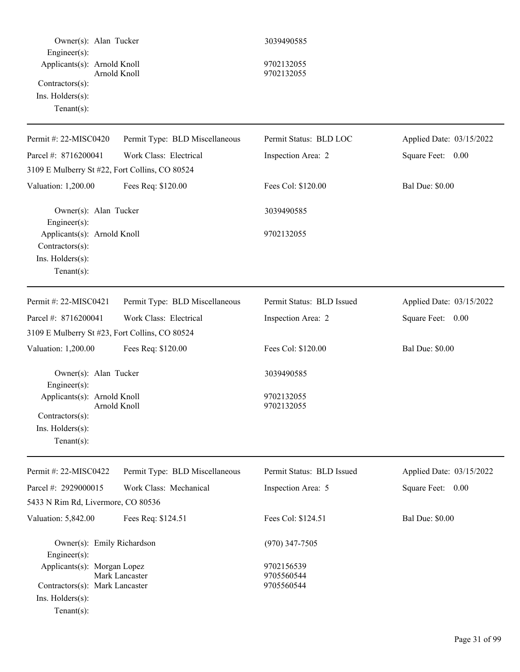| Owner(s): Alan Tucker<br>Engineer(s):<br>Applicants(s): Arnold Knoll<br>Contractors(s):<br>Ins. Holders(s):<br>Tenant $(s)$ : | Arnold Knoll                   | 3039490585<br>9702132055<br>9702132055 |                          |
|-------------------------------------------------------------------------------------------------------------------------------|--------------------------------|----------------------------------------|--------------------------|
| Permit #: 22-MISC0420                                                                                                         | Permit Type: BLD Miscellaneous | Permit Status: BLD LOC                 | Applied Date: 03/15/2022 |
| Parcel #: 8716200041                                                                                                          | Work Class: Electrical         | Inspection Area: 2                     | Square Feet: 0.00        |
| 3109 E Mulberry St #22, Fort Collins, CO 80524                                                                                |                                |                                        |                          |
| Valuation: 1,200.00                                                                                                           | Fees Req: \$120.00             | Fees Col: \$120.00                     | <b>Bal Due: \$0.00</b>   |
| Owner(s): Alan Tucker<br>Engineer(s):                                                                                         |                                | 3039490585                             |                          |
| Applicants(s): Arnold Knoll<br>Contractors(s):<br>Ins. Holders(s):<br>Tenant $(s)$ :                                          |                                | 9702132055                             |                          |
| Permit #: 22-MISC0421                                                                                                         | Permit Type: BLD Miscellaneous | Permit Status: BLD Issued              | Applied Date: 03/15/2022 |
| Parcel #: 8716200041                                                                                                          | Work Class: Electrical         | Inspection Area: 2                     | Square Feet: 0.00        |
| 3109 E Mulberry St #23, Fort Collins, CO 80524                                                                                |                                |                                        |                          |
| Valuation: 1,200.00                                                                                                           | Fees Req: \$120.00             | Fees Col: \$120.00                     | <b>Bal Due: \$0.00</b>   |
| Owner(s): Alan Tucker<br>Engineer(s):<br>Applicants(s): Arnold Knoll<br>Contractors(s):<br>Ins. Holders(s):<br>Tenant $(s)$ : | Arnold Knoll                   | 3039490585<br>9702132055<br>9702132055 |                          |
| Permit #: 22-MISC0422                                                                                                         | Permit Type: BLD Miscellaneous | Permit Status: BLD Issued              | Applied Date: 03/15/2022 |
| Parcel #: 2929000015                                                                                                          | Work Class: Mechanical         | Inspection Area: 5                     | Square Feet: 0.00        |
| 5433 N Rim Rd, Livermore, CO 80536                                                                                            |                                |                                        |                          |
| Valuation: 5,842.00                                                                                                           | Fees Req: \$124.51             | Fees Col: \$124.51                     | <b>Bal Due: \$0.00</b>   |
| Owner(s): Emily Richardson<br>Engineer(s):                                                                                    |                                | $(970)$ 347-7505                       |                          |
| Applicants(s): Morgan Lopez<br>Contractors(s): Mark Lancaster<br>Ins. Holders(s):<br>Tenant $(s)$ :                           | Mark Lancaster                 | 9702156539<br>9705560544<br>9705560544 |                          |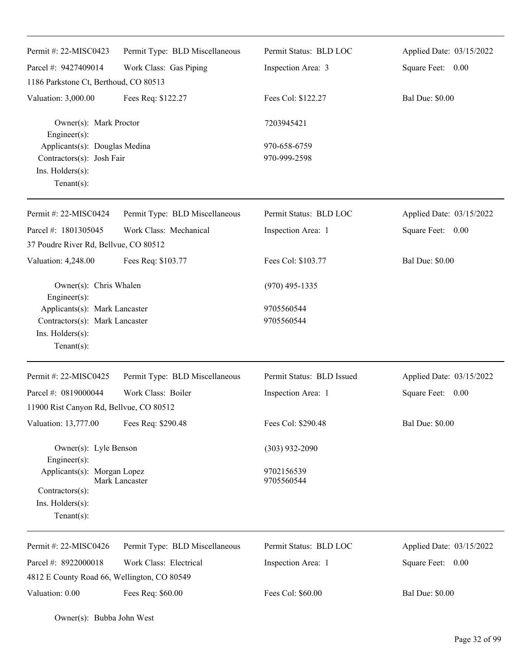| Permit #: $22-MISCO423$<br>Parcel #: 9427409014                                                      | Permit Type: BLD Miscellaneous<br>Work Class: Gas Piping | Permit Status: BLD LOC<br>Inspection Area: 3 | Applied Date: 03/15/2022<br>Square Feet: 0.00 |
|------------------------------------------------------------------------------------------------------|----------------------------------------------------------|----------------------------------------------|-----------------------------------------------|
| 1186 Parkstone Ct, Berthoud, CO 80513                                                                |                                                          |                                              |                                               |
| Valuation: 3,000.00                                                                                  | Fees Req: \$122.27                                       | Fees Col: \$122.27                           | <b>Bal Due: \$0.00</b>                        |
| Owner(s): Mark Proctor<br>Engineer(s):                                                               |                                                          | 7203945421                                   |                                               |
| Applicants(s): Douglas Medina<br>Contractors(s): Josh Fair<br>Ins. Holders(s):<br>Tenant $(s)$ :     |                                                          | 970-658-6759<br>970-999-2598                 |                                               |
| Permit #: 22-MISC0424                                                                                | Permit Type: BLD Miscellaneous                           | Permit Status: BLD LOC                       | Applied Date: 03/15/2022                      |
| Parcel #: 1801305045<br>37 Poudre River Rd, Bellvue, CO 80512                                        | Work Class: Mechanical                                   | Inspection Area: 1                           | Square Feet: 0.00                             |
| Valuation: 4,248.00                                                                                  | Fees Req: \$103.77                                       | Fees Col: \$103.77                           | <b>Bal Due: \$0.00</b>                        |
| Owner(s): Chris Whalen<br>Engineer(s):                                                               |                                                          | $(970)$ 495-1335                             |                                               |
| Applicants(s): Mark Lancaster<br>Contractors(s): Mark Lancaster<br>Ins. Holders(s):<br>$Tenant(s)$ : |                                                          | 9705560544<br>9705560544                     |                                               |
| Permit #: 22-MISC0425                                                                                | Permit Type: BLD Miscellaneous                           | Permit Status: BLD Issued                    | Applied Date: 03/15/2022                      |
| Parcel #: 0819000044<br>11900 Rist Canyon Rd, Bellvue, CO 80512                                      | Work Class: Boiler                                       | Inspection Area: 1                           | Square Feet: 0.00                             |
| Valuation: 13,777.00                                                                                 | Fees Req: \$290.48                                       | Fees Col: \$290.48                           | <b>Bal Due: \$0.00</b>                        |
| Owner(s): Lyle Benson<br>Engineer(s):                                                                |                                                          | $(303)$ 932-2090                             |                                               |
| Applicants(s): Morgan Lopez<br>Contractors(s):<br>Ins. Holders(s):<br>$Tenant(s)$ :                  | Mark Lancaster                                           | 9702156539<br>9705560544                     |                                               |
| Permit #: 22-MISC0426                                                                                | Permit Type: BLD Miscellaneous                           | Permit Status: BLD LOC                       | Applied Date: 03/15/2022                      |
| Parcel #: 8922000018<br>4812 E County Road 66, Wellington, CO 80549                                  | Work Class: Electrical                                   | Inspection Area: 1                           | Square Feet: 0.00                             |
| Valuation: 0.00                                                                                      | Fees Req: \$60.00                                        | Fees Col: \$60.00                            | <b>Bal Due: \$0.00</b>                        |

Owner(s): Bubba John West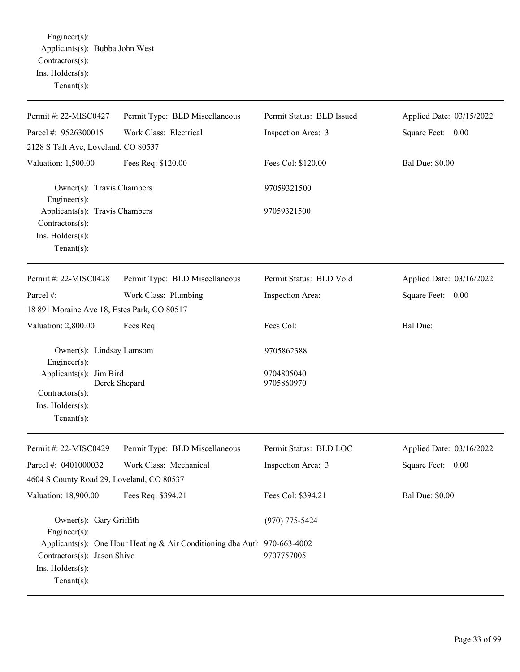Engineer(s): Applicants(s): Bubba John West Contractors(s): Ins. Holders(s): Tenant(s):

| Permit #: 22-MISC0427                                                                            | Permit Type: BLD Miscellaneous                                           | Permit Status: BLD Issued | Applied Date: 03/15/2022 |  |
|--------------------------------------------------------------------------------------------------|--------------------------------------------------------------------------|---------------------------|--------------------------|--|
| Parcel #: 9526300015                                                                             | Work Class: Electrical                                                   | Inspection Area: 3        | Square Feet: 0.00        |  |
| 2128 S Taft Ave, Loveland, CO 80537                                                              |                                                                          |                           |                          |  |
| Valuation: 1,500.00                                                                              | Fees Req: \$120.00                                                       | Fees Col: \$120.00        | <b>Bal Due: \$0.00</b>   |  |
| Owner(s): Travis Chambers<br>Engineer(s):                                                        |                                                                          | 97059321500               |                          |  |
| Applicants(s): Travis Chambers<br>Contractors(s):<br>Ins. Holders(s):<br>Tenant $(s)$ :          |                                                                          | 97059321500               |                          |  |
| Permit #: 22-MISC0428                                                                            | Permit Type: BLD Miscellaneous                                           | Permit Status: BLD Void   | Applied Date: 03/16/2022 |  |
| Parcel #:                                                                                        |                                                                          |                           |                          |  |
| 18 891 Moraine Ave 18, Estes Park, CO 80517                                                      | Work Class: Plumbing                                                     | Inspection Area:          | Square Feet: 0.00        |  |
| Valuation: 2,800.00                                                                              | Fees Req:                                                                | Fees Col:                 | Bal Due:                 |  |
| Owner(s): Lindsay Lamsom<br>Engineer(s):                                                         |                                                                          | 9705862388                |                          |  |
| Applicants(s): Jim Bird<br>Derek Shepard<br>Contractors(s):<br>Ins. Holders(s):<br>$Tenant(s)$ : |                                                                          | 9704805040<br>9705860970  |                          |  |
| Permit #: 22-MISC0429                                                                            | Permit Type: BLD Miscellaneous                                           | Permit Status: BLD LOC    | Applied Date: 03/16/2022 |  |
| Parcel #: 0401000032                                                                             | Work Class: Mechanical                                                   | Inspection Area: 3        | Square Feet: 0.00        |  |
| 4604 S County Road 29, Loveland, CO 80537                                                        |                                                                          |                           |                          |  |
| Valuation: 18,900.00                                                                             | Fees Req: \$394.21                                                       | Fees Col: \$394.21        | <b>Bal Due: \$0.00</b>   |  |
| Owner(s): Gary Griffith<br>Engineer(s):                                                          | Applicants(s): One Hour Heating & Air Conditioning dba Autl 970-663-4002 | $(970)$ 775-5424          |                          |  |
| Contractors(s): Jason Shivo<br>Ins. Holders(s):<br>Tenant $(s)$ :                                |                                                                          | 9707757005                |                          |  |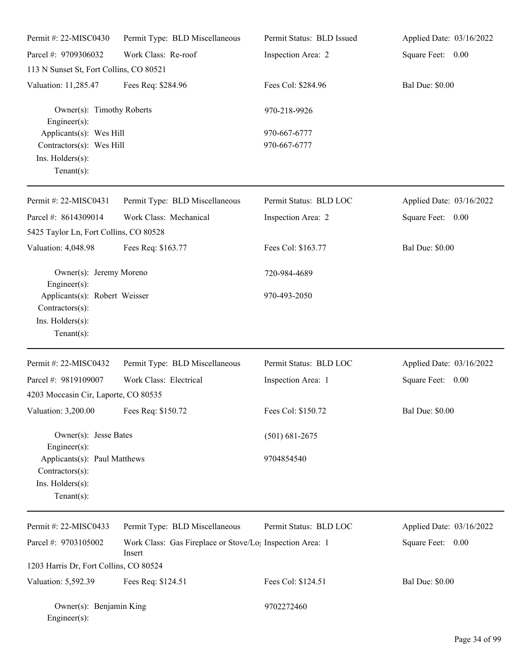| Permit #: 22-MISC0430                                                                                 | Permit Type: BLD Miscellaneous                                                  | Permit Status: BLD Issued    | Applied Date: 03/16/2022 |
|-------------------------------------------------------------------------------------------------------|---------------------------------------------------------------------------------|------------------------------|--------------------------|
| Parcel #: 9709306032                                                                                  | Work Class: Re-roof                                                             | Inspection Area: 2           | Square Feet: 0.00        |
| 113 N Sunset St, Fort Collins, CO 80521                                                               |                                                                                 |                              |                          |
| Valuation: 11,285.47                                                                                  | Fees Req: \$284.96                                                              | Fees Col: \$284.96           | <b>Bal Due: \$0.00</b>   |
| Owner(s): Timothy Roberts<br>Engineer(s):                                                             |                                                                                 | 970-218-9926                 |                          |
| Applicants(s): Wes Hill<br>Contractors(s): Wes Hill<br>Ins. Holders(s):<br>Tenant $(s)$ :             |                                                                                 | 970-667-6777<br>970-667-6777 |                          |
| Permit#: 22-MISC0431                                                                                  | Permit Type: BLD Miscellaneous                                                  | Permit Status: BLD LOC       | Applied Date: 03/16/2022 |
| Parcel #: 8614309014<br>5425 Taylor Ln, Fort Collins, CO 80528                                        | Work Class: Mechanical                                                          | Inspection Area: 2           | Square Feet: 0.00        |
| Valuation: 4,048.98                                                                                   | Fees Req: \$163.77                                                              | Fees Col: \$163.77           | <b>Bal Due: \$0.00</b>   |
| Owner(s): Jeremy Moreno<br>Engineer(s):                                                               |                                                                                 | 720-984-4689                 |                          |
| Applicants(s): Robert Weisser<br>Contractors(s):<br>Ins. Holders(s):<br>Tenant $(s)$ :                |                                                                                 | 970-493-2050                 |                          |
| Permit #: 22-MISC0432                                                                                 | Permit Type: BLD Miscellaneous                                                  | Permit Status: BLD LOC       | Applied Date: 03/16/2022 |
| Parcel #: 9819109007                                                                                  | Work Class: Electrical                                                          | Inspection Area: 1           | Square Feet: 0.00        |
| 4203 Moccasin Cir, Laporte, CO 80535                                                                  |                                                                                 |                              |                          |
| Valuation: 3,200.00                                                                                   | Fees Req: \$150.72                                                              | Fees Col: \$150.72           | <b>Bal Due: \$0.00</b>   |
| Owner(s): Jesse Bates                                                                                 |                                                                                 | $(501) 681 - 2675$           |                          |
| Engineer(s):<br>Applicants(s): Paul Matthews<br>Contractors(s):<br>Ins. Holders(s):<br>Tenant $(s)$ : |                                                                                 | 9704854540                   |                          |
| Permit #: 22-MISC0433                                                                                 | Permit Type: BLD Miscellaneous                                                  | Permit Status: BLD LOC       | Applied Date: 03/16/2022 |
| Parcel #: 9703105002                                                                                  | Work Class: Gas Fireplace or Stove/Lo <sub>1</sub> Inspection Area: 1<br>Insert |                              | Square Feet: 0.00        |
| 1203 Harris Dr, Fort Collins, CO 80524                                                                |                                                                                 |                              |                          |
| Valuation: 5,592.39                                                                                   | Fees Req: \$124.51                                                              | Fees Col: \$124.51           | <b>Bal Due: \$0.00</b>   |
| Owner(s): Benjamin King<br>$Enginer(s)$ :                                                             |                                                                                 | 9702272460                   |                          |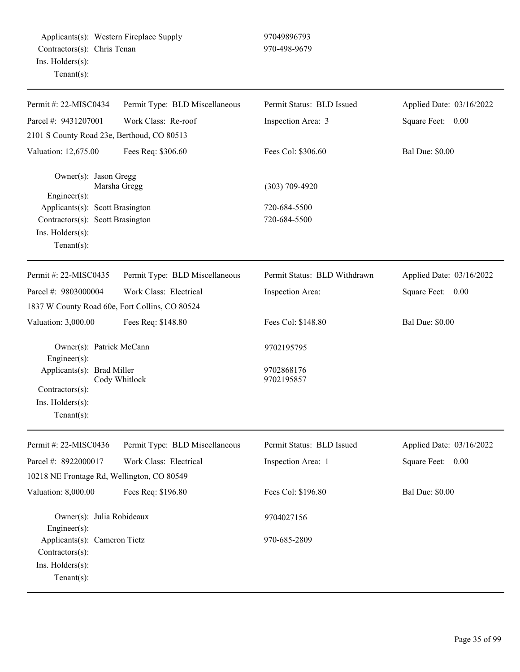| Permit #: 22-MISC0434                                                                 | Permit Type: BLD Miscellaneous | Permit Status: BLD Issued    | Applied Date: 03/16/2022 |  |
|---------------------------------------------------------------------------------------|--------------------------------|------------------------------|--------------------------|--|
| Parcel #: 9431207001                                                                  | Work Class: Re-roof            | Inspection Area: 3           | Square Feet: 0.00        |  |
| 2101 S County Road 23e, Berthoud, CO 80513                                            |                                |                              |                          |  |
| Valuation: 12,675.00                                                                  | Fees Req: \$306.60             | Fees Col: \$306.60           | <b>Bal Due: \$0.00</b>   |  |
| Owner(s): Jason Gregg<br>Marsha Gregg<br>Engineer(s):                                 |                                | $(303)$ 709-4920             |                          |  |
| Applicants(s): Scott Brasington                                                       |                                | 720-684-5500                 |                          |  |
| Contractors(s): Scott Brasington                                                      |                                | 720-684-5500                 |                          |  |
| Ins. Holders(s):<br>Tenant $(s)$ :                                                    |                                |                              |                          |  |
| Permit #: 22-MISC0435                                                                 |                                | Permit Status: BLD Withdrawn | Applied Date: 03/16/2022 |  |
|                                                                                       | Permit Type: BLD Miscellaneous |                              |                          |  |
| Parcel #: 9803000004                                                                  | Work Class: Electrical         | Inspection Area:             | Square Feet: 0.00        |  |
| 1837 W County Road 60e, Fort Collins, CO 80524                                        |                                |                              |                          |  |
| Valuation: 3,000.00                                                                   | Fees Req: \$148.80             | Fees Col: \$148.80           | <b>Bal Due: \$0.00</b>   |  |
| Owner(s): Patrick McCann<br>Engineer(s):                                              |                                | 9702195795                   |                          |  |
| Applicants(s): Brad Miller<br>Contractors(s):<br>Ins. Holders(s):<br>Tenant $(s)$ :   | Cody Whitlock                  | 9702868176<br>9702195857     |                          |  |
| Permit #: 22-MISC0436                                                                 | Permit Type: BLD Miscellaneous | Permit Status: BLD Issued    | Applied Date: 03/16/2022 |  |
| Parcel #: 8922000017                                                                  | Work Class: Electrical         | Inspection Area: 1           | Square Feet:<br>0.00     |  |
| 10218 NE Frontage Rd, Wellington, CO 80549                                            |                                |                              |                          |  |
| Valuation: 8,000.00                                                                   | Fees Req: \$196.80             | Fees Col: \$196.80           | <b>Bal Due: \$0.00</b>   |  |
| Owner(s): Julia Robideaux<br>Engineer(s):                                             |                                | 9704027156                   |                          |  |
| Applicants(s): Cameron Tietz<br>Contractors(s):<br>Ins. Holders(s):<br>Tenant $(s)$ : |                                | 970-685-2809                 |                          |  |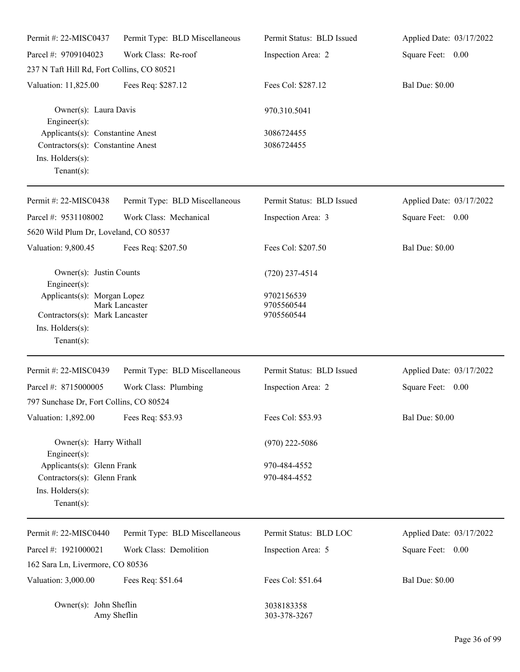| Permit #: 22-MISC0437                                                                                       | Permit Type: BLD Miscellaneous | Permit Status: BLD Issued              | Applied Date: 03/17/2022 |
|-------------------------------------------------------------------------------------------------------------|--------------------------------|----------------------------------------|--------------------------|
| Parcel #: 9709104023                                                                                        | Work Class: Re-roof            | Inspection Area: 2                     | Square Feet: 0.00        |
| 237 N Taft Hill Rd, Fort Collins, CO 80521                                                                  |                                |                                        |                          |
| Valuation: 11,825.00                                                                                        | Fees Req: \$287.12             | Fees Col: \$287.12                     | <b>Bal Due: \$0.00</b>   |
| Owner(s): Laura Davis<br>Engineer $(s)$ :                                                                   |                                | 970.310.5041                           |                          |
| Applicants(s): Constantine Anest<br>Contractors(s): Constantine Anest<br>Ins. Holders(s):<br>Tenant $(s)$ : |                                | 3086724455<br>3086724455               |                          |
| Permit #: 22-MISC0438                                                                                       | Permit Type: BLD Miscellaneous | Permit Status: BLD Issued              | Applied Date: 03/17/2022 |
| Parcel #: 9531108002                                                                                        | Work Class: Mechanical         | Inspection Area: 3                     | Square Feet: 0.00        |
| 5620 Wild Plum Dr, Loveland, CO 80537                                                                       |                                |                                        |                          |
| Valuation: 9,800.45                                                                                         | Fees Req: \$207.50             | Fees Col: \$207.50                     | <b>Bal Due: \$0.00</b>   |
| Owner(s): Justin Counts<br>Engineer $(s)$ :                                                                 |                                | $(720)$ 237-4514                       |                          |
| Applicants(s): Morgan Lopez<br>Contractors(s): Mark Lancaster<br>Ins. Holders(s):<br>Tenant $(s)$ :         | Mark Lancaster                 | 9702156539<br>9705560544<br>9705560544 |                          |
| Permit #: 22-MISC0439                                                                                       | Permit Type: BLD Miscellaneous | Permit Status: BLD Issued              | Applied Date: 03/17/2022 |
| Parcel #: 8715000005<br>797 Sunchase Dr, Fort Collins, CO 80524                                             | Work Class: Plumbing           | Inspection Area: 2                     | Square Feet:<br>0.00     |
| Valuation: 1,892.00                                                                                         | Fees Req: \$53.93              | Fees Col: \$53.93                      | <b>Bal Due: \$0.00</b>   |
| Owner(s): Harry Withall<br>$Engineering(s)$ :                                                               |                                | $(970)$ 222-5086                       |                          |
| Applicants(s): Glenn Frank                                                                                  |                                | 970-484-4552                           |                          |
| Contractors(s): Glenn Frank<br>Ins. Holders(s):<br>Tenant $(s)$ :                                           |                                | 970-484-4552                           |                          |
| Permit #: 22-MISC0440                                                                                       | Permit Type: BLD Miscellaneous | Permit Status: BLD LOC                 | Applied Date: 03/17/2022 |
| Parcel #: 1921000021                                                                                        | Work Class: Demolition         | Inspection Area: 5                     | Square Feet: 0.00        |
| 162 Sara Ln, Livermore, CO 80536                                                                            |                                |                                        |                          |
| Valuation: 3,000.00                                                                                         | Fees Req: \$51.64              | Fees Col: \$51.64                      | <b>Bal Due: \$0.00</b>   |
| Owner(s): John Sheflin<br>Amy Sheflin                                                                       |                                | 3038183358<br>303-378-3267             |                          |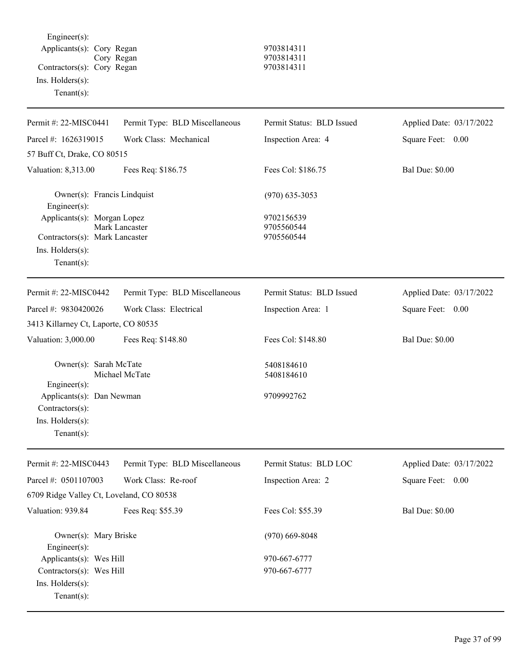Engineer(s): Applicants(s): Cory Regan 9703814311 Cory Regan 9703814311 Contractors(s): Cory Regan 9703814311 Ins. Holders(s): Tenant(s):

| Permit #: 22-MISC0441                                                             | Permit Type: BLD Miscellaneous | Permit Status: BLD Issued              | Applied Date: 03/17/2022 |
|-----------------------------------------------------------------------------------|--------------------------------|----------------------------------------|--------------------------|
| Parcel #: 1626319015                                                              | Work Class: Mechanical         | Inspection Area: 4                     | Square Feet: 0.00        |
| 57 Buff Ct, Drake, CO 80515                                                       |                                |                                        |                          |
| Valuation: 8,313.00                                                               | Fees Req: \$186.75             | Fees Col: \$186.75                     | <b>Bal Due: \$0.00</b>   |
| Owner(s): Francis Lindquist<br>Engineer $(s)$ :                                   |                                | $(970)$ 635-3053                       |                          |
| Applicants(s): Morgan Lopez<br>Contractors(s): Mark Lancaster                     | Mark Lancaster                 | 9702156539<br>9705560544<br>9705560544 |                          |
| Ins. Holders(s):<br>Tenant $(s)$ :                                                |                                |                                        |                          |
| Permit #: 22-MISC0442                                                             | Permit Type: BLD Miscellaneous | Permit Status: BLD Issued              | Applied Date: 03/17/2022 |
| Parcel #: 9830420026                                                              | Work Class: Electrical         | Inspection Area: 1                     | Square Feet: 0.00        |
| 3413 Killarney Ct, Laporte, CO 80535                                              |                                |                                        |                          |
| Valuation: 3,000.00                                                               | Fees Req: \$148.80             | Fees Col: \$148.80                     | <b>Bal Due: \$0.00</b>   |
| Owner(s): Sarah McTate<br>$Engineering(s)$ :                                      | Michael McTate                 | 5408184610<br>5408184610               |                          |
| Applicants(s): Dan Newman<br>Contractors(s):<br>Ins. Holders(s):<br>$Tenant(s)$ : |                                | 9709992762                             |                          |
| Permit #: 22-MISC0443                                                             | Permit Type: BLD Miscellaneous | Permit Status: BLD LOC                 | Applied Date: 03/17/2022 |
| Parcel #: 0501107003                                                              | Work Class: Re-roof            | Inspection Area: 2                     | Square Feet: 0.00        |
| 6709 Ridge Valley Ct, Loveland, CO 80538                                          |                                |                                        |                          |
| Valuation: 939.84                                                                 | Fees Req: \$55.39              | Fees Col: \$55.39                      | <b>Bal Due: \$0.00</b>   |
| Owner(s): Mary Briske<br>Engineer $(s)$ :                                         |                                | $(970)$ 669-8048                       |                          |
| Applicants(s): Wes Hill                                                           |                                | 970-667-6777                           |                          |
| Contractors(s): Wes Hill<br>Ins. Holders(s):<br>Tenant $(s)$ :                    |                                | 970-667-6777                           |                          |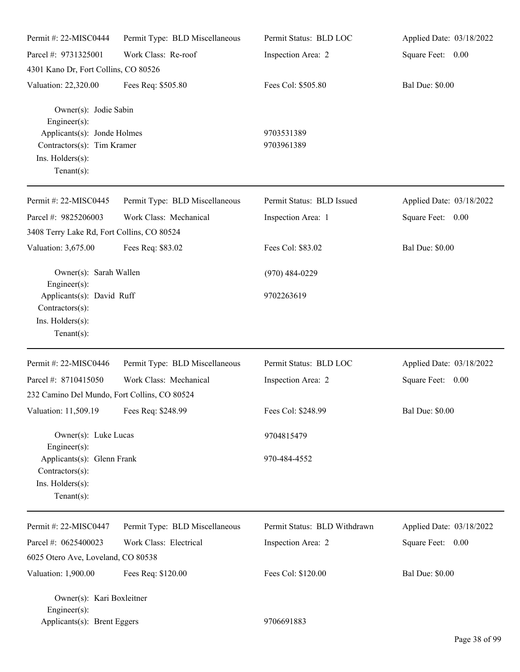| Permit #: 22-MISC0444                                                                                                                          | Permit Type: BLD Miscellaneous | Permit Status: BLD LOC       | Applied Date: 03/18/2022 |
|------------------------------------------------------------------------------------------------------------------------------------------------|--------------------------------|------------------------------|--------------------------|
| Parcel #: 9731325001                                                                                                                           | Work Class: Re-roof            | Inspection Area: 2           | Square Feet: 0.00        |
| 4301 Kano Dr, Fort Collins, CO 80526                                                                                                           |                                |                              |                          |
| Valuation: 22,320.00                                                                                                                           | Fees Req: \$505.80             | Fees Col: \$505.80           | <b>Bal Due: \$0.00</b>   |
| Owner(s): Jodie Sabin<br>$Engineering(s)$ :<br>Applicants(s): Jonde Holmes<br>Contractors(s): Tim Kramer<br>Ins. Holders(s):<br>Tenant $(s)$ : |                                | 9703531389<br>9703961389     |                          |
| Permit #: 22-MISC0445                                                                                                                          | Permit Type: BLD Miscellaneous | Permit Status: BLD Issued    | Applied Date: 03/18/2022 |
| Parcel #: 9825206003<br>3408 Terry Lake Rd, Fort Collins, CO 80524                                                                             | Work Class: Mechanical         | Inspection Area: 1           | Square Feet: 0.00        |
| Valuation: 3,675.00                                                                                                                            | Fees Req: \$83.02              | Fees Col: \$83.02            | <b>Bal Due: \$0.00</b>   |
| Owner(s): Sarah Wallen<br>$Engineering(s)$ :                                                                                                   |                                | $(970)$ 484-0229             |                          |
| Applicants(s): David Ruff<br>Contractors(s):<br>Ins. Holders(s):<br>Tenant $(s)$ :                                                             |                                | 9702263619                   |                          |
| Permit #: 22-MISC0446                                                                                                                          | Permit Type: BLD Miscellaneous | Permit Status: BLD LOC       | Applied Date: 03/18/2022 |
| Parcel #: 8710415050<br>232 Camino Del Mundo, Fort Collins, CO 80524                                                                           | Work Class: Mechanical         | Inspection Area: 2           | Square Feet: 0.00        |
| Valuation: 11,509.19                                                                                                                           | Fees Req: \$248.99             | Fees Col: \$248.99           | <b>Bal Due: \$0.00</b>   |
| Owner(s): Luke Lucas<br>Engineer(s):                                                                                                           |                                | 9704815479                   |                          |
| Applicants(s): Glenn Frank<br>Contractors(s):<br>Ins. Holders(s):<br>Tenant $(s)$ :                                                            |                                | 970-484-4552                 |                          |
| Permit #: 22-MISC0447                                                                                                                          | Permit Type: BLD Miscellaneous | Permit Status: BLD Withdrawn | Applied Date: 03/18/2022 |
| Parcel #: 0625400023                                                                                                                           | Work Class: Electrical         | Inspection Area: 2           | Square Feet: 0.00        |
| 6025 Otero Ave, Loveland, CO 80538                                                                                                             |                                |                              |                          |
| Valuation: 1,900.00                                                                                                                            | Fees Req: \$120.00             | Fees Col: \$120.00           | <b>Bal Due: \$0.00</b>   |
| Owner(s): Kari Boxleitner<br>Engineer $(s)$ :<br>Applicants(s): Brent Eggers                                                                   |                                | 9706691883                   |                          |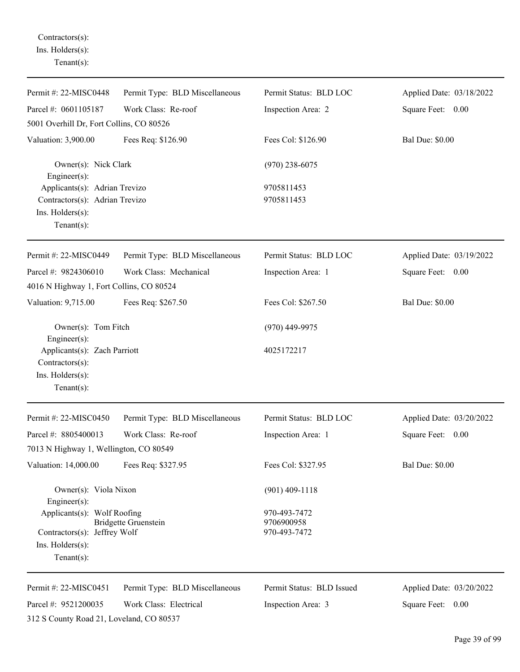Contractors(s): Ins. Holders(s): Tenant(s):

| Permit #: 22-MISC0448                                               | Permit Type: BLD Miscellaneous | Permit Status: BLD LOC     | Applied Date: 03/18/2022 |
|---------------------------------------------------------------------|--------------------------------|----------------------------|--------------------------|
| Parcel #: 0601105187                                                | Work Class: Re-roof            | Inspection Area: 2         | Square Feet: 0.00        |
| 5001 Overhill Dr, Fort Collins, CO 80526                            |                                |                            |                          |
| Valuation: 3,900.00                                                 | Fees Req: \$126.90             | Fees Col: \$126.90         | <b>Bal Due: \$0.00</b>   |
| Owner(s): Nick Clark<br>Engineer(s):                                |                                | $(970)$ 238-6075           |                          |
| Applicants(s): Adrian Trevizo                                       |                                | 9705811453                 |                          |
| Contractors(s): Adrian Trevizo                                      |                                | 9705811453                 |                          |
| Ins. Holders(s):<br>$Tenant(s)$ :                                   |                                |                            |                          |
|                                                                     |                                |                            |                          |
| Permit #: 22-MISC0449                                               | Permit Type: BLD Miscellaneous | Permit Status: BLD LOC     | Applied Date: 03/19/2022 |
| Parcel #: 9824306010                                                | Work Class: Mechanical         | Inspection Area: 1         | Square Feet: 0.00        |
| 4016 N Highway 1, Fort Collins, CO 80524                            |                                |                            |                          |
| Valuation: 9,715.00                                                 | Fees Req: \$267.50             | Fees Col: \$267.50         | <b>Bal Due: \$0.00</b>   |
| Owner(s): Tom Fitch<br>$Engineering(s)$ :                           |                                | $(970)$ 449-9975           |                          |
| Applicants(s): Zach Parriott<br>Contractors(s):<br>Ins. Holders(s): |                                | 4025172217                 |                          |
| $Tenant(s)$ :                                                       |                                |                            |                          |
| Permit #: 22-MISC0450                                               | Permit Type: BLD Miscellaneous | Permit Status: BLD LOC     | Applied Date: 03/20/2022 |
| Parcel #: 8805400013                                                | Work Class: Re-roof            | Inspection Area: 1         | Square Feet: 0.00        |
| 7013 N Highway 1, Wellington, CO 80549                              |                                |                            |                          |
| Valuation: 14,000.00                                                | Fees Req: \$327.95             | Fees Col: \$327.95         | <b>Bal Due: \$0.00</b>   |
| Owner(s): Viola Nixon<br>Engineer(s):                               |                                | $(901)$ 409-1118           |                          |
| Applicants(s): Wolf Roofing                                         |                                | 970-493-7472               |                          |
| Contractors(s): Jeffrey Wolf                                        | <b>Bridgette Gruenstein</b>    | 9706900958<br>970-493-7472 |                          |
| Ins. $H$ olders $(s)$ :                                             |                                |                            |                          |
| Tenant $(s)$ :                                                      |                                |                            |                          |
| Permit #: 22-MISC0451                                               | Permit Type: BLD Miscellaneous | Permit Status: BLD Issued  | Applied Date: 03/20/2022 |
| Parcel #: 9521200035                                                | Work Class: Electrical         | Inspection Area: 3         | Square Feet: 0.00        |
| 312 S County Road 21, Loveland, CO 80537                            |                                |                            |                          |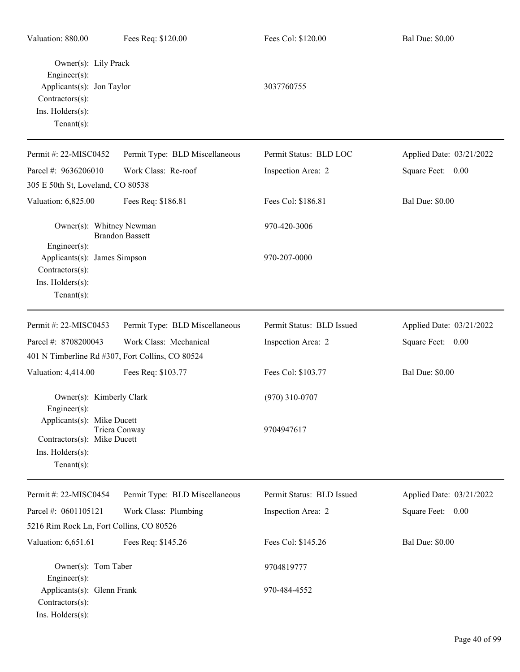| Valuation: 880.00                                                                                                                | Fees Req: \$120.00             | Fees Col: \$120.00        | <b>Bal Due: \$0.00</b>   |
|----------------------------------------------------------------------------------------------------------------------------------|--------------------------------|---------------------------|--------------------------|
| Owner(s): Lily Prack<br>$Engineering(s)$ :<br>Applicants(s): Jon Taylor<br>Contractors(s):<br>Ins. Holders(s):<br>Tenant $(s)$ : |                                | 3037760755                |                          |
| Permit #: 22-MISC0452                                                                                                            | Permit Type: BLD Miscellaneous | Permit Status: BLD LOC    | Applied Date: 03/21/2022 |
| Parcel #: 9636206010<br>305 E 50th St, Loveland, CO 80538                                                                        | Work Class: Re-roof            | Inspection Area: 2        | Square Feet: 0.00        |
| Valuation: 6,825.00                                                                                                              | Fees Req: \$186.81             | Fees Col: \$186.81        | <b>Bal Due: \$0.00</b>   |
| Owner(s): Whitney Newman<br>Engineer(s):                                                                                         | <b>Brandon Bassett</b>         | 970-420-3006              |                          |
| Applicants(s): James Simpson<br>Contractors(s):<br>Ins. Holders(s):<br>Tenant $(s)$ :                                            |                                | 970-207-0000              |                          |
| Permit #: 22-MISC0453                                                                                                            | Permit Type: BLD Miscellaneous | Permit Status: BLD Issued | Applied Date: 03/21/2022 |
| Parcel #: 8708200043<br>401 N Timberline Rd #307, Fort Collins, CO 80524                                                         | Work Class: Mechanical         | Inspection Area: 2        | Square Feet: 0.00        |
| Valuation: 4,414.00                                                                                                              | Fees Req: \$103.77             | Fees Col: \$103.77        | <b>Bal Due: \$0.00</b>   |
| Owner(s): Kimberly Clark<br>Engineer(s):                                                                                         |                                | $(970)$ 310-0707          |                          |
| Applicants(s): Mike Ducett<br>Contractors(s): Mike Ducett<br>Ins. Holders(s):<br>Tenant $(s)$ :                                  | Triera Conway                  | 9704947617                |                          |
| Permit #: 22-MISC0454                                                                                                            | Permit Type: BLD Miscellaneous | Permit Status: BLD Issued | Applied Date: 03/21/2022 |
| Parcel #: 0601105121<br>5216 Rim Rock Ln, Fort Collins, CO 80526                                                                 | Work Class: Plumbing           | Inspection Area: 2        | Square Feet: 0.00        |
| Valuation: 6,651.61                                                                                                              | Fees Req: \$145.26             | Fees Col: \$145.26        | <b>Bal Due: \$0.00</b>   |
| Owner(s): Tom Taber<br>$Engineering(s)$ :                                                                                        |                                | 9704819777                |                          |
| Applicants(s): Glenn Frank<br>Contractors(s):<br>Ins. Holders(s):                                                                |                                | 970-484-4552              |                          |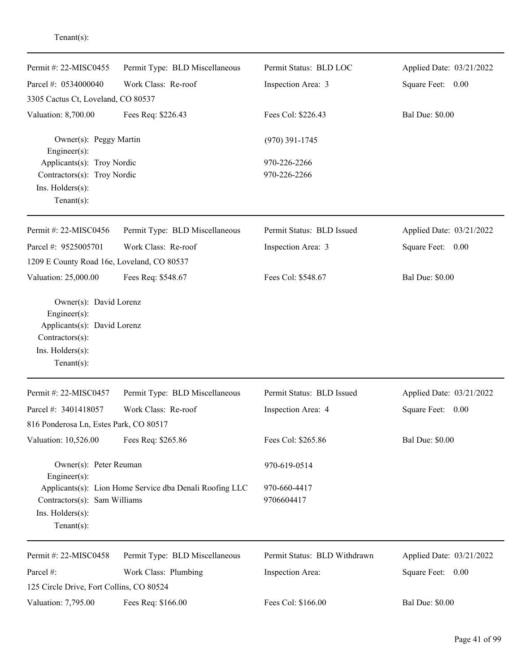| Permit #: 22-MISC0455                                                                                                              | Permit Type: BLD Miscellaneous                          | Permit Status: BLD LOC       | Applied Date: 03/21/2022 |
|------------------------------------------------------------------------------------------------------------------------------------|---------------------------------------------------------|------------------------------|--------------------------|
| Parcel #: 0534000040                                                                                                               | Work Class: Re-roof                                     | Inspection Area: 3           | Square Feet: 0.00        |
| 3305 Cactus Ct, Loveland, CO 80537                                                                                                 |                                                         |                              |                          |
| Valuation: 8,700.00                                                                                                                | Fees Req: \$226.43                                      | Fees Col: \$226.43           | <b>Bal Due: \$0.00</b>   |
| Owner(s): Peggy Martin<br>Engineer(s):                                                                                             |                                                         | $(970)$ 391-1745             |                          |
| Applicants(s): Troy Nordic                                                                                                         |                                                         | 970-226-2266                 |                          |
| Contractors(s): Troy Nordic<br>Ins. Holders(s):<br>Tenant $(s)$ :                                                                  |                                                         | 970-226-2266                 |                          |
| Permit #: 22-MISC0456                                                                                                              | Permit Type: BLD Miscellaneous                          | Permit Status: BLD Issued    | Applied Date: 03/21/2022 |
| Parcel #: 9525005701                                                                                                               | Work Class: Re-roof                                     | Inspection Area: 3           | Square Feet: 0.00        |
| 1209 E County Road 16e, Loveland, CO 80537                                                                                         |                                                         |                              |                          |
| Valuation: 25,000.00                                                                                                               | Fees Req: \$548.67                                      | Fees Col: \$548.67           | <b>Bal Due: \$0.00</b>   |
| Owner(s): David Lorenz<br>Engineer $(s)$ :<br>Applicants(s): David Lorenz<br>Contractors(s):<br>Ins. Holders(s):<br>Tenant $(s)$ : |                                                         |                              |                          |
| Permit#: 22-MISC0457                                                                                                               | Permit Type: BLD Miscellaneous                          | Permit Status: BLD Issued    | Applied Date: 03/21/2022 |
| Parcel #: 3401418057                                                                                                               | Work Class: Re-roof                                     | Inspection Area: 4           | Square Feet:<br>0.00     |
| 816 Ponderosa Ln, Estes Park, CO 80517                                                                                             |                                                         |                              |                          |
| Valuation: 10,526.00                                                                                                               | Fees Req: \$265.86                                      | Fees Col: \$265.86           | <b>Bal Due: \$0.00</b>   |
| Owner(s): Peter Reuman<br>$Engineering(s)$ :                                                                                       |                                                         | 970-619-0514                 |                          |
| Contractors(s): Sam Williams<br>Ins. Holders(s):<br>Tenant $(s)$ :                                                                 | Applicants(s): Lion Home Service dba Denali Roofing LLC | 970-660-4417<br>9706604417   |                          |
| Permit #: 22-MISC0458                                                                                                              | Permit Type: BLD Miscellaneous                          | Permit Status: BLD Withdrawn | Applied Date: 03/21/2022 |
| Parcel #:                                                                                                                          | Work Class: Plumbing                                    | Inspection Area:             | Square Feet: 0.00        |
| 125 Circle Drive, Fort Collins, CO 80524                                                                                           |                                                         |                              |                          |
| Valuation: 7,795.00                                                                                                                | Fees Req: \$166.00                                      | Fees Col: \$166.00           | <b>Bal Due: \$0.00</b>   |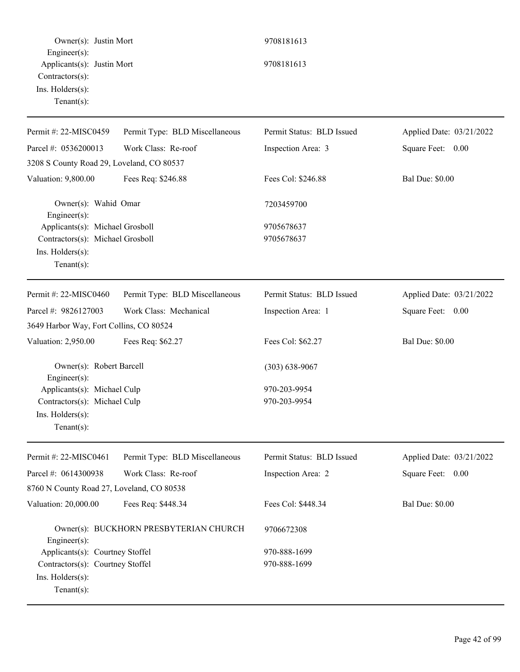Owner(s): Justin Mort 9708181613 Engineer(s): Applicants(s): Justin Mort 9708181613 Contractors(s): Ins. Holders(s): Tenant(s): Permit #: 22-MISC0459 Parcel #: 0536200013 Permit Type: BLD Miscellaneous Work Class: Re-roof Permit Status: BLD Issued Inspection Area: 3 Applied Date: 03/21/2022 Square Feet: 0.00 3208 S County Road 29, Loveland, CO 80537 Valuation: 9,800.00 Fees Req: \$246.88 Fees Col: \$246.88 Bal Due: \$0.00 Owner(s): Wahid Omar 7203459700 Engineer(s): Applicants(s): Michael Grosboll 9705678637 Contractors(s): Michael Grosboll 9705678637 Ins. Holders(s): Tenant(s): Permit #: 22-MISC0460 Parcel #: 9826127003 Permit Type: BLD Miscellaneous Work Class: Mechanical Permit Status: BLD Issued Inspection Area: 1 Applied Date: 03/21/2022 Square Feet: 0.00 3649 Harbor Way, Fort Collins, CO 80524 Valuation: 2,950.00 Fees Req: \$62.27 Fees Col: \$62.27 Bal Due: \$0.00 Owner(s): Robert Barcell (303) 638-9067 Engineer(s): Applicants(s): Michael Culp 970-203-9954 Contractors(s): Michael Culp 970-203-9954 Ins. Holders(s): Tenant(s): Permit #: 22-MISC0461 Parcel #: 0614300938 Permit Type: BLD Miscellaneous Work Class: Re-roof Permit Status: BLD Issued Inspection Area: 2 Applied Date: 03/21/2022 Square Feet: 0.00 8760 N County Road 27, Loveland, CO 80538 Valuation: 20,000.00 Fees Req: \$448.34 Fees Col: \$448.34 Bal Due: \$0.00 Owner(s): BUCKHORN PRESBYTERIAN CHURCH 9706672308 Engineer(s): Applicants(s): Courtney Stoffel 970-888-1699 Contractors(s): Courtney Stoffel 970-888-1699 Ins. Holders(s): Tenant(s):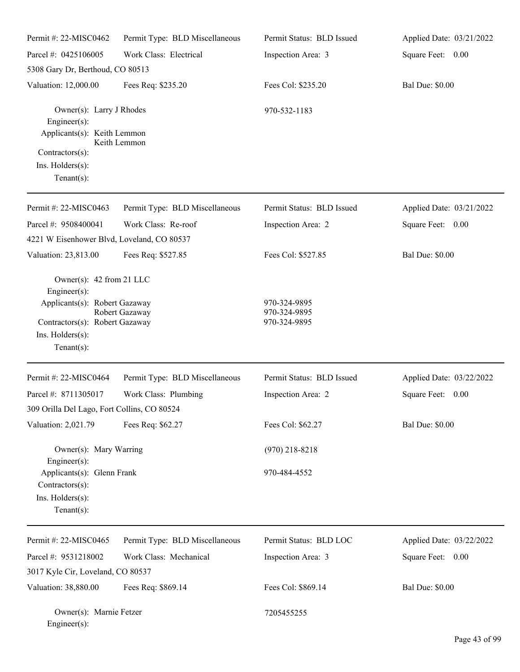| Permit #: 22-MISC0462                                                                                                                               | Permit Type: BLD Miscellaneous | Permit Status: BLD Issued                    | Applied Date: 03/21/2022 |
|-----------------------------------------------------------------------------------------------------------------------------------------------------|--------------------------------|----------------------------------------------|--------------------------|
| Parcel #: 0425106005                                                                                                                                | Work Class: Electrical         | Inspection Area: 3                           | Square Feet: 0.00        |
| 5308 Gary Dr, Berthoud, CO 80513                                                                                                                    |                                |                                              |                          |
| Valuation: 12,000.00                                                                                                                                | Fees Req: \$235.20             | Fees Col: \$235.20                           | <b>Bal Due: \$0.00</b>   |
| Owner(s): Larry J Rhodes<br>Engineer(s):<br>Applicants(s): Keith Lemmon                                                                             | Keith Lemmon                   | 970-532-1183                                 |                          |
| Contractors(s):                                                                                                                                     |                                |                                              |                          |
| Ins. $H$ olders $(s)$ :<br>Tenant $(s)$ :                                                                                                           |                                |                                              |                          |
| Permit #: 22-MISC0463                                                                                                                               | Permit Type: BLD Miscellaneous | Permit Status: BLD Issued                    | Applied Date: 03/21/2022 |
| Parcel #: 9508400041                                                                                                                                | Work Class: Re-roof            | Inspection Area: 2                           | Square Feet: 0.00        |
| 4221 W Eisenhower Blvd, Loveland, CO 80537                                                                                                          |                                |                                              |                          |
| Valuation: 23,813.00                                                                                                                                | Fees Req: \$527.85             | Fees Col: \$527.85                           | <b>Bal Due: \$0.00</b>   |
| Owner(s): $42$ from 21 LLC<br>Engineer(s):<br>Applicants(s): Robert Gazaway<br>Contractors(s): Robert Gazaway<br>Ins. Holders(s):<br>Tenant $(s)$ : | Robert Gazaway                 | 970-324-9895<br>970-324-9895<br>970-324-9895 |                          |
| Permit #: 22-MISC0464                                                                                                                               | Permit Type: BLD Miscellaneous | Permit Status: BLD Issued                    | Applied Date: 03/22/2022 |
| Parcel #: 8711305017<br>309 Orilla Del Lago, Fort Collins, CO 80524                                                                                 | Work Class: Plumbing           | Inspection Area: 2                           | Square Feet:<br>0.00     |
| Valuation: 2,021.79                                                                                                                                 | Fees Req: \$62.27              | Fees Col: \$62.27                            | <b>Bal Due: \$0.00</b>   |
| Owner(s): Mary Warring<br>Engineer(s):                                                                                                              |                                | $(970)$ 218-8218                             |                          |
| Applicants(s): Glenn Frank<br>Contractors(s):<br>Ins. Holders(s):<br>Tenant $(s)$ :                                                                 |                                | 970-484-4552                                 |                          |
| Permit #: 22-MISC0465                                                                                                                               | Permit Type: BLD Miscellaneous | Permit Status: BLD LOC                       | Applied Date: 03/22/2022 |
| Parcel #: 9531218002                                                                                                                                | Work Class: Mechanical         | Inspection Area: 3                           | Square Feet: 0.00        |
| 3017 Kyle Cir, Loveland, CO 80537                                                                                                                   |                                |                                              |                          |
| Valuation: 38,880.00                                                                                                                                | Fees Req: \$869.14             | Fees Col: \$869.14                           | <b>Bal Due: \$0.00</b>   |
| Owner(s): Marnie Fetzer<br>Engineer(s):                                                                                                             |                                | 7205455255                                   |                          |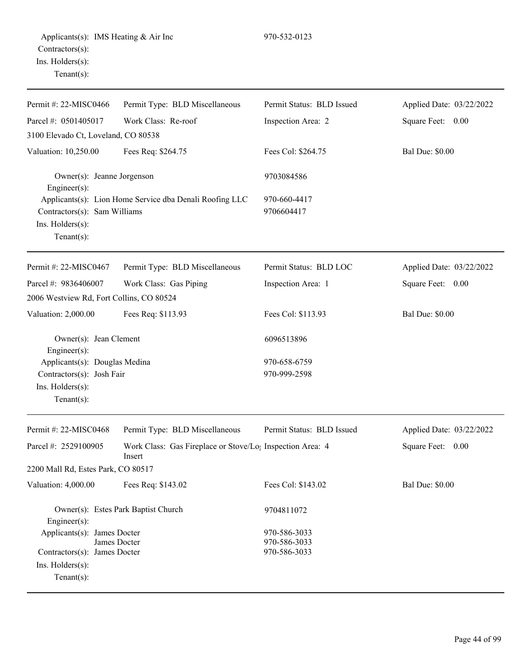| Permit #: 22-MISC0466                                                                                             | Permit Type: BLD Miscellaneous                                      | Permit Status: BLD Issued                    | Applied Date: 03/22/2022 |
|-------------------------------------------------------------------------------------------------------------------|---------------------------------------------------------------------|----------------------------------------------|--------------------------|
| Parcel #: 0501405017                                                                                              | Work Class: Re-roof                                                 | Inspection Area: 2                           | Square Feet: 0.00        |
| 3100 Elevado Ct, Loveland, CO 80538                                                                               |                                                                     |                                              |                          |
| Valuation: 10,250.00                                                                                              | Fees Req: \$264.75                                                  | Fees Col: \$264.75                           | <b>Bal Due: \$0.00</b>   |
| Owner(s): Jeanne Jorgenson<br>Engineer(s):                                                                        |                                                                     | 9703084586                                   |                          |
| Contractors(s): Sam Williams<br>Ins. Holders(s):<br>$Tenant(s)$ :                                                 | Applicants(s): Lion Home Service dba Denali Roofing LLC             | 970-660-4417<br>9706604417                   |                          |
| Permit #: 22-MISC0467                                                                                             | Permit Type: BLD Miscellaneous                                      | Permit Status: BLD LOC                       | Applied Date: 03/22/2022 |
| Parcel #: 9836406007                                                                                              | Work Class: Gas Piping                                              | Inspection Area: 1                           | Square Feet: 0.00        |
| 2006 Westview Rd, Fort Collins, CO 80524                                                                          |                                                                     |                                              |                          |
| Valuation: 2,000.00                                                                                               | Fees Req: \$113.93                                                  | Fees Col: \$113.93                           | <b>Bal Due: \$0.00</b>   |
| Owner(s): Jean Clement<br>Engineer $(s)$ :                                                                        |                                                                     | 6096513896                                   |                          |
| Applicants(s): Douglas Medina                                                                                     |                                                                     | 970-658-6759                                 |                          |
| Contractors(s): Josh Fair<br>Ins. Holders(s):<br>Tenant $(s)$ :                                                   |                                                                     | 970-999-2598                                 |                          |
| Permit #: 22-MISC0468                                                                                             | Permit Type: BLD Miscellaneous                                      | Permit Status: BLD Issued                    | Applied Date: 03/22/2022 |
| Parcel #: 2529100905                                                                                              | Work Class: Gas Fireplace or Stove/Lo; Inspection Area: 4<br>Insert |                                              | Square Feet: 0.00        |
| 2200 Mall Rd, Estes Park, CO 80517                                                                                |                                                                     |                                              |                          |
| Valuation: 4,000.00                                                                                               | Fees Req: \$143.02                                                  | Fees Col: \$143.02                           | <b>Bal Due: \$0.00</b>   |
| Owner(s): Estes Park Baptist Church<br>Engineer(s):                                                               |                                                                     | 9704811072                                   |                          |
| Applicants(s): James Docter<br>James Docter<br>Contractors(s): James Docter<br>Ins. Holders(s):<br>Tenant $(s)$ : |                                                                     | 970-586-3033<br>970-586-3033<br>970-586-3033 |                          |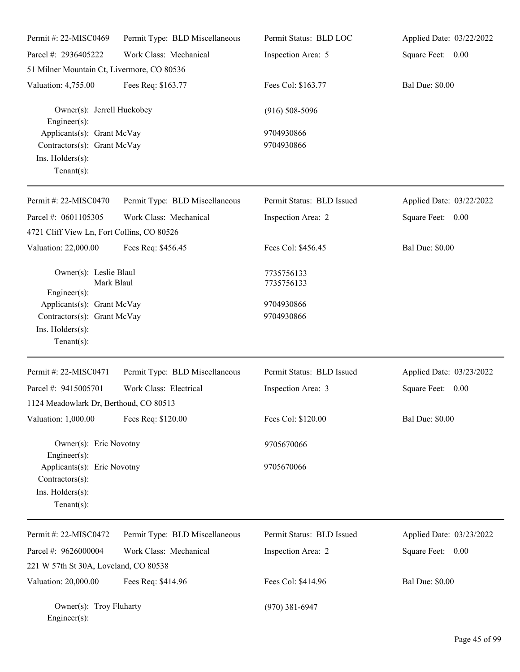| Permit #: 22-MISC0469                                                                                                                       | Permit Type: BLD Miscellaneous | Permit Status: BLD LOC                               | Applied Date: 03/22/2022 |
|---------------------------------------------------------------------------------------------------------------------------------------------|--------------------------------|------------------------------------------------------|--------------------------|
| Parcel #: 2936405222                                                                                                                        | Work Class: Mechanical         | Inspection Area: 5                                   | Square Feet: 0.00        |
| 51 Milner Mountain Ct, Livermore, CO 80536                                                                                                  |                                |                                                      |                          |
| Valuation: 4,755.00                                                                                                                         | Fees Req: \$163.77             | Fees Col: \$163.77                                   | <b>Bal Due: \$0.00</b>   |
| Owner(s): Jerrell Huckobey<br>$Engineering(s)$ :                                                                                            |                                | $(916) 508 - 5096$                                   |                          |
| Applicants(s): Grant McVay<br>Contractors(s): Grant McVay<br>Ins. Holders(s):<br>Tenant $(s)$ :                                             |                                | 9704930866<br>9704930866                             |                          |
| Permit #: 22-MISC0470                                                                                                                       | Permit Type: BLD Miscellaneous | Permit Status: BLD Issued                            | Applied Date: 03/22/2022 |
| Parcel #: 0601105305<br>4721 Cliff View Ln, Fort Collins, CO 80526                                                                          | Work Class: Mechanical         | Inspection Area: 2                                   | Square Feet: 0.00        |
| Valuation: 22,000.00                                                                                                                        | Fees Req: \$456.45             | Fees Col: \$456.45                                   | <b>Bal Due: \$0.00</b>   |
| Owner(s): Leslie Blaul<br>Mark Blaul<br>$Engineering(s)$ :<br>Applicants(s): Grant McVay<br>Contractors(s): Grant McVay<br>Ins. Holders(s): |                                | 7735756133<br>7735756133<br>9704930866<br>9704930866 |                          |
| Tenant $(s)$ :                                                                                                                              |                                |                                                      |                          |
| Permit #: 22-MISC0471                                                                                                                       | Permit Type: BLD Miscellaneous | Permit Status: BLD Issued                            | Applied Date: 03/23/2022 |
| Parcel #: 9415005701<br>1124 Meadowlark Dr, Berthoud, CO 80513                                                                              | Work Class: Electrical         | Inspection Area: 3                                   | Square Feet: 0.00        |
| Valuation: 1,000.00                                                                                                                         | Fees Req: \$120.00             | Fees Col: \$120.00                                   | <b>Bal Due: \$0.00</b>   |
| Owner(s): Eric Novotny<br>$Engineering(s)$ :                                                                                                |                                | 9705670066                                           |                          |
| Applicants(s): Eric Novotny<br>Contractors(s):<br>Ins. Holders(s):<br>Tenant $(s)$ :                                                        |                                | 9705670066                                           |                          |
| Permit #: 22-MISC0472                                                                                                                       | Permit Type: BLD Miscellaneous | Permit Status: BLD Issued                            | Applied Date: 03/23/2022 |
| Parcel #: 9626000004                                                                                                                        | Work Class: Mechanical         | Inspection Area: 2                                   | Square Feet: 0.00        |
| 221 W 57th St 30A, Loveland, CO 80538                                                                                                       |                                |                                                      |                          |
| Valuation: 20,000.00                                                                                                                        | Fees Req: \$414.96             | Fees Col: \$414.96                                   | <b>Bal Due: \$0.00</b>   |
| Owner(s): Troy Fluharty<br>$Engineer(s)$ :                                                                                                  |                                | $(970)$ 381-6947                                     |                          |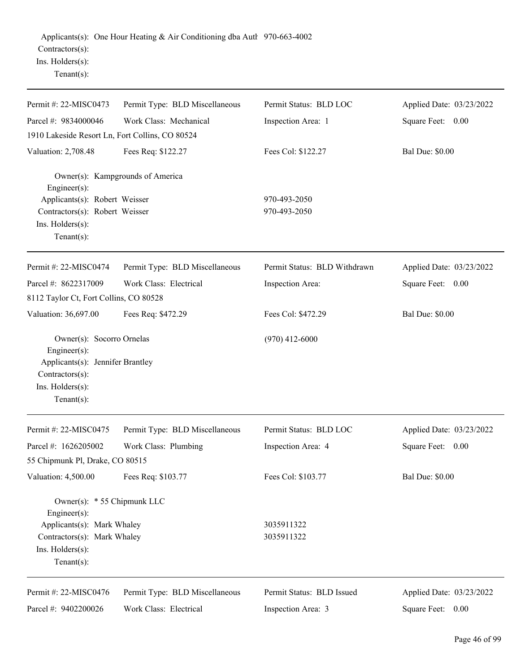| Permit #: 22-MISC0473                                                                                                                         | Permit Type: BLD Miscellaneous | Permit Status: BLD LOC       | Applied Date: 03/23/2022 |
|-----------------------------------------------------------------------------------------------------------------------------------------------|--------------------------------|------------------------------|--------------------------|
| Parcel #: 9834000046                                                                                                                          | Work Class: Mechanical         | Inspection Area: 1           | Square Feet: 0.00        |
| 1910 Lakeside Resort Ln, Fort Collins, CO 80524                                                                                               |                                |                              |                          |
| Valuation: 2,708.48                                                                                                                           | Fees Req: \$122.27             | Fees Col: \$122.27           | <b>Bal Due: \$0.00</b>   |
| Owner(s): Kampgrounds of America<br>Engineer $(s)$ :                                                                                          |                                |                              |                          |
| Applicants(s): Robert Weisser                                                                                                                 |                                | 970-493-2050                 |                          |
| Contractors(s): Robert Weisser<br>Ins. Holders(s):<br>Tenant $(s)$ :                                                                          |                                | 970-493-2050                 |                          |
| Permit #: 22-MISC0474                                                                                                                         | Permit Type: BLD Miscellaneous | Permit Status: BLD Withdrawn | Applied Date: 03/23/2022 |
| Parcel #: 8622317009                                                                                                                          | Work Class: Electrical         | Inspection Area:             | Square Feet: 0.00        |
| 8112 Taylor Ct, Fort Collins, CO 80528                                                                                                        |                                |                              |                          |
| Valuation: 36,697.00                                                                                                                          | Fees Req: \$472.29             | Fees Col: \$472.29           | <b>Bal Due: \$0.00</b>   |
| Owner(s): Socorro Ornelas<br>Engineer(s):<br>Applicants(s): Jennifer Brantley<br>Contractors(s):<br>Ins. Holders(s):<br>$Tenant(s)$ :         |                                | $(970)$ 412-6000             |                          |
| Permit #: 22-MISC0475                                                                                                                         | Permit Type: BLD Miscellaneous | Permit Status: BLD LOC       | Applied Date: 03/23/2022 |
| Parcel #: 1626205002                                                                                                                          | Work Class: Plumbing           | Inspection Area: 4           | Square Feet: 0.00        |
| 55 Chipmunk Pl, Drake, CO 80515                                                                                                               |                                |                              |                          |
| Valuation: 4,500.00                                                                                                                           | Fees Req: \$103.77             | Fees Col: \$103.77           | <b>Bal Due: \$0.00</b>   |
| Owner(s): * 55 Chipmunk LLC<br>Engineer(s):<br>Applicants(s): Mark Whaley<br>Contractors(s): Mark Whaley<br>Ins. Holders(s):<br>$Tenant(s)$ : |                                | 3035911322<br>3035911322     |                          |
| Permit #: 22-MISC0476                                                                                                                         | Permit Type: BLD Miscellaneous | Permit Status: BLD Issued    | Applied Date: 03/23/2022 |
| Parcel #: 9402200026                                                                                                                          | Work Class: Electrical         | Inspection Area: 3           | 0.00<br>Square Feet:     |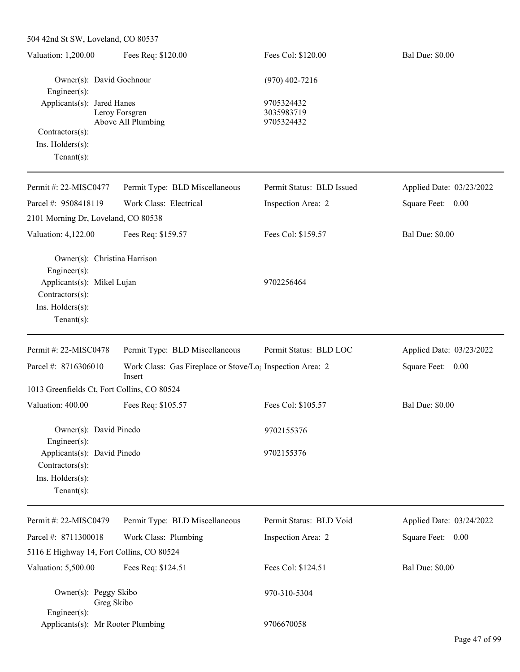| 504 42nd St SW, Loveland, CO 80537                |                                                                                 |                                        |                          |
|---------------------------------------------------|---------------------------------------------------------------------------------|----------------------------------------|--------------------------|
| Valuation: 1,200.00                               | Fees Req: \$120.00                                                              | Fees Col: \$120.00                     | <b>Bal Due: \$0.00</b>   |
| Owner(s): David Gochnour<br>Engineer(s):          |                                                                                 | $(970)$ 402-7216                       |                          |
| Applicants(s): Jared Hanes                        | Leroy Forsgren<br>Above All Plumbing                                            | 9705324432<br>3035983719<br>9705324432 |                          |
| Contractors(s):                                   |                                                                                 |                                        |                          |
| Ins. Holders(s):                                  |                                                                                 |                                        |                          |
| Tenant $(s)$ :                                    |                                                                                 |                                        |                          |
| Permit #: 22-MISC0477                             | Permit Type: BLD Miscellaneous                                                  | Permit Status: BLD Issued              | Applied Date: 03/23/2022 |
| Parcel #: 9508418119                              | Work Class: Electrical                                                          | Inspection Area: 2                     | Square Feet: 0.00        |
| 2101 Morning Dr, Loveland, CO 80538               |                                                                                 |                                        |                          |
| Valuation: 4,122.00                               | Fees Req: \$159.57                                                              | Fees Col: \$159.57                     | <b>Bal Due: \$0.00</b>   |
| Owner(s): Christina Harrison<br>Engineer(s):      |                                                                                 |                                        |                          |
| Applicants(s): Mikel Lujan                        |                                                                                 | 9702256464                             |                          |
| Contractors(s):                                   |                                                                                 |                                        |                          |
| Ins. Holders(s):                                  |                                                                                 |                                        |                          |
| $Tenant(s)$ :                                     |                                                                                 |                                        |                          |
| Permit #: 22-MISC0478                             | Permit Type: BLD Miscellaneous                                                  | Permit Status: BLD LOC                 | Applied Date: 03/23/2022 |
| Parcel #: 8716306010                              | Work Class: Gas Fireplace or Stove/Lo <sub>1</sub> Inspection Area: 2<br>Insert |                                        | Square Feet: 0.00        |
| 1013 Greenfields Ct, Fort Collins, CO 80524       |                                                                                 |                                        |                          |
| Valuation: 400.00                                 | Fees Req: \$105.57                                                              | Fees Col: \$105.57                     | <b>Bal Due: \$0.00</b>   |
| Owner(s): David Pinedo<br>Engineer(s):            |                                                                                 | 9702155376                             |                          |
| Applicants(s): David Pinedo                       |                                                                                 | 9702155376                             |                          |
| Contractors(s):                                   |                                                                                 |                                        |                          |
| Ins. Holders(s):                                  |                                                                                 |                                        |                          |
| Tenant $(s)$ :                                    |                                                                                 |                                        |                          |
| Permit #: 22-MISC0479                             | Permit Type: BLD Miscellaneous                                                  | Permit Status: BLD Void                | Applied Date: 03/24/2022 |
| Parcel #: 8711300018                              | Work Class: Plumbing                                                            | Inspection Area: 2                     | Square Feet: 0.00        |
| 5116 E Highway 14, Fort Collins, CO 80524         |                                                                                 |                                        |                          |
| Valuation: 5,500.00                               | Fees Req: \$124.51                                                              | Fees Col: \$124.51                     | <b>Bal Due: \$0.00</b>   |
| Owner(s): Peggy Skibo<br>Greg Skibo               |                                                                                 | 970-310-5304                           |                          |
| Engineer(s):<br>Applicants(s): Mr Rooter Plumbing |                                                                                 | 9706670058                             |                          |
|                                                   |                                                                                 |                                        |                          |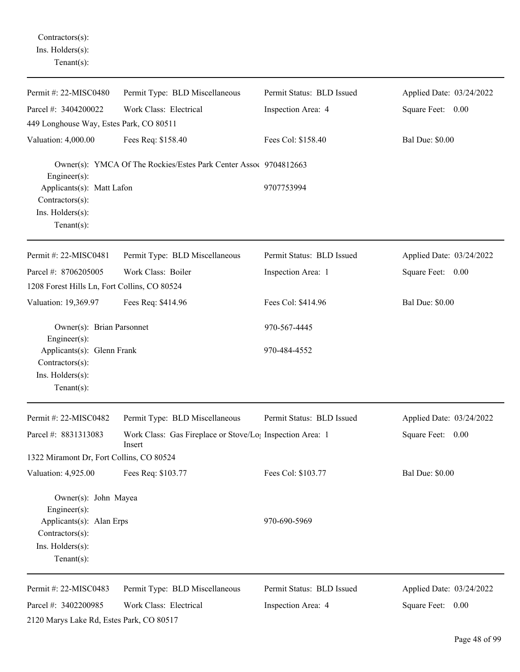Contractors(s): Ins. Holders(s): Tenant(s):

| Permit #: 22-MISC0480                                                               | Permit Type: BLD Miscellaneous                                                  | Permit Status: BLD Issued | Applied Date: 03/24/2022 |
|-------------------------------------------------------------------------------------|---------------------------------------------------------------------------------|---------------------------|--------------------------|
| Parcel #: 3404200022                                                                | Work Class: Electrical                                                          | Inspection Area: 4        | Square Feet: 0.00        |
| 449 Longhouse Way, Estes Park, CO 80511                                             |                                                                                 |                           |                          |
| Valuation: 4,000.00                                                                 | Fees Req: \$158.40                                                              | Fees Col: \$158.40        | <b>Bal Due: \$0.00</b>   |
| Engineer(s):                                                                        | Owner(s): YMCA Of The Rockies/Estes Park Center Assoc 9704812663                |                           |                          |
| Applicants(s): Matt Lafon<br>Contractors(s):<br>Ins. Holders(s):<br>Tenant $(s)$ :  |                                                                                 | 9707753994                |                          |
| Permit #: 22-MISC0481                                                               | Permit Type: BLD Miscellaneous                                                  | Permit Status: BLD Issued | Applied Date: 03/24/2022 |
| Parcel #: 8706205005<br>1208 Forest Hills Ln, Fort Collins, CO 80524                | Work Class: Boiler                                                              | Inspection Area: 1        | Square Feet: 0.00        |
| Valuation: 19,369.97                                                                | Fees Req: \$414.96                                                              | Fees Col: \$414.96        | <b>Bal Due: \$0.00</b>   |
| Owner(s): Brian Parsonnet<br>Engineer(s):                                           |                                                                                 | 970-567-4445              |                          |
| Applicants(s): Glenn Frank<br>Contractors(s):<br>Ins. Holders(s):<br>Tenant $(s)$ : |                                                                                 | 970-484-4552              |                          |
| Permit #: 22-MISC0482                                                               | Permit Type: BLD Miscellaneous                                                  | Permit Status: BLD Issued | Applied Date: 03/24/2022 |
| Parcel #: 8831313083                                                                | Work Class: Gas Fireplace or Stove/Lo <sub>1</sub> Inspection Area: 1<br>Insert |                           | Square Feet: 0.00        |
| 1322 Miramont Dr, Fort Collins, CO 80524                                            |                                                                                 |                           |                          |
| Valuation: 4,925.00                                                                 | Fees Req: \$103.77                                                              | Fees Col: \$103.77        | <b>Bal Due: \$0.00</b>   |
| Owner(s): John Mayea<br>Engineer(s):<br>Applicants(s): Alan Erps<br>Contractors(s): |                                                                                 | 970-690-5969              |                          |
| Ins. Holders(s):<br>Tenant $(s)$ :                                                  |                                                                                 |                           |                          |
| Permit #: 22-MISC0483                                                               | Permit Type: BLD Miscellaneous                                                  | Permit Status: BLD Issued | Applied Date: 03/24/2022 |
| Parcel #: 3402200985<br>2120 Marys Lake Rd, Estes Park, CO 80517                    | Work Class: Electrical                                                          | Inspection Area: 4        | Square Feet: 0.00        |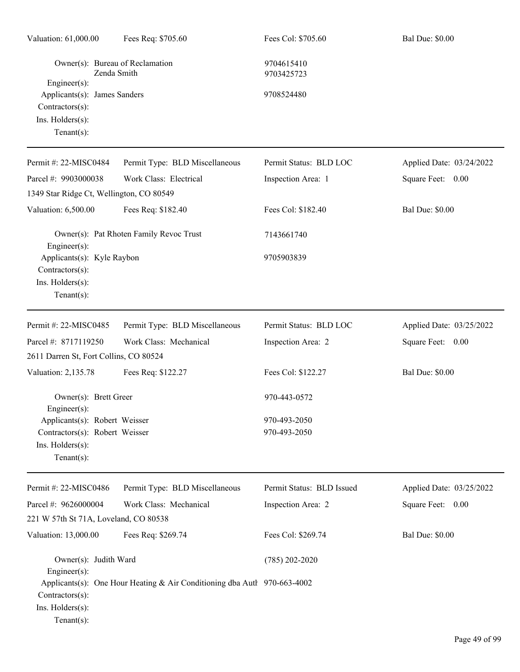| Valuation: 61,000.00                                                                                 | Fees Req: \$705.60                                                       | Fees Col: \$705.60           | <b>Bal Due: \$0.00</b>   |  |
|------------------------------------------------------------------------------------------------------|--------------------------------------------------------------------------|------------------------------|--------------------------|--|
| Owner(s): Bureau of Reclamation<br>Zenda Smith<br>$Engineering(s)$ :                                 |                                                                          | 9704615410<br>9703425723     |                          |  |
| Applicants(s): James Sanders<br>$Contractors(s)$ :<br>Ins. Holders(s):<br>Tenant $(s)$ :             |                                                                          | 9708524480                   |                          |  |
| Permit #: 22-MISC0484                                                                                | Permit Type: BLD Miscellaneous                                           | Permit Status: BLD LOC       | Applied Date: 03/24/2022 |  |
| Parcel #: 9903000038                                                                                 | Work Class: Electrical                                                   | Inspection Area: 1           | Square Feet: 0.00        |  |
| 1349 Star Ridge Ct, Wellington, CO 80549                                                             |                                                                          |                              |                          |  |
| Valuation: 6,500.00                                                                                  | Fees Req: \$182.40                                                       | Fees Col: \$182.40           | <b>Bal Due: \$0.00</b>   |  |
| Engineer(s):                                                                                         | Owner(s): Pat Rhoten Family Revoc Trust                                  | 7143661740                   |                          |  |
| Applicants(s): Kyle Raybon<br>Contractors(s):<br>Ins. Holders(s):<br>$Tenant(s)$ :                   |                                                                          | 9705903839                   |                          |  |
| Permit #: 22-MISC0485                                                                                | Permit Type: BLD Miscellaneous                                           | Permit Status: BLD LOC       | Applied Date: 03/25/2022 |  |
| Parcel #: 8717119250                                                                                 | Work Class: Mechanical                                                   | Inspection Area: 2           | Square Feet: 0.00        |  |
| 2611 Darren St, Fort Collins, CO 80524                                                               |                                                                          |                              |                          |  |
| Valuation: 2,135.78                                                                                  | Fees Req: \$122.27                                                       | Fees Col: \$122.27           | <b>Bal Due: \$0.00</b>   |  |
| Owner(s): Brett Greer<br>Engineer(s):                                                                |                                                                          | 970-443-0572                 |                          |  |
| Applicants(s): Robert Weisser<br>Contractors(s): Robert Weisser<br>Ins. Holders(s):<br>$Tenant(s)$ : |                                                                          | 970-493-2050<br>970-493-2050 |                          |  |
| Permit #: 22-MISC0486                                                                                | Permit Type: BLD Miscellaneous                                           | Permit Status: BLD Issued    | Applied Date: 03/25/2022 |  |
| Parcel #: 9626000004                                                                                 | Work Class: Mechanical                                                   | Inspection Area: 2           | Square Feet: 0.00        |  |
| 221 W 57th St 71A, Loveland, CO 80538                                                                |                                                                          |                              |                          |  |
| Valuation: 13,000.00                                                                                 | Fees Req: \$269.74                                                       | Fees Col: \$269.74           | <b>Bal Due: \$0.00</b>   |  |
| Owner(s): Judith Ward<br>$Engineering(s)$ :                                                          |                                                                          | $(785)$ 202-2020             |                          |  |
| Contractors(s):<br>Ins. Holders(s):<br>$Tenant(s)$ :                                                 | Applicants(s): One Hour Heating & Air Conditioning dba Autl 970-663-4002 |                              |                          |  |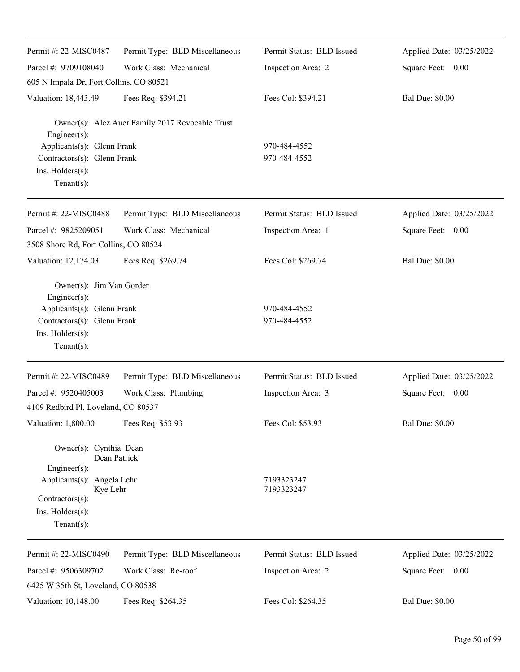| Permit #: 22-MISC0487                                                                                                                                           | Permit Type: BLD Miscellaneous                  | Permit Status: BLD Issued    | Applied Date: 03/25/2022 |
|-----------------------------------------------------------------------------------------------------------------------------------------------------------------|-------------------------------------------------|------------------------------|--------------------------|
| Parcel #: 9709108040                                                                                                                                            | Work Class: Mechanical                          | Inspection Area: 2           | Square Feet: 0.00        |
| 605 N Impala Dr, Fort Collins, CO 80521                                                                                                                         |                                                 |                              |                          |
| Valuation: 18,443.49                                                                                                                                            | Fees Req: \$394.21                              | Fees Col: \$394.21           | <b>Bal Due: \$0.00</b>   |
| Engineer(s):<br>Applicants(s): Glenn Frank<br>Contractors(s): Glenn Frank<br>Ins. Holders(s):<br>Tenant $(s)$ :                                                 | Owner(s): Alez Auer Family 2017 Revocable Trust | 970-484-4552<br>970-484-4552 |                          |
| Permit #: 22-MISC0488                                                                                                                                           | Permit Type: BLD Miscellaneous                  | Permit Status: BLD Issued    | Applied Date: 03/25/2022 |
| Parcel #: 9825209051<br>3508 Shore Rd, Fort Collins, CO 80524                                                                                                   | Work Class: Mechanical                          | Inspection Area: 1           | Square Feet: 0.00        |
| Valuation: 12,174.03                                                                                                                                            | Fees Req: \$269.74                              | Fees Col: \$269.74           | <b>Bal Due: \$0.00</b>   |
| Owner(s): Jim Van Gorder<br>Engineer(s):<br>Applicants(s): Glenn Frank<br>Contractors(s): Glenn Frank<br>Ins. Holders(s):<br>Tenant $(s)$ :                     |                                                 | 970-484-4552<br>970-484-4552 |                          |
| Permit #: 22-MISC0489                                                                                                                                           | Permit Type: BLD Miscellaneous                  | Permit Status: BLD Issued    | Applied Date: 03/25/2022 |
| Parcel #: 9520405003                                                                                                                                            | Work Class: Plumbing                            | Inspection Area: 3           | Square Feet: 0.00        |
| 4109 Redbird Pl, Loveland, CO 80537                                                                                                                             |                                                 |                              |                          |
| Valuation: 1,800.00                                                                                                                                             | Fees Req: \$53.93                               | Fees Col: \$53.93            | <b>Bal Due: \$0.00</b>   |
| Owner(s): Cynthia Dean<br>Dean Patrick<br>Engineer(s):<br>Applicants(s): Angela Lehr<br>Kye Lehr<br>Contractors(s):<br>$Ins.$ Holders $(s)$ :<br>Tenant $(s)$ : |                                                 | 7193323247<br>7193323247     |                          |
| Permit #: 22-MISC0490                                                                                                                                           | Permit Type: BLD Miscellaneous                  | Permit Status: BLD Issued    | Applied Date: 03/25/2022 |
| Parcel #: 9506309702                                                                                                                                            | Work Class: Re-roof                             | Inspection Area: 2           | Square Feet: 0.00        |
| 6425 W 35th St, Loveland, CO 80538                                                                                                                              |                                                 |                              |                          |
| Valuation: 10,148.00                                                                                                                                            | Fees Req: \$264.35                              | Fees Col: \$264.35           | <b>Bal Due: \$0.00</b>   |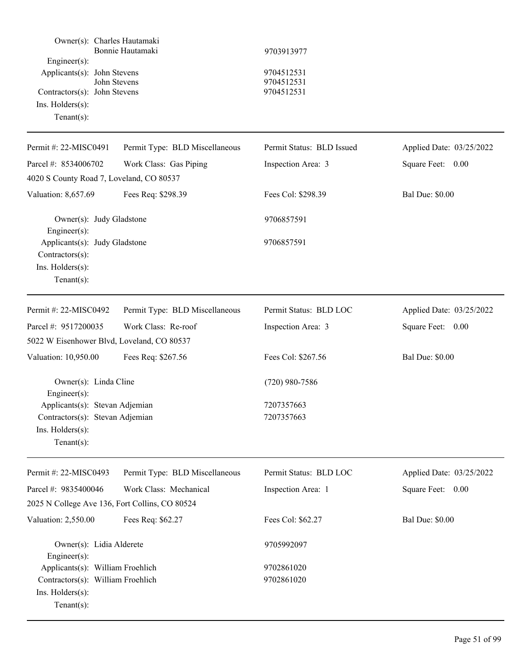| Owner(s): Charles Hautamaki<br>$Engineering(s)$ :<br>Applicants(s): John Stevens<br>Contractors(s): John Stevens<br>Ins. Holders(s):<br>Tenant $(s)$ : | Bonnie Hautamaki<br>John Stevens | 9703913977<br>9704512531<br>9704512531<br>9704512531 |                          |
|--------------------------------------------------------------------------------------------------------------------------------------------------------|----------------------------------|------------------------------------------------------|--------------------------|
| Permit #: 22-MISC0491                                                                                                                                  | Permit Type: BLD Miscellaneous   | Permit Status: BLD Issued                            | Applied Date: 03/25/2022 |
| Parcel #: 8534006702<br>4020 S County Road 7, Loveland, CO 80537                                                                                       | Work Class: Gas Piping           | Inspection Area: 3                                   | Square Feet: 0.00        |
| Valuation: 8,657.69                                                                                                                                    | Fees Req: \$298.39               | Fees Col: \$298.39                                   | <b>Bal Due: \$0.00</b>   |
| Owner(s): Judy Gladstone<br>$Engineering(s)$ :                                                                                                         |                                  | 9706857591                                           |                          |
| Applicants(s): Judy Gladstone<br>Contractors(s):<br>Ins. Holders(s):<br>Tenant $(s)$ :                                                                 |                                  | 9706857591                                           |                          |
| Permit #: 22-MISC0492                                                                                                                                  | Permit Type: BLD Miscellaneous   | Permit Status: BLD LOC                               | Applied Date: 03/25/2022 |
| Parcel #: 9517200035                                                                                                                                   | Work Class: Re-roof              | Inspection Area: 3                                   | Square Feet: 0.00        |
| 5022 W Eisenhower Blvd, Loveland, CO 80537                                                                                                             |                                  |                                                      |                          |
| Valuation: 10,950.00                                                                                                                                   | Fees Req: \$267.56               | Fees Col: \$267.56                                   | <b>Bal Due: \$0.00</b>   |
| Owner(s): Linda Cline<br>Engineer(s):                                                                                                                  |                                  | $(720)$ 980-7586                                     |                          |
| Applicants(s): Stevan Adjemian                                                                                                                         |                                  | 7207357663                                           |                          |
| Contractors(s): Stevan Adjemian<br>Ins. Holders(s):<br>Tenant $(s)$ :                                                                                  |                                  | 7207357663                                           |                          |
| Permit #: 22-MISC0493                                                                                                                                  | Permit Type: BLD Miscellaneous   | Permit Status: BLD LOC                               | Applied Date: 03/25/2022 |
| Parcel #: 9835400046                                                                                                                                   | Work Class: Mechanical           | Inspection Area: 1                                   | Square Feet: 0.00        |
| 2025 N College Ave 136, Fort Collins, CO 80524                                                                                                         |                                  |                                                      |                          |
| Valuation: 2,550.00                                                                                                                                    | Fees Req: \$62.27                | Fees Col: \$62.27                                    | <b>Bal Due: \$0.00</b>   |
| Owner(s): Lidia Alderete<br>$Engineering(s)$ :                                                                                                         |                                  | 9705992097                                           |                          |
| Applicants(s): William Froehlich                                                                                                                       |                                  | 9702861020                                           |                          |
| Contractors(s): William Froehlich<br>Ins. Holders(s):<br>Tenant $(s)$ :                                                                                |                                  | 9702861020                                           |                          |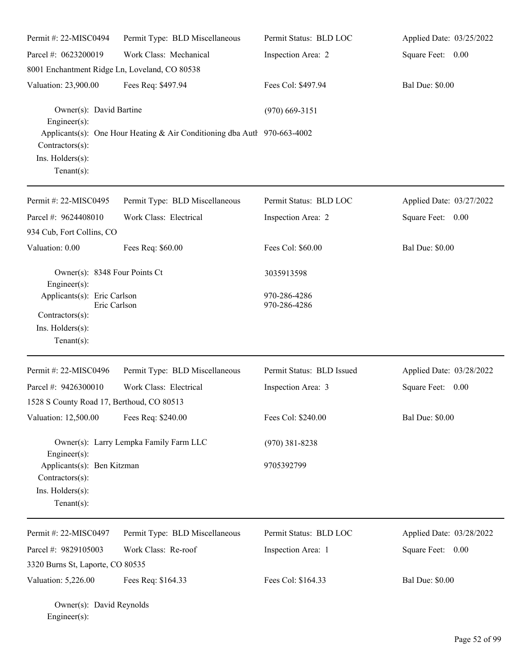| Permit #: 22-MISC0494                                 | Permit Type: BLD Miscellaneous                                             | Permit Status: BLD LOC    | Applied Date: 03/25/2022 |
|-------------------------------------------------------|----------------------------------------------------------------------------|---------------------------|--------------------------|
| Parcel #: 0623200019                                  | Work Class: Mechanical                                                     | Inspection Area: 2        | Square Feet: 0.00        |
| 8001 Enchantment Ridge Ln, Loveland, CO 80538         |                                                                            |                           |                          |
| Valuation: 23,900.00                                  | Fees Req: \$497.94                                                         | Fees Col: \$497.94        | <b>Bal Due: \$0.00</b>   |
| Owner(s): David Bartine<br>Engineer $(s)$ :           |                                                                            | $(970)$ 669-3151          |                          |
| Contractors(s):<br>Ins. Holders(s):<br>Tenant $(s)$ : | Applicants(s): One Hour Heating & Air Conditioning dba Autl $970-663-4002$ |                           |                          |
| Permit #: 22-MISC0495                                 | Permit Type: BLD Miscellaneous                                             | Permit Status: BLD LOC    | Applied Date: 03/27/2022 |
| Parcel #: 9624408010                                  | Work Class: Electrical                                                     | Inspection Area: 2        | Square Feet: 0.00        |
| 934 Cub, Fort Collins, CO                             |                                                                            |                           |                          |
| Valuation: 0.00                                       | Fees Req: \$60.00                                                          | Fees Col: \$60.00         | <b>Bal Due: \$0.00</b>   |
| Owner(s): 8348 Four Points Ct                         |                                                                            | 3035913598                |                          |
| Engineer $(s)$ :<br>Applicants(s): Eric Carlson       |                                                                            | 970-286-4286              |                          |
| Eric Carlson                                          |                                                                            | 970-286-4286              |                          |
| Contractors(s):<br>Ins. Holders(s):<br>Tenant $(s)$ : |                                                                            |                           |                          |
| Permit#: 22-MISC0496                                  | Permit Type: BLD Miscellaneous                                             | Permit Status: BLD Issued | Applied Date: 03/28/2022 |
| Parcel #: 9426300010                                  | Work Class: Electrical                                                     | Inspection Area: 3        | Square Feet: 0.00        |
| 1528 S County Road 17, Berthoud, CO 80513             |                                                                            |                           |                          |
| Valuation: 12,500.00                                  | Fees Req: \$240.00                                                         | Fees Col: \$240.00        | <b>Bal Due: \$0.00</b>   |
| $Engineering(s)$ :                                    | Owner(s): Larry Lempka Family Farm LLC                                     | $(970)$ 381-8238          |                          |
| Applicants(s): Ben Kitzman<br>Contractors(s):         |                                                                            | 9705392799                |                          |
| Ins. Holders(s):<br>Tenant $(s)$ :                    |                                                                            |                           |                          |
| Permit #: 22-MISC0497                                 | Permit Type: BLD Miscellaneous                                             | Permit Status: BLD LOC    | Applied Date: 03/28/2022 |
| Parcel #: 9829105003                                  | Work Class: Re-roof                                                        | Inspection Area: 1        | Square Feet: 0.00        |
| 3320 Burns St, Laporte, CO 80535                      |                                                                            |                           |                          |
| Valuation: 5,226.00                                   | Fees Req: \$164.33                                                         | Fees Col: \$164.33        | <b>Bal Due: \$0.00</b>   |
|                                                       |                                                                            |                           |                          |

Owner(s): David Reynolds Engineer(s):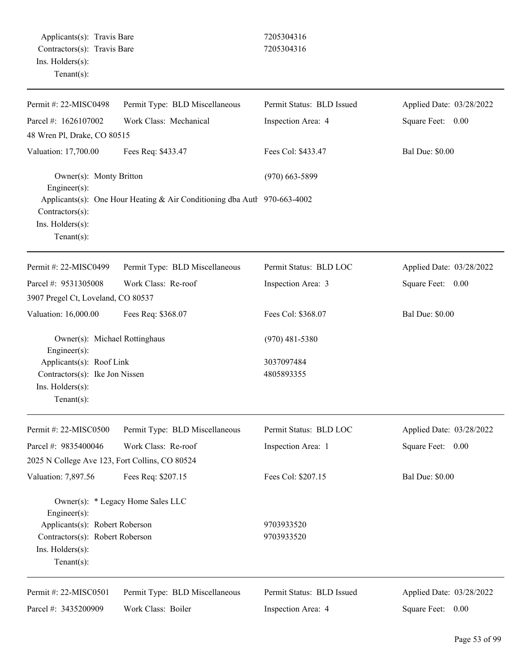| Permit #: 22-MISC0498                          | Permit Type: BLD Miscellaneous                                           | Permit Status: BLD Issued | Applied Date: 03/28/2022 |
|------------------------------------------------|--------------------------------------------------------------------------|---------------------------|--------------------------|
| Parcel #: 1626107002                           | Work Class: Mechanical                                                   | Inspection Area: 4        | Square Feet: 0.00        |
| 48 Wren Pl, Drake, CO 80515                    |                                                                          |                           |                          |
| Valuation: 17,700.00                           | Fees Req: \$433.47                                                       | Fees Col: \$433.47        | <b>Bal Due: \$0.00</b>   |
| Owner(s): Monty Britton<br>Engineer(s):        |                                                                          | $(970)$ 663-5899          |                          |
| $Contractors(s)$ :                             | Applicants(s): One Hour Heating & Air Conditioning dba Autl 970-663-4002 |                           |                          |
| Ins. Holders(s):<br>Tenant $(s)$ :             |                                                                          |                           |                          |
| Permit #: 22-MISC0499                          | Permit Type: BLD Miscellaneous                                           | Permit Status: BLD LOC    | Applied Date: 03/28/2022 |
| Parcel #: 9531305008                           | Work Class: Re-roof                                                      | Inspection Area: 3        | Square Feet: 0.00        |
| 3907 Pregel Ct, Loveland, CO 80537             |                                                                          |                           |                          |
| Valuation: 16,000.00                           | Fees Req: \$368.07                                                       | Fees Col: \$368.07        | <b>Bal Due: \$0.00</b>   |
| Owner(s): Michael Rottinghaus<br>Engineer(s):  |                                                                          | $(970)$ 481-5380          |                          |
| Applicants(s): Roof Link                       |                                                                          | 3037097484                |                          |
| Contractors(s): Ike Jon Nissen                 |                                                                          | 4805893355                |                          |
| Ins. Holders(s):                               |                                                                          |                           |                          |
| $Tenant(s)$ :                                  |                                                                          |                           |                          |
| Permit #: 22-MISC0500                          | Permit Type: BLD Miscellaneous                                           | Permit Status: BLD LOC    | Applied Date: 03/28/2022 |
| Parcel #: 9835400046                           | Work Class: Re-roof                                                      | Inspection Area: 1        | Square Feet: 0.00        |
| 2025 N College Ave 123, Fort Collins, CO 80524 |                                                                          |                           |                          |
| Valuation: 7,897.56                            | Fees Req: \$207.15                                                       | Fees Col: \$207.15        | <b>Bal Due: \$0.00</b>   |
| Engineer(s):                                   | Owner(s): * Legacy Home Sales LLC                                        |                           |                          |
| Applicants(s): Robert Roberson                 |                                                                          | 9703933520                |                          |
| Contractors(s): Robert Roberson                |                                                                          | 9703933520                |                          |
| Ins. Holders(s):<br>$Tenant(s)$ :              |                                                                          |                           |                          |
| Permit #: 22-MISC0501                          | Permit Type: BLD Miscellaneous                                           | Permit Status: BLD Issued | Applied Date: 03/28/2022 |
| Parcel #: 3435200909                           | Work Class: Boiler                                                       | Inspection Area: 4        | Square Feet: 0.00        |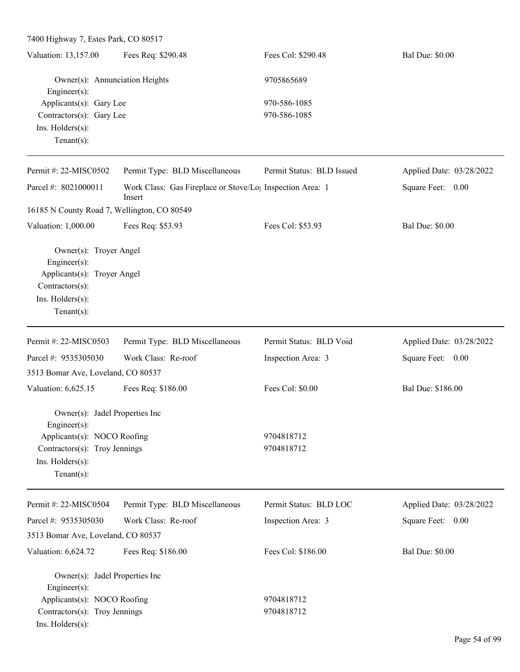7400 Highway 7, Estes Park, CO 80517 Valuation: 13,157.00 Fees Req: \$290.48 Fees Col: \$290.48 Bal Due: \$0.00 Owner(s): Annunciation Heights 9705865689 Engineer(s): Applicants(s): Gary Lee 970-586-1085 Contractors(s): Gary Lee 970-586-1085 Ins. Holders(s): Tenant(s): Permit #: 22-MISC0502 Parcel #: 8021000011 Permit Type: BLD Miscellaneous Work Class: Gas Fireplace or Stove/Log Inspection Area: 1 Insert Permit Status: BLD Issued Applied Date: 03/28/2022 Square Feet: 0.00 16185 N County Road 7, Wellington, CO 80549 Valuation: 1,000.00 Fees Req: \$53.93 Fees Col: \$53.93 Bal Due: \$0.00 Owner(s): Troyer Angel Engineer(s): Applicants(s): Troyer Angel Contractors(s): Ins. Holders(s): Tenant(s): Permit #: 22-MISC0503 Parcel #: 9535305030 Permit Type: BLD Miscellaneous Work Class: Re-roof Permit Status: BLD Void Inspection Area: 3 Applied Date: 03/28/2022 Square Feet: 0.00 3513 Bomar Ave, Loveland, CO 80537 Valuation: 6,625.15 Fees Req: \$186.00 Fees Col: \$0.00 Bal Due: \$186.00 Owner(s): Jadel Properties Inc Engineer(s): Applicants(s): NOCO Roofing 9704818712 Contractors(s): Troy Jennings 9704818712 Ins. Holders(s): Tenant(s): Permit #: 22-MISC0504 Parcel #: 9535305030 Permit Type: BLD Miscellaneous Work Class: Re-roof Permit Status: BLD LOC Inspection Area: 3 Applied Date: 03/28/2022 Square Feet: 0.00 3513 Bomar Ave, Loveland, CO 80537 Valuation: 6,624.72 Fees Req: \$186.00 Fees Col: \$186.00 Bal Due: \$0.00 Owner(s): Jadel Properties Inc Engineer(s): Applicants(s): NOCO Roofing 9704818712 Contractors(s): Troy Jennings 9704818712 Ins. Holders(s):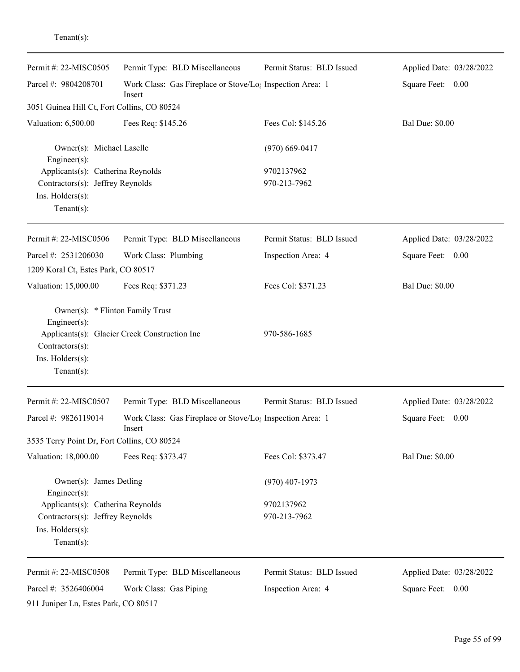| enant s |  |
|---------|--|
|         |  |
|         |  |

| Permit #: 22-MISC0505                                                                                         | Permit Type: BLD Miscellaneous                                                  | Permit Status: BLD Issued  | Applied Date: 03/28/2022 |
|---------------------------------------------------------------------------------------------------------------|---------------------------------------------------------------------------------|----------------------------|--------------------------|
| Parcel #: 9804208701                                                                                          | Work Class: Gas Fireplace or Stove/Lo <sub>1</sub> Inspection Area: 1<br>Insert |                            | Square Feet: 0.00        |
| 3051 Guinea Hill Ct, Fort Collins, CO 80524                                                                   |                                                                                 |                            |                          |
| Valuation: 6,500.00                                                                                           | Fees Req: \$145.26                                                              | Fees Col: \$145.26         | <b>Bal Due: \$0.00</b>   |
| Owner(s): Michael Laselle<br>$Engineering(s)$ :                                                               |                                                                                 | $(970)$ 669-0417           |                          |
| Applicants(s): Catherina Reynolds<br>Contractors(s): Jeffrey Reynolds<br>Ins. Holders(s):<br>Tenant $(s)$ :   |                                                                                 | 9702137962<br>970-213-7962 |                          |
| Permit #: 22-MISC0506                                                                                         | Permit Type: BLD Miscellaneous                                                  | Permit Status: BLD Issued  | Applied Date: 03/28/2022 |
| Parcel #: 2531206030                                                                                          | Work Class: Plumbing                                                            | Inspection Area: 4         | Square Feet: 0.00        |
| 1209 Koral Ct, Estes Park, CO 80517                                                                           |                                                                                 |                            |                          |
| Valuation: 15,000.00                                                                                          | Fees Req: \$371.23                                                              | Fees Col: \$371.23         | <b>Bal Due: \$0.00</b>   |
| Owner(s): * Flinton Family Trust<br>Engineer $(s)$ :<br>Contractors(s):<br>Ins. Holders(s):<br>Tenant $(s)$ : | Applicants(s): Glacier Creek Construction Inc                                   | 970-586-1685               |                          |
| Permit #: 22-MISC0507                                                                                         | Permit Type: BLD Miscellaneous                                                  | Permit Status: BLD Issued  | Applied Date: 03/28/2022 |
| Parcel #: 9826119014                                                                                          | Work Class: Gas Fireplace or Stove/Lo <sub>1</sub> Inspection Area: 1<br>Insert |                            | Square Feet: 0.00        |
| 3535 Terry Point Dr, Fort Collins, CO 80524                                                                   |                                                                                 |                            |                          |
| Valuation: 18,000.00                                                                                          | Fees Req: \$373.47                                                              | Fees Col: \$373.47         | <b>Bal Due: \$0.00</b>   |
| Owner(s): James Detling<br>Engineer(s):                                                                       |                                                                                 | $(970)$ 407-1973           |                          |
| Applicants(s): Catherina Reynolds                                                                             |                                                                                 | 9702137962                 |                          |
| Contractors(s): Jeffrey Reynolds<br>Ins. Holders(s):<br>Tenant $(s)$ :                                        |                                                                                 | 970-213-7962               |                          |
| Permit #: 22-MISC0508                                                                                         | Permit Type: BLD Miscellaneous                                                  | Permit Status: BLD Issued  | Applied Date: 03/28/2022 |
| Parcel #: 3526406004                                                                                          | Work Class: Gas Piping                                                          | Inspection Area: 4         | Square Feet: 0.00        |
| 911 Juniper Ln, Estes Park, CO 80517                                                                          |                                                                                 |                            |                          |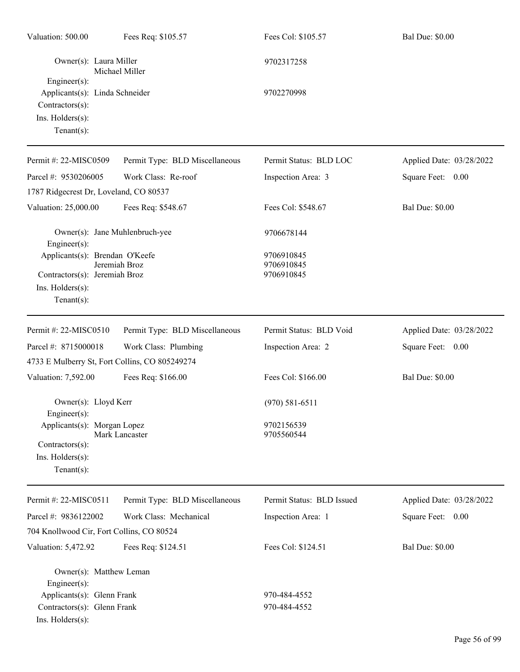| Valuation: 500.00                                                                                             | Fees Req: \$105.57             | Fees Col: \$105.57                     | <b>Bal Due: \$0.00</b>   |
|---------------------------------------------------------------------------------------------------------------|--------------------------------|----------------------------------------|--------------------------|
| Owner(s): Laura Miller                                                                                        | Michael Miller                 | 9702317258                             |                          |
| $Engineering(s)$ :<br>Applicants(s): Linda Schneider<br>Contractors(s):<br>Ins. Holders(s):<br>Tenant $(s)$ : |                                | 9702270998                             |                          |
| Permit #: 22-MISC0509                                                                                         | Permit Type: BLD Miscellaneous | Permit Status: BLD LOC                 | Applied Date: 03/28/2022 |
| Parcel #: 9530206005                                                                                          | Work Class: Re-roof            | Inspection Area: 3                     | Square Feet: 0.00        |
| 1787 Ridgecrest Dr, Loveland, CO 80537                                                                        |                                |                                        |                          |
| Valuation: 25,000.00                                                                                          | Fees Req: \$548.67             | Fees Col: \$548.67                     | <b>Bal Due: \$0.00</b>   |
| Owner(s): Jane Muhlenbruch-yee<br>Engineer $(s)$ :                                                            |                                | 9706678144                             |                          |
| Applicants(s): Brendan O'Keefe<br>Contractors(s): Jeremiah Broz<br>Ins. Holders(s):<br>Tenant $(s)$ :         | Jeremiah Broz                  | 9706910845<br>9706910845<br>9706910845 |                          |
| Permit #: 22-MISC0510                                                                                         | Permit Type: BLD Miscellaneous | Permit Status: BLD Void                | Applied Date: 03/28/2022 |
| Parcel #: 8715000018                                                                                          | Work Class: Plumbing           | Inspection Area: 2                     | Square Feet: 0.00        |
| 4733 E Mulberry St, Fort Collins, CO 805249274                                                                |                                |                                        |                          |
| Valuation: 7,592.00                                                                                           | Fees Req: \$166.00             | Fees Col: \$166.00                     | <b>Bal Due: \$0.00</b>   |
| Owner(s): Lloyd Kerr<br>$Engineering(s)$ :                                                                    |                                | $(970)$ 581-6511                       |                          |
| Applicants(s): Morgan Lopez<br>Contractors(s):<br>Ins. Holders(s):<br>Tenant $(s)$ :                          | Mark Lancaster                 | 9702156539<br>9705560544               |                          |
| Permit #: 22-MISC0511                                                                                         | Permit Type: BLD Miscellaneous | Permit Status: BLD Issued              | Applied Date: 03/28/2022 |
| Parcel #: 9836122002                                                                                          | Work Class: Mechanical         | Inspection Area: 1                     | Square Feet: 0.00        |
| 704 Knollwood Cir, Fort Collins, CO 80524                                                                     |                                |                                        |                          |
| Valuation: 5,472.92                                                                                           | Fees Req: \$124.51             | Fees Col: \$124.51                     | <b>Bal Due: \$0.00</b>   |
| Owner(s): Matthew Leman<br>Engineer(s):                                                                       |                                |                                        |                          |
| Applicants(s): Glenn Frank                                                                                    |                                | 970-484-4552                           |                          |
| Contractors(s): Glenn Frank<br>Ins. Holders(s):                                                               |                                | 970-484-4552                           |                          |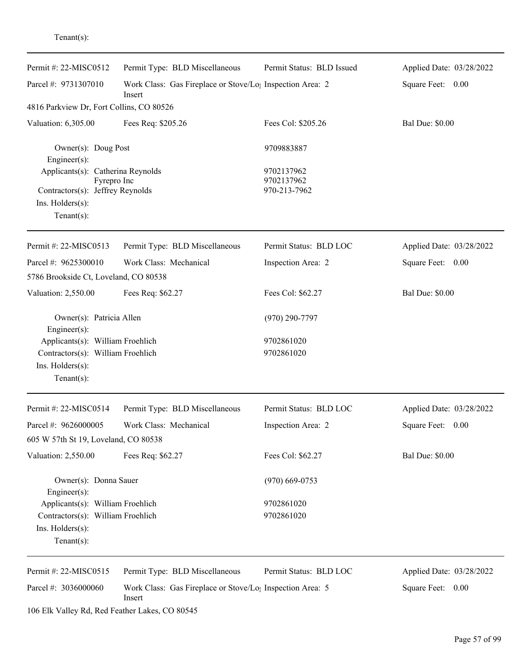| Permit #: 22-MISC0512                                                                                                      | Permit Type: BLD Miscellaneous                                                  | Permit Status: BLD Issued                | Applied Date: 03/28/2022 |
|----------------------------------------------------------------------------------------------------------------------------|---------------------------------------------------------------------------------|------------------------------------------|--------------------------|
| Parcel #: 9731307010                                                                                                       | Work Class: Gas Fireplace or Stove/Lo <sub>1</sub> Inspection Area: 2<br>Insert |                                          | Square Feet: 0.00        |
| 4816 Parkview Dr, Fort Collins, CO 80526                                                                                   |                                                                                 |                                          |                          |
| Valuation: 6,305.00                                                                                                        | Fees Req: \$205.26                                                              | Fees Col: \$205.26                       | <b>Bal Due: \$0.00</b>   |
| Owner(s): Doug Post<br>Engineer $(s)$ :                                                                                    |                                                                                 | 9709883887                               |                          |
| Applicants(s): Catherina Reynolds<br>Fyrepro Inc<br>Contractors(s): Jeffrey Reynolds<br>Ins. Holders(s):<br>Tenant $(s)$ : |                                                                                 | 9702137962<br>9702137962<br>970-213-7962 |                          |
| Permit #: 22-MISC0513                                                                                                      | Permit Type: BLD Miscellaneous                                                  | Permit Status: BLD LOC                   | Applied Date: 03/28/2022 |
| Parcel #: 9625300010                                                                                                       | Work Class: Mechanical                                                          | Inspection Area: 2                       | Square Feet: 0.00        |
| 5786 Brookside Ct, Loveland, CO 80538                                                                                      |                                                                                 |                                          |                          |
| Valuation: 2,550.00                                                                                                        | Fees Req: \$62.27                                                               | Fees Col: \$62.27                        | <b>Bal Due: \$0.00</b>   |
| Owner(s): Patricia Allen<br>$Engineering(s)$ :                                                                             |                                                                                 | $(970)$ 290-7797                         |                          |
| Applicants(s): William Froehlich<br>Contractors(s): William Froehlich<br>Ins. Holders(s):<br>Tenant $(s)$ :                |                                                                                 | 9702861020<br>9702861020                 |                          |
| Permit #: 22-MISC0514                                                                                                      | Permit Type: BLD Miscellaneous                                                  | Permit Status: BLD LOC                   | Applied Date: 03/28/2022 |
| Parcel #: 9626000005                                                                                                       | Work Class: Mechanical                                                          | Inspection Area: 2                       | Square Feet:<br>0.00     |
| 605 W 57th St 19, Loveland, CO 80538                                                                                       |                                                                                 |                                          |                          |
| Valuation: 2,550.00                                                                                                        | Fees Req: \$62.27                                                               | Fees Col: \$62.27                        | <b>Bal Due: \$0.00</b>   |
| Owner(s): Donna Sauer<br>$Engineering(s)$ :                                                                                |                                                                                 | $(970)$ 669-0753                         |                          |
| Applicants(s): William Froehlich                                                                                           |                                                                                 | 9702861020                               |                          |
| Contractors(s): William Froehlich<br>Ins. Holders(s):<br>Tenant $(s)$ :                                                    |                                                                                 | 9702861020                               |                          |
| Permit #: 22-MISC0515                                                                                                      | Permit Type: BLD Miscellaneous                                                  | Permit Status: BLD LOC                   | Applied Date: 03/28/2022 |
| Parcel #: 3036000060                                                                                                       | Work Class: Gas Fireplace or Stove/Lo <sub>1</sub> Inspection Area: 5<br>Insert |                                          | Square Feet: 0.00        |

106 Elk Valley Rd, Red Feather Lakes, CO 80545

Tenant(s):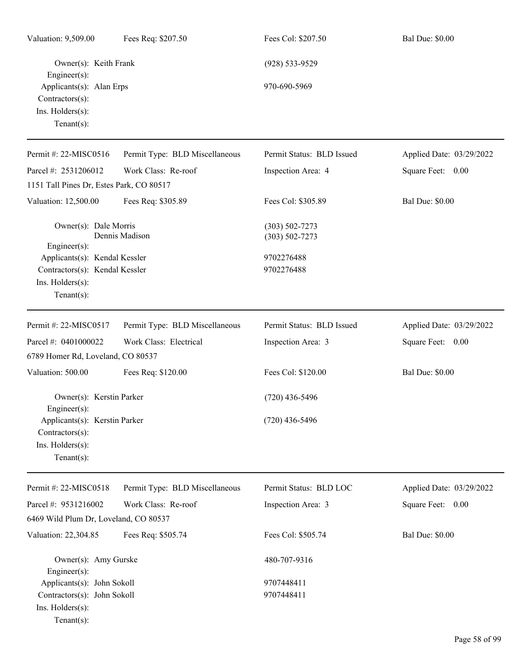| Valuation: 9,509.00                                                                                                                 | Fees Req: \$207.50             | Fees Col: \$207.50                                                   | <b>Bal Due: \$0.00</b>   |
|-------------------------------------------------------------------------------------------------------------------------------------|--------------------------------|----------------------------------------------------------------------|--------------------------|
| Owner(s): Keith Frank<br>$Engineering(s)$ :<br>Applicants(s): Alan Erps<br>$Contractors(s)$ :<br>Ins. Holders(s):<br>Tenant $(s)$ : |                                | $(928) 533 - 9529$<br>970-690-5969                                   |                          |
| Permit #: 22-MISC0516                                                                                                               | Permit Type: BLD Miscellaneous | Permit Status: BLD Issued                                            | Applied Date: 03/29/2022 |
| Parcel #: 2531206012                                                                                                                | Work Class: Re-roof            | Inspection Area: 4                                                   | Square Feet: 0.00        |
| 1151 Tall Pines Dr, Estes Park, CO 80517                                                                                            |                                |                                                                      |                          |
| Valuation: 12,500.00                                                                                                                | Fees Req: \$305.89             | Fees Col: \$305.89                                                   | <b>Bal Due: \$0.00</b>   |
| Owner(s): Dale Morris<br>Engineer(s):<br>Applicants(s): Kendal Kessler<br>Contractors(s): Kendal Kessler                            | Dennis Madison                 | $(303) 502 - 7273$<br>$(303) 502 - 7273$<br>9702276488<br>9702276488 |                          |
| Ins. Holders(s):<br>Tenant $(s)$ :                                                                                                  |                                |                                                                      |                          |
| Permit #: 22-MISC0517                                                                                                               | Permit Type: BLD Miscellaneous | Permit Status: BLD Issued                                            | Applied Date: 03/29/2022 |
| Parcel #: 0401000022                                                                                                                | Work Class: Electrical         | Inspection Area: 3                                                   | Square Feet: 0.00        |
| 6789 Homer Rd, Loveland, CO 80537                                                                                                   |                                |                                                                      |                          |
| Valuation: 500.00                                                                                                                   | Fees Req: \$120.00             | Fees Col: \$120.00                                                   | <b>Bal Due: \$0.00</b>   |
| Owner(s): Kerstin Parker<br>Engineer $(s)$ :                                                                                        |                                | $(720)$ 436-5496                                                     |                          |
| Applicants(s): Kerstin Parker<br>Contractors(s):<br>Ins. Holders(s):<br>Tenant $(s)$ :                                              |                                | $(720)$ 436-5496                                                     |                          |
| Permit #: 22-MISC0518                                                                                                               | Permit Type: BLD Miscellaneous | Permit Status: BLD LOC                                               | Applied Date: 03/29/2022 |
| Parcel #: 9531216002                                                                                                                | Work Class: Re-roof            | Inspection Area: 3                                                   | Square Feet: 0.00        |
| 6469 Wild Plum Dr, Loveland, CO 80537                                                                                               |                                |                                                                      |                          |
| Valuation: 22,304.85                                                                                                                | Fees Req: \$505.74             | Fees Col: \$505.74                                                   | <b>Bal Due: \$0.00</b>   |
| Owner(s): Amy Gurske<br>$Enginer(s)$ :                                                                                              |                                | 480-707-9316                                                         |                          |
| Applicants(s): John Sokoll                                                                                                          |                                | 9707448411                                                           |                          |
| Contractors(s): John Sokoll<br>Ins. Holders(s):<br>Tenant $(s)$ :                                                                   |                                | 9707448411                                                           |                          |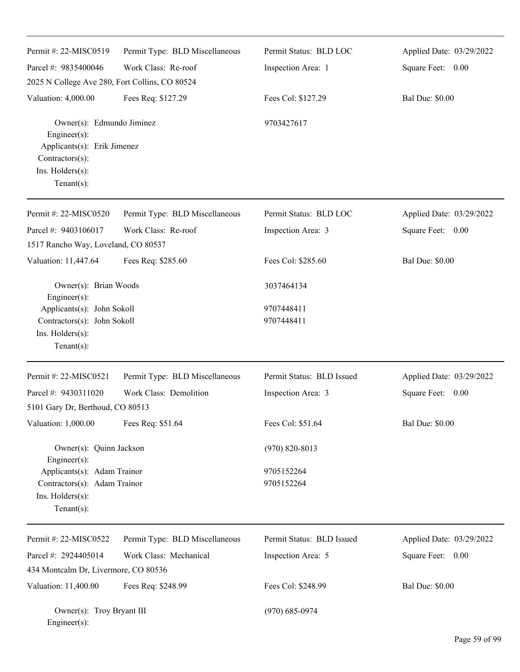| Permit #: 22-MISC0519                                                                         | Permit Type: BLD Miscellaneous | Permit Status: BLD LOC    | Applied Date: 03/29/2022 |
|-----------------------------------------------------------------------------------------------|--------------------------------|---------------------------|--------------------------|
| Parcel #: 9835400046                                                                          | Work Class: Re-roof            | Inspection Area: 1        | Square Feet: 0.00        |
| 2025 N College Ave 280, Fort Collins, CO 80524                                                |                                |                           |                          |
| Valuation: 4,000.00                                                                           | Fees Req: \$127.29             | Fees Col: \$127.29        | <b>Bal Due: \$0.00</b>   |
| Owner(s): Edmundo Jiminez<br>Engineer(s):<br>Applicants(s): Erik Jimenez<br>Contractors(s):   |                                | 9703427617                |                          |
| Ins. Holders(s):<br>Tenant $(s)$ :                                                            |                                |                           |                          |
| Permit #: 22-MISC0520                                                                         | Permit Type: BLD Miscellaneous | Permit Status: BLD LOC    | Applied Date: 03/29/2022 |
| Parcel #: 9403106017                                                                          | Work Class: Re-roof            | Inspection Area: 3        | Square Feet: 0.00        |
| 1517 Rancho Way, Loveland, CO 80537                                                           |                                |                           |                          |
| Valuation: 11,447.64                                                                          | Fees Req: \$285.60             | Fees Col: \$285.60        | <b>Bal Due: \$0.00</b>   |
| Owner(s): Brian Woods<br>Engineer(s):                                                         |                                | 3037464134                |                          |
| Applicants(s): John Sokoll                                                                    |                                | 9707448411                |                          |
| Contractors(s): John Sokoll                                                                   |                                | 9707448411                |                          |
| Ins. Holders(s):<br>Tenant $(s)$ :                                                            |                                |                           |                          |
| Permit #: 22-MISC0521                                                                         | Permit Type: BLD Miscellaneous | Permit Status: BLD Issued | Applied Date: 03/29/2022 |
| Parcel #: 9430311020                                                                          | Work Class: Demolition         | Inspection Area: 3        | Square Feet: 0.00        |
| 5101 Gary Dr, Berthoud, CO 80513                                                              |                                |                           |                          |
| Valuation: 1,000.00                                                                           | Fees Req: \$51.64              | Fees Col: \$51.64         | <b>Bal Due: \$0.00</b>   |
| Owner(s): Quinn Jackson<br>Engineer(s):                                                       |                                | $(970) 820 - 8013$        |                          |
| Applicants(s): Adam Trainor<br>Contractors(s): Adam Trainor<br>Ins. Holders(s):<br>Tenant(s): |                                | 9705152264<br>9705152264  |                          |
| Permit #: 22-MISC0522                                                                         | Permit Type: BLD Miscellaneous | Permit Status: BLD Issued | Applied Date: 03/29/2022 |
| Parcel #: 2924405014                                                                          | Work Class: Mechanical         |                           | Square Feet:<br>0.00     |
| 434 Montcalm Dr, Livermore, CO 80536                                                          |                                | Inspection Area: 5        |                          |
|                                                                                               |                                |                           |                          |
| Valuation: 11,400.00                                                                          | Fees Req: \$248.99             | Fees Col: \$248.99        | <b>Bal Due: \$0.00</b>   |
| Owner(s): Troy Bryant III<br>Engineer(s):                                                     |                                | $(970) 685 - 0974$        |                          |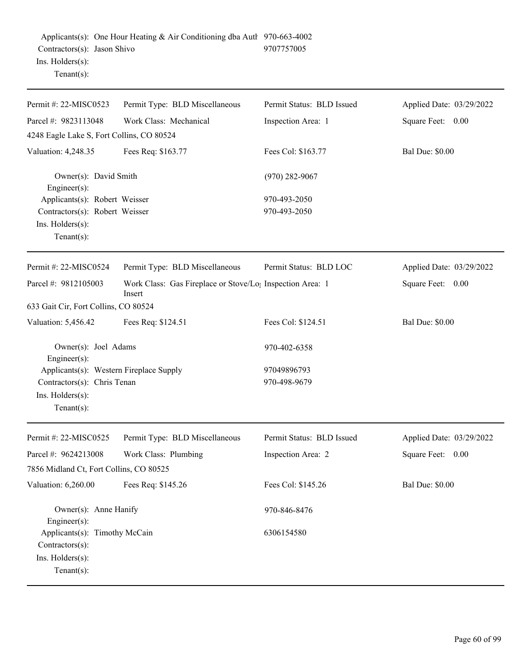| Permit #: 22-MISC0523                                                                                        | Permit Type: BLD Miscellaneous                                                  | Permit Status: BLD Issued   | Applied Date: 03/29/2022 |
|--------------------------------------------------------------------------------------------------------------|---------------------------------------------------------------------------------|-----------------------------|--------------------------|
| Parcel #: 9823113048                                                                                         | Work Class: Mechanical                                                          | Inspection Area: 1          | Square Feet: 0.00        |
| 4248 Eagle Lake S, Fort Collins, CO 80524                                                                    |                                                                                 |                             |                          |
| Valuation: 4,248.35                                                                                          | Fees Req: \$163.77                                                              | Fees Col: \$163.77          | <b>Bal Due: \$0.00</b>   |
| Owner(s): David Smith<br>Engineer(s):                                                                        |                                                                                 | $(970)$ 282-9067            |                          |
| Applicants(s): Robert Weisser                                                                                |                                                                                 | 970-493-2050                |                          |
| Contractors(s): Robert Weisser                                                                               |                                                                                 | 970-493-2050                |                          |
| Ins. Holders(s):<br>Tenant $(s)$ :                                                                           |                                                                                 |                             |                          |
| Permit #: 22-MISC0524                                                                                        | Permit Type: BLD Miscellaneous                                                  | Permit Status: BLD LOC      | Applied Date: 03/29/2022 |
| Parcel #: 9812105003                                                                                         | Work Class: Gas Fireplace or Stove/Lo <sub>1</sub> Inspection Area: 1<br>Insert |                             | Square Feet: 0.00        |
| 633 Gait Cir, Fort Collins, CO 80524                                                                         |                                                                                 |                             |                          |
| Valuation: 5,456.42                                                                                          | Fees Req: \$124.51                                                              | Fees Col: \$124.51          | <b>Bal Due: \$0.00</b>   |
| Owner(s): Joel Adams<br>$Engineering(s)$ :                                                                   |                                                                                 | 970-402-6358                |                          |
| Applicants(s): Western Fireplace Supply<br>Contractors(s): Chris Tenan<br>Ins. Holders(s):<br>Tenant $(s)$ : |                                                                                 | 97049896793<br>970-498-9679 |                          |
| Permit #: 22-MISC0525                                                                                        | Permit Type: BLD Miscellaneous                                                  | Permit Status: BLD Issued   | Applied Date: 03/29/2022 |
| Parcel #: 9624213008                                                                                         | Work Class: Plumbing                                                            | Inspection Area: 2          | Square Feet:<br>0.00     |
| 7856 Midland Ct, Fort Collins, CO 80525                                                                      |                                                                                 |                             |                          |
| Valuation: 6,260.00                                                                                          | Fees Req: \$145.26                                                              | Fees Col: \$145.26          | <b>Bal Due: \$0.00</b>   |
| Owner(s): Anne Hanify<br>Engineer(s):                                                                        |                                                                                 | 970-846-8476                |                          |
| Applicants(s): Timothy McCain<br>Contractors(s):<br>Ins. Holders(s):<br>Tenant $(s)$ :                       |                                                                                 | 6306154580                  |                          |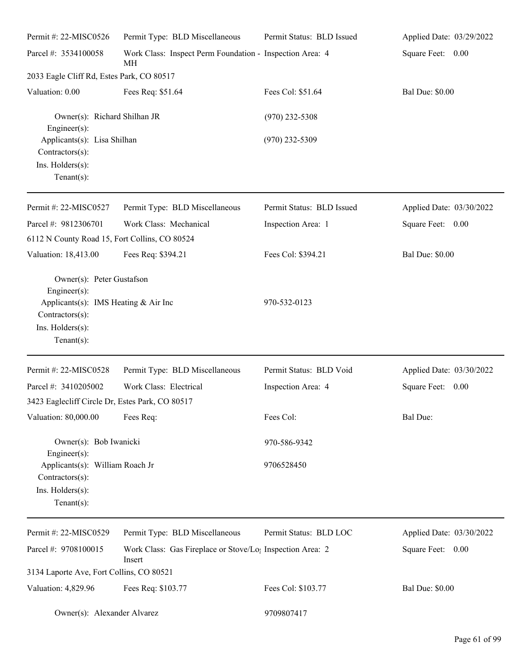| Permit #: 22-MISC0526                                                                                                                            | Permit Type: BLD Miscellaneous                                                  | Permit Status: BLD Issued | Applied Date: 03/29/2022 |
|--------------------------------------------------------------------------------------------------------------------------------------------------|---------------------------------------------------------------------------------|---------------------------|--------------------------|
| Parcel #: 3534100058                                                                                                                             | Work Class: Inspect Perm Foundation - Inspection Area: 4<br>MH                  |                           | Square Feet: 0.00        |
| 2033 Eagle Cliff Rd, Estes Park, CO 80517                                                                                                        |                                                                                 |                           |                          |
| Valuation: 0.00                                                                                                                                  | Fees Req: \$51.64                                                               | Fees Col: \$51.64         | <b>Bal Due: \$0.00</b>   |
| Owner(s): Richard Shilhan JR<br>Engineer $(s)$ :                                                                                                 |                                                                                 | $(970)$ 232-5308          |                          |
| Applicants(s): Lisa Shilhan<br>$Contractors(s)$ :<br>Ins. Holders(s):<br>Tenant $(s)$ :                                                          |                                                                                 | $(970)$ 232-5309          |                          |
| Permit #: 22-MISC0527                                                                                                                            | Permit Type: BLD Miscellaneous                                                  | Permit Status: BLD Issued | Applied Date: 03/30/2022 |
| Parcel #: 9812306701                                                                                                                             | Work Class: Mechanical                                                          | Inspection Area: 1        | Square Feet: 0.00        |
| 6112 N County Road 15, Fort Collins, CO 80524                                                                                                    |                                                                                 |                           |                          |
| Valuation: 18,413.00                                                                                                                             | Fees Req: \$394.21                                                              | Fees Col: \$394.21        | <b>Bal Due: \$0.00</b>   |
| Owner(s): Peter Gustafson<br>Engineer $(s)$ :<br>Applicants(s): IMS Heating & Air Inc<br>$Contractors(s)$ :<br>Ins. Holders(s):<br>$Tenant(s)$ : |                                                                                 | 970-532-0123              |                          |
| Permit #: 22-MISC0528                                                                                                                            | Permit Type: BLD Miscellaneous                                                  | Permit Status: BLD Void   | Applied Date: 03/30/2022 |
| Parcel #: 3410205002<br>3423 Eaglecliff Circle Dr, Estes Park, CO 80517                                                                          | Work Class: Electrical                                                          | Inspection Area: 4        | Square Feet:<br>$0.00\,$ |
| Valuation: 80,000.00                                                                                                                             | Fees Req:                                                                       | Fees Col:                 | <b>Bal Due:</b>          |
| Owner(s): Bob Iwanicki<br>$Engineering(s)$ :                                                                                                     |                                                                                 | 970-586-9342              |                          |
| Applicants(s): William Roach Jr<br>$Contractors(s)$ :<br>Ins. Holders(s):<br>Tenant $(s)$ :                                                      |                                                                                 | 9706528450                |                          |
| Permit #: 22-MISC0529                                                                                                                            | Permit Type: BLD Miscellaneous                                                  | Permit Status: BLD LOC    | Applied Date: 03/30/2022 |
| Parcel #: 9708100015                                                                                                                             | Work Class: Gas Fireplace or Stove/Lo <sub>1</sub> Inspection Area: 2<br>Insert |                           | Square Feet: 0.00        |
| 3134 Laporte Ave, Fort Collins, CO 80521                                                                                                         |                                                                                 |                           |                          |
| Valuation: 4,829.96                                                                                                                              | Fees Req: \$103.77                                                              | Fees Col: \$103.77        | <b>Bal Due: \$0.00</b>   |
| Owner(s): Alexander Alvarez                                                                                                                      |                                                                                 | 9709807417                |                          |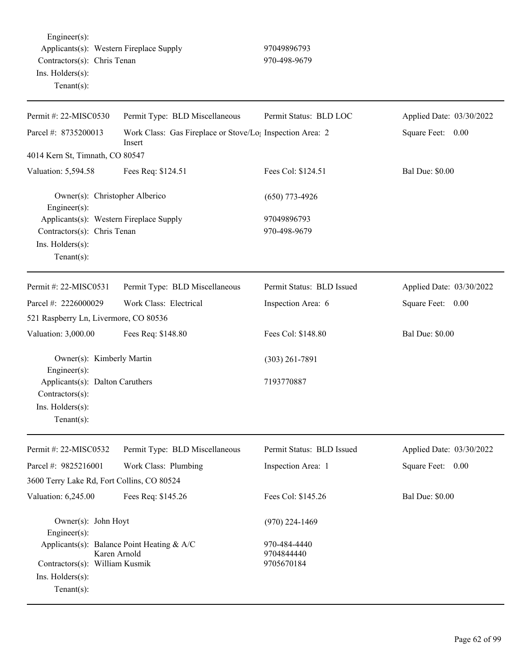Engineer(s): Applicants(s): Western Fireplace Supply 97049896793 Contractors(s): Chris Tenan 970-498-9679 Ins. Holders(s): Tenant(s):

| Permit #: 22-MISC0530                                                                                    | Permit Type: BLD Miscellaneous                                                  | Permit Status: BLD LOC      | Applied Date: 03/30/2022 |
|----------------------------------------------------------------------------------------------------------|---------------------------------------------------------------------------------|-----------------------------|--------------------------|
| Parcel #: 8735200013                                                                                     | Work Class: Gas Fireplace or Stove/Lo <sub>1</sub> Inspection Area: 2<br>Insert |                             | Square Feet: 0.00        |
| 4014 Kern St, Timnath, CO 80547                                                                          |                                                                                 |                             |                          |
| Valuation: 5,594.58                                                                                      | Fees Req: \$124.51                                                              | Fees Col: \$124.51          | <b>Bal Due: \$0.00</b>   |
| Owner(s): Christopher Alberico<br>Engineer(s):                                                           |                                                                                 | $(650)$ 773-4926            |                          |
| Applicants(s): Western Fireplace Supply<br>Contractors(s): Chris Tenan<br>Ins. Holders(s):<br>Tenant(s): |                                                                                 | 97049896793<br>970-498-9679 |                          |
| Permit #: 22-MISC0531                                                                                    | Permit Type: BLD Miscellaneous                                                  | Permit Status: BLD Issued   | Applied Date: 03/30/2022 |
| Parcel #: 2226000029                                                                                     | Work Class: Electrical                                                          | Inspection Area: 6          | Square Feet: 0.00        |
| 521 Raspberry Ln, Livermore, CO 80536                                                                    |                                                                                 |                             |                          |
| Valuation: 3,000.00                                                                                      | Fees Req: \$148.80                                                              | Fees Col: \$148.80          | <b>Bal Due: \$0.00</b>   |
| Owner(s): Kimberly Martin<br>Engineer(s):                                                                |                                                                                 | $(303)$ 261-7891            |                          |
| Applicants(s): Dalton Caruthers<br>Contractors(s):<br>Ins. Holders(s):<br>$Tenant(s)$ :                  |                                                                                 | 7193770887                  |                          |
| Permit #: 22-MISC0532                                                                                    | Permit Type: BLD Miscellaneous                                                  | Permit Status: BLD Issued   | Applied Date: 03/30/2022 |
| Parcel #: 9825216001                                                                                     | Work Class: Plumbing                                                            | Inspection Area: 1          | Square Feet: 0.00        |
| 3600 Terry Lake Rd, Fort Collins, CO 80524                                                               |                                                                                 |                             |                          |
| Valuation: 6,245.00                                                                                      | Fees Req: \$145.26                                                              | Fees Col: \$145.26          | <b>Bal Due: \$0.00</b>   |
| Owner(s): John Hoyt<br>Engineer(s):                                                                      |                                                                                 | $(970)$ 224-1469            |                          |
| Applicants(s): Balance Point Heating & A/C<br>Karen Arnold                                               |                                                                                 | 970-484-4440<br>9704844440  |                          |
| Contractors(s): William Kusmik                                                                           |                                                                                 | 9705670184                  |                          |
| Ins. $H$ olders $(s)$ :                                                                                  |                                                                                 |                             |                          |
| Tenant $(s)$ :                                                                                           |                                                                                 |                             |                          |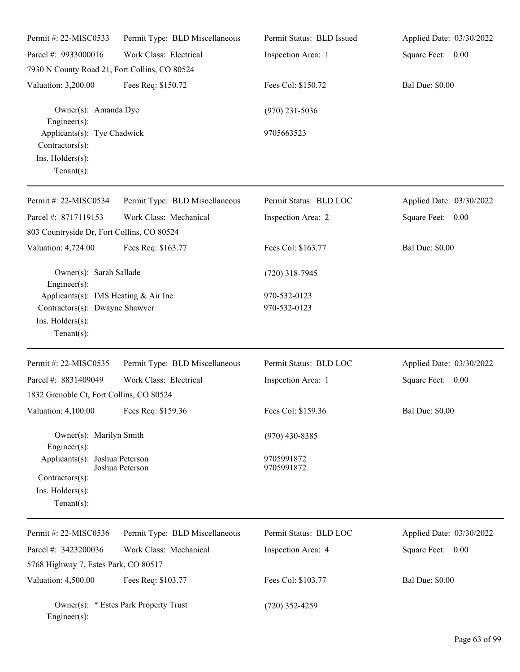| Permit #: 22-MISC0533                                                                   | Permit Type: BLD Miscellaneous        | Permit Status: BLD Issued | Applied Date: 03/30/2022 |
|-----------------------------------------------------------------------------------------|---------------------------------------|---------------------------|--------------------------|
| Parcel #: 9933000016                                                                    | Work Class: Electrical                | Inspection Area: 1        | Square Feet: 0.00        |
| 7930 N County Road 21, Fort Collins, CO 80524                                           |                                       |                           |                          |
| Valuation: 3,200.00                                                                     | Fees Req: \$150.72                    | Fees Col: \$150.72        | <b>Bal Due: \$0.00</b>   |
| Owner(s): Amanda Dye<br>Engineer(s):                                                    |                                       | $(970)$ 231-5036          |                          |
| Applicants(s): Tye Chadwick<br>Contractors(s):<br>Ins. Holders(s):<br>$Tenant(s)$ :     |                                       | 9705663523                |                          |
| Permit #: 22-MISC0534                                                                   | Permit Type: BLD Miscellaneous        | Permit Status: BLD LOC    | Applied Date: 03/30/2022 |
| Parcel #: 8717119153                                                                    | Work Class: Mechanical                | Inspection Area: 2        | Square Feet: 0.00        |
| 803 Countryside Dr, Fort Collins, CO 80524                                              |                                       |                           |                          |
| Valuation: 4,724.00                                                                     | Fees Req: \$163.77                    | Fees Col: \$163.77        | <b>Bal Due: \$0.00</b>   |
| Owner(s): Sarah Sallade<br>Engineer(s):                                                 |                                       | $(720)$ 318-7945          |                          |
| Applicants(s): IMS Heating & Air Inc                                                    |                                       | 970-532-0123              |                          |
| Contractors(s): Dwayne Shawver                                                          |                                       | 970-532-0123              |                          |
| Ins. Holders(s):<br>Tenant $(s)$ :                                                      |                                       |                           |                          |
| Permit #: 22-MISC0535                                                                   | Permit Type: BLD Miscellaneous        | Permit Status: BLD LOC    | Applied Date: 03/30/2022 |
| Parcel #: 8831409049                                                                    | Work Class: Electrical                | Inspection Area: 1        | Square Feet: 0.00        |
| 1832 Grenoble Ct, Fort Collins, CO 80524                                                |                                       |                           |                          |
| Valuation: 4,100.00 Fees Req: \$159.36                                                  |                                       | Fees Col: \$159.36        | <b>Bal Due: \$0.00</b>   |
| Owner(s): Marilyn Smith<br>Engineer(s):                                                 |                                       | $(970)$ 430-8385          |                          |
| Applicants(s): Joshua Peterson<br>Contractors(s):<br>Ins. Holders(s):<br>Tenant $(s)$ : | Joshua Peterson                       | 9705991872<br>9705991872  |                          |
| Permit #: 22-MISC0536                                                                   | Permit Type: BLD Miscellaneous        | Permit Status: BLD LOC    | Applied Date: 03/30/2022 |
| Parcel #: 3423200036                                                                    | Work Class: Mechanical                | Inspection Area: 4        | Square Feet: 0.00        |
| 5768 Highway 7, Estes Park, CO 80517                                                    |                                       |                           |                          |
| Valuation: 4,500.00                                                                     | Fees Req: \$103.77                    | Fees Col: \$103.77        | <b>Bal Due: \$0.00</b>   |
| Engineer(s):                                                                            | Owner(s): * Estes Park Property Trust | $(720)$ 352-4259          |                          |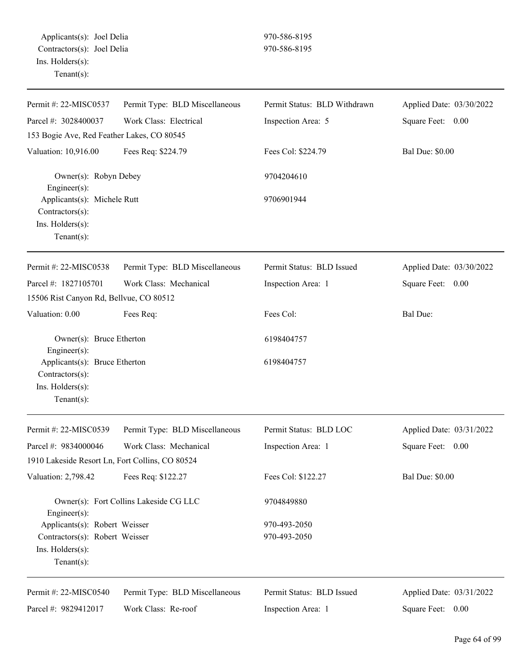| Permit #: 22-MISC0537                                                                 | Permit Type: BLD Miscellaneous         | Permit Status: BLD Withdrawn | Applied Date: 03/30/2022 |
|---------------------------------------------------------------------------------------|----------------------------------------|------------------------------|--------------------------|
| Parcel #: 3028400037                                                                  | Work Class: Electrical                 | Inspection Area: 5           | Square Feet:<br>0.00     |
| 153 Bogie Ave, Red Feather Lakes, CO 80545                                            |                                        |                              |                          |
| Valuation: 10,916.00                                                                  | Fees Req: \$224.79                     | Fees Col: \$224.79           | <b>Bal Due: \$0.00</b>   |
| Owner(s): Robyn Debey<br>Engineer(s):                                                 |                                        | 9704204610                   |                          |
| Applicants(s): Michele Rutt<br>Contractors(s):<br>Ins. Holders(s):<br>$Tenant(s)$ :   |                                        | 9706901944                   |                          |
| Permit #: 22-MISC0538                                                                 | Permit Type: BLD Miscellaneous         | Permit Status: BLD Issued    | Applied Date: 03/30/2022 |
| Parcel #: 1827105701                                                                  | Work Class: Mechanical                 | Inspection Area: 1           | Square Feet:<br>0.00     |
| 15506 Rist Canyon Rd, Bellvue, CO 80512                                               |                                        |                              |                          |
| Valuation: 0.00                                                                       | Fees Req:                              | Fees Col:                    | <b>Bal Due:</b>          |
| Owner(s): Bruce Etherton<br>Engineer(s):                                              |                                        | 6198404757                   |                          |
| Applicants(s): Bruce Etherton<br>Contractors(s):<br>Ins. Holders(s):<br>$Tenant(s)$ : |                                        | 6198404757                   |                          |
| Permit #: 22-MISC0539                                                                 | Permit Type: BLD Miscellaneous         | Permit Status: BLD LOC       | Applied Date: 03/31/2022 |
| Parcel #: 9834000046                                                                  | Work Class: Mechanical                 | Inspection Area: 1           | Square Feet: 0.00        |
| 1910 Lakeside Resort Ln, Fort Collins, CO 80524                                       |                                        |                              |                          |
| Valuation: 2,798.42                                                                   | Fees Req: \$122.27                     | Fees Col: \$122.27           | <b>Bal Due: \$0.00</b>   |
| $Engineering(s)$ :                                                                    | Owner(s): Fort Collins Lakeside CG LLC | 9704849880                   |                          |
| Applicants(s): Robert Weisser                                                         |                                        | 970-493-2050                 |                          |
| Contractors(s): Robert Weisser                                                        |                                        | 970-493-2050                 |                          |
| Ins. Holders(s):<br>$Tenant(s)$ :                                                     |                                        |                              |                          |
| Permit #: 22-MISC0540                                                                 | Permit Type: BLD Miscellaneous         | Permit Status: BLD Issued    | Applied Date: 03/31/2022 |
| Parcel #: 9829412017                                                                  | Work Class: Re-roof                    | Inspection Area: 1           | Square Feet: 0.00        |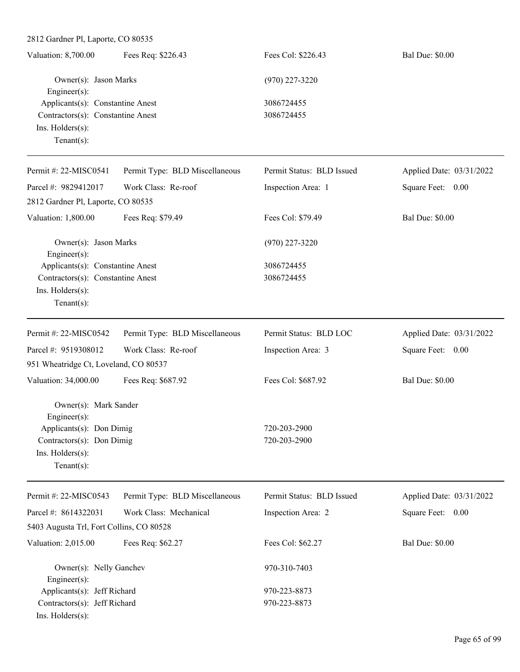| Fees Req: \$226.43<br>Fees Col: \$226.43<br><b>Bal Due: \$0.00</b><br>Valuation: 8,700.00 |  |
|-------------------------------------------------------------------------------------------|--|
| Owner(s): Jason Marks<br>$(970)$ 227-3220                                                 |  |
| Engineer $(s)$ :                                                                          |  |
| Applicants(s): Constantine Anest<br>3086724455                                            |  |
| Contractors(s): Constantine Anest<br>3086724455                                           |  |
| $Ins.$ Holders $(s)$ :                                                                    |  |
| Tenant $(s)$ :                                                                            |  |

| Permit #: 22-MISC0541                                                 | Permit Type: BLD Miscellaneous | Permit Status: BLD Issued | Applied Date: 03/31/2022 |
|-----------------------------------------------------------------------|--------------------------------|---------------------------|--------------------------|
| Parcel #: 9829412017                                                  | Work Class: Re-roof            | Inspection Area: 1        | 0.00<br>Square Feet:     |
| 2812 Gardner Pl, Laporte, CO 80535                                    |                                |                           |                          |
| Valuation: 1,800.00                                                   | Fees Req: \$79.49              | Fees Col: \$79.49         | <b>Bal Due: \$0.00</b>   |
| Owner(s): Jason Marks<br>$Engineering(s)$ :                           |                                | $(970)$ 227-3220          |                          |
| Applicants(s): Constantine Anest<br>Contractors(s): Constantine Anest |                                | 3086724455                |                          |
|                                                                       |                                | 3086724455                |                          |
| $Ins.$ Holders $(s)$ :                                                |                                |                           |                          |
| Tenant $(s)$ :                                                        |                                |                           |                          |
| Permit #: 22-MISC0542                                                 | Permit Type: BLD Miscellaneous | Permit Status: BLD LOC    | Applied Date: 03/31/2022 |
| Parcel #: 9519308012                                                  | Work Class: Re-roof            | Inspection Area: 3        | Square Feet: 0.00        |
| 951 Wheatridge Ct, Loveland, CO 80537                                 |                                |                           |                          |
| Valuation: 34,000.00                                                  | Fees Req: \$687.92             | Fees Col: \$687.92        | <b>Bal Due: \$0.00</b>   |
| Owner(s): Mark Sander                                                 |                                |                           |                          |

Engineer(s): Applicants(s): Don Dimig 720-203-2900 Contractors(s): Don Dimig 720-203-2900 Ins. Holders(s): Tenant(s):

| Permit #: $22-MISCO543$                  | Permit Type: BLD Miscellaneous | Permit Status: BLD Issued | Applied Date: 03/31/2022 |
|------------------------------------------|--------------------------------|---------------------------|--------------------------|
| Parcel #: $8614322031$                   | Work Class: Mechanical         | Inspection Area: 2        | Square Feet: 0.00        |
| 5403 Augusta Trl, Fort Collins, CO 80528 |                                |                           |                          |
| Valuation: $2,015.00$                    | Fees Req: \$62.27              | Fees Col: \$62.27         | <b>Bal Due: \$0.00</b>   |
|                                          |                                |                           |                          |
| Owner(s): Nelly Ganchev                  |                                | 970-310-7403              |                          |
| $Engineering(s)$ :                       |                                |                           |                          |
| Applicants(s): Jeff Richard              |                                | 970-223-8873              |                          |
| Contractors(s): Jeff Richard             |                                | 970-223-8873              |                          |
| $Ins.$ Holders $(s)$ :                   |                                |                           |                          |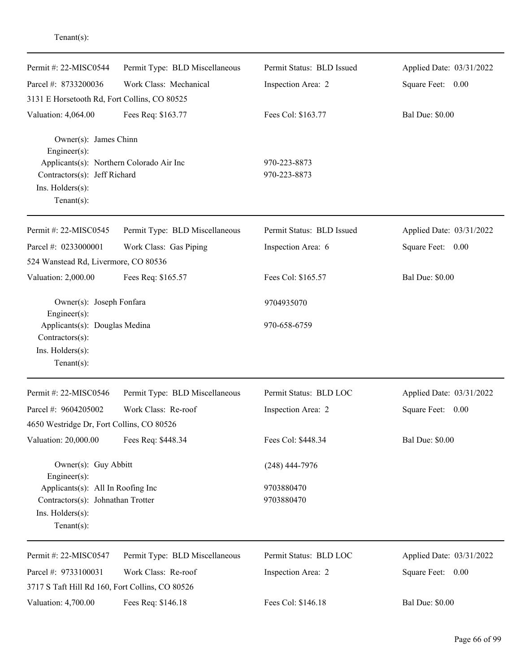| Permit #: 22-MISC0544                                                                                          | Permit Type: BLD Miscellaneous | Permit Status: BLD Issued    | Applied Date: 03/31/2022 |
|----------------------------------------------------------------------------------------------------------------|--------------------------------|------------------------------|--------------------------|
| Parcel #: 8733200036                                                                                           | Work Class: Mechanical         | Inspection Area: 2           | Square Feet:<br>0.00     |
| 3131 E Horsetooth Rd, Fort Collins, CO 80525                                                                   |                                |                              |                          |
| Valuation: 4,064.00                                                                                            | Fees Req: \$163.77             | Fees Col: \$163.77           | <b>Bal Due: \$0.00</b>   |
| Owner(s): James Chinn<br>$Engineering(s)$ :                                                                    |                                |                              |                          |
| Applicants(s): Northern Colorado Air Inc<br>Contractors(s): Jeff Richard<br>Ins. Holders(s):<br>Tenant $(s)$ : |                                | 970-223-8873<br>970-223-8873 |                          |
| Permit #: 22-MISC0545                                                                                          | Permit Type: BLD Miscellaneous | Permit Status: BLD Issued    | Applied Date: 03/31/2022 |
| Parcel #: 0233000001                                                                                           | Work Class: Gas Piping         | Inspection Area: 6           | Square Feet: 0.00        |
| 524 Wanstead Rd, Livermore, CO 80536                                                                           |                                |                              |                          |
| Valuation: 2,000.00                                                                                            | Fees Req: \$165.57             | Fees Col: \$165.57           | <b>Bal Due: \$0.00</b>   |
| Owner(s): Joseph Fonfara<br>Engineer(s):                                                                       |                                | 9704935070                   |                          |
| Applicants(s): Douglas Medina<br>Contractors(s):<br>Ins. Holders(s):<br>Tenant $(s)$ :                         |                                | 970-658-6759                 |                          |
| Permit #: 22-MISC0546                                                                                          | Permit Type: BLD Miscellaneous | Permit Status: BLD LOC       | Applied Date: 03/31/2022 |
| Parcel #: 9604205002                                                                                           | Work Class: Re-roof            | Inspection Area: 2           | Square Feet:<br>0.00     |
| 4650 Westridge Dr, Fort Collins, CO 80526                                                                      |                                |                              |                          |
| Valuation: 20,000.00                                                                                           | Fees Req: \$448.34             | Fees Col: \$448.34           | <b>Bal Due: \$0.00</b>   |
| Owner(s): Guy Abbitt<br>Engineer(s):                                                                           |                                | $(248)$ 444-7976             |                          |
| Applicants(s): All In Roofing Inc                                                                              |                                | 9703880470                   |                          |
| Contractors(s): Johnathan Trotter                                                                              |                                | 9703880470                   |                          |
| Ins. Holders(s):<br>Tenant $(s)$ :                                                                             |                                |                              |                          |
| Permit #: 22-MISC0547                                                                                          | Permit Type: BLD Miscellaneous | Permit Status: BLD LOC       | Applied Date: 03/31/2022 |
| Parcel #: 9733100031                                                                                           | Work Class: Re-roof            | Inspection Area: 2           | Square Feet: 0.00        |
| 3717 S Taft Hill Rd 160, Fort Collins, CO 80526                                                                |                                |                              |                          |
| Valuation: 4,700.00                                                                                            | Fees Req: \$146.18             | Fees Col: \$146.18           | <b>Bal Due: \$0.00</b>   |

Tenant(s):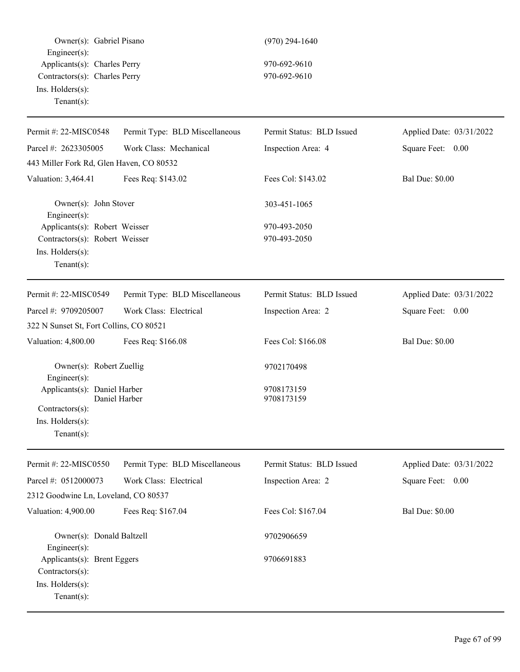Owner(s): Gabriel Pisano (970) 294-1640 Engineer(s): Applicants(s): Charles Perry 970-692-9610 Contractors(s): Charles Perry 970-692-9610 Ins. Holders(s): Tenant(s):

| Permit #: 22-MISC0548                                                                                | Permit Type: BLD Miscellaneous | Permit Status: BLD Issued    | Applied Date: 03/31/2022 |
|------------------------------------------------------------------------------------------------------|--------------------------------|------------------------------|--------------------------|
| Parcel #: 2623305005                                                                                 | Work Class: Mechanical         | Inspection Area: 4           | Square Feet: 0.00        |
| 443 Miller Fork Rd, Glen Haven, CO 80532                                                             |                                |                              |                          |
| Valuation: 3,464.41                                                                                  | Fees Req: \$143.02             | Fees Col: \$143.02           | <b>Bal Due: \$0.00</b>   |
| Owner(s): John Stover<br>Engineer(s):                                                                |                                | 303-451-1065                 |                          |
| Applicants(s): Robert Weisser<br>Contractors(s): Robert Weisser<br>Ins. Holders(s):<br>$Tenant(s)$ : |                                | 970-493-2050<br>970-493-2050 |                          |
| Permit #: 22-MISC0549                                                                                | Permit Type: BLD Miscellaneous | Permit Status: BLD Issued    | Applied Date: 03/31/2022 |
| Parcel #: 9709205007                                                                                 | Work Class: Electrical         | Inspection Area: 2           | Square Feet: 0.00        |
| 322 N Sunset St, Fort Collins, CO 80521                                                              |                                |                              |                          |
| Valuation: 4,800.00                                                                                  | Fees Req: \$166.08             | Fees Col: \$166.08           | <b>Bal Due: \$0.00</b>   |
| Owner(s): Robert Zuellig<br>Engineer(s):                                                             |                                | 9702170498                   |                          |
| Applicants(s): Daniel Harber<br>Contractors(s):<br>Ins. Holders(s):<br>$Tenant(s)$ :                 | Daniel Harber                  | 9708173159<br>9708173159     |                          |
| Permit #: 22-MISC0550                                                                                | Permit Type: BLD Miscellaneous | Permit Status: BLD Issued    | Applied Date: 03/31/2022 |
| Parcel #: 0512000073                                                                                 | Work Class: Electrical         | Inspection Area: 2           | Square Feet:<br>0.00     |
| 2312 Goodwine Ln, Loveland, CO 80537                                                                 |                                |                              |                          |
| Valuation: 4,900.00                                                                                  | Fees Req: \$167.04             | Fees Col: \$167.04           | <b>Bal Due: \$0.00</b>   |
| Owner(s): Donald Baltzell<br>Engineer(s):                                                            |                                | 9702906659                   |                          |
| Applicants(s): Brent Eggers<br>Contractors(s):<br>Ins. Holders(s):<br>Tenant $(s)$ :                 |                                | 9706691883                   |                          |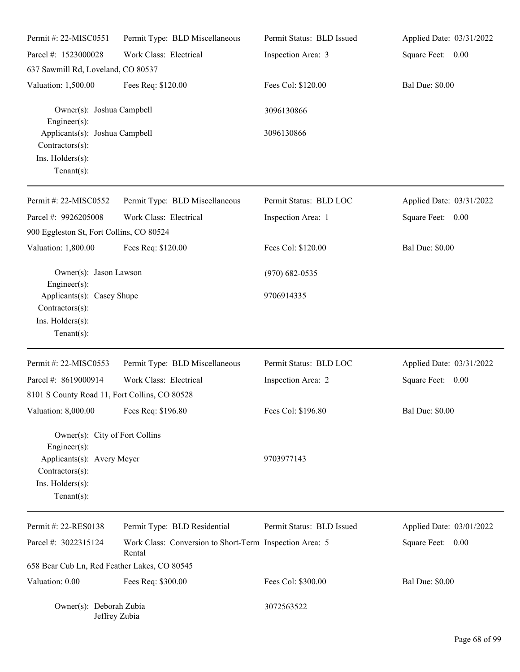| Permit #: 22-MISC0551                                                                  | Permit Type: BLD Miscellaneous                                    | Permit Status: BLD Issued | Applied Date: 03/31/2022 |
|----------------------------------------------------------------------------------------|-------------------------------------------------------------------|---------------------------|--------------------------|
| Parcel #: 1523000028                                                                   | Work Class: Electrical                                            | Inspection Area: 3        | Square Feet: 0.00        |
| 637 Sawmill Rd, Loveland, CO 80537                                                     |                                                                   |                           |                          |
| Valuation: 1,500.00                                                                    | Fees Req: \$120.00                                                | Fees Col: \$120.00        | <b>Bal Due: \$0.00</b>   |
| Owner(s): Joshua Campbell<br>Engineer(s):                                              |                                                                   | 3096130866                |                          |
| Applicants(s): Joshua Campbell<br>Contractors(s):<br>Ins. Holders(s):<br>$Tenant(s)$ : |                                                                   | 3096130866                |                          |
| Permit#: 22-MISC0552                                                                   | Permit Type: BLD Miscellaneous                                    | Permit Status: BLD LOC    | Applied Date: 03/31/2022 |
| Parcel #: 9926205008                                                                   | Work Class: Electrical                                            | Inspection Area: 1        | Square Feet: 0.00        |
| 900 Eggleston St, Fort Collins, CO 80524                                               |                                                                   |                           |                          |
| Valuation: 1,800.00                                                                    | Fees Req: \$120.00                                                | Fees Col: \$120.00        | <b>Bal Due: \$0.00</b>   |
| Owner(s): Jason Lawson<br>Engineer(s):                                                 |                                                                   | $(970)$ 682-0535          |                          |
| Applicants(s): Casey Shupe<br>Contractors(s):<br>Ins. Holders(s):<br>Tenant $(s)$ :    |                                                                   | 9706914335                |                          |
| Permit #: 22-MISC0553                                                                  | Permit Type: BLD Miscellaneous                                    | Permit Status: BLD LOC    | Applied Date: 03/31/2022 |
| Parcel #: 8619000914                                                                   | Work Class: Electrical                                            | Inspection Area: 2        | Square Feet: 0.00        |
| 8101 S County Road 11, Fort Collins, CO 80528                                          |                                                                   |                           |                          |
| Valuation: 8,000.00 Fees Req: \$196.80                                                 |                                                                   | Fees Col: \$196.80        | <b>Bal Due: \$0.00</b>   |
| Owner(s): City of Fort Collins<br>Engineer(s):                                         |                                                                   |                           |                          |
| Applicants(s): Avery Meyer<br>Contractors(s):<br>Ins. Holders(s):<br>Tenant $(s)$ :    |                                                                   | 9703977143                |                          |
| Permit#: 22-RES0138                                                                    | Permit Type: BLD Residential                                      | Permit Status: BLD Issued | Applied Date: 03/01/2022 |
| Parcel #: 3022315124                                                                   | Work Class: Conversion to Short-Term Inspection Area: 5<br>Rental |                           | Square Feet: 0.00        |
| 658 Bear Cub Ln, Red Feather Lakes, CO 80545                                           |                                                                   |                           |                          |
| Valuation: 0.00                                                                        | Fees Req: \$300.00                                                | Fees Col: \$300.00        | <b>Bal Due: \$0.00</b>   |
| Owner(s): Deborah Zubia<br>Jeffrey Zubia                                               |                                                                   | 3072563522                |                          |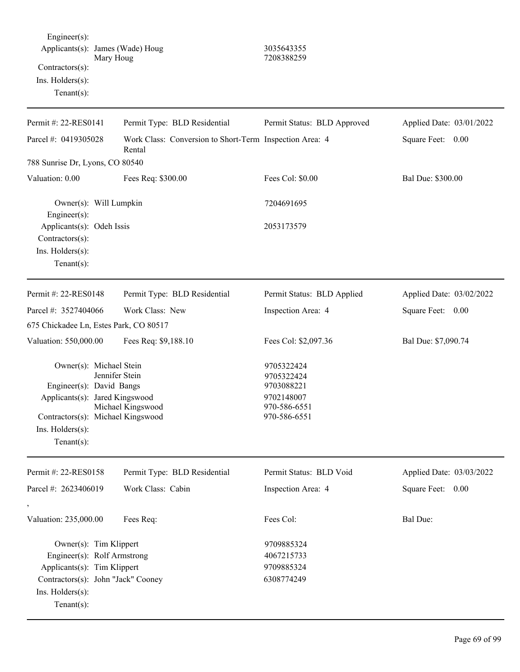Engineer(s): Applicants(s): James (Wade) Houg 3035643355 Mary Houg 208388259 Contractors(s): Ins. Holders(s):

Tenant(s):

| Permit #: 22-RES0141                                | Permit Type: BLD Residential                                      | Permit Status: BLD Approved            | Applied Date: 03/01/2022 |
|-----------------------------------------------------|-------------------------------------------------------------------|----------------------------------------|--------------------------|
| Parcel #: 0419305028                                | Work Class: Conversion to Short-Term Inspection Area: 4<br>Rental |                                        | Square Feet: 0.00        |
| 788 Sunrise Dr, Lyons, CO 80540                     |                                                                   |                                        |                          |
| Valuation: 0.00                                     | Fees Req: \$300.00                                                | Fees Col: \$0.00                       | Bal Due: \$300.00        |
| Owner(s): Will Lumpkin<br>Engineer $(s)$ :          |                                                                   | 7204691695                             |                          |
| Applicants(s): Odeh Issis                           |                                                                   | 2053173579                             |                          |
| Contractors(s):                                     |                                                                   |                                        |                          |
| Ins. Holders(s):                                    |                                                                   |                                        |                          |
| Tenant $(s)$ :                                      |                                                                   |                                        |                          |
| Permit #: 22-RES0148                                | Permit Type: BLD Residential                                      | Permit Status: BLD Applied             | Applied Date: 03/02/2022 |
| Parcel #: 3527404066                                | Work Class: New                                                   | Inspection Area: 4                     | Square Feet:<br>0.00     |
| 675 Chickadee Ln, Estes Park, CO 80517              |                                                                   |                                        |                          |
| Valuation: 550,000.00                               | Fees Req: \$9,188.10                                              | Fees Col: \$2,097.36                   | Bal Due: \$7,090.74      |
| Owner(s): Michael Stein<br>Engineer(s): David Bangs | Jennifer Stein                                                    | 9705322424<br>9705322424<br>9703088221 |                          |
| Applicants(s): Jared Kingswood                      | Michael Kingswood                                                 | 9702148007<br>970-586-6551             |                          |
| Contractors(s): Michael Kingswood                   |                                                                   | 970-586-6551                           |                          |
| Ins. $H$ olders $(s)$ :                             |                                                                   |                                        |                          |
| Tenant $(s)$ :                                      |                                                                   |                                        |                          |
| Permit #: 22-RES0158                                | Permit Type: BLD Residential                                      | Permit Status: BLD Void                | Applied Date: 03/03/2022 |
| Parcel #: 2623406019                                | Work Class: Cabin                                                 | Inspection Area: 4                     | Square Feet: 0.00        |
|                                                     |                                                                   |                                        |                          |
| Valuation: 235,000.00                               | Fees Req:                                                         | Fees Col:                              | <b>Bal Due:</b>          |
| Owner(s): Tim Klippert                              |                                                                   | 9709885324                             |                          |
| Engineer(s): Rolf Armstrong                         |                                                                   | 4067215733                             |                          |
| Applicants(s): Tim Klippert                         |                                                                   | 9709885324                             |                          |
| Contractors(s): John "Jack" Cooney                  |                                                                   | 6308774249                             |                          |
| Ins. Holders(s):                                    |                                                                   |                                        |                          |
| Tenant $(s)$ :                                      |                                                                   |                                        |                          |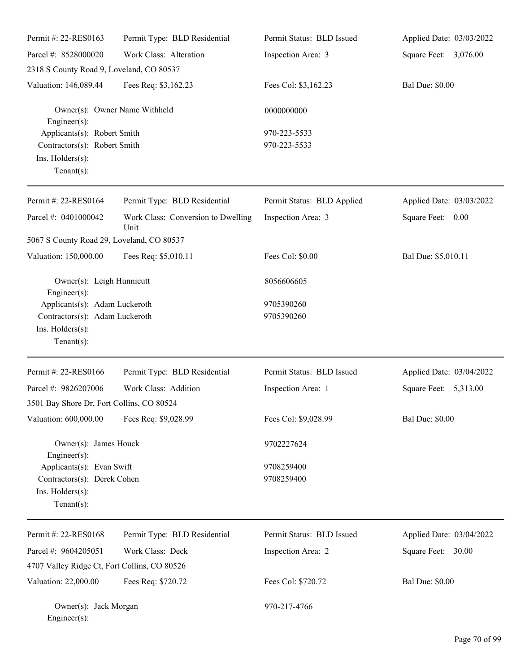| Permit #: 22-RES0163                                                                                  | Permit Type: BLD Residential               | Permit Status: BLD Issued    | Applied Date: 03/03/2022 |
|-------------------------------------------------------------------------------------------------------|--------------------------------------------|------------------------------|--------------------------|
| Parcel #: 8528000020                                                                                  | Work Class: Alteration                     | Inspection Area: 3           | Square Feet: 3,076.00    |
| 2318 S County Road 9, Loveland, CO 80537                                                              |                                            |                              |                          |
| Valuation: 146,089.44                                                                                 | Fees Req: \$3,162.23                       | Fees Col: \$3,162.23         | <b>Bal Due: \$0.00</b>   |
| Owner(s): Owner Name Withheld<br>Engineer(s):                                                         |                                            | 0000000000                   |                          |
| Applicants(s): Robert Smith<br>Contractors(s): Robert Smith<br>Ins. Holders(s):<br>Tenant $(s)$ :     |                                            | 970-223-5533<br>970-223-5533 |                          |
| Permit #: 22-RES0164                                                                                  | Permit Type: BLD Residential               | Permit Status: BLD Applied   | Applied Date: 03/03/2022 |
| Parcel #: 0401000042                                                                                  | Work Class: Conversion to Dwelling<br>Unit | Inspection Area: 3           | Square Feet: 0.00        |
| 5067 S County Road 29, Loveland, CO 80537                                                             |                                            |                              |                          |
| Valuation: 150,000.00                                                                                 | Fees Req: \$5,010.11                       | Fees Col: \$0.00             | Bal Due: \$5,010.11      |
| Owner(s): Leigh Hunnicutt<br>Engineer(s):                                                             |                                            | 8056606605                   |                          |
| Applicants(s): Adam Luckeroth<br>Contractors(s): Adam Luckeroth<br>Ins. Holders(s):<br>Tenant $(s)$ : |                                            | 9705390260<br>9705390260     |                          |
| Permit #: 22-RES0166                                                                                  | Permit Type: BLD Residential               | Permit Status: BLD Issued    | Applied Date: 03/04/2022 |
| Parcel #: 9826207006<br>3501 Bay Shore Dr, Fort Collins, CO 80524                                     | Work Class: Addition                       | Inspection Area: 1           | 5,313.00<br>Square Feet: |
| Valuation: 600,000.00                                                                                 | Fees Req: \$9,028.99                       | Fees Col: \$9,028.99         | <b>Bal Due: \$0.00</b>   |
| Owner(s): James Houck<br>Engineer(s):                                                                 |                                            | 9702227624                   |                          |
| Applicants(s): Evan Swift<br>Contractors(s): Derek Cohen<br>Ins. Holders(s):<br>Tenant $(s)$ :        |                                            | 9708259400<br>9708259400     |                          |
| Permit #: 22-RES0168                                                                                  | Permit Type: BLD Residential               | Permit Status: BLD Issued    | Applied Date: 03/04/2022 |
| Parcel #: 9604205051                                                                                  | Work Class: Deck                           | Inspection Area: 2           | Square Feet: 30.00       |
| 4707 Valley Ridge Ct, Fort Collins, CO 80526                                                          |                                            |                              |                          |
| Valuation: 22,000.00                                                                                  | Fees Req: \$720.72                         | Fees Col: \$720.72           | <b>Bal Due: \$0.00</b>   |
| Owner(s): Jack Morgan<br>Engineer(s):                                                                 |                                            | 970-217-4766                 |                          |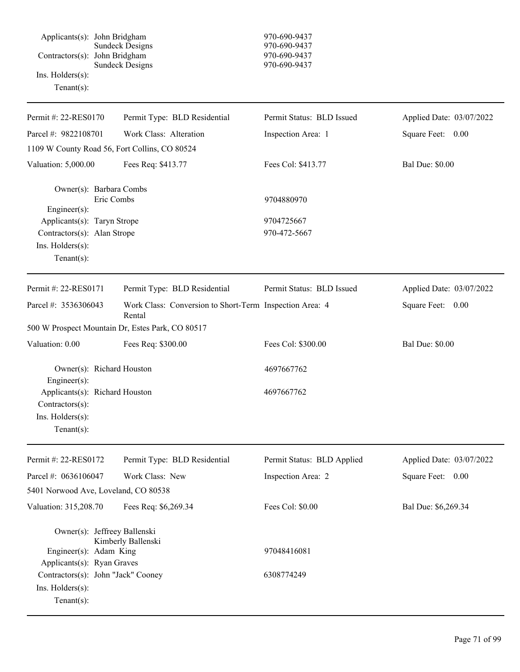Applicants(s): John Bridgham 970-690-9437 Sundeck Designs 970-690-9437 Contractors(s): John Bridgham 970-690-9437 Sundeck Designs 970-690-9437 Ins. Holders(s): Tenant(s): Permit #: 22-RES0170 Parcel #: 9822108701 Permit Type: BLD Residential Work Class: Alteration Permit Status: BLD Issued Inspection Area: 1 Applied Date: 03/07/2022 Square Feet: 0.00 1109 W County Road 56, Fort Collins, CO 80524 Valuation: 5,000.00 Fees Req: \$413.77 Fees Col: \$413.77 Bal Due: \$0.00 Owner(s): Barbara Combs Eric Combs 9704880970 Engineer(s): Applicants(s): Taryn Strope 9704725667 Contractors(s): Alan Strope 970-472-5667 Ins. Holders(s): Tenant(s): Permit #: 22-RES0171 Parcel #: 3536306043 Permit Type: BLD Residential Work Class: Conversion to Short-Term Inspection Area: 4 Rental Permit Status: BLD Issued Applied Date: 03/07/2022 Square Feet: 0.00 500 W Prospect Mountain Dr, Estes Park, CO 80517 Valuation: 0.00 Fees Req: \$300.00 Fees Col: \$300.00 Bal Due: \$0.00 Owner(s): Richard Houston 4697667762 Engineer(s): Applicants(s): Richard Houston 4697667762 Contractors(s): Ins. Holders(s): Tenant(s): Permit #: 22-RES0172 Parcel #: 0636106047 Permit Type: BLD Residential Work Class: New Permit Status: BLD Applied Inspection Area: 2 Applied Date: 03/07/2022 Square Feet: 0.00 5401 Norwood Ave, Loveland, CO 80538 Valuation: 315,208.70 Fees Req: \$6,269.34 Fees Col: \$0.00 Bal Due: \$6,269.34 Owner(s): Jeffreey Ballenski Kimberly Ballenski Engineer(s): Adam King 97048416081 Applicants(s): Ryan Graves Contractors(s): John "Jack" Cooney 6308774249 Ins. Holders(s): Tenant(s):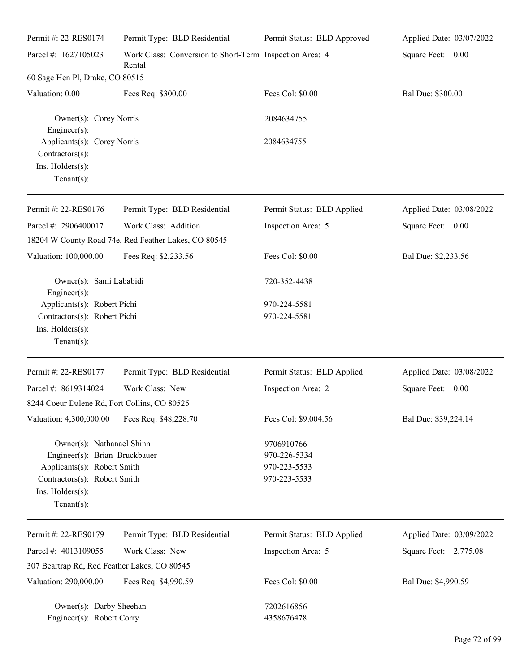| Permit #: 22-RES0174                                                                                                                                            | Permit Type: BLD Residential                                      | Permit Status: BLD Approved                                | Applied Date: 03/07/2022 |
|-----------------------------------------------------------------------------------------------------------------------------------------------------------------|-------------------------------------------------------------------|------------------------------------------------------------|--------------------------|
| Parcel #: 1627105023                                                                                                                                            | Work Class: Conversion to Short-Term Inspection Area: 4<br>Rental |                                                            | Square Feet: 0.00        |
| 60 Sage Hen Pl, Drake, CO 80515                                                                                                                                 |                                                                   |                                                            |                          |
| Valuation: 0.00                                                                                                                                                 | Fees Req: \$300.00                                                | Fees Col: \$0.00                                           | Bal Due: \$300.00        |
| Owner(s): Corey Norris<br>Engineer(s):                                                                                                                          |                                                                   | 2084634755                                                 |                          |
| Applicants(s): Corey Norris<br>Contractors(s):<br>Ins. Holders(s):<br>Tenant $(s)$ :                                                                            |                                                                   | 2084634755                                                 |                          |
| Permit #: 22-RES0176                                                                                                                                            | Permit Type: BLD Residential                                      | Permit Status: BLD Applied                                 | Applied Date: 03/08/2022 |
| Parcel #: 2906400017                                                                                                                                            | Work Class: Addition                                              | Inspection Area: 5                                         | Square Feet: 0.00        |
|                                                                                                                                                                 | 18204 W County Road 74e, Red Feather Lakes, CO 80545              |                                                            |                          |
| Valuation: 100,000.00                                                                                                                                           | Fees Req: \$2,233.56                                              | Fees Col: \$0.00                                           | Bal Due: \$2,233.56      |
| Owner(s): Sami Lababidi<br>Engineer(s):                                                                                                                         |                                                                   | 720-352-4438                                               |                          |
| Applicants(s): Robert Pichi                                                                                                                                     |                                                                   | 970-224-5581                                               |                          |
| Contractors(s): Robert Pichi<br>Ins. Holders(s):<br>Tenant $(s)$ :                                                                                              |                                                                   | 970-224-5581                                               |                          |
| Permit #: 22-RES0177                                                                                                                                            | Permit Type: BLD Residential                                      | Permit Status: BLD Applied                                 | Applied Date: 03/08/2022 |
| Parcel #: 8619314024                                                                                                                                            | Work Class: New                                                   | Inspection Area: 2                                         | Square Feet:<br>0.00     |
| 8244 Coeur Dalene Rd, Fort Collins, CO 80525                                                                                                                    |                                                                   |                                                            |                          |
| Valuation: 4,300,000.00                                                                                                                                         | Fees Req: \$48,228.70                                             | Fees Col: \$9,004.56                                       | Bal Due: \$39,224.14     |
| Owner(s): Nathanael Shinn<br>Engineer(s): Brian Bruckbauer<br>Applicants(s): Robert Smith<br>Contractors(s): Robert Smith<br>Ins. Holders(s):<br>Tenant $(s)$ : |                                                                   | 9706910766<br>970-226-5334<br>970-223-5533<br>970-223-5533 |                          |
| Permit #: 22-RES0179                                                                                                                                            | Permit Type: BLD Residential                                      | Permit Status: BLD Applied                                 | Applied Date: 03/09/2022 |
| Parcel #: 4013109055                                                                                                                                            | Work Class: New                                                   | Inspection Area: 5                                         | Square Feet: 2,775.08    |
| 307 Beartrap Rd, Red Feather Lakes, CO 80545                                                                                                                    |                                                                   |                                                            |                          |
| Valuation: 290,000.00                                                                                                                                           | Fees Req: \$4,990.59                                              | Fees Col: \$0.00                                           | Bal Due: \$4,990.59      |
| Owner(s): Darby Sheehan<br>Engineer(s): Robert Corry                                                                                                            |                                                                   | 7202616856<br>4358676478                                   |                          |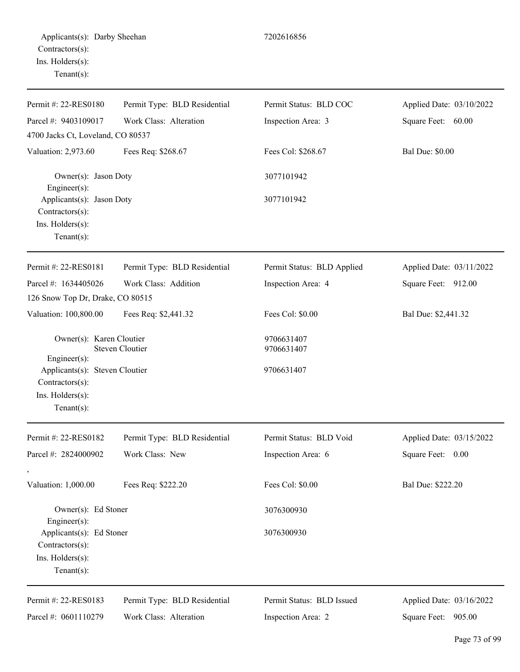| Permit #: 22-RES0180                                                               | Permit Type: BLD Residential | Permit Status: BLD COC     | Applied Date: 03/10/2022 |
|------------------------------------------------------------------------------------|------------------------------|----------------------------|--------------------------|
| Parcel #: 9403109017                                                               | Work Class: Alteration       | Inspection Area: 3         | Square Feet: 60.00       |
| 4700 Jacks Ct, Loveland, CO 80537                                                  |                              |                            |                          |
| Valuation: 2,973.60                                                                | Fees Req: \$268.67           | Fees Col: \$268.67         | <b>Bal Due: \$0.00</b>   |
| Owner(s): Jason Doty<br>$Engineering(s)$ :                                         |                              | 3077101942                 |                          |
| Applicants(s): Jason Doty<br>Contractors(s):<br>Ins. Holders(s):<br>Tenant $(s)$ : |                              | 3077101942                 |                          |
| Permit #: 22-RES0181                                                               | Permit Type: BLD Residential | Permit Status: BLD Applied | Applied Date: 03/11/2022 |
| Parcel #: 1634405026                                                               | Work Class: Addition         | Inspection Area: 4         | Square Feet: 912.00      |
| 126 Snow Top Dr, Drake, CO 80515                                                   |                              |                            |                          |
| Valuation: 100,800.00                                                              | Fees Req: \$2,441.32         | Fees Col: \$0.00           | Bal Due: \$2,441.32      |
| Owner(s): Karen Cloutier<br><b>Steven Cloutier</b><br>Engineer(s):                 |                              | 9706631407<br>9706631407   |                          |
| Applicants(s): Steven Cloutier<br>Contractors(s):                                  |                              | 9706631407                 |                          |
| Ins. Holders(s):<br>$Tenant(s)$ :                                                  |                              |                            |                          |
| Permit #: 22-RES0182                                                               | Permit Type: BLD Residential | Permit Status: BLD Void    | Applied Date: 03/15/2022 |
| Parcel #: 2824000902                                                               | Work Class: New              | Inspection Area: 6         | Square Feet:<br>0.00     |
| $\overline{\phantom{a}}$<br>Valuation: 1,000.00                                    | Fees Req: \$222.20           | Fees Col: \$0.00           | Bal Due: \$222.20        |
| Owner(s): Ed Stoner<br>Engineer(s):                                                |                              | 3076300930                 |                          |
| Applicants(s): Ed Stoner<br>Contractors(s):<br>Ins. Holders(s):<br>Tenant $(s)$ :  |                              | 3076300930                 |                          |
| Permit #: 22-RES0183                                                               | Permit Type: BLD Residential | Permit Status: BLD Issued  | Applied Date: 03/16/2022 |
| Parcel #: 0601110279                                                               | Work Class: Alteration       | Inspection Area: 2         | Square Feet: 905.00      |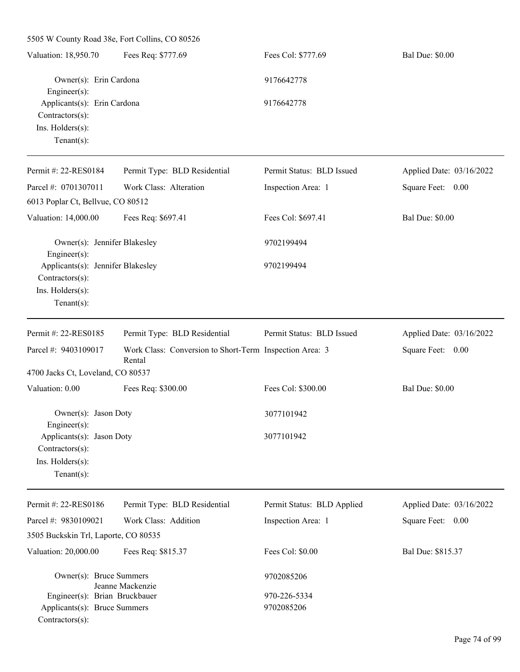| 5505 W County Road 38e, Fort Collins, CO 80526                       |                                                                   |                            |                          |  |
|----------------------------------------------------------------------|-------------------------------------------------------------------|----------------------------|--------------------------|--|
| Valuation: 18,950.70                                                 | Fees Req: \$777.69                                                | Fees Col: \$777.69         | <b>Bal Due: \$0.00</b>   |  |
| Owner(s): Erin Cardona<br>Engineer(s):                               |                                                                   | 9176642778                 |                          |  |
| Applicants(s): Erin Cardona<br>Contractors(s):<br>Ins. Holders(s):   |                                                                   | 9176642778                 |                          |  |
| Tenant $(s)$ :                                                       |                                                                   |                            |                          |  |
| Permit #: 22-RES0184                                                 | Permit Type: BLD Residential                                      | Permit Status: BLD Issued  | Applied Date: 03/16/2022 |  |
| Parcel #: 0701307011                                                 | Work Class: Alteration                                            | Inspection Area: 1         | Square Feet: 0.00        |  |
| 6013 Poplar Ct, Bellvue, CO 80512                                    |                                                                   |                            |                          |  |
| Valuation: 14,000.00                                                 | Fees Req: \$697.41                                                | Fees Col: \$697.41         | <b>Bal Due: \$0.00</b>   |  |
| Owner(s): Jennifer Blakesley                                         |                                                                   | 9702199494                 |                          |  |
| Engineer(s):<br>Applicants(s): Jennifer Blakesley<br>Contractors(s): |                                                                   | 9702199494                 |                          |  |
| Ins. Holders(s):<br>$Tenant(s)$ :                                    |                                                                   |                            |                          |  |
| Permit #: 22-RES0185                                                 | Permit Type: BLD Residential                                      | Permit Status: BLD Issued  | Applied Date: 03/16/2022 |  |
| Parcel #: 9403109017                                                 | Work Class: Conversion to Short-Term Inspection Area: 3<br>Rental |                            | Square Feet: 0.00        |  |
| 4700 Jacks Ct, Loveland, CO 80537                                    |                                                                   |                            |                          |  |
| Valuation: 0.00                                                      | Fees Req: \$300.00                                                | Fees Col: \$300.00         | <b>Bal Due: \$0.00</b>   |  |
| Owner(s): Jason Doty<br>$Engineering(s)$ :                           |                                                                   | 3077101942                 |                          |  |
| Applicants(s): Jason Doty<br>Contractors(s):                         |                                                                   | 3077101942                 |                          |  |
| Ins. Holders(s):                                                     |                                                                   |                            |                          |  |
| Tenant $(s)$ :                                                       |                                                                   |                            |                          |  |
| Permit #: 22-RES0186                                                 | Permit Type: BLD Residential                                      | Permit Status: BLD Applied | Applied Date: 03/16/2022 |  |
| Parcel #: 9830109021                                                 | Work Class: Addition                                              | Inspection Area: 1         | Square Feet: 0.00        |  |
| 3505 Buckskin Trl, Laporte, CO 80535                                 |                                                                   |                            |                          |  |
| Valuation: 20,000.00                                                 | Fees Req: \$815.37                                                | Fees Col: \$0.00           | Bal Due: \$815.37        |  |
| Owner(s): Bruce Summers                                              | Jeanne Mackenzie                                                  | 9702085206                 |                          |  |
| Engineer(s): Brian Bruckbauer                                        |                                                                   | 970-226-5334               |                          |  |
| Applicants(s): Bruce Summers<br>Contractors(s):                      |                                                                   | 9702085206                 |                          |  |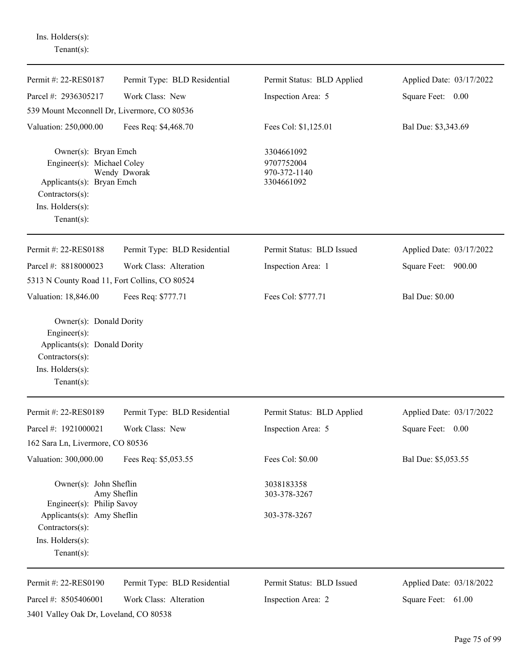| $Tenant(s)$ :                                                                                                                            |                              |                                                        |                          |
|------------------------------------------------------------------------------------------------------------------------------------------|------------------------------|--------------------------------------------------------|--------------------------|
| Permit #: 22-RES0187                                                                                                                     | Permit Type: BLD Residential | Permit Status: BLD Applied                             | Applied Date: 03/17/2022 |
| Parcel #: 2936305217                                                                                                                     | Work Class: New              | Inspection Area: 5                                     | Square Feet: 0.00        |
| 539 Mount Mcconnell Dr, Livermore, CO 80536                                                                                              |                              |                                                        |                          |
| Valuation: 250,000.00                                                                                                                    | Fees Req: \$4,468.70         | Fees Col: \$1,125.01                                   | Bal Due: \$3,343.69      |
| Owner(s): Bryan Emch<br>Engineer(s): Michael Coley<br>Applicants(s): Bryan Emch<br>Contractors(s):<br>Ins. Holders(s):<br>Tenant $(s)$ : | Wendy Dworak                 | 3304661092<br>9707752004<br>970-372-1140<br>3304661092 |                          |
| Permit #: 22-RES0188                                                                                                                     | Permit Type: BLD Residential | Permit Status: BLD Issued                              | Applied Date: 03/17/2022 |
| Parcel #: 8818000023                                                                                                                     | Work Class: Alteration       | Inspection Area: 1                                     | Square Feet: 900.00      |
| 5313 N County Road 11, Fort Collins, CO 80524                                                                                            |                              |                                                        |                          |
| Valuation: 18,846.00                                                                                                                     | Fees Req: \$777.71           | Fees Col: \$777.71                                     | <b>Bal Due: \$0.00</b>   |
| Engineer $(s)$ :<br>Applicants(s): Donald Dority<br>Contractors(s):<br>Ins. Holders(s):<br>Tenant $(s)$ :                                |                              |                                                        |                          |
| Permit #: 22-RES0189                                                                                                                     | Permit Type: BLD Residential | Permit Status: BLD Applied                             | Applied Date: 03/17/2022 |
| Parcel #: 1921000021                                                                                                                     | Work Class: New              | Inspection Area: 5                                     | Square Feet: 0.00        |
| 162 Sara Ln, Livermore, CO 80536                                                                                                         |                              |                                                        |                          |
| Valuation: 300,000.00                                                                                                                    | Fees Req: \$5,053.55         | Fees Col: \$0.00                                       | Bal Due: \$5,053.55      |
| Owner(s): John Sheflin<br>Amy Sheflin<br>Engineer(s): Philip Savoy                                                                       |                              | 3038183358<br>303-378-3267                             |                          |
| Applicants(s): Amy Sheflin<br>Contractors(s):<br>Ins. Holders(s):<br>$Tenant(s)$ :                                                       |                              | 303-378-3267                                           |                          |
| Permit #: 22-RES0190                                                                                                                     | Permit Type: BLD Residential | Permit Status: BLD Issued                              | Applied Date: 03/18/2022 |
| Parcel #: 8505406001                                                                                                                     | Work Class: Alteration       | Inspection Area: 2                                     | Square Feet: 61.00       |
| 3401 Valley Oak Dr, Loveland, CO 80538                                                                                                   |                              |                                                        |                          |

Ins. Holders(s):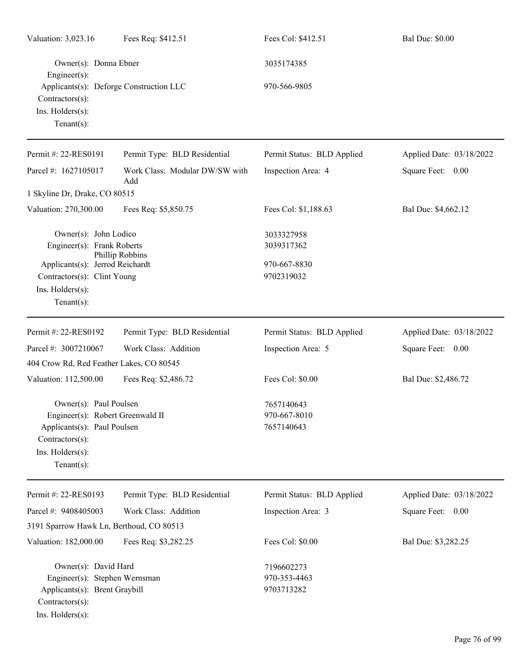| Valuation: 3,023.16<br>Fees Req: \$412.51                                                                                                          |                                       | Fees Col: \$412.51                       | <b>Bal Due: \$0.00</b>   |
|----------------------------------------------------------------------------------------------------------------------------------------------------|---------------------------------------|------------------------------------------|--------------------------|
| Owner(s): Donna Ebner<br>Engineer(s):                                                                                                              |                                       | 3035174385                               |                          |
| Applicants(s): Deforge Construction LLC<br>Contractors(s):<br>Ins. Holders(s):<br>Tenant $(s)$ :                                                   |                                       | 970-566-9805                             |                          |
| Permit #: 22-RES0191                                                                                                                               | Permit Type: BLD Residential          | Permit Status: BLD Applied               | Applied Date: 03/18/2022 |
| Parcel #: 1627105017                                                                                                                               | Work Class: Modular DW/SW with<br>Add | Inspection Area: 4                       | Square Feet: 0.00        |
| 1 Skyline Dr, Drake, CO 80515                                                                                                                      |                                       |                                          |                          |
| Valuation: 270,300.00                                                                                                                              | Fees Req: \$5,850.75                  | Fees Col: \$1,188.63                     | Bal Due: \$4,662.12      |
| Owner(s): John Lodico<br>Engineer(s): Frank Roberts                                                                                                |                                       | 3033327958<br>3039317362                 |                          |
| Applicants(s): Jerrod Reichardt<br>Contractors(s): Clint Young<br>Ins. Holders(s):<br>Tenant $(s)$ :                                               | Phillip Robbins                       | 970-667-8830<br>9702319032               |                          |
| Permit #: 22-RES0192                                                                                                                               | Permit Type: BLD Residential          | Permit Status: BLD Applied               | Applied Date: 03/18/2022 |
| Parcel #: 3007210067                                                                                                                               | Work Class: Addition                  | Inspection Area: 5                       | Square Feet: 0.00        |
| 404 Crow Rd, Red Feather Lakes, CO 80545                                                                                                           |                                       |                                          |                          |
| Valuation: 112,500.00                                                                                                                              | Fees Req: \$2,486.72                  | Fees Col: \$0.00                         | Bal Due: \$2,486.72      |
| Owner(s): Paul Poulsen<br>Engineer(s): Robert Greenwald II<br>Applicants(s): Paul Poulsen<br>Contractors(s):<br>Ins. Holders(s):<br>Tenant $(s)$ : |                                       | 7657140643<br>970-667-8010<br>7657140643 |                          |
| Permit #: 22-RES0193                                                                                                                               | Permit Type: BLD Residential          | Permit Status: BLD Applied               | Applied Date: 03/18/2022 |
| Parcel #: 9408405003                                                                                                                               | Work Class: Addition                  | Inspection Area: 3                       | Square Feet: 0.00        |
| 3191 Sparrow Hawk Ln, Berthoud, CO 80513                                                                                                           |                                       |                                          |                          |
| Valuation: 182,000.00                                                                                                                              | Fees Req: \$3,282.25                  | Fees Col: \$0.00                         | Bal Due: \$3,282.25      |
| Owner(s): David Hard                                                                                                                               |                                       | 7196602273                               |                          |
| Engineer(s): Stephen Wernsman                                                                                                                      |                                       | 970-353-4463                             |                          |
| Applicants(s): Brent Graybill<br>Contractors(s):<br>Ins. Holders(s):                                                                               |                                       | 9703713282                               |                          |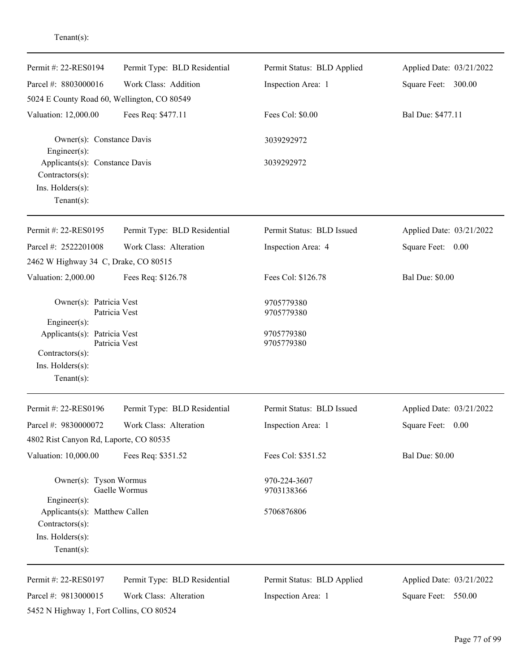| Permit #: 22-RES0194                                                                       | Permit Type: BLD Residential | Permit Status: BLD Applied | Applied Date: 03/21/2022 |
|--------------------------------------------------------------------------------------------|------------------------------|----------------------------|--------------------------|
| Parcel #: 8803000016                                                                       | Work Class: Addition         | Inspection Area: 1         | Square Feet: 300.00      |
| 5024 E County Road 60, Wellington, CO 80549                                                |                              |                            |                          |
| Valuation: 12,000.00<br>Fees Req: \$477.11                                                 |                              | Fees Col: \$0.00           | Bal Due: \$477.11        |
| Owner(s): Constance Davis<br>Engineer(s):                                                  |                              | 3039292972                 |                          |
| Applicants(s): Constance Davis<br>Contractors(s):                                          |                              | 3039292972                 |                          |
| Ins. Holders(s):<br>Tenant $(s)$ :                                                         |                              |                            |                          |
| Permit #: 22-RES0195                                                                       | Permit Type: BLD Residential | Permit Status: BLD Issued  | Applied Date: 03/21/2022 |
| Parcel #: 2522201008                                                                       | Work Class: Alteration       | Inspection Area: 4         | Square Feet: 0.00        |
| 2462 W Highway 34 C, Drake, CO 80515                                                       |                              |                            |                          |
| Valuation: 2,000.00                                                                        | Fees Req: \$126.78           | Fees Col: \$126.78         | <b>Bal Due: \$0.00</b>   |
| Owner(s): Patricia Vest<br>Patricia Vest<br>Engineer(s):                                   |                              | 9705779380<br>9705779380   |                          |
| Applicants(s): Patricia Vest<br>Contractors(s):<br>Ins. Holders(s):<br>Tenant $(s)$ :      | Patricia Vest                | 9705779380<br>9705779380   |                          |
| Permit #: 22-RES0196                                                                       | Permit Type: BLD Residential | Permit Status: BLD Issued  | Applied Date: 03/21/2022 |
| Parcel #: 9830000072                                                                       | Work Class: Alteration       | Inspection Area: 1         | Square Feet:<br>0.00     |
| 4802 Rist Canyon Rd, Laporte, CO 80535                                                     |                              |                            |                          |
| Valuation: 10,000.00                                                                       | Fees Req: \$351.52           | Fees Col: \$351.52         | <b>Bal Due: \$0.00</b>   |
| Owner(s): Tyson Wormus<br>Engineer(s):                                                     | Gaelle Wormus                | 970-224-3607<br>9703138366 |                          |
| Applicants(s): Matthew Callen<br>Contractors(s):<br>Ins. Holders(s):<br>Tenant $(s)$ :     |                              | 5706876806                 |                          |
| Permit #: 22-RES0197                                                                       | Permit Type: BLD Residential | Permit Status: BLD Applied | Applied Date: 03/21/2022 |
| Parcel #: 9813000015<br>Work Class: Alteration<br>5452 N Highway 1, Fort Collins, CO 80524 |                              | Inspection Area: 1         | Square Feet: 550.00      |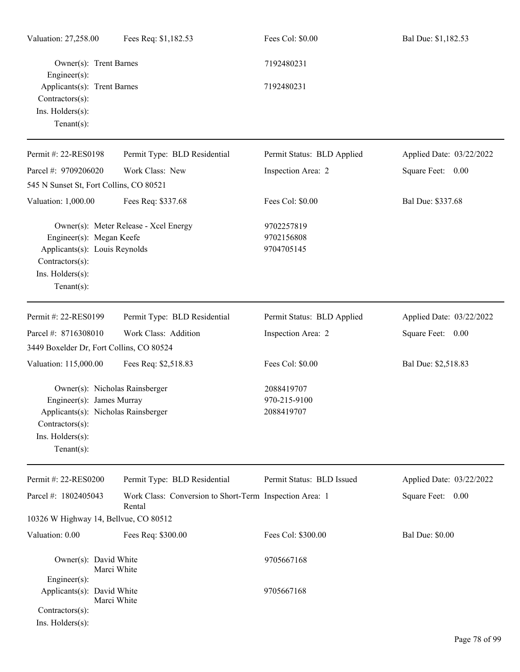| Valuation: 27,258.00                                                                                                                                       | Fees Req: \$1,182.53                                              | Fees Col: \$0.00                         | Bal Due: \$1,182.53      |  |
|------------------------------------------------------------------------------------------------------------------------------------------------------------|-------------------------------------------------------------------|------------------------------------------|--------------------------|--|
| Owner(s): Trent Barnes<br>Engineer(s):                                                                                                                     |                                                                   | 7192480231                               |                          |  |
| Applicants(s): Trent Barnes<br>Contractors(s):<br>Ins. Holders(s):<br>Tenant $(s)$ :                                                                       |                                                                   | 7192480231                               |                          |  |
| Permit #: 22-RES0198                                                                                                                                       | Permit Type: BLD Residential                                      | Permit Status: BLD Applied               | Applied Date: 03/22/2022 |  |
| Parcel #: 9709206020                                                                                                                                       | Work Class: New                                                   | Inspection Area: 2                       | Square Feet: 0.00        |  |
| 545 N Sunset St, Fort Collins, CO 80521                                                                                                                    |                                                                   |                                          |                          |  |
| Valuation: 1,000.00                                                                                                                                        | Fees Req: \$337.68                                                | Fees Col: \$0.00                         | Bal Due: \$337.68        |  |
| Engineer(s): Megan Keefe<br>Applicants(s): Louis Reynolds<br>Contractors(s):<br>Ins. Holders(s):<br>Tenant $(s)$ :                                         | Owner(s): Meter Release - Xcel Energy                             | 9702257819<br>9702156808<br>9704705145   |                          |  |
| Permit #: 22-RES0199                                                                                                                                       | Permit Type: BLD Residential                                      | Permit Status: BLD Applied               | Applied Date: 03/22/2022 |  |
| Parcel #: 8716308010                                                                                                                                       | Work Class: Addition                                              | Inspection Area: 2                       | Square Feet: 0.00        |  |
| 3449 Boxelder Dr, Fort Collins, CO 80524                                                                                                                   |                                                                   |                                          |                          |  |
| Valuation: 115,000.00                                                                                                                                      | Fees Req: \$2,518.83                                              | Fees Col: \$0.00                         | Bal Due: \$2,518.83      |  |
| Owner(s): Nicholas Rainsberger<br>Engineer(s): James Murray<br>Applicants(s): Nicholas Rainsberger<br>Contractors(s):<br>Ins. Holders(s):<br>$Tenant(s)$ : |                                                                   | 2088419707<br>970-215-9100<br>2088419707 |                          |  |
| Permit #: 22-RES0200                                                                                                                                       | Permit Type: BLD Residential                                      | Permit Status: BLD Issued                | Applied Date: 03/22/2022 |  |
| Parcel #: 1802405043                                                                                                                                       | Work Class: Conversion to Short-Term Inspection Area: 1<br>Rental |                                          | Square Feet: 0.00        |  |
| 10326 W Highway 14, Bellvue, CO 80512                                                                                                                      |                                                                   |                                          |                          |  |
| Valuation: 0.00                                                                                                                                            | Fees Req: \$300.00                                                | Fees Col: \$300.00                       | <b>Bal Due: \$0.00</b>   |  |
| Owner(s): David White<br>Engineer(s):                                                                                                                      | Marci White                                                       | 9705667168                               |                          |  |
| Applicants(s): David White<br>Contractors(s):<br>Ins. Holders(s):                                                                                          | Marci White                                                       | 9705667168                               |                          |  |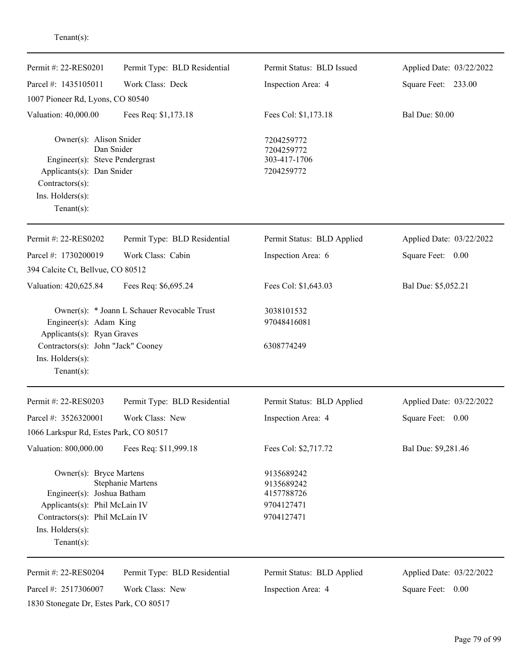| Permit #: 22-RES0201                                                                                                                                          | Permit Type: BLD Residential                | Permit Status: BLD Issued                              | Applied Date: 03/22/2022 |
|---------------------------------------------------------------------------------------------------------------------------------------------------------------|---------------------------------------------|--------------------------------------------------------|--------------------------|
| Parcel #: 1435105011                                                                                                                                          | Work Class: Deck                            | Inspection Area: 4                                     | Square Feet: 233.00      |
| 1007 Pioneer Rd, Lyons, CO 80540                                                                                                                              |                                             |                                                        |                          |
| Valuation: 40,000.00                                                                                                                                          | Fees Req: \$1,173.18                        | Fees Col: \$1,173.18                                   | <b>Bal Due: \$0.00</b>   |
| Owner(s): Alison Snider<br>Dan Snider<br>Engineer(s): Steve Pendergrast<br>Applicants(s): Dan Snider<br>Contractors(s):<br>Ins. Holders(s):<br>Tenant $(s)$ : |                                             | 7204259772<br>7204259772<br>303-417-1706<br>7204259772 |                          |
| Permit #: 22-RES0202                                                                                                                                          | Permit Type: BLD Residential                | Permit Status: BLD Applied                             | Applied Date: 03/22/2022 |
| Parcel #: 1730200019                                                                                                                                          | Work Class: Cabin                           | Inspection Area: 6                                     | Square Feet: 0.00        |
| 394 Calcite Ct, Bellvue, CO 80512                                                                                                                             |                                             |                                                        |                          |
| Valuation: 420,625.84                                                                                                                                         | Fees Req: \$6,695.24                        | Fees Col: \$1,643.03                                   | Bal Due: \$5,052.21      |
| Engineer(s): Adam King<br>Applicants(s): Ryan Graves                                                                                                          | Owner(s): * Joann L Schauer Revocable Trust | 3038101532<br>97048416081                              |                          |
| Contractors(s): John "Jack" Cooney<br>Ins. Holders(s):<br>Tenant $(s)$ :                                                                                      |                                             | 6308774249                                             |                          |
| Permit #: 22-RES0203                                                                                                                                          | Permit Type: BLD Residential                | Permit Status: BLD Applied                             | Applied Date: 03/22/2022 |
| Parcel #: 3526320001                                                                                                                                          | Work Class: New                             | Inspection Area: 4                                     | Square Feet:<br>0.00     |
| 1066 Larkspur Rd, Estes Park, CO 80517                                                                                                                        |                                             |                                                        |                          |
| Valuation: 800,000.00                                                                                                                                         | Fees Req: \$11,999.18                       | Fees Col: \$2,717.72                                   | Bal Due: \$9,281.46      |
| Owner(s): Bryce Martens                                                                                                                                       | <b>Stephanie Martens</b>                    | 9135689242<br>9135689242<br>4157788726                 |                          |
| Engineer(s): Joshua Batham<br>Applicants(s): Phil McLain IV                                                                                                   |                                             | 9704127471                                             |                          |
| Contractors(s): Phil McLain IV<br>Ins. Holders(s):<br>Tenant $(s)$ :                                                                                          |                                             | 9704127471                                             |                          |
| Permit #: 22-RES0204                                                                                                                                          | Permit Type: BLD Residential                | Permit Status: BLD Applied                             | Applied Date: 03/22/2022 |
| Parcel #: 2517306007<br>1830 Stonegate Dr, Estes Park, CO 80517                                                                                               | Work Class: New                             | Inspection Area: 4                                     | Square Feet: 0.00        |

Tenant(s):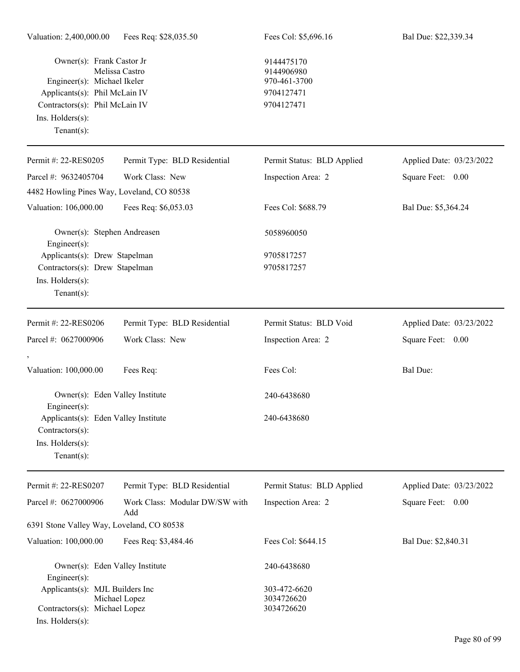| Owner(s): Frank Castor Jr<br>Melissa Castro<br>Engineer(s): Michael Ikeler<br>Applicants(s): Phil McLain IV<br>Contractors(s): Phil McLain IV<br>Ins. Holders(s):<br>Tenant $(s)$ : |                                       | 9144475170<br>9144906980<br>970-461-3700<br>9704127471<br>9704127471 |                          |  |
|-------------------------------------------------------------------------------------------------------------------------------------------------------------------------------------|---------------------------------------|----------------------------------------------------------------------|--------------------------|--|
| Permit #: 22-RES0205                                                                                                                                                                | Permit Type: BLD Residential          | Permit Status: BLD Applied                                           | Applied Date: 03/23/2022 |  |
| Parcel #: 9632405704                                                                                                                                                                | Work Class: New                       | Inspection Area: 2                                                   | Square Feet: 0.00        |  |
| 4482 Howling Pines Way, Loveland, CO 80538                                                                                                                                          |                                       |                                                                      |                          |  |
| Valuation: 106,000.00                                                                                                                                                               | Fees Req: \$6,053.03                  | Fees Col: \$688.79                                                   | Bal Due: \$5,364.24      |  |
| Owner(s): Stephen Andreasen<br>Engineer(s):                                                                                                                                         |                                       | 5058960050                                                           |                          |  |
| Applicants(s): Drew Stapelman                                                                                                                                                       |                                       | 9705817257                                                           |                          |  |
| Contractors(s): Drew Stapelman<br>Ins. Holders(s):<br>Tenant $(s)$ :                                                                                                                |                                       | 9705817257                                                           |                          |  |
| Permit #: 22-RES0206                                                                                                                                                                | Permit Type: BLD Residential          | Permit Status: BLD Void                                              | Applied Date: 03/23/2022 |  |
| Parcel #: 0627000906                                                                                                                                                                | Work Class: New                       | Inspection Area: 2                                                   | Square Feet: 0.00        |  |
| Valuation: 100,000.00                                                                                                                                                               | Fees Req:                             | Fees Col:                                                            | <b>Bal Due:</b>          |  |
| Owner(s): Eden Valley Institute<br>Engineer(s):                                                                                                                                     |                                       | 240-6438680                                                          |                          |  |
| Applicants(s): Eden Valley Institute<br>Contractors(s):                                                                                                                             |                                       | 240-6438680                                                          |                          |  |
| Ins. $H$ olders $(s)$ :<br>Tenant $(s)$ :                                                                                                                                           |                                       |                                                                      |                          |  |
| Permit #: 22-RES0207                                                                                                                                                                | Permit Type: BLD Residential          | Permit Status: BLD Applied                                           | Applied Date: 03/23/2022 |  |
| Parcel #: 0627000906                                                                                                                                                                | Work Class: Modular DW/SW with<br>Add | Inspection Area: 2                                                   | Square Feet: 0.00        |  |
| 6391 Stone Valley Way, Loveland, CO 80538                                                                                                                                           |                                       |                                                                      |                          |  |
| Valuation: 100,000.00                                                                                                                                                               | Fees Req: \$3,484.46                  | Fees Col: \$644.15                                                   | Bal Due: \$2,840.31      |  |
| Owner(s): Eden Valley Institute<br>Engineer(s):                                                                                                                                     |                                       | 240-6438680                                                          |                          |  |
| Applicants(s): MJL Builders Inc<br>Contractors(s): Michael Lopez                                                                                                                    | Michael Lopez                         | 303-472-6620<br>3034726620<br>3034726620                             |                          |  |

Ins. Holders(s):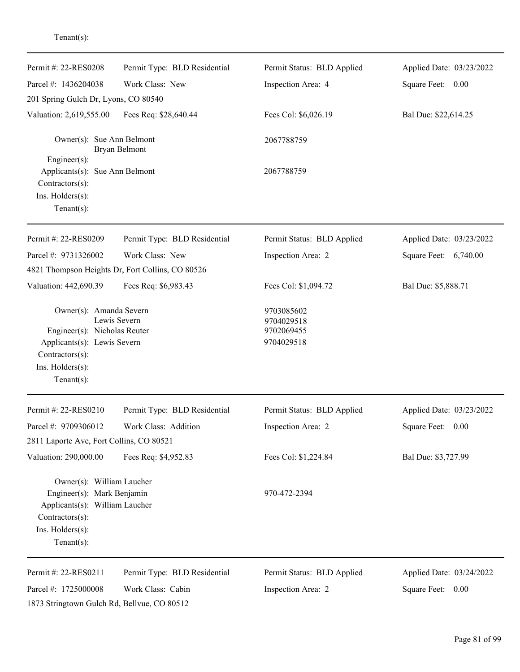| Permit #: 22-RES0208                                                                                                                               | Permit Type: BLD Residential | Permit Status: BLD Applied                           | Applied Date: 03/23/2022 |
|----------------------------------------------------------------------------------------------------------------------------------------------------|------------------------------|------------------------------------------------------|--------------------------|
| Parcel #: 1436204038                                                                                                                               | Work Class: New              | Inspection Area: 4                                   | Square Feet: 0.00        |
| 201 Spring Gulch Dr, Lyons, CO 80540                                                                                                               |                              |                                                      |                          |
| Valuation: 2,619,555.00<br>Fees Req: \$28,640.44                                                                                                   |                              | Fees Col: \$6,026.19                                 | Bal Due: \$22,614.25     |
| Owner(s): Sue Ann Belmont                                                                                                                          | Bryan Belmont                | 2067788759                                           |                          |
| Engineer $(s)$ :<br>Applicants(s): Sue Ann Belmont<br>$Contractors(s)$ :<br>Ins. Holders(s):<br>Tenant $(s)$ :                                     |                              | 2067788759                                           |                          |
| Permit #: 22-RES0209                                                                                                                               | Permit Type: BLD Residential | Permit Status: BLD Applied                           | Applied Date: 03/23/2022 |
| Parcel #: 9731326002<br>Work Class: New<br>4821 Thompson Heights Dr, Fort Collins, CO 80526                                                        |                              | Inspection Area: 2                                   | Square Feet: 6,740.00    |
| Valuation: 442,690.39<br>Fees Req: \$6,983.43                                                                                                      |                              | Fees Col: \$1,094.72                                 | Bal Due: \$5,888.71      |
| Owner(s): Amanda Severn<br>Engineer(s): Nicholas Reuter<br>Applicants(s): Lewis Severn<br>Contractors(s):<br>Ins. Holders(s):<br>Tenant $(s)$ :    | Lewis Severn                 | 9703085602<br>9704029518<br>9702069455<br>9704029518 |                          |
| Permit #: 22-RES0210                                                                                                                               | Permit Type: BLD Residential | Permit Status: BLD Applied                           | Applied Date: 03/23/2022 |
| Parcel #: 9709306012<br>2811 Laporte Ave, Fort Collins, CO 80521                                                                                   | Work Class: Addition         | Inspection Area: 2                                   | Square Feet:<br>0.00     |
| Valuation: 290,000.00                                                                                                                              | Fees Req: \$4,952.83         | Fees Col: \$1,224.84                                 | Bal Due: \$3,727.99      |
| Owner(s): William Laucher<br>Engineer(s): Mark Benjamin<br>Applicants(s): William Laucher<br>Contractors(s):<br>Ins. Holders(s):<br>Tenant $(s)$ : |                              | 970-472-2394                                         |                          |
| Permit #: 22-RES0211                                                                                                                               | Permit Type: BLD Residential | Permit Status: BLD Applied                           | Applied Date: 03/24/2022 |
| Parcel #: 1725000008                                                                                                                               | Work Class: Cabin            | Inspection Area: 2                                   | Square Feet: 0.00        |
| 1873 Stringtown Gulch Rd, Bellvue, CO 80512                                                                                                        |                              |                                                      |                          |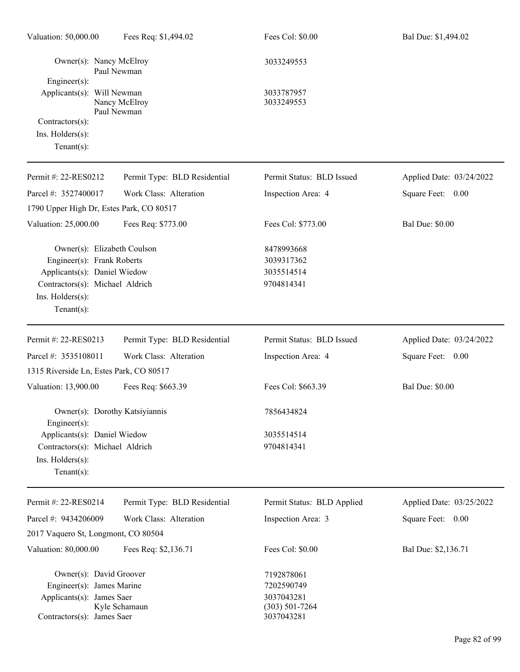| Valuation: 50,000.00                                                                                                             | Fees Req: \$1,494.02                                                                                                         |                                                                            | Fees Col: \$0.00                                     | Bal Due: \$1,494.02      |
|----------------------------------------------------------------------------------------------------------------------------------|------------------------------------------------------------------------------------------------------------------------------|----------------------------------------------------------------------------|------------------------------------------------------|--------------------------|
| Owner(s): Nancy McElroy<br>Paul Newman<br>Engineer(s):                                                                           |                                                                                                                              |                                                                            | 3033249553                                           |                          |
| Applicants(s): Will Newman<br>Nancy McElroy<br>Paul Newman                                                                       |                                                                                                                              |                                                                            | 3033787957<br>3033249553                             |                          |
| Contractors(s):<br>Ins. Holders(s):<br>Tenant $(s)$ :                                                                            |                                                                                                                              |                                                                            |                                                      |                          |
| Permit #: 22-RES0212                                                                                                             |                                                                                                                              | Permit Type: BLD Residential                                               | Permit Status: BLD Issued                            | Applied Date: 03/24/2022 |
| Parcel #: 3527400017                                                                                                             | Work Class: Alteration<br>1790 Upper High Dr, Estes Park, CO 80517                                                           |                                                                            | Inspection Area: 4                                   | Square Feet: 0.00        |
| Valuation: 25,000.00                                                                                                             | Fees Req: \$773.00                                                                                                           |                                                                            | Fees Col: \$773.00                                   | <b>Bal Due: \$0.00</b>   |
| Ins. Holders(s):<br>Tenant $(s)$ :                                                                                               | Owner(s): Elizabeth Coulson<br>Engineer(s): Frank Roberts<br>Applicants(s): Daniel Wiedow<br>Contractors(s): Michael Aldrich |                                                                            | 8478993668<br>3039317362<br>3035514514<br>9704814341 |                          |
| Permit #: 22-RES0213                                                                                                             |                                                                                                                              | Permit Type: BLD Residential                                               | Permit Status: BLD Issued                            | Applied Date: 03/24/2022 |
| Parcel #: 3535108011                                                                                                             | Work Class: Alteration                                                                                                       |                                                                            | Inspection Area: 4                                   | Square Feet: 0.00        |
|                                                                                                                                  | 1315 Riverside Ln, Estes Park, CO 80517                                                                                      |                                                                            |                                                      |                          |
| Valuation: 13,900.00                                                                                                             | Fees Req: \$663.39                                                                                                           |                                                                            | Fees Col: \$663.39                                   | <b>Bal Due: \$0.00</b>   |
| $Engineering(s)$ :                                                                                                               | Owner(s): Dorothy Katsiyiannis                                                                                               |                                                                            | 7856434824                                           |                          |
| Ins. Holders(s):<br>Tenant $(s)$ :                                                                                               | Applicants(s): Daniel Wiedow<br>Contractors(s): Michael Aldrich                                                              |                                                                            | 3035514514<br>9704814341                             |                          |
| Permit #: 22-RES0214                                                                                                             |                                                                                                                              | Permit Type: BLD Residential                                               | Permit Status: BLD Applied                           | Applied Date: 03/25/2022 |
| Parcel #: 9434206009                                                                                                             | Work Class: Alteration                                                                                                       |                                                                            | Inspection Area: 3                                   | Square Feet: 0.00        |
|                                                                                                                                  | 2017 Vaquero St, Longmont, CO 80504                                                                                          |                                                                            |                                                      |                          |
| Valuation: 80,000.00                                                                                                             | Fees Req: \$2,136.71                                                                                                         |                                                                            | Fees Col: \$0.00                                     | Bal Due: \$2,136.71      |
| Owner(s): David Groover<br>Engineer(s): James Marine<br>Applicants(s): James Saer<br>Kyle Schamaun<br>Contractors(s): James Saer |                                                                                                                              | 7192878061<br>7202590749<br>3037043281<br>$(303) 501 - 7264$<br>3037043281 |                                                      |                          |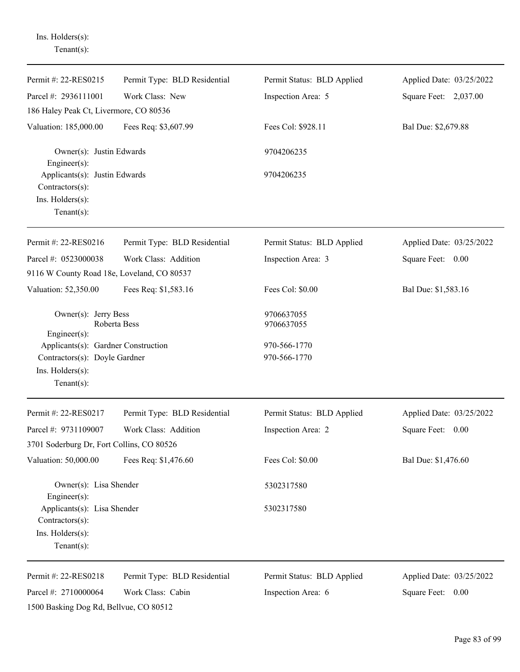| Ins. Holders(s):<br>Tenant $(s)$ :                                                                         |                              |                              |                          |
|------------------------------------------------------------------------------------------------------------|------------------------------|------------------------------|--------------------------|
| Permit #: 22-RES0215                                                                                       | Permit Type: BLD Residential | Permit Status: BLD Applied   | Applied Date: 03/25/2022 |
| Parcel #: 2936111001                                                                                       | Work Class: New              | Inspection Area: 5           | Square Feet: 2,037.00    |
| 186 Haley Peak Ct, Livermore, CO 80536                                                                     |                              |                              |                          |
| Valuation: 185,000.00                                                                                      | Fees Req: \$3,607.99         | Fees Col: \$928.11           | Bal Due: \$2,679.88      |
| Owner(s): Justin Edwards<br>Engineer $(s)$ :                                                               |                              | 9704206235                   |                          |
| Applicants(s): Justin Edwards<br>Contractors(s):<br>Ins. Holders(s):<br>Tenant $(s)$ :                     |                              | 9704206235                   |                          |
| Permit #: 22-RES0216                                                                                       | Permit Type: BLD Residential | Permit Status: BLD Applied   | Applied Date: 03/25/2022 |
| Parcel #: 0523000038                                                                                       | Work Class: Addition         | Inspection Area: 3           | Square Feet: 0.00        |
| 9116 W County Road 18e, Loveland, CO 80537                                                                 |                              |                              |                          |
| Valuation: 52,350.00                                                                                       | Fees Req: \$1,583.16         | Fees Col: \$0.00             | Bal Due: \$1,583.16      |
| Owner(s): Jerry Bess<br>Roberta Bess<br>Engineer(s):                                                       |                              | 9706637055<br>9706637055     |                          |
| Applicants(s): Gardner Construction<br>Contractors(s): Doyle Gardner<br>Ins. Holders(s):<br>Tenant $(s)$ : |                              | 970-566-1770<br>970-566-1770 |                          |
| Permit #: 22-RES0217                                                                                       | Permit Type: BLD Residential | Permit Status: BLD Applied   | Applied Date: 03/25/2022 |
| Parcel #: 9731109007                                                                                       | Work Class: Addition         | Inspection Area: 2           | Square Feet: 0.00        |
| 3701 Soderburg Dr, Fort Collins, CO 80526                                                                  |                              |                              |                          |
| Valuation: 50,000.00                                                                                       | Fees Req: \$1,476.60         | Fees Col: \$0.00             | Bal Due: \$1,476.60      |
| Owner(s): Lisa Shender<br>$Engineering(s)$ :                                                               |                              | 5302317580                   |                          |
| Applicants(s): Lisa Shender<br>Contractors(s):<br>Ins. Holders(s):<br>Tenant $(s)$ :                       |                              | 5302317580                   |                          |
| Permit #: 22-RES0218                                                                                       | Permit Type: BLD Residential | Permit Status: BLD Applied   | Applied Date: 03/25/2022 |
| Parcel #: 2710000064                                                                                       | Work Class: Cabin            | Inspection Area: 6           | Square Feet: 0.00        |
| 1500 Basking Dog Rd, Bellvue, CO 80512                                                                     |                              |                              |                          |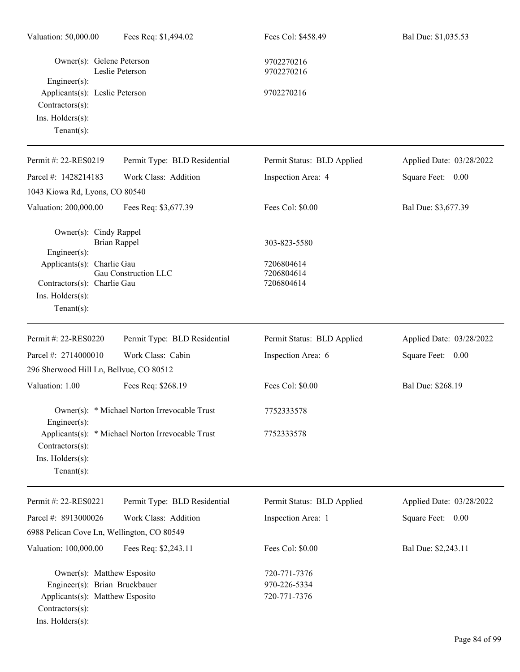| Valuation: 50,000.00                                                                                                                  | Fees Req: \$1,494.02                              | Fees Col: \$458.49                                     | Bal Due: \$1,035.53      |
|---------------------------------------------------------------------------------------------------------------------------------------|---------------------------------------------------|--------------------------------------------------------|--------------------------|
| Owner(s): Gelene Peterson                                                                                                             | Leslie Peterson                                   | 9702270216<br>9702270216                               |                          |
| Engineer(s):<br>Applicants(s): Leslie Peterson<br>Contractors(s):<br>Ins. Holders(s):<br>Tenant $(s)$ :                               |                                                   | 9702270216                                             |                          |
| Permit #: 22-RES0219                                                                                                                  | Permit Type: BLD Residential                      | Permit Status: BLD Applied                             | Applied Date: 03/28/2022 |
| Parcel #: 1428214183                                                                                                                  | Work Class: Addition                              | Inspection Area: 4                                     | 0.00<br>Square Feet:     |
| 1043 Kiowa Rd, Lyons, CO 80540                                                                                                        |                                                   |                                                        |                          |
| Valuation: 200,000.00                                                                                                                 | Fees Req: \$3,677.39                              | Fees Col: \$0.00                                       | Bal Due: \$3,677.39      |
| Owner(s): Cindy Rappel<br>Engineer(s):<br>Applicants(s): Charlie Gau<br>Contractors(s): Charlie Gau<br>Ins. Holders(s):               | <b>Brian Rappel</b><br>Gau Construction LLC       | 303-823-5580<br>7206804614<br>7206804614<br>7206804614 |                          |
| Tenant $(s)$ :                                                                                                                        |                                                   |                                                        |                          |
| Permit #: 22-RES0220                                                                                                                  | Permit Type: BLD Residential                      | Permit Status: BLD Applied                             | Applied Date: 03/28/2022 |
| Parcel #: 2714000010                                                                                                                  | Work Class: Cabin                                 | Inspection Area: 6                                     | Square Feet: 0.00        |
| 296 Sherwood Hill Ln, Bellvue, CO 80512                                                                                               |                                                   |                                                        |                          |
| Valuation: 1.00                                                                                                                       | Fees Req: \$268.19                                | Fees Col: \$0.00                                       | Bal Due: \$268.19        |
| Engineer $(s)$ :                                                                                                                      | Owner(s): * Michael Norton Irrevocable Trust      | 7752333578                                             |                          |
| Contractors(s):<br>Ins. Holders(s):<br>Tenant $(s)$ :                                                                                 | Applicants(s): * Michael Norton Irrevocable Trust | 7752333578                                             |                          |
| Permit #: 22-RES0221                                                                                                                  | Permit Type: BLD Residential                      | Permit Status: BLD Applied                             | Applied Date: 03/28/2022 |
| Parcel #: 8913000026                                                                                                                  | Work Class: Addition                              | Inspection Area: 1                                     | 0.00<br>Square Feet:     |
| 6988 Pelican Cove Ln, Wellington, CO 80549                                                                                            |                                                   |                                                        |                          |
| Valuation: 100,000.00                                                                                                                 | Fees Req: \$2,243.11                              | Fees Col: \$0.00                                       | Bal Due: \$2,243.11      |
| Owner(s): Matthew Esposito<br>Engineer(s): Brian Bruckbauer<br>Applicants(s): Matthew Esposito<br>Contractors(s):<br>Ins. Holders(s): |                                                   | 720-771-7376<br>970-226-5334<br>720-771-7376           |                          |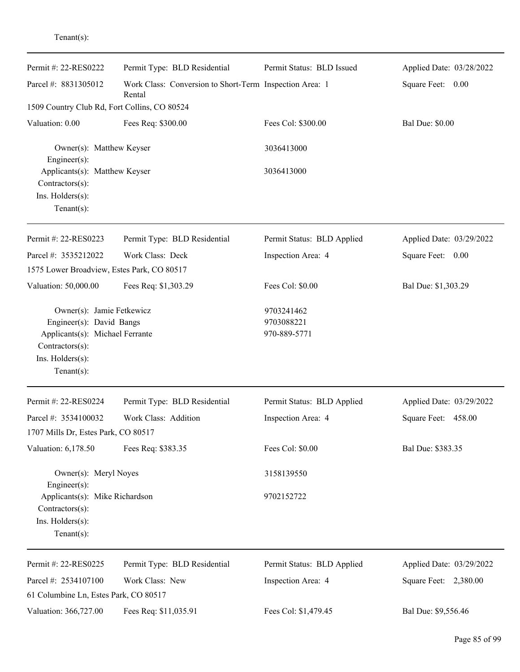| enant( $s$ ): |  |  |
|---------------|--|--|
|               |  |  |

| Permit #: 22-RES0222                                                                                                                             | Permit Type: BLD Residential                                      | Permit Status: BLD Issued                | Applied Date: 03/28/2022 |
|--------------------------------------------------------------------------------------------------------------------------------------------------|-------------------------------------------------------------------|------------------------------------------|--------------------------|
| Parcel #: 8831305012                                                                                                                             | Work Class: Conversion to Short-Term Inspection Area: 1<br>Rental |                                          | Square Feet: 0.00        |
| 1509 Country Club Rd, Fort Collins, CO 80524                                                                                                     |                                                                   |                                          |                          |
| Valuation: 0.00                                                                                                                                  | Fees Req: \$300.00                                                | Fees Col: \$300.00                       | <b>Bal Due: \$0.00</b>   |
| Owner(s): Matthew Keyser<br>Engineer(s):                                                                                                         |                                                                   | 3036413000                               |                          |
| Applicants(s): Matthew Keyser<br>Contractors(s):<br>Ins. Holders(s):<br>Tenant $(s)$ :                                                           |                                                                   | 3036413000                               |                          |
| Permit #: 22-RES0223                                                                                                                             | Permit Type: BLD Residential                                      | Permit Status: BLD Applied               | Applied Date: 03/29/2022 |
| Parcel #: 3535212022<br>1575 Lower Broadview, Estes Park, CO 80517                                                                               | Work Class: Deck                                                  | Inspection Area: 4                       | Square Feet: 0.00        |
| Valuation: 50,000.00                                                                                                                             | Fees Req: \$1,303.29                                              | Fees Col: \$0.00                         | Bal Due: \$1,303.29      |
| Owner(s): Jamie Fetkewicz<br>Engineer(s): David Bangs<br>Applicants(s): Michael Ferrante<br>Contractors(s):<br>Ins. Holders(s):<br>$Tenant(s)$ : |                                                                   | 9703241462<br>9703088221<br>970-889-5771 |                          |
| Permit #: 22-RES0224                                                                                                                             | Permit Type: BLD Residential                                      | Permit Status: BLD Applied               | Applied Date: 03/29/2022 |
| Parcel #: 3534100032<br>1707 Mills Dr, Estes Park, CO 80517                                                                                      | Work Class: Addition                                              | Inspection Area: 4                       | Square Feet:<br>458.00   |
| Valuation: 6,178.50                                                                                                                              | Fees Req: \$383.35                                                | Fees Col: \$0.00                         | Bal Due: \$383.35        |
| Owner(s): Meryl Noyes<br>Engineer(s):                                                                                                            |                                                                   | 3158139550                               |                          |
| Applicants(s): Mike Richardson<br>Contractors(s):<br>Ins. Holders(s):<br>$Tenant(s)$ :                                                           |                                                                   | 9702152722                               |                          |
| Permit #: 22-RES0225                                                                                                                             | Permit Type: BLD Residential                                      | Permit Status: BLD Applied               | Applied Date: 03/29/2022 |
| Parcel #: 2534107100<br>61 Columbine Ln, Estes Park, CO 80517                                                                                    | Work Class: New                                                   | Inspection Area: 4                       | Square Feet: 2,380.00    |
| Valuation: 366,727.00                                                                                                                            | Fees Req: \$11,035.91                                             | Fees Col: \$1,479.45                     | Bal Due: \$9,556.46      |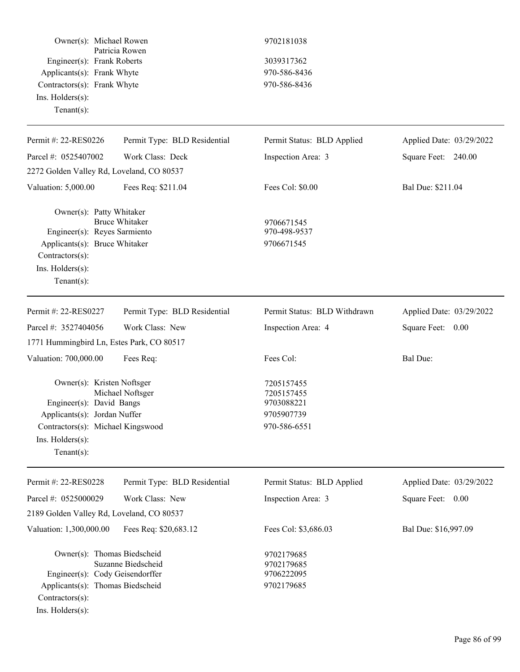| Owner(s): Michael Rowen<br>Engineer(s): Frank Roberts<br>Applicants(s): Frank Whyte<br>Contractors(s): Frank Whyte<br>Ins. Holders(s):<br>Tenant $(s)$ :          | Patricia Rowen               | 9702181038<br>3039317362<br>970-586-8436<br>970-586-8436             |                          |
|-------------------------------------------------------------------------------------------------------------------------------------------------------------------|------------------------------|----------------------------------------------------------------------|--------------------------|
| Permit #: 22-RES0226                                                                                                                                              | Permit Type: BLD Residential | Permit Status: BLD Applied                                           | Applied Date: 03/29/2022 |
| Parcel #: 0525407002                                                                                                                                              | Work Class: Deck             | Inspection Area: 3                                                   | Square Feet: 240.00      |
| 2272 Golden Valley Rd, Loveland, CO 80537                                                                                                                         |                              |                                                                      |                          |
| Valuation: 5,000.00                                                                                                                                               | Fees Req: \$211.04           | Fees Col: \$0.00                                                     | Bal Due: \$211.04        |
| Owner(s): Patty Whitaker<br>Engineer(s): Reyes Sarmiento<br>Applicants(s): Bruce Whitaker<br>Contractors(s):<br>Ins. Holders(s):<br>Tenant $(s)$ :                | <b>Bruce Whitaker</b>        | 9706671545<br>970-498-9537<br>9706671545                             |                          |
| Permit #: 22-RES0227                                                                                                                                              | Permit Type: BLD Residential | Permit Status: BLD Withdrawn                                         | Applied Date: 03/29/2022 |
| Parcel #: 3527404056                                                                                                                                              | Work Class: New              | Inspection Area: 4                                                   | Square Feet: 0.00        |
| 1771 Hummingbird Ln, Estes Park, CO 80517                                                                                                                         |                              |                                                                      |                          |
| Valuation: 700,000.00                                                                                                                                             | Fees Req:                    | Fees Col:                                                            | Bal Due:                 |
| Owner(s): Kristen Noftsger<br>Engineer(s): David Bangs<br>Applicants(s): Jordan Nuffer<br>Contractors(s): Michael Kingswood<br>Ins. Holders(s):<br>Tenant $(s)$ : | Michael Noftsger             | 7205157455<br>7205157455<br>9703088221<br>9705907739<br>970-586-6551 |                          |
| Permit #: 22-RES0228                                                                                                                                              | Permit Type: BLD Residential | Permit Status: BLD Applied                                           | Applied Date: 03/29/2022 |
| Parcel #: 0525000029                                                                                                                                              | Work Class: New              | Inspection Area: 3                                                   | Square Feet: 0.00        |
| 2189 Golden Valley Rd, Loveland, CO 80537                                                                                                                         |                              |                                                                      |                          |
| Valuation: 1,300,000.00                                                                                                                                           | Fees Req: \$20,683.12        | Fees Col: \$3,686.03                                                 | Bal Due: \$16,997.09     |
| Owner(s): Thomas Biedscheid<br>Engineer(s): Cody Geisendorffer<br>Applicants(s): Thomas Biedscheid<br>Contractors(s):<br>Ins. Holders(s):                         | Suzanne Biedscheid           | 9702179685<br>9702179685<br>9706222095<br>9702179685                 |                          |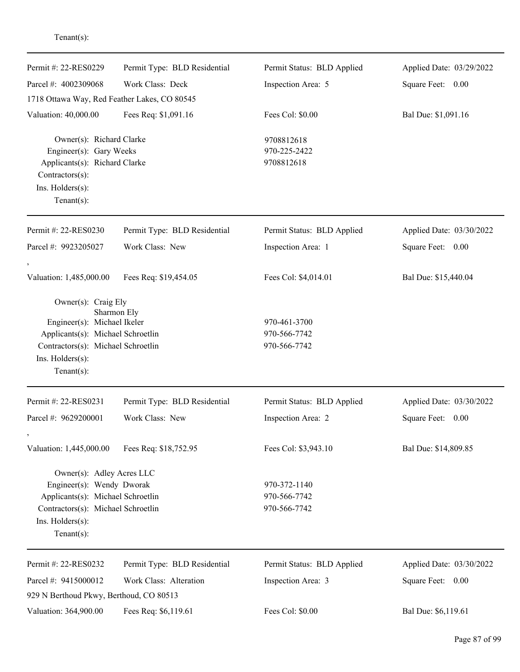| Permit #: 22-RES0229                                                                                                                                                | Permit Type: BLD Residential | Permit Status: BLD Applied                   | Applied Date: 03/29/2022 |
|---------------------------------------------------------------------------------------------------------------------------------------------------------------------|------------------------------|----------------------------------------------|--------------------------|
| Parcel #: 4002309068                                                                                                                                                | Work Class: Deck             | Inspection Area: 5                           | Square Feet: 0.00        |
| 1718 Ottawa Way, Red Feather Lakes, CO 80545                                                                                                                        |                              |                                              |                          |
| Valuation: 40,000.00                                                                                                                                                | Fees Req: \$1,091.16         | Fees Col: \$0.00                             | Bal Due: \$1,091.16      |
| Owner(s): Richard Clarke<br>Engineer(s): Gary Weeks<br>Applicants(s): Richard Clarke<br>Contractors(s):<br>Ins. Holders(s):<br>Tenant $(s)$ :                       |                              | 9708812618<br>970-225-2422<br>9708812618     |                          |
| Permit #: 22-RES0230                                                                                                                                                | Permit Type: BLD Residential | Permit Status: BLD Applied                   | Applied Date: 03/30/2022 |
| Parcel #: 9923205027                                                                                                                                                | Work Class: New              | Inspection Area: 1                           | Square Feet: 0.00        |
| Valuation: 1,485,000.00                                                                                                                                             | Fees Req: \$19,454.05        | Fees Col: \$4,014.01                         | Bal Due: \$15,440.04     |
| Owner(s): Craig Ely<br>Engineer(s): Michael Ikeler<br>Applicants(s): Michael Schroetlin<br>Contractors(s): Michael Schroetlin<br>Ins. Holders(s):<br>Tenant $(s)$ : | Sharmon Ely                  | 970-461-3700<br>970-566-7742<br>970-566-7742 |                          |
| Permit #: 22-RES0231                                                                                                                                                | Permit Type: BLD Residential | Permit Status: BLD Applied                   | Applied Date: 03/30/2022 |
| Parcel #: 9629200001                                                                                                                                                | Work Class: New              | Inspection Area: 2                           | Square Feet:<br>0.00     |
| Valuation: 1,445,000.00                                                                                                                                             | Fees Req: \$18,752.95        | Fees Col: \$3,943.10                         | Bal Due: \$14,809.85     |
| Owner(s): Adley Acres LLC<br>Engineer(s): Wendy Dworak<br>Applicants(s): Michael Schroetlin<br>Contractors(s): Michael Schroetlin<br>Ins. Holders(s):<br>Tenant(s): |                              | 970-372-1140<br>970-566-7742<br>970-566-7742 |                          |
| Permit #: 22-RES0232                                                                                                                                                | Permit Type: BLD Residential | Permit Status: BLD Applied                   | Applied Date: 03/30/2022 |
| Parcel #: 9415000012<br>929 N Berthoud Pkwy, Berthoud, CO 80513                                                                                                     | Work Class: Alteration       | Inspection Area: 3                           | Square Feet:<br>0.00     |
| Valuation: 364,900.00                                                                                                                                               | Fees Req: \$6,119.61         | Fees Col: \$0.00                             | Bal Due: \$6,119.61      |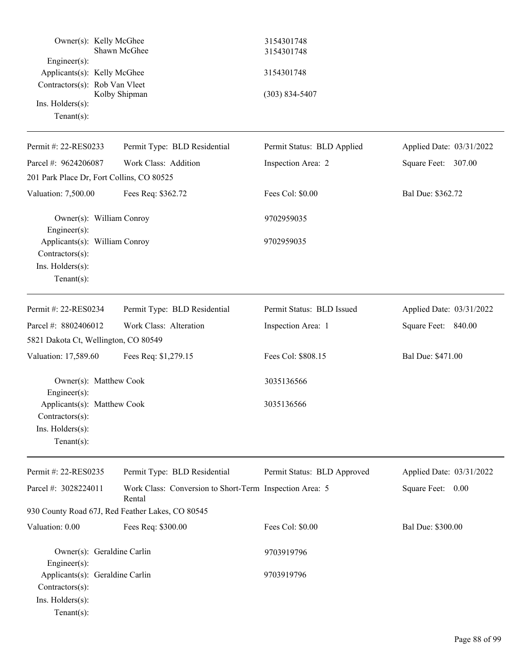|                                                                                      | Owner(s): Kelly McGhee<br>Shawn McGhee                            | 3154301748<br>3154301748    |                          |
|--------------------------------------------------------------------------------------|-------------------------------------------------------------------|-----------------------------|--------------------------|
| Engineer(s):<br>Applicants(s): Kelly McGhee                                          |                                                                   | 3154301748                  |                          |
| Contractors(s): Rob Van Vleet<br>Ins. Holders(s):<br>Tenant $(s)$ :                  | Kolby Shipman                                                     | $(303) 834 - 5407$          |                          |
| Permit #: 22-RES0233                                                                 | Permit Type: BLD Residential                                      | Permit Status: BLD Applied  | Applied Date: 03/31/2022 |
| Parcel #: 9624206087                                                                 | Work Class: Addition                                              | Inspection Area: 2          | Square Feet: 307.00      |
|                                                                                      | 201 Park Place Dr, Fort Collins, CO 80525                         |                             |                          |
| Valuation: 7,500.00                                                                  | Fees Req: \$362.72                                                | Fees Col: \$0.00            | Bal Due: \$362.72        |
| Engineer(s):                                                                         | Owner(s): William Conroy                                          | 9702959035                  |                          |
| Contractors(s):<br>Ins. Holders(s):<br>$Tenant(s)$ :                                 | Applicants(s): William Conroy                                     | 9702959035                  |                          |
| Permit #: 22-RES0234                                                                 | Permit Type: BLD Residential                                      | Permit Status: BLD Issued   | Applied Date: 03/31/2022 |
| Parcel #: 8802406012                                                                 | Work Class: Alteration                                            | Inspection Area: 1          | Square Feet: 840.00      |
|                                                                                      | 5821 Dakota Ct, Wellington, CO 80549                              |                             |                          |
| Valuation: 17,589.60                                                                 | Fees Req: \$1,279.15                                              | Fees Col: \$808.15          | Bal Due: \$471.00        |
| Engineer(s):                                                                         | Owner(s): Matthew Cook                                            | 3035136566                  |                          |
| Applicants(s): Matthew Cook<br>Contractors(s):<br>Ins. Holders(s):<br>Tenant $(s)$ : |                                                                   | 3035136566                  |                          |
| Permit #: 22-RES0235                                                                 | Permit Type: BLD Residential                                      | Permit Status: BLD Approved | Applied Date: 03/31/2022 |
| Parcel #: 3028224011                                                                 | Work Class: Conversion to Short-Term Inspection Area: 5<br>Rental |                             | Square Feet: 0.00        |
|                                                                                      | 930 County Road 67J, Red Feather Lakes, CO 80545                  |                             |                          |
| Valuation: 0.00                                                                      | Fees Req: \$300.00                                                | Fees Col: \$0.00            | Bal Due: \$300.00        |
| Engineer(s):                                                                         | Owner(s): Geraldine Carlin                                        | 9703919796                  |                          |
| Contractors(s):<br>Ins. Holders(s):<br>Tenant $(s)$ :                                | Applicants(s): Geraldine Carlin                                   | 9703919796                  |                          |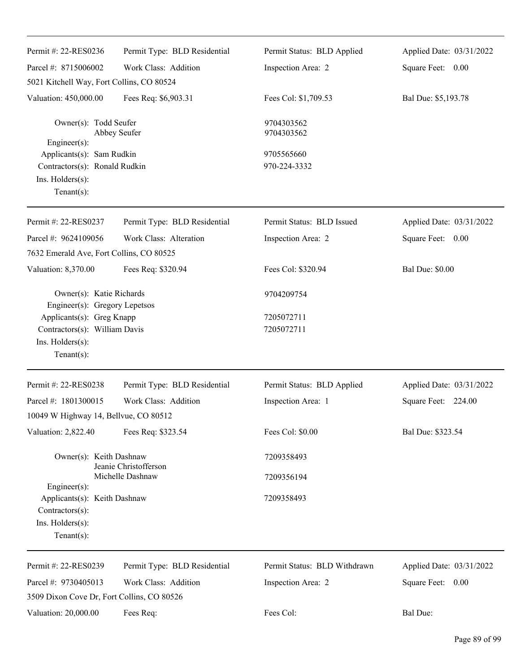| Permit #: 22-RES0236                                                                                                   | Permit Type: BLD Residential | Permit Status: BLD Applied   | Applied Date: 03/31/2022 |
|------------------------------------------------------------------------------------------------------------------------|------------------------------|------------------------------|--------------------------|
| Parcel #: 8715006002                                                                                                   | Work Class: Addition         | Inspection Area: 2           | Square Feet: 0.00        |
| 5021 Kitchell Way, Fort Collins, CO 80524                                                                              |                              |                              |                          |
|                                                                                                                        |                              |                              |                          |
| Valuation: 450,000.00                                                                                                  | Fees Req: \$6,903.31         | Fees Col: \$1,709.53         | Bal Due: \$5,193.78      |
| Owner(s): Todd Seufer                                                                                                  | Abbey Seufer                 | 9704303562<br>9704303562     |                          |
| $Engineering(s)$ :<br>Applicants(s): Sam Rudkin<br>Contractors(s): Ronald Rudkin<br>Ins. Holders(s):<br>Tenant $(s)$ : |                              | 9705565660<br>970-224-3332   |                          |
| Permit #: 22-RES0237                                                                                                   | Permit Type: BLD Residential | Permit Status: BLD Issued    | Applied Date: 03/31/2022 |
| Parcel #: 9624109056                                                                                                   | Work Class: Alteration       | Inspection Area: 2           | Square Feet: 0.00        |
| 7632 Emerald Ave, Fort Collins, CO 80525                                                                               |                              |                              |                          |
| Valuation: 8,370.00                                                                                                    | Fees Req: \$320.94           | Fees Col: \$320.94           | <b>Bal Due: \$0.00</b>   |
| Owner(s): Katie Richards<br>Engineer(s): Gregory Lepetsos                                                              |                              | 9704209754                   |                          |
| Applicants(s): Greg Knapp<br>Contractors(s): William Davis<br>Ins. $H$ olders $(s)$ :<br>Tenant $(s)$ :                |                              | 7205072711<br>7205072711     |                          |
| Permit #: 22-RES0238                                                                                                   | Permit Type: BLD Residential | Permit Status: BLD Applied   | Applied Date: 03/31/2022 |
| Parcel #: 1801300015                                                                                                   | Work Class: Addition         | Inspection Area: 1           | Square Feet: 224.00      |
| 10049 W Highway 14, Bellvue, CO 80512                                                                                  |                              |                              |                          |
| Valuation: 2,822.40                                                                                                    | Fees Req: \$323.54           | Fees Col: \$0.00             | Bal Due: \$323.54        |
| Owner(s): Keith Dashnaw                                                                                                | Jeanie Christofferson        | 7209358493                   |                          |
| $Engineering(s)$ :                                                                                                     | Michelle Dashnaw             | 7209356194                   |                          |
| Applicants(s): Keith Dashnaw<br>Contractors(s):                                                                        |                              | 7209358493                   |                          |
| Ins. Holders(s):<br>Tenant $(s)$ :                                                                                     |                              |                              |                          |
| Permit #: 22-RES0239                                                                                                   | Permit Type: BLD Residential | Permit Status: BLD Withdrawn | Applied Date: 03/31/2022 |
| Parcel #: 9730405013                                                                                                   | Work Class: Addition         | Inspection Area: 2           | Square Feet: 0.00        |
| 3509 Dixon Cove Dr, Fort Collins, CO 80526                                                                             |                              |                              |                          |
| Valuation: 20,000.00                                                                                                   | Fees Req:                    | Fees Col:                    | Bal Due:                 |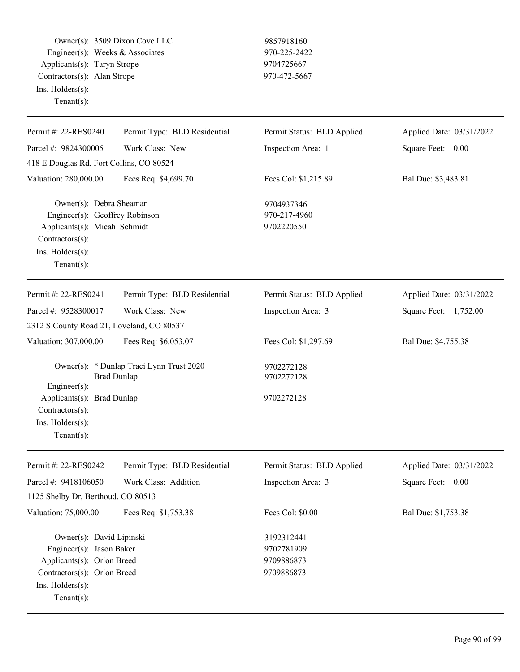Owner(s): 3509 Dixon Cove LLC 9857918160 Engineer(s): Weeks & Associates 970-225-2422 Applicants(s): Taryn Strope 9704725667 Contractors(s): Alan Strope 970-472-5667 Ins. Holders(s): Tenant(s):

| Permit #: 22-RES0240                                                                                                                                    | Permit Type: BLD Residential                                   | Permit Status: BLD Applied                           | Applied Date: 03/31/2022 |
|---------------------------------------------------------------------------------------------------------------------------------------------------------|----------------------------------------------------------------|------------------------------------------------------|--------------------------|
| Parcel #: 9824300005                                                                                                                                    | Work Class: New                                                | Inspection Area: 1                                   | Square Feet: 0.00        |
| 418 E Douglas Rd, Fort Collins, CO 80524                                                                                                                |                                                                |                                                      |                          |
| Valuation: 280,000.00                                                                                                                                   | Fees Req: \$4,699.70                                           | Fees Col: \$1,215.89                                 | Bal Due: \$3,483.81      |
| Owner(s): Debra Sheaman<br>Engineer(s): Geoffrey Robinson<br>Applicants(s): Micah Schmidt<br>Contractors(s):<br>Ins. Holders(s):<br>Tenant $(s)$ :      |                                                                | 9704937346<br>970-217-4960<br>9702220550             |                          |
| Permit #: 22-RES0241                                                                                                                                    | Permit Type: BLD Residential                                   | Permit Status: BLD Applied                           | Applied Date: 03/31/2022 |
| Parcel #: 9528300017                                                                                                                                    | Work Class: New                                                | Inspection Area: 3                                   | Square Feet: 1,752.00    |
| 2312 S County Road 21, Loveland, CO 80537                                                                                                               |                                                                |                                                      |                          |
| Valuation: 307,000.00                                                                                                                                   | Fees Req: \$6,053.07                                           | Fees Col: \$1,297.69                                 | Bal Due: \$4,755.38      |
| Engineer(s):                                                                                                                                            | Owner(s): * Dunlap Traci Lynn Trust 2020<br><b>Brad Dunlap</b> | 9702272128<br>9702272128                             |                          |
| Applicants(s): Brad Dunlap<br>Contractors(s):<br>Ins. Holders(s):<br>Tenant $(s)$ :                                                                     |                                                                | 9702272128                                           |                          |
| Permit #: 22-RES0242                                                                                                                                    | Permit Type: BLD Residential                                   | Permit Status: BLD Applied                           | Applied Date: 03/31/2022 |
| Parcel #: 9418106050                                                                                                                                    | Work Class: Addition                                           | Inspection Area: 3                                   | Square Feet:<br>0.00     |
| 1125 Shelby Dr, Berthoud, CO 80513                                                                                                                      |                                                                |                                                      |                          |
| Valuation: 75,000.00                                                                                                                                    | Fees Req: \$1,753.38                                           | Fees Col: \$0.00                                     | Bal Due: \$1,753.38      |
| Owner(s): David Lipinski<br>Engineer(s): Jason Baker<br>Applicants(s): Orion Breed<br>Contractors(s): Orion Breed<br>Ins. Holders(s):<br>Tenant $(s)$ : |                                                                | 3192312441<br>9702781909<br>9709886873<br>9709886873 |                          |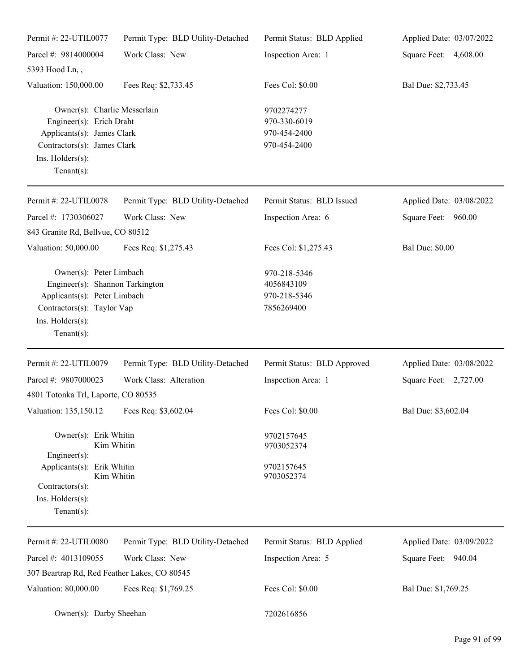| Permit #: 22-UTIL0077                                                                                                                                         | Permit Type: BLD Utility-Detached | Permit Status: BLD Applied                                 | Applied Date: 03/07/2022 |
|---------------------------------------------------------------------------------------------------------------------------------------------------------------|-----------------------------------|------------------------------------------------------------|--------------------------|
| Parcel #: 9814000004                                                                                                                                          | Work Class: New                   | Inspection Area: 1                                         | Square Feet: 4,608.00    |
| 5393 Hood Ln,,                                                                                                                                                |                                   |                                                            |                          |
| Valuation: 150,000.00                                                                                                                                         | Fees Req: \$2,733.45              | Fees Col: \$0.00                                           | Bal Due: \$2,733.45      |
| Owner(s): Charlie Messerlain<br>Engineer(s): Erich Draht<br>Applicants(s): James Clark<br>Contractors(s): James Clark<br>Ins. Holders(s):<br>$Tenant(s)$ :    |                                   | 9702274277<br>970-330-6019<br>970-454-2400<br>970-454-2400 |                          |
| Permit #: 22-UTIL0078                                                                                                                                         | Permit Type: BLD Utility-Detached | Permit Status: BLD Issued                                  | Applied Date: 03/08/2022 |
| Parcel #: 1730306027                                                                                                                                          | Work Class: New                   | Inspection Area: 6                                         | Square Feet: 960.00      |
| 843 Granite Rd, Bellvue, CO 80512                                                                                                                             |                                   |                                                            |                          |
| Valuation: 50,000.00                                                                                                                                          | Fees Req: \$1,275.43              | Fees Col: \$1,275.43                                       | <b>Bal Due: \$0.00</b>   |
| Owner(s): Peter Limbach<br>Engineer(s): Shannon Tarkington<br>Applicants(s): Peter Limbach<br>Contractors(s): Taylor Vap<br>Ins. Holders(s):<br>$Tenant(s)$ : |                                   | 970-218-5346<br>4056843109<br>970-218-5346<br>7856269400   |                          |
| Permit #: 22-UTIL0079                                                                                                                                         | Permit Type: BLD Utility-Detached | Permit Status: BLD Approved                                | Applied Date: 03/08/2022 |
| Parcel #: 9807000023                                                                                                                                          | Work Class: Alteration            | Inspection Area: 1                                         | Square Feet: 2,727.00    |
| 4801 Totonka Trl, Laporte, CO 80535                                                                                                                           |                                   |                                                            |                          |
| Valuation: 135,150.12 Fees Req: \$3,602.04                                                                                                                    |                                   | Fees Col: \$0.00                                           | Bal Due: \$3,602.04      |
| Owner(s): Erik Whitin<br>Kim Whitin<br>Engineer(s):                                                                                                           |                                   | 9702157645<br>9703052374                                   |                          |
| Applicants(s): Erik Whitin<br>Kim Whitin<br>Contractors(s):<br>Ins. Holders(s):<br>Tenant $(s)$ :                                                             |                                   | 9702157645<br>9703052374                                   |                          |
| Permit #: 22-UTIL0080                                                                                                                                         | Permit Type: BLD Utility-Detached | Permit Status: BLD Applied                                 | Applied Date: 03/09/2022 |
| Parcel #: 4013109055                                                                                                                                          | Work Class: New                   | Inspection Area: 5                                         | Square Feet: 940.04      |
| 307 Beartrap Rd, Red Feather Lakes, CO 80545                                                                                                                  |                                   |                                                            |                          |
| Valuation: 80,000.00                                                                                                                                          | Fees Req: \$1,769.25              | Fees Col: \$0.00                                           | Bal Due: \$1,769.25      |
| Owner(s): Darby Sheehan                                                                                                                                       |                                   | 7202616856                                                 |                          |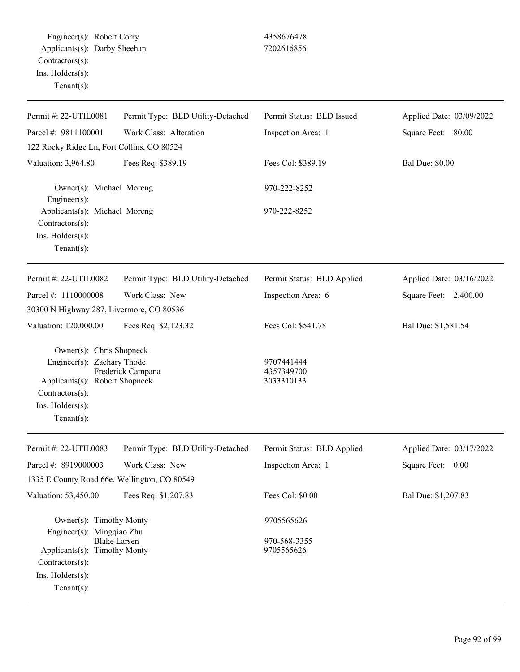Engineer(s): Robert Corry 4358676478 Applicants(s): Darby Sheehan 7202616856 Contractors(s): Ins. Holders(s): Tenant(s):

| Permit #: 22-UTIL0081                                                                                                                            | Permit Type: BLD Utility-Detached | Permit Status: BLD Issued              | Applied Date: 03/09/2022 |
|--------------------------------------------------------------------------------------------------------------------------------------------------|-----------------------------------|----------------------------------------|--------------------------|
| Parcel #: 9811100001                                                                                                                             | Work Class: Alteration            | Inspection Area: 1                     | Square Feet: 80.00       |
| 122 Rocky Ridge Ln, Fort Collins, CO 80524                                                                                                       |                                   |                                        |                          |
| Valuation: 3,964.80                                                                                                                              | Fees Req: \$389.19                | Fees Col: \$389.19                     | <b>Bal Due: \$0.00</b>   |
| Owner(s): Michael Moreng<br>Engineer(s):                                                                                                         |                                   | 970-222-8252                           |                          |
| Applicants(s): Michael Moreng<br>Contractors(s):<br>Ins. $H$ olders $(s)$ :<br>$Tenant(s)$ :                                                     |                                   | 970-222-8252                           |                          |
| Permit #: 22-UTIL0082                                                                                                                            | Permit Type: BLD Utility-Detached | Permit Status: BLD Applied             | Applied Date: 03/16/2022 |
| Parcel #: 1110000008                                                                                                                             | Work Class: New                   | Inspection Area: 6                     | Square Feet: 2,400.00    |
| 30300 N Highway 287, Livermore, CO 80536                                                                                                         |                                   |                                        |                          |
| Valuation: 120,000.00                                                                                                                            | Fees Req: \$2,123.32              | Fees Col: \$541.78                     | Bal Due: \$1,581.54      |
| Owner(s): Chris Shopneck<br>Engineer(s): Zachary Thode<br>Applicants(s): Robert Shopneck<br>Contractors(s):<br>Ins. Holders(s):<br>$Tenant(s)$ : | Frederick Campana                 | 9707441444<br>4357349700<br>3033310133 |                          |
| Permit #: 22-UTIL0083                                                                                                                            | Permit Type: BLD Utility-Detached | Permit Status: BLD Applied             | Applied Date: 03/17/2022 |
| Parcel #: 8919000003                                                                                                                             | Work Class: New                   | Inspection Area: 1                     | Square Feet: 0.00        |
| 1335 E County Road 66e, Wellington, CO 80549                                                                                                     |                                   |                                        |                          |
| Valuation: 53,450.00                                                                                                                             | Fees Req: \$1,207.83              | Fees Col: \$0.00                       | Bal Due: \$1,207.83      |
| Owner(s): Timothy Monty<br>Engineer(s): Mingqiao Zhu                                                                                             |                                   | 9705565626                             |                          |
| <b>Blake Larsen</b><br>Applicants(s): Timothy Monty<br>Contractors(s):<br>Ins. Holders(s):                                                       |                                   | 970-568-3355<br>9705565626             |                          |

Tenant(s):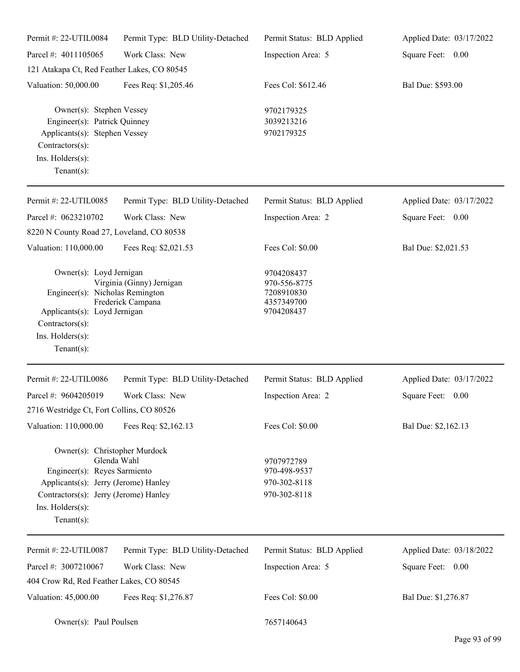| Permit #: 22-UTIL0084                                                                                                                                                                | Permit Type: BLD Utility-Detached              | Permit Status: BLD Applied                                           | Applied Date: 03/17/2022 |
|--------------------------------------------------------------------------------------------------------------------------------------------------------------------------------------|------------------------------------------------|----------------------------------------------------------------------|--------------------------|
| Parcel #: 4011105065                                                                                                                                                                 | Work Class: New                                | Inspection Area: 5                                                   | Square Feet: 0.00        |
| 121 Atakapa Ct, Red Feather Lakes, CO 80545                                                                                                                                          |                                                |                                                                      |                          |
| Valuation: 50,000.00                                                                                                                                                                 | Fees Req: \$1,205.46                           | Fees Col: \$612.46                                                   | Bal Due: \$593.00        |
| Owner(s): Stephen Vessey<br>Engineer(s): Patrick Quinney<br>Applicants(s): Stephen Vessey<br>Contractors(s):<br>Ins. Holders(s):<br>Tenant $(s)$ :                                   |                                                | 9702179325<br>3039213216<br>9702179325                               |                          |
| Permit #: 22-UTIL0085                                                                                                                                                                | Permit Type: BLD Utility-Detached              | Permit Status: BLD Applied                                           | Applied Date: 03/17/2022 |
| Parcel #: 0623210702<br>8220 N County Road 27, Loveland, CO 80538                                                                                                                    | Work Class: New                                | Inspection Area: 2                                                   | Square Feet: 0.00        |
| Valuation: 110,000.00                                                                                                                                                                | Fees Req: \$2,021.53                           | Fees Col: \$0.00                                                     | Bal Due: \$2,021.53      |
| Owner(s): Loyd Jernigan<br>Engineer(s): Nicholas Remington<br>Applicants(s): Loyd Jernigan<br>Contractors(s):<br>Ins. Holders(s):<br>Tenant $(s)$ :                                  | Virginia (Ginny) Jernigan<br>Frederick Campana | 9704208437<br>970-556-8775<br>7208910830<br>4357349700<br>9704208437 |                          |
| Permit #: 22-UTIL0086                                                                                                                                                                | Permit Type: BLD Utility-Detached              | Permit Status: BLD Applied                                           | Applied Date: 03/17/2022 |
| Parcel #: 9604205019                                                                                                                                                                 | Work Class: New                                | Inspection Area: 2                                                   | Square Feet:<br>0.00     |
| 2716 Westridge Ct, Fort Collins, CO 80526                                                                                                                                            |                                                |                                                                      |                          |
| Valuation: 110,000.00                                                                                                                                                                | Fees Req: \$2,162.13                           | Fees Col: \$0.00                                                     | Bal Due: \$2,162.13      |
| Owner(s): Christopher Murdock<br>Engineer(s): Reyes Sarmiento<br>Applicants(s): Jerry (Jerome) Hanley<br>Contractors(s): Jerry (Jerome) Hanley<br>Ins. Holders(s):<br>Tenant $(s)$ : | Glenda Wahl                                    | 9707972789<br>970-498-9537<br>970-302-8118<br>970-302-8118           |                          |
| Permit #: 22-UTIL0087                                                                                                                                                                | Permit Type: BLD Utility-Detached              | Permit Status: BLD Applied                                           | Applied Date: 03/18/2022 |
| Parcel #: 3007210067                                                                                                                                                                 | Work Class: New                                | Inspection Area: 5                                                   | 0.00<br>Square Feet:     |
| 404 Crow Rd, Red Feather Lakes, CO 80545                                                                                                                                             |                                                |                                                                      |                          |
| Valuation: 45,000.00                                                                                                                                                                 | Fees Req: \$1,276.87                           | Fees Col: \$0.00                                                     | Bal Due: \$1,276.87      |
| Owner(s): Paul Poulsen                                                                                                                                                               |                                                | 7657140643                                                           |                          |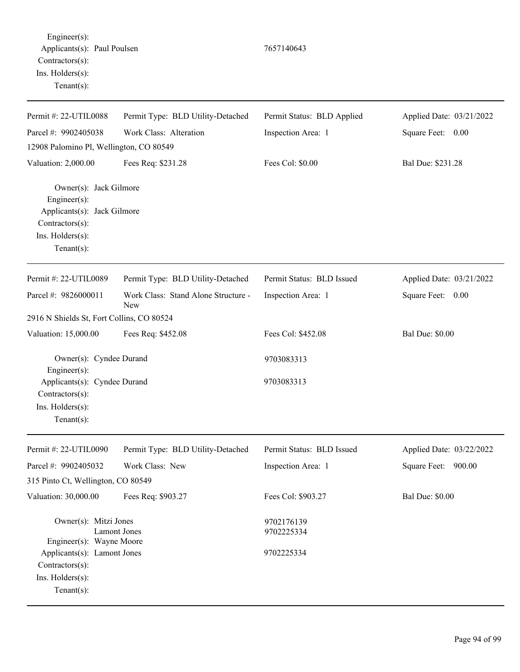Engineer(s): Applicants(s): Paul Poulsen 7657140643 Contractors(s): Ins. Holders(s): Tenant(s):

Permit #: 22-UTIL0088 Parcel #: 9902405038 Permit Type: BLD Utility-Detached Work Class: Alteration Permit Status: BLD Applied Inspection Area: 1 Applied Date: 03/21/2022 Square Feet: 0.00 12908 Palomino Pl, Wellington, CO 80549 Valuation: 2,000.00 Fees Req: \$231.28 Fees Col: \$0.00 Bal Due: \$231.28 Owner(s): Jack Gilmore Engineer(s): Applicants(s): Jack Gilmore Contractors(s): Ins. Holders(s): Tenant(s): Permit #: 22-UTIL0089 Parcel #: 9826000011 Permit Type: BLD Utility-Detached Work Class: Stand Alone Structure - New Permit Status: BLD Issued Inspection Area: 1 Applied Date: 03/21/2022 Square Feet: 0.00 2916 N Shields St, Fort Collins, CO 80524 Valuation: 15,000.00 Fees Req: \$452.08 Fees Col: \$452.08 Bal Due: \$0.00 Owner(s): Cyndee Durand 9703083313 Engineer(s): Applicants(s): Cyndee Durand 9703083313 Contractors(s): Ins. Holders(s): Tenant(s): Permit #: 22-UTIL0090 Parcel #: 9902405032 Permit Type: BLD Utility-Detached Work Class: New Permit Status: BLD Issued Inspection Area: 1 Applied Date: 03/22/2022 Square Feet: 900.00 315 Pinto Ct, Wellington, CO 80549 Valuation: 30,000.00 Fees Req: \$903.27 Fees Col: \$903.27 Bal Due: \$0.00 Owner(s): Mitzi Jones 9702176139 Lamont Jones 9702225334 Engineer(s): Wayne Moore Applicants(s): Lamont Jones 9702225334 Contractors(s): Ins. Holders(s):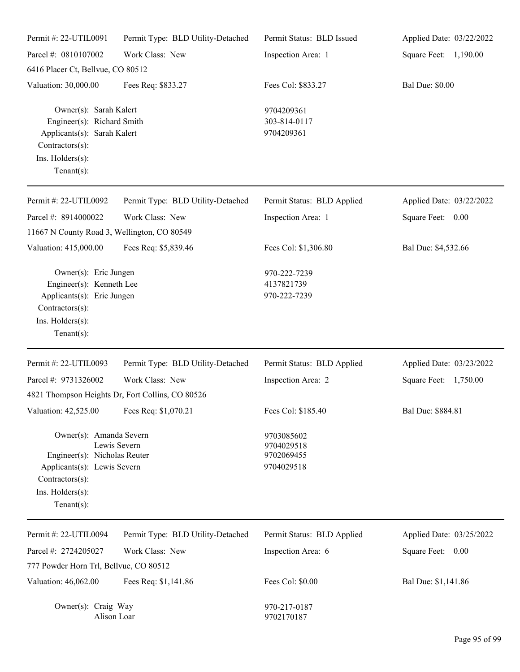| Permit #: 22-UTIL0091                                                                                                                           | Permit Type: BLD Utility-Detached                | Permit Status: BLD Issued                            | Applied Date: 03/22/2022 |
|-------------------------------------------------------------------------------------------------------------------------------------------------|--------------------------------------------------|------------------------------------------------------|--------------------------|
| Parcel #: 0810107002                                                                                                                            | Work Class: New                                  | Inspection Area: 1                                   | Square Feet: 1,190.00    |
| 6416 Placer Ct, Bellvue, CO 80512                                                                                                               |                                                  |                                                      |                          |
| Valuation: 30,000.00                                                                                                                            | Fees Req: \$833.27                               | Fees Col: \$833.27                                   | <b>Bal Due: \$0.00</b>   |
| Owner(s): Sarah Kalert<br>Engineer(s): Richard Smith<br>Applicants(s): Sarah Kalert<br>Contractors(s):<br>Ins. Holders(s):<br>Tenant $(s)$ :    |                                                  | 9704209361<br>303-814-0117<br>9704209361             |                          |
| Permit #: 22-UTIL0092                                                                                                                           | Permit Type: BLD Utility-Detached                | Permit Status: BLD Applied                           | Applied Date: 03/22/2022 |
| Parcel #: 8914000022                                                                                                                            | Work Class: New                                  | Inspection Area: 1                                   | Square Feet: 0.00        |
| 11667 N County Road 3, Wellington, CO 80549                                                                                                     |                                                  |                                                      |                          |
| Valuation: 415,000.00                                                                                                                           | Fees Req: \$5,839.46                             | Fees Col: \$1,306.80                                 | Bal Due: \$4,532.66      |
| Owner(s): Eric Jungen<br>Engineer(s): Kenneth Lee<br>Applicants(s): Eric Jungen<br>Contractors(s):<br>Ins. Holders(s):<br>Tenant $(s)$ :        |                                                  | 970-222-7239<br>4137821739<br>970-222-7239           |                          |
| Permit #: 22-UTIL0093                                                                                                                           | Permit Type: BLD Utility-Detached                | Permit Status: BLD Applied                           | Applied Date: 03/23/2022 |
| Parcel #: 9731326002                                                                                                                            | Work Class: New                                  | Inspection Area: 2                                   | Square Feet: 1,750.00    |
|                                                                                                                                                 | 4821 Thompson Heights Dr, Fort Collins, CO 80526 |                                                      |                          |
| Valuation: 42,525.00                                                                                                                            | Fees Req: \$1,070.21                             | Fees Col: \$185.40                                   | Bal Due: \$884.81        |
| Owner(s): Amanda Severn<br>Engineer(s): Nicholas Reuter<br>Applicants(s): Lewis Severn<br>Contractors(s):<br>Ins. Holders(s):<br>Tenant $(s)$ : | Lewis Severn                                     | 9703085602<br>9704029518<br>9702069455<br>9704029518 |                          |
| Permit #: 22-UTIL0094                                                                                                                           | Permit Type: BLD Utility-Detached                | Permit Status: BLD Applied                           | Applied Date: 03/25/2022 |
| Parcel #: 2724205027                                                                                                                            | Work Class: New                                  | Inspection Area: 6                                   | Square Feet: 0.00        |
| 777 Powder Horn Trl, Bellvue, CO 80512                                                                                                          |                                                  |                                                      |                          |
| Valuation: 46,062.00                                                                                                                            | Fees Req: \$1,141.86                             | Fees Col: \$0.00                                     | Bal Due: \$1,141.86      |
| Owner(s): Craig Way<br>Alison Loar                                                                                                              |                                                  | 970-217-0187<br>9702170187                           |                          |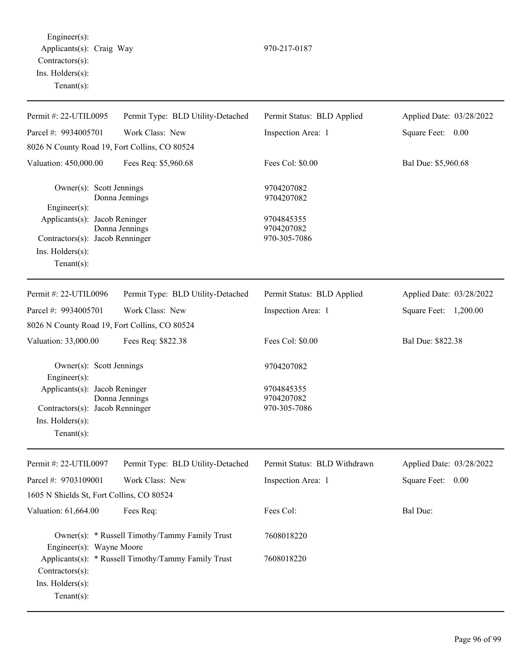Engineer(s): Applicants(s): Craig Way 970-217-0187 Contractors(s): Ins. Holders(s): Tenant(s):

| Permit #: 22-UTIL0095                                                                                 | Permit Type: BLD Utility-Detached                   | Permit Status: BLD Applied               | Applied Date: 03/28/2022 |
|-------------------------------------------------------------------------------------------------------|-----------------------------------------------------|------------------------------------------|--------------------------|
| Parcel #: 9934005701                                                                                  | Work Class: New                                     | Inspection Area: 1                       | Square Feet: 0.00        |
| 8026 N County Road 19, Fort Collins, CO 80524                                                         |                                                     |                                          |                          |
| Valuation: 450,000.00                                                                                 | Fees Req: \$5,960.68                                | Fees Col: \$0.00                         | Bal Due: \$5,960.68      |
| Owner(s): Scott Jennings<br>Engineer(s):                                                              | Donna Jennings                                      | 9704207082<br>9704207082                 |                          |
| Applicants(s): Jacob Reninger<br>Contractors(s): Jacob Renninger<br>Ins. Holders(s):<br>$Tenant(s)$ : | Donna Jennings                                      | 9704845355<br>9704207082<br>970-305-7086 |                          |
| Permit #: 22-UTIL0096                                                                                 | Permit Type: BLD Utility-Detached                   | Permit Status: BLD Applied               | Applied Date: 03/28/2022 |
| Parcel #: 9934005701                                                                                  | Work Class: New                                     | Inspection Area: 1                       | Square Feet: 1,200.00    |
| 8026 N County Road 19, Fort Collins, CO 80524                                                         |                                                     |                                          |                          |
| Valuation: 33,000.00                                                                                  | Fees Req: \$822.38                                  | Fees Col: \$0.00                         | Bal Due: \$822.38        |
| Owner(s): Scott Jennings<br>Engineer(s):                                                              |                                                     | 9704207082                               |                          |
| Applicants(s): Jacob Reninger<br>Contractors(s): Jacob Renninger<br>Ins. Holders(s):<br>$Tenant(s)$ : | Donna Jennings                                      | 9704845355<br>9704207082<br>970-305-7086 |                          |
| Permit #: 22-UTIL0097                                                                                 | Permit Type: BLD Utility-Detached                   | Permit Status: BLD Withdrawn             | Applied Date: 03/28/2022 |
| Parcel #: 9703109001                                                                                  | Work Class: New                                     | Inspection Area: 1                       | Square Feet: 0.00        |
| 1605 N Shields St, Fort Collins, CO 80524                                                             |                                                     |                                          |                          |
| Valuation: 61,664.00                                                                                  | Fees Req:                                           | Fees Col:                                | <b>Bal Due:</b>          |
| Engineer(s): Wayne Moore                                                                              | Owner(s): * Russell Timothy/Tammy Family Trust      | 7608018220                               |                          |
| Contractors(s):<br>Ins. Holders(s):<br>Tenant(s):                                                     | Applicants(s): * Russell Timothy/Tammy Family Trust | 7608018220                               |                          |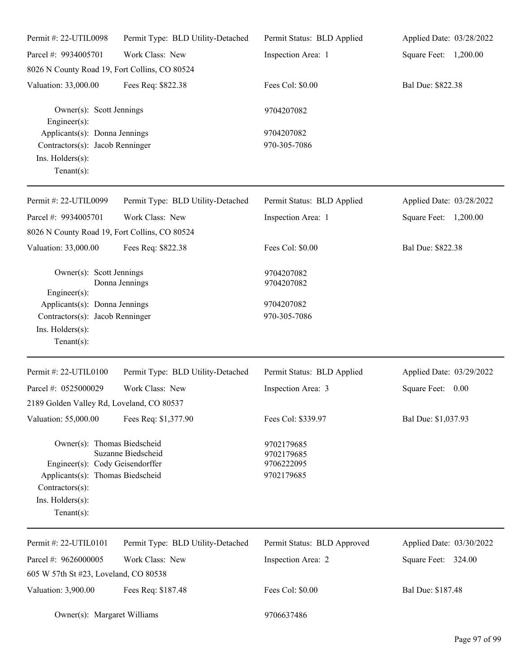| Permit #: 22-UTIL0098                                                                                                                                       | Permit Type: BLD Utility-Detached | Permit Status: BLD Applied                             | Applied Date: 03/28/2022 |
|-------------------------------------------------------------------------------------------------------------------------------------------------------------|-----------------------------------|--------------------------------------------------------|--------------------------|
| Parcel #: 9934005701                                                                                                                                        | Work Class: New                   | Inspection Area: 1                                     | Square Feet: 1,200.00    |
| 8026 N County Road 19, Fort Collins, CO 80524                                                                                                               |                                   |                                                        |                          |
| Valuation: 33,000.00                                                                                                                                        | Fees Req: \$822.38                | Fees Col: \$0.00                                       | Bal Due: \$822.38        |
| Owner(s): Scott Jennings<br>Engineer(s):                                                                                                                    |                                   | 9704207082                                             |                          |
| Applicants(s): Donna Jennings<br>Contractors(s): Jacob Renninger<br>Ins. Holders(s):<br>Tenant $(s)$ :                                                      |                                   | 9704207082<br>970-305-7086                             |                          |
| Permit #: 22-UTIL0099                                                                                                                                       | Permit Type: BLD Utility-Detached | Permit Status: BLD Applied                             | Applied Date: 03/28/2022 |
| Parcel #: 9934005701                                                                                                                                        | Work Class: New                   | Inspection Area: 1                                     | Square Feet: 1,200.00    |
| 8026 N County Road 19, Fort Collins, CO 80524                                                                                                               |                                   |                                                        |                          |
| Valuation: 33,000.00                                                                                                                                        | Fees Req: \$822.38                | Fees Col: \$0.00                                       | Bal Due: \$822.38        |
| Owner(s): Scott Jennings<br>Engineer(s):<br>Applicants(s): Donna Jennings<br>Contractors(s): Jacob Renninger<br>Ins. Holders(s):<br>Tenant $(s)$ :          | Donna Jennings                    | 9704207082<br>9704207082<br>9704207082<br>970-305-7086 |                          |
| Permit #: 22-UTIL0100                                                                                                                                       | Permit Type: BLD Utility-Detached | Permit Status: BLD Applied                             | Applied Date: 03/29/2022 |
| Parcel #: 0525000029                                                                                                                                        | Work Class: New                   | Inspection Area: 3                                     | Square Feet: 0.00        |
| 2189 Golden Valley Rd, Loveland, CO 80537                                                                                                                   |                                   |                                                        |                          |
| Valuation: 55,000.00                                                                                                                                        | Fees Req: \$1,377.90              | Fees Col: \$339.97                                     | Bal Due: \$1,037.93      |
| Owner(s): Thomas Biedscheid<br>Engineer(s): Cody Geisendorffer<br>Applicants(s): Thomas Biedscheid<br>Contractors(s):<br>Ins. Holders(s):<br>Tenant $(s)$ : | Suzanne Biedscheid                | 9702179685<br>9702179685<br>9706222095<br>9702179685   |                          |
| Permit #: 22-UTIL0101                                                                                                                                       | Permit Type: BLD Utility-Detached | Permit Status: BLD Approved                            | Applied Date: 03/30/2022 |
| Parcel #: 9626000005                                                                                                                                        | Work Class: New                   | Inspection Area: 2                                     | Square Feet: 324.00      |
| 605 W 57th St #23, Loveland, CO 80538                                                                                                                       |                                   |                                                        |                          |
| Valuation: 3,900.00                                                                                                                                         | Fees Req: \$187.48                | Fees Col: \$0.00                                       | Bal Due: \$187.48        |
| Owner(s): Margaret Williams                                                                                                                                 |                                   | 9706637486                                             |                          |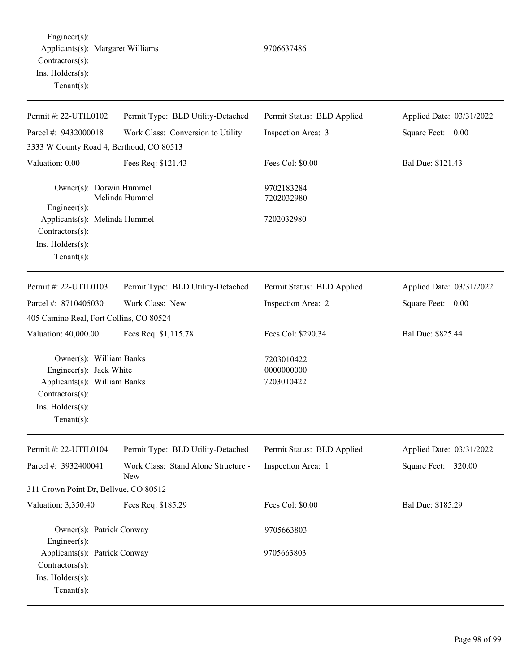Engineer(s): Applicants(s): Margaret Williams 9706637486 Contractors(s): Ins. Holders(s): Tenant(s):

Permit #: 22-UTIL0102 Parcel #: 9432000018 Permit Type: BLD Utility-Detached Work Class: Conversion to Utility Permit Status: BLD Applied Inspection Area: 3 Applied Date: 03/31/2022 Square Feet: 0.00 3333 W County Road 4, Berthoud, CO 80513 Valuation: 0.00 Fees Req: \$121.43 Fees Col: \$0.00 Bal Due: \$121.43 Owner(s): Dorwin Hummel 9702183284 Melinda Hummel 7202032980 Engineer(s): Applicants(s): Melinda Hummel 7202032980 Contractors(s): Ins. Holders(s): Tenant(s): Permit #: 22-UTIL0103 Parcel #: 8710405030 Permit Type: BLD Utility-Detached Work Class: New Permit Status: BLD Applied Inspection Area: 2 Applied Date: 03/31/2022 Square Feet: 0.00 405 Camino Real, Fort Collins, CO 80524 Valuation: 40,000.00 Fees Req: \$1,115.78 Fees Col: \$290.34 Bal Due: \$825.44 Owner(s): William Banks 7203010422 Engineer(s): Jack White 0000000000 Applicants(s): William Banks 7203010422 Contractors(s): Ins. Holders(s): Tenant(s): Permit #: 22-UTIL0104 Parcel #: 3932400041 Permit Type: BLD Utility-Detached Work Class: Stand Alone Structure - New Permit Status: BLD Applied Inspection Area: 1 Applied Date: 03/31/2022 Square Feet: 320.00 311 Crown Point Dr, Bellvue, CO 80512 Valuation: 3,350.40 Fees Req: \$185.29 Fees Col: \$0.00 Bal Due: \$185.29 Owner(s): Patrick Conway 9705663803 Engineer(s):

Applicants(s): Patrick Conway 9705663803 Contractors(s): Ins. Holders(s):